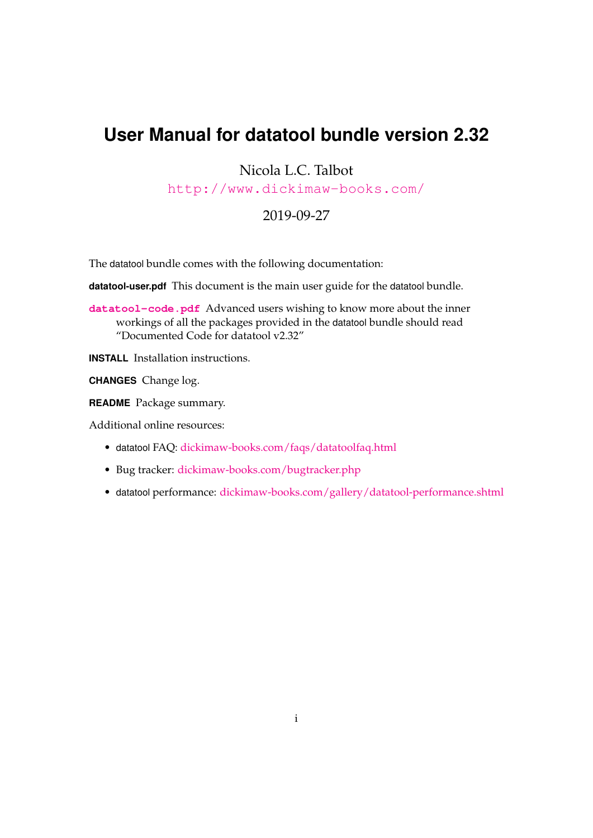## **User Manual for datatool bundle version 2.32**

Nicola L.C. Talbot

<http://www.dickimaw-books.com/>

## 2019-09-27

The datatool bundle comes with the following documentation:

**datatool-user.pdf** This document is the main user guide for the datatool bundle.

**<datatool-code.pdf>** Advanced users wishing to know more about the inner workings of all the packages provided in the datatool bundle should read "Documented Code for datatool v2.32"

**INSTALL** Installation instructions.

**CHANGES** Change log.

**README** Package summary.

Additional online resources:

- datatool FAQ: [dickimaw-books.com/faqs/datatoolfaq.html](https://www.dickimaw-books.com/faqs/datatoolfaq.html)
- Bug tracker: [dickimaw-books.com/bugtracker.php](https://www.dickimaw-books.com/bugtracker.php)
- datatool performance: [dickimaw-books.com/gallery/datatool-performance.shtml](https://www.dickimaw-books.com/gallery/datatool-performance.shtml)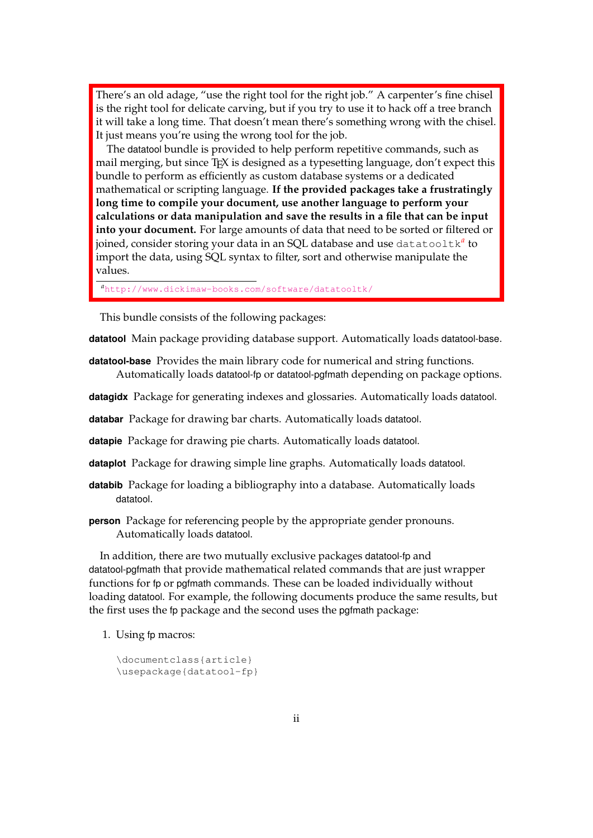There's an old adage, "use the right tool for the right job." A carpenter's fine chisel is the right tool for delicate carving, but if you try to use it to hack off a tree branch it will take a long time. That doesn't mean there's something wrong with the chisel. It just means you're using the wrong tool for the job.

The datatool bundle is provided to help perform repetitive commands, such as mail merging, but since T<sub>F</sub>X is designed as a typesetting language, don't expect this bundle to perform as efficiently as custom database systems or a dedicated mathematical or scripting language. **If the provided packages take a frustratingly long time to compile your document, use another language to perform your calculations or data manipulation and save the results in a file that can be input into your document.** For large amounts of data that need to be sorted or filtered or joined, consider storing your data in an SQL database and use datatooltk*[a](#page-1-0)* to import the data, using SQL syntax to filter, sort and otherwise manipulate the values.

<span id="page-1-0"></span>*<sup>a</sup>*<http://www.dickimaw-books.com/software/datatooltk/>

This bundle consists of the following packages:

**datatool** Main package providing database support. Automatically loads datatool-base.

**datatool-base** Provides the main library code for numerical and string functions. Automatically loads datatool-fp or datatool-pgfmath depending on package options.

**datagidx** Package for generating indexes and glossaries. Automatically loads datatool.

**databar** Package for drawing bar charts. Automatically loads datatool.

**datapie** Package for drawing pie charts. Automatically loads datatool.

**dataplot** Package for drawing simple line graphs. Automatically loads datatool.

**databib** Package for loading a bibliography into a database. Automatically loads datatool.

**person** Package for referencing people by the appropriate gender pronouns. Automatically loads datatool.

In addition, there are two mutually exclusive packages datatool-fp and datatool-pgfmath that provide mathematical related commands that are just wrapper functions for fp or pgfmath commands. These can be loaded individually without loading datatool. For example, the following documents produce the same results, but the first uses the fp package and the second uses the pgfmath package:

1. Using fp macros:

```
\documentclass{article}
\usepackage{datatool-fp}
```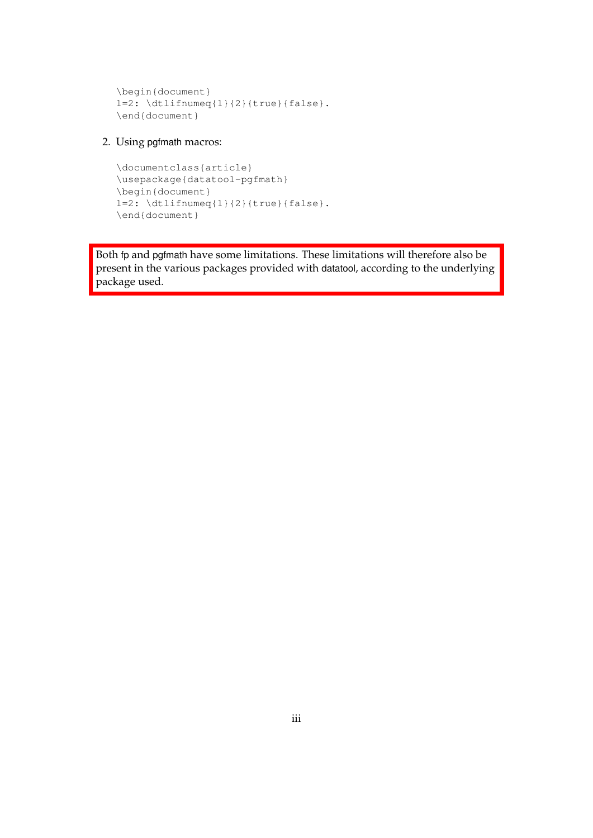```
\begin{document}
1=2: \delta \dtlifnumeq{1}{2}{true}{false}.
\end{document}
```
## 2. Using pgfmath macros:

```
\documentclass{article}
\usepackage{datatool-pgfmath}
\begin{document}
1=2: \delta \dtlifnumeq{1}{2}{true}{false}.
\end{document}
```
Both fp and pgfmath have some limitations. These limitations will therefore also be present in the various packages provided with datatool, according to the underlying package used.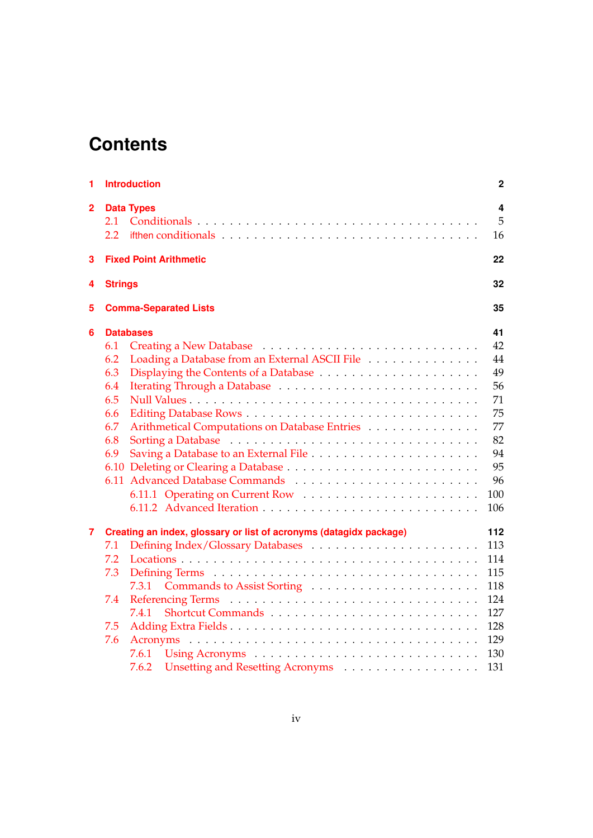# **Contents**

| 1              |                | <b>Introduction</b>                                                                                                              | $\mathbf 2$ |
|----------------|----------------|----------------------------------------------------------------------------------------------------------------------------------|-------------|
| $\overline{2}$ | 2.1            | <b>Data Types</b>                                                                                                                | 4<br>5      |
|                | 2.2            | if then conditionals $\ldots$ , $\ldots$ , $\ldots$ , $\ldots$ , $\ldots$ , $\ldots$ , $\ldots$ , $\ldots$ , $\ldots$ , $\ldots$ | 16          |
| 3              |                | <b>Fixed Point Arithmetic</b>                                                                                                    | 22          |
| 4              | <b>Strings</b> |                                                                                                                                  | 32          |
| 5              |                | <b>Comma-Separated Lists</b>                                                                                                     | 35          |
| 6              |                | <b>Databases</b>                                                                                                                 | 41          |
|                | 6.1            |                                                                                                                                  | 42          |
|                | 6.2            | Loading a Database from an External ASCII File                                                                                   | 44          |
|                | 6.3            |                                                                                                                                  | 49          |
|                | 6.4            |                                                                                                                                  | 56          |
|                | 6.5            |                                                                                                                                  | 71          |
|                | 6.6            |                                                                                                                                  | 75          |
|                | 6.7            | Arithmetical Computations on Database Entries                                                                                    | 77          |
|                | 6.8            |                                                                                                                                  | 82          |
|                | 6.9            |                                                                                                                                  | 94          |
|                |                |                                                                                                                                  | 95          |
|                |                |                                                                                                                                  | 96          |
|                |                |                                                                                                                                  | 100         |
|                |                |                                                                                                                                  | 106         |
| $\overline{7}$ |                | Creating an index, glossary or list of acronyms (datagidx package)                                                               | 112         |
|                | 7.1            |                                                                                                                                  | 113         |
|                | 7.2            |                                                                                                                                  | 114         |
|                | 7.3            |                                                                                                                                  | 115         |
|                |                | Commands to Assist Sorting<br>7.3.1                                                                                              | 118         |
|                | 7.4            |                                                                                                                                  | 124         |
|                |                | 7.4.1                                                                                                                            | 127         |
|                | 7.5            |                                                                                                                                  | 128         |
|                | 7.6            |                                                                                                                                  | 129         |
|                |                |                                                                                                                                  | 130         |
|                |                | 7.6.2<br>Unsetting and Resetting Acronyms                                                                                        | 131         |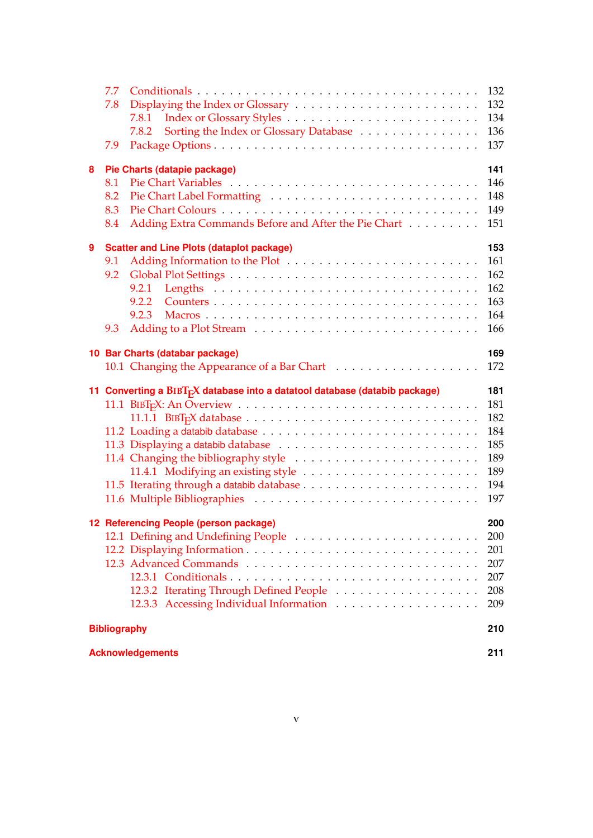|   | 7.7                                                                                     |                                        | 132 |
|---|-----------------------------------------------------------------------------------------|----------------------------------------|-----|
|   | 7.8                                                                                     |                                        | 132 |
|   | 7.8.1                                                                                   |                                        | 134 |
|   | 7.8.2                                                                                   | Sorting the Index or Glossary Database | 136 |
|   | 7.9                                                                                     |                                        | 137 |
| 8 | Pie Charts (datapie package)                                                            |                                        | 141 |
|   | 8.1                                                                                     |                                        | 146 |
|   | 8.2                                                                                     |                                        | 148 |
|   | 8.3                                                                                     |                                        | 149 |
|   | Adding Extra Commands Before and After the Pie Chart<br>8.4                             |                                        | 151 |
|   |                                                                                         |                                        |     |
| 9 | <b>Scatter and Line Plots (dataplot package)</b>                                        |                                        | 153 |
|   | 9.1                                                                                     |                                        | 161 |
|   | 9.2                                                                                     |                                        | 162 |
|   | 9.2.1                                                                                   |                                        | 162 |
|   | 9.2.2                                                                                   |                                        | 163 |
|   | 9.2.3                                                                                   |                                        | 164 |
|   | 9.3                                                                                     |                                        | 166 |
|   | 10 Bar Charts (databar package)                                                         |                                        | 169 |
|   | 10.1 Changing the Appearance of a Bar Chart                                             |                                        | 172 |
|   | 11 Converting a BIBT <sub>E</sub> X database into a datatool database (databib package) |                                        | 181 |
|   |                                                                                         |                                        | 181 |
|   |                                                                                         |                                        | 182 |
|   |                                                                                         |                                        | 184 |
|   |                                                                                         |                                        | 185 |
|   |                                                                                         |                                        | 189 |
|   |                                                                                         |                                        | 189 |
|   |                                                                                         |                                        | 194 |
|   |                                                                                         |                                        | 197 |
|   | 12 Referencing People (person package)                                                  |                                        | 200 |
|   | 12.1 Defining and Undefining People                                                     |                                        | 200 |
|   |                                                                                         |                                        | 201 |
|   |                                                                                         |                                        | 207 |
|   |                                                                                         |                                        | 207 |
|   |                                                                                         |                                        | 208 |
|   |                                                                                         |                                        | 209 |
|   |                                                                                         |                                        |     |
|   | <b>Bibliography</b>                                                                     |                                        | 210 |
|   | <b>Acknowledgements</b>                                                                 |                                        | 211 |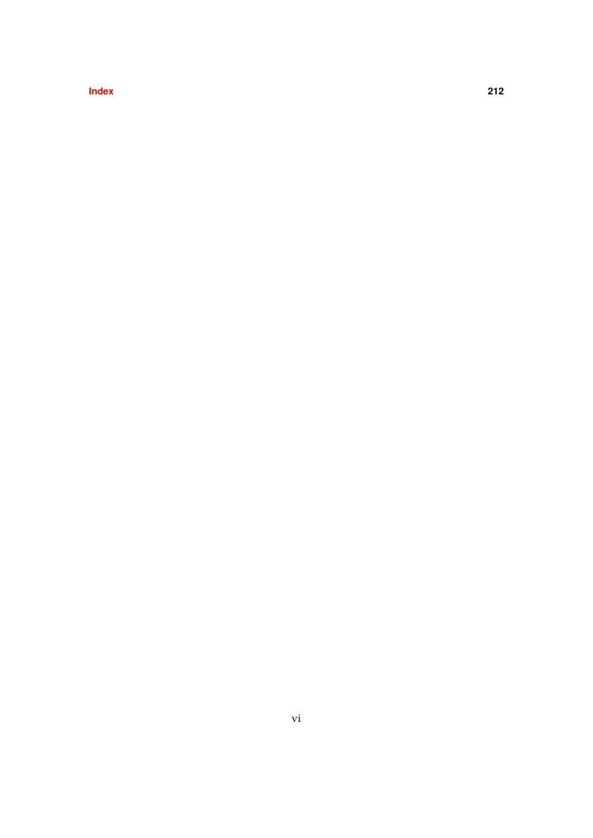**[Index](#page-220-0) 212**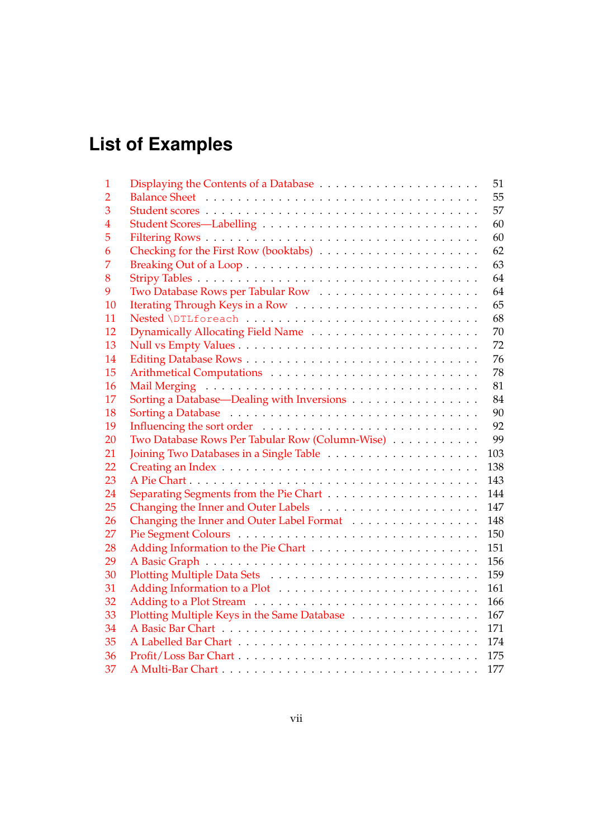# **List of Examples**

|                                                 | 51                                                                                                                            |
|-------------------------------------------------|-------------------------------------------------------------------------------------------------------------------------------|
|                                                 | 55                                                                                                                            |
|                                                 | 57                                                                                                                            |
|                                                 | 60                                                                                                                            |
|                                                 | 60                                                                                                                            |
|                                                 | 62                                                                                                                            |
|                                                 | 63                                                                                                                            |
|                                                 | 64                                                                                                                            |
|                                                 | 64                                                                                                                            |
|                                                 | 65                                                                                                                            |
|                                                 | 68                                                                                                                            |
|                                                 | 70                                                                                                                            |
|                                                 | 72                                                                                                                            |
|                                                 | 76                                                                                                                            |
|                                                 | 78                                                                                                                            |
|                                                 | 81                                                                                                                            |
| Sorting a Database—Dealing with Inversions      | 84                                                                                                                            |
|                                                 | 90                                                                                                                            |
|                                                 | 92                                                                                                                            |
| Two Database Rows Per Tabular Row (Column-Wise) | 99                                                                                                                            |
|                                                 | 103                                                                                                                           |
|                                                 | 138                                                                                                                           |
|                                                 | 143                                                                                                                           |
|                                                 | 144                                                                                                                           |
|                                                 | 147                                                                                                                           |
|                                                 | 148                                                                                                                           |
|                                                 | 150                                                                                                                           |
|                                                 | 151                                                                                                                           |
|                                                 | 156                                                                                                                           |
|                                                 | 159                                                                                                                           |
|                                                 | 161                                                                                                                           |
|                                                 | 166                                                                                                                           |
|                                                 | 167                                                                                                                           |
|                                                 | 171                                                                                                                           |
|                                                 | 174                                                                                                                           |
|                                                 | 175                                                                                                                           |
|                                                 | 177                                                                                                                           |
|                                                 | Dynamically Allocating Field Name<br>Changing the Inner and Outer Label Format<br>Plotting Multiple Keys in the Same Database |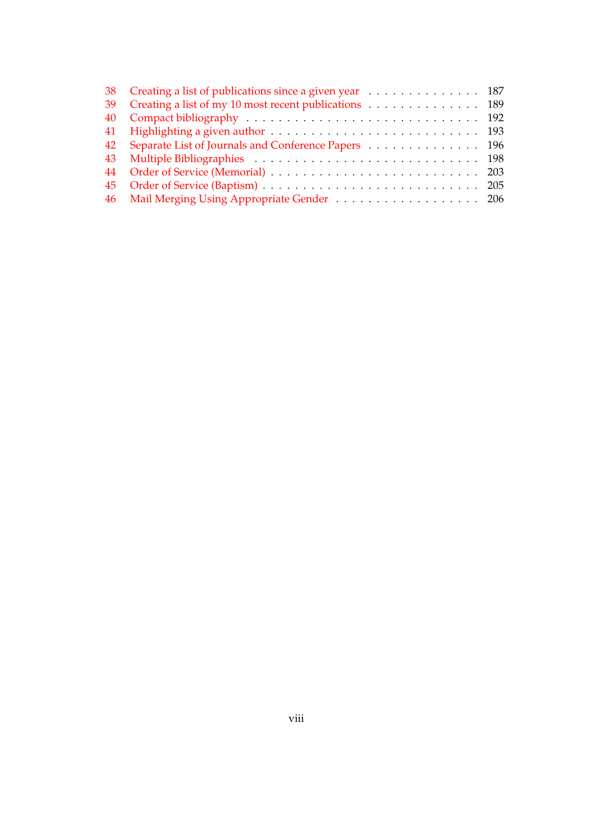| 38 Creating a list of publications since a given year 187 |  |
|-----------------------------------------------------------|--|
| 39 Creating a list of my 10 most recent publications 189  |  |
|                                                           |  |
|                                                           |  |
| 42 Separate List of Journals and Conference Papers 196    |  |
|                                                           |  |
|                                                           |  |
|                                                           |  |
| 46 Mail Merging Using Appropriate Gender 206              |  |
|                                                           |  |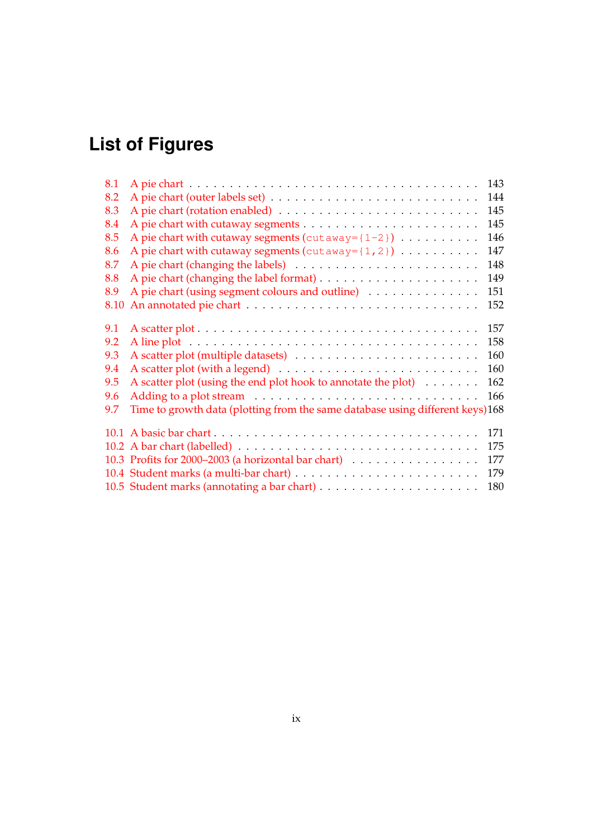# **List of Figures**

| 8.1  |                                                                               | 143 |
|------|-------------------------------------------------------------------------------|-----|
| 8.2  |                                                                               | 144 |
| 8.3  |                                                                               | 145 |
| 8.4  |                                                                               | 145 |
| 8.5  | A pie chart with cutaway segments ( $cutaway = \{1-2\}$ )                     | 146 |
| 8.6  | A pie chart with cutaway segments ( $cutaway = \{1, 2\}$ )                    | 147 |
| 8.7  |                                                                               | 148 |
| 8.8  |                                                                               | 149 |
| 8.9  | A pie chart (using segment colours and outline)                               | 151 |
| 8.10 |                                                                               | 152 |
|      |                                                                               |     |
| 9.1  |                                                                               | 157 |
| 9.2  |                                                                               | 158 |
| 9.3  |                                                                               | 160 |
| 9.4  |                                                                               | 160 |
| 9.5  | A scatter plot (using the end plot hook to annotate the plot) $\dots \dots$   | 162 |
| 9.6  |                                                                               | 166 |
| 9.7  | Time to growth data (plotting from the same database using different keys)168 |     |
|      |                                                                               |     |
|      |                                                                               | 171 |
|      |                                                                               | 175 |
|      | 10.3 Profits for 2000–2003 (a horizontal bar chart)                           | 177 |
|      |                                                                               | 179 |
|      |                                                                               | 180 |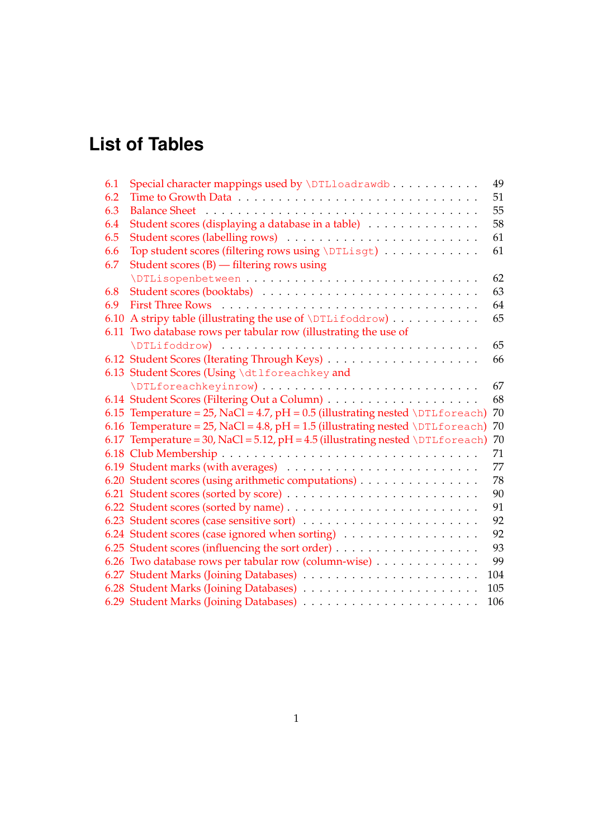# **List of Tables**

| 6.1<br>Special character mappings used by \DTLloadrawdb                             | 49  |
|-------------------------------------------------------------------------------------|-----|
| 6.2                                                                                 | 51  |
| 6.3                                                                                 | 55  |
| Student scores (displaying a database in a table)<br>6.4                            | 58  |
| 6.5                                                                                 | 61  |
| Top student scores (filtering rows using \DTLisgt)<br>6.6                           | 61  |
| Student scores $(B)$ — filtering rows using<br>6.7                                  |     |
|                                                                                     | 62  |
| 6.8                                                                                 | 63  |
| 6.9                                                                                 | 64  |
| A stripy table (illustrating the use of \DTLifoddrow)<br>6.10                       | 65  |
| Two database rows per tabular row (illustrating the use of<br>6.11                  |     |
|                                                                                     | 65  |
|                                                                                     | 66  |
| 6.13 Student Scores (Using \dtlforeachkey and                                       |     |
|                                                                                     | 67  |
|                                                                                     | 68  |
| 6.15 Temperature = $25$ , NaCl = $4.7$ , pH = 0.5 (illustrating nested \DTLforeach) | 70  |
| 6.16 Temperature = 25, NaCl = 4.8, pH = 1.5 (illustrating nested \DTLforeach)       | 70  |
| 6.17 Temperature = 30, NaCl = 5.12, pH = 4.5 (illustrating nested \DTLforeach)      | 70  |
|                                                                                     | 71  |
|                                                                                     | 77  |
| 6.20 Student scores (using arithmetic computations)                                 | 78  |
| 6.21 Student scores (sorted by score)                                               | 90  |
|                                                                                     | 91  |
|                                                                                     | 92  |
| 6.24 Student scores (case ignored when sorting)                                     | 92  |
|                                                                                     | 93  |
| 6.26 Two database rows per tabular row (column-wise)                                | 99  |
|                                                                                     | 104 |
|                                                                                     | 105 |
| 6.29 Student Marks (Joining Databases)                                              | 106 |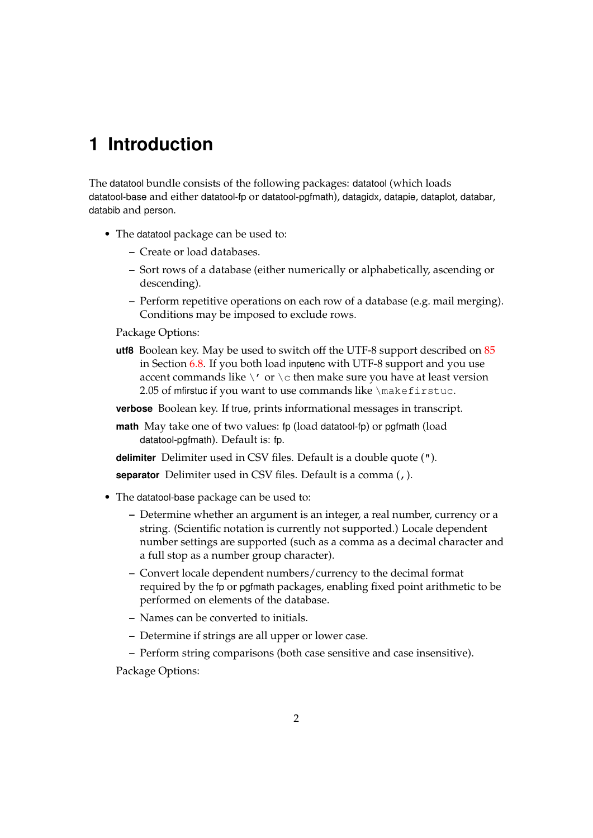## <span id="page-10-0"></span>**1 Introduction**

The datatool bundle consists of the following packages: datatool (which loads datatool-base and either datatool-fp or datatool-pgfmath), datagidx, datapie, dataplot, databar, databib and person.

- The datatool package can be used to:
	- **–** Create or load databases.
	- **–** Sort rows of a database (either numerically or alphabetically, ascending or descending).
	- **–** Perform repetitive operations on each row of a database (e.g. mail merging). Conditions may be imposed to exclude rows.

Package Options:

**utf8** Boolean key. May be used to switch off the UTF-8 support described on [85](#page-93-0) in Section [6.8.](#page-90-0) If you both load inputenc with UTF-8 support and you use accent commands like  $\setminus'$  or  $\setminus c$  then make sure you have at least version 2.05 of mfirstuc if you want to use commands like \makefirstuc.

**verbose** Boolean key. If true, prints informational messages in transcript.

**math** May take one of two values: fp (load datatool-fp) or pgfmath (load datatool-pgfmath). Default is: fp.

**delimiter** Delimiter used in CSV files. Default is a double quote (").

**separator** Delimiter used in CSV files. Default is a comma (,).

- The datatool-base package can be used to:
	- **–** Determine whether an argument is an integer, a real number, currency or a string. (Scientific notation is currently not supported.) Locale dependent number settings are supported (such as a comma as a decimal character and a full stop as a number group character).
	- **–** Convert locale dependent numbers/currency to the decimal format required by the fp or pgfmath packages, enabling fixed point arithmetic to be performed on elements of the database.
	- **–** Names can be converted to initials.
	- **–** Determine if strings are all upper or lower case.
	- **–** Perform string comparisons (both case sensitive and case insensitive).

Package Options: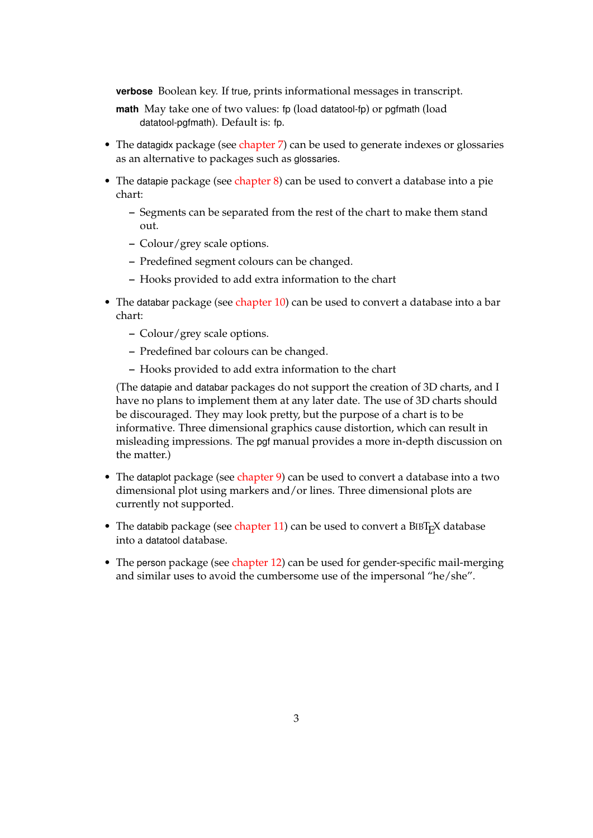**verbose** Boolean key. If true, prints informational messages in transcript.

- **math** May take one of two values: fp (load datatool-fp) or pgfmath (load datatool-pgfmath). Default is: fp.
- The datagidx package (see [chapter 7\)](#page-120-0) can be used to generate indexes or glossaries as an alternative to packages such as glossaries.
- The datapie package (see chapter  $8$ ) can be used to convert a database into a pie chart:
	- **–** Segments can be separated from the rest of the chart to make them stand out.
	- **–** Colour/grey scale options.
	- **–** Predefined segment colours can be changed.
	- **–** Hooks provided to add extra information to the chart
- The databar package (see [chapter 10\)](#page-177-0) can be used to convert a database into a bar chart:
	- **–** Colour/grey scale options.
	- **–** Predefined bar colours can be changed.
	- **–** Hooks provided to add extra information to the chart

(The datapie and databar packages do not support the creation of 3D charts, and I have no plans to implement them at any later date. The use of 3D charts should be discouraged. They may look pretty, but the purpose of a chart is to be informative. Three dimensional graphics cause distortion, which can result in misleading impressions. The pgf manual provides a more in-depth discussion on the matter.)

- The dataplot package (see [chapter 9\)](#page-161-0) can be used to convert a database into a two dimensional plot using markers and/or lines. Three dimensional plots are currently not supported.
- The databib package (see chapter  $11$ ) can be used to convert a BIBT<sub>E</sub>X database into a datatool database.
- The person package (see [chapter 12\)](#page-208-0) can be used for gender-specific mail-merging and similar uses to avoid the cumbersome use of the impersonal "he/she".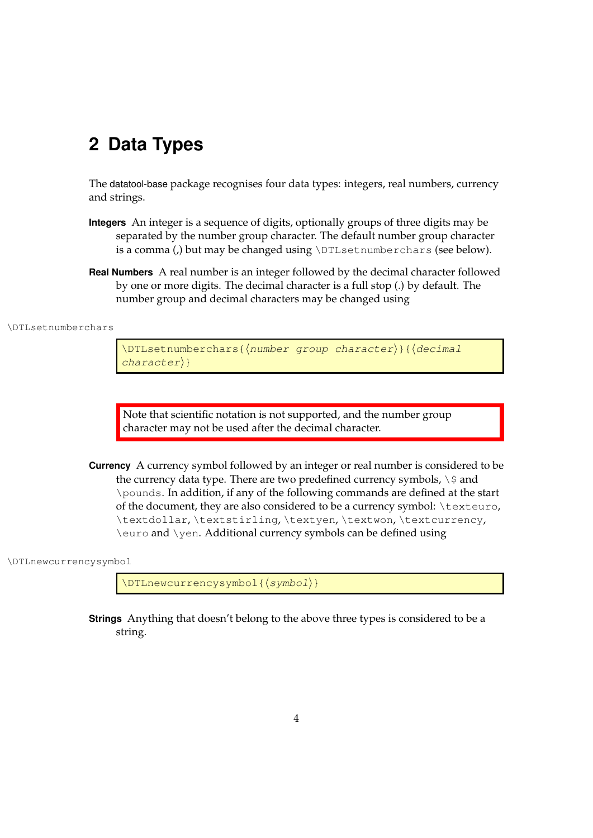## <span id="page-12-0"></span>**2 Data Types**

The datatool-base package recognises four data types: integers, real numbers, currency and strings.

- **Integers** An integer is a sequence of digits, optionally groups of three digits may be separated by the number group character. The default number group character is a comma (,) but may be changed using \DTLsetnumberchars (see below).
- **Real Numbers** A real number is an integer followed by the decimal character followed by one or more digits. The decimal character is a full stop (.) by default. The number group and decimal characters may be changed using

\DTLsetnumberchars

\DTLsetnumberchars{(number group character)}{(decimal  $character\}$ 

Note that scientific notation is not supported, and the number group character may not be used after the decimal character.

**Currency** A currency symbol followed by an integer or real number is considered to be the currency data type. There are two predefined currency symbols,  $\setminus$  \$ and \pounds. In addition, if any of the following commands are defined at the start of the document, they are also considered to be a currency symbol: \texteuro, \textdollar, \textstirling, \textyen, \textwon, \textcurrency, \euro and \yen. Additional currency symbols can be defined using

\DTLnewcurrencysymbol

\DTLnewcurrencysymbol{ $\langle symbol\rangle\}$ 

**Strings** Anything that doesn't belong to the above three types is considered to be a string.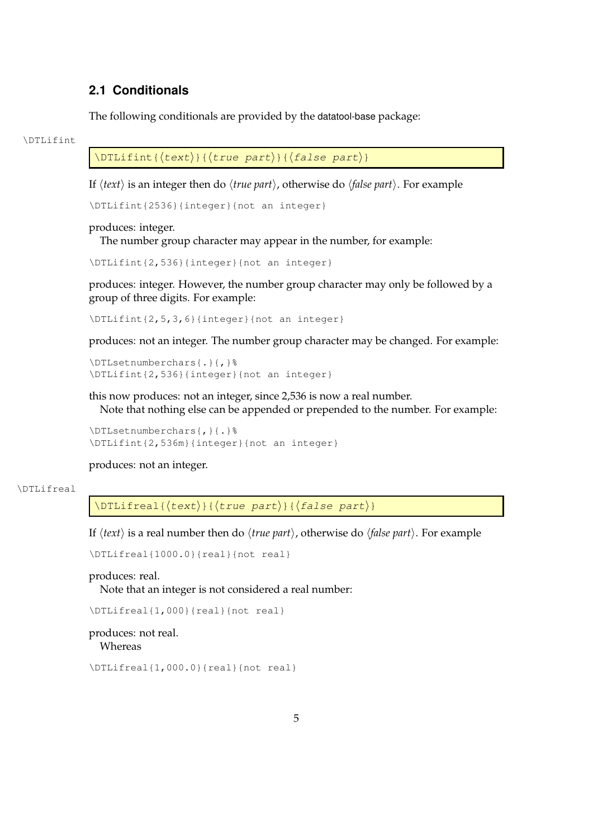## <span id="page-13-0"></span>**2.1 Conditionals**

The following conditionals are provided by the datatool-base package:

#### \DTLifint

 $\Delta$ DTLifint{ $\langle$ text}}{ $\langle$ true part}}{ $\langle$ false part}}

If  $\langle text \rangle$  is an integer then do  $\langle true\ part \rangle$ , otherwise do  $\langle false\ part \rangle$ . For example

\DTLifint{2536}{integer}{not an integer}

#### produces: integer.

The number group character may appear in the number, for example:

\DTLifint{2,536}{integer}{not an integer}

produces: integer. However, the number group character may only be followed by a group of three digits. For example:

\DTLifint{2,5,3,6}{integer}{not an integer}

produces: not an integer. The number group character may be changed. For example:

```
\DTLsetnumberchars{.}{,}%
\DTLifint{2,536}{integer}{not an integer}
```
this now produces: not an integer, since 2,536 is now a real number. Note that nothing else can be appended or prepended to the number. For example:

\DTLsetnumberchars{,}{.}% \DTLifint{2,536m}{integer}{not an integer}

produces: not an integer.

#### \DTLifreal

 $\DTLifreal({text})({true part})({false part})$ 

If  $\langle text \rangle$  is a real number then do  $\langle true\ part \rangle$ , otherwise do  $\langle false\ part \rangle$ . For example

\DTLifreal{1000.0}{real}{not real}

produces: real. Note that an integer is not considered a real number:

\DTLifreal{1,000}{real}{not real}

produces: not real. Whereas

\DTLifreal{1,000.0}{real}{not real}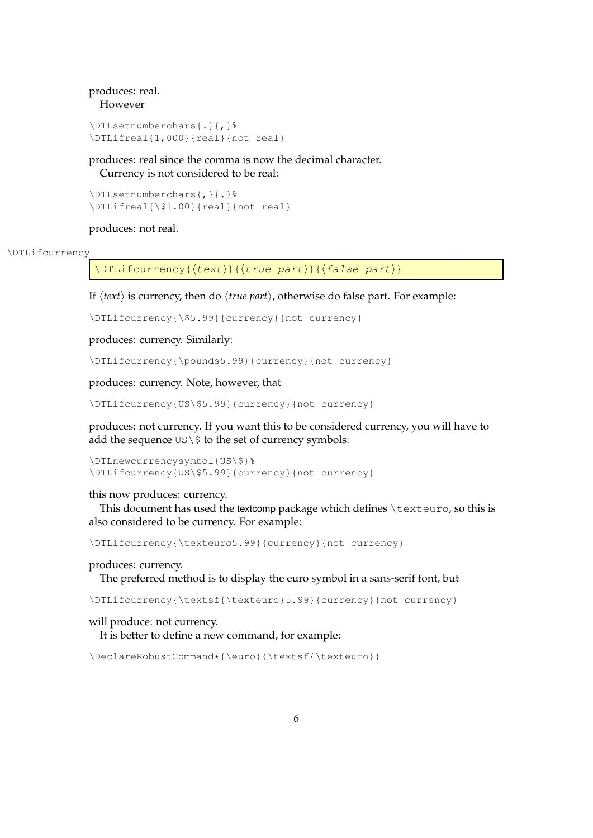### produces: real. However

```
\DTLsetnumberchars{.}{,}%
\DTLifreal{1,000}{real}{not real}
```
produces: real since the comma is now the decimal character. Currency is not considered to be real:

```
\DTLsetnumberchars{,}{.}%
\DTLifreal{\$1.00}{real}{not real}
```
produces: not real.

#### \DTLifcurrency

 $\DTEifcurrency({text})({true part})({false part})$ 

If  $\langle text \rangle$  is currency, then do  $\langle true\ part \rangle$ , otherwise do false part. For example:

\DTLifcurrency{\\$5.99}{currency}{not currency}

produces: currency. Similarly:

\DTLifcurrency{\pounds5.99}{currency}{not currency}

produces: currency. Note, however, that

\DTLifcurrency{US\\$5.99}{currency}{not currency}

produces: not currency. If you want this to be considered currency, you will have to add the sequence  $US \S$  to the set of currency symbols:

```
\DTLnewcurrencysymbol{US\$}%
\DTLifcurrency{US\$5.99}{currency}{not currency}
```
this now produces: currency.

This document has used the textcomp package which defines \texteuro, so this is also considered to be currency. For example:

\DTLifcurrency{\texteuro5.99}{currency}{not currency}

produces: currency.

The preferred method is to display the euro symbol in a sans-serif font, but

\DTLifcurrency{\textsf{\texteuro}5.99}{currency}{not currency}

## will produce: not currency.

It is better to define a new command, for example:

```
\DeclareRobustCommand*{\euro}{\textsf{\texteuro}}
```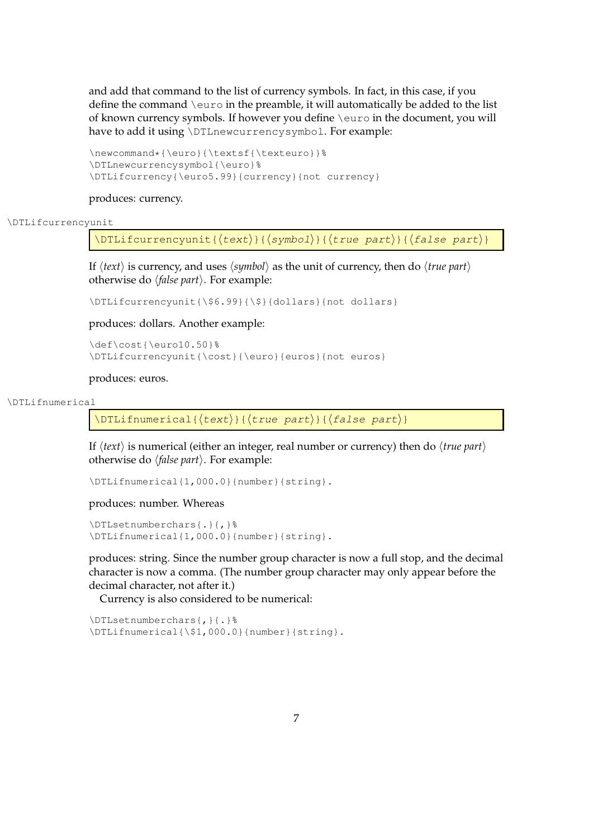and add that command to the list of currency symbols. In fact, in this case, if you define the command  $\text{env}$  in the preamble, it will automatically be added to the list of known currency symbols. If however you define \euro in the document, you will have to add it using \DTLnewcurrencysymbol. For example:

```
\newcommand*{\euro}{\textsf{\texteuro}}%
\DTLnewcurrencysymbol{\euro}%
\DTLifcurrency{\euro5.99}{currency}{not currency}
```
#### produces: currency.

#### \DTLifcurrencyunit

\DTLifcurrencyunit{ $\{\text{sech}\{\text{symbol}\}\{\text{true part}\}\$ 

If  $\langle text \rangle$  is currency, and uses  $\langle symbol \rangle$  as the unit of currency, then do  $\langle true\ part \rangle$ otherwise do *{false part}*. For example:

\DTLifcurrencyunit{\\$6.99}{\\$}{dollars}{not dollars}

produces: dollars. Another example:

\def\cost{\euro10.50}% \DTLifcurrencyunit{\cost}{\euro}{euros}{not euros}

#### produces: euros.

#### \DTLifnumerical

\DTLifnumerical{ $\langle text{\}]{\text{true part}}{\}$ }{ $\langle false\ part{\}$ }

If  $\langle text \rangle$  is numerical (either an integer, real number or currency) then do  $\langle true\ part \rangle$ otherwise do  $\langle false\ part \rangle$ . For example:

```
\DTLifnumerical{1,000.0}{number}{string}.
```
produces: number. Whereas

```
\DTLsetnumberchars{.}{,}%
\DTLifnumerical{1,000.0}{number}{string}.
```
produces: string. Since the number group character is now a full stop, and the decimal character is now a comma. (The number group character may only appear before the decimal character, not after it.)

Currency is also considered to be numerical:

\DTLsetnumberchars{,}{.}% \DTLifnumerical{\\$1,000.0}{number}{string}.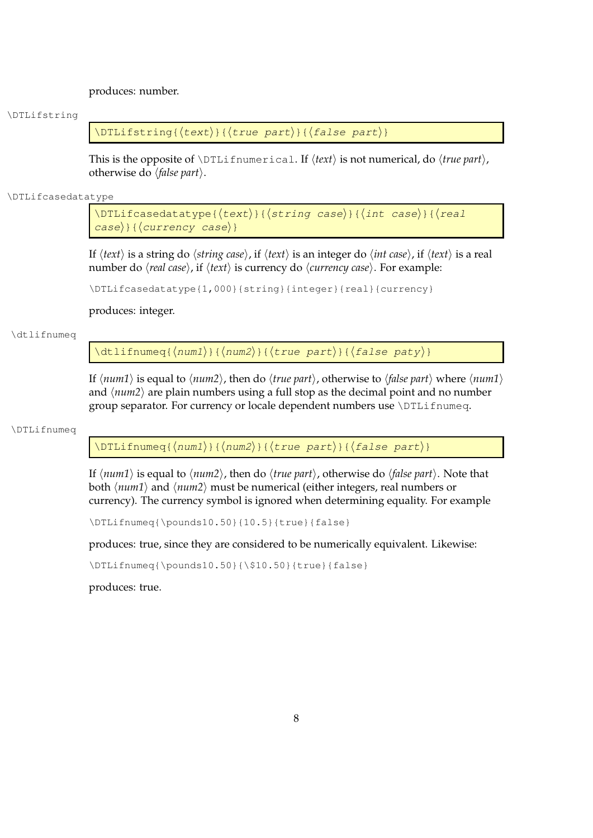produces: number.

#### \DTLifstring

\DTLifstring{ $\langle$ text}}{ $\langle$ true part}}{ $\langle$ false part}}

This is the opposite of  $\DTLifnumerical$ . If  $\langle text \rangle$  is not numerical, do  $\langle true \ part \rangle$ , otherwise do *\false part*}.

## \DTLifcasedatatype

```
\DTLifcasedatatype{\langle \text{text}\rangle}{\langle \text{string case} \rangle}{\langle \text{int case} \rangle}{\langle \text{real}\langle \text{case} \rangle} {\langle \text{curve} \rangle case}}
```
If  $\langle text \rangle$  is a string do  $\langle string\ case\rangle$ , if  $\langle text \rangle$  is an integer do  $\langle int\ case\rangle$ , if  $\langle text \rangle$  is a real number do  $\langle real \, case \rangle$ , if  $\langle text \rangle$  is currency do  $\langle current \, case \rangle$ . For example:

\DTLifcasedatatype{1,000}{string}{integer}{real}{currency}

## produces: integer.

#### \dtlifnumeq

 $\left\{ \frac{\langle \text{num1} \rangle}{\langle \text{num2} \rangle} \right\}$  {  $\left\{ \text{true part} \right\}$  } {  $\left\{ \text{false part} \right\}$ }

If  $\langle num1 \rangle$  is equal to  $\langle num2 \rangle$ , then do  $\langle true\ part \rangle$ , otherwise to  $\langle false\ part \rangle$  where  $\langle num1 \rangle$ and  $\langle num2 \rangle$  are plain numbers using a full stop as the decimal point and no number group separator. For currency or locale dependent numbers use \DTLifnumeq.

#### \DTLifnumeq

\DTLifnumeq{ $\langle num1\rangle$ }{ $\langle num2\rangle$ }{ $\langle true\ part\rangle$ }{ $\langle false\ part\rangle$ }

If  $\langle num1 \rangle$  is equal to  $\langle num2 \rangle$ , then do  $\langle true\ part \rangle$ , otherwise do  $\langle false\ part \rangle$ . Note that both  $\langle num1 \rangle$  and  $\langle num2 \rangle$  must be numerical (either integers, real numbers or currency). The currency symbol is ignored when determining equality. For example

\DTLifnumeq{\pounds10.50}{10.5}{true}{false}

produces: true, since they are considered to be numerically equivalent. Likewise:

\DTLifnumeq{\pounds10.50}{\\$10.50}{true}{false}

produces: true.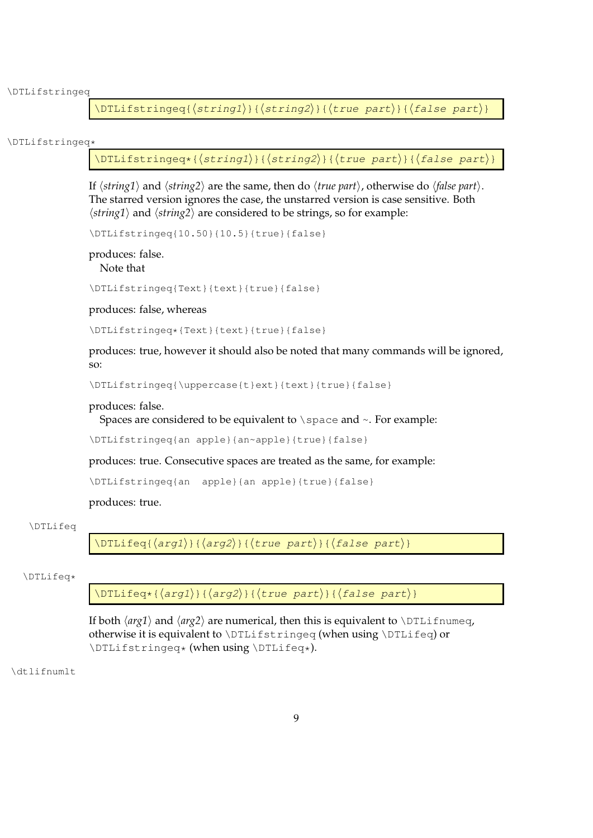\DTLifstringeq

\DTLifstringeq{ $\langle$ string1 $\rangle$ }{ $\langle$ string2 $\rangle$ }{ $\langle$ true part $\rangle$ }{ $\langle$ false part $\rangle$ }

#### \DTLifstringeq\*

 $\DTEifstringeq*\{\langle string1\rangle\}\{\langle string2\rangle\}\{\langle true\ part\rangle\}\{\langle false\ part\rangle\}$ 

If  $\langle$ *string1* $\rangle$  and  $\langle$ *string2* $\rangle$  are the same, then do  $\langle$ *true part* $\rangle$ , otherwise do  $\langle$ *false part* $\rangle$ . The starred version ignores the case, the unstarred version is case sensitive. Both  $\langle$ *string1* $\rangle$  and  $\langle$ *string2* $\rangle$  are considered to be strings, so for example:

\DTLifstringeq{10.50}{10.5}{true}{false}

produces: false. Note that

\DTLifstringeq{Text}{text}{true}{false}

produces: false, whereas

\DTLifstringeq\*{Text}{text}{true}{false}

produces: true, however it should also be noted that many commands will be ignored, so:

\DTLifstringeq{\uppercase{t}ext}{text}{true}{false}

#### produces: false.

Spaces are considered to be equivalent to  $\simeq$  and  $\sim$ . For example:

\DTLifstringeq{an apple}{an~apple}{true}{false}

produces: true. Consecutive spaces are treated as the same, for example:

\DTLifstringeq{an apple}{an apple}{true}{false}

produces: true.

#### \DTLifeq

\DTLifeq{ $\langle arg1\rangle$ }{ $\langle arg2\rangle$ }{ $\langle true\ part\rangle$ }{ $\langle false\ part\rangle$ }

#### \DTLifeq\*

 $\DTLifeq*{\arg1}{\frac{\arg2}{\theta}}$ 

If both  $\langle arg1 \rangle$  and  $\langle arg2 \rangle$  are numerical, then this is equivalent to  $\Delta$ DTLifnumeq, otherwise it is equivalent to \DTLifstringeq (when using \DTLifeq) or \DTLifstringeq\* (when using \DTLifeq\*).

\dtlifnumlt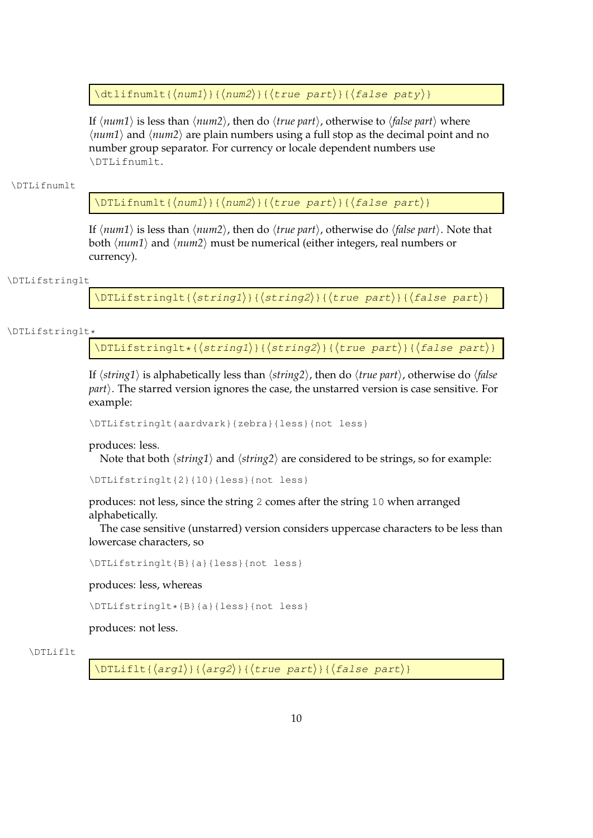\dtlifnumlt{ $\langle num1\rangle$ }{ $\langle num2\rangle$ }{ $\langle true~part\rangle$ }{ $\langle false~paty\rangle$ }

If  $\langle num1 \rangle$  is less than  $\langle num2 \rangle$ , then do  $\langle true\ part \rangle$ , otherwise to  $\langle false\ part \rangle$  where  $\langle num1 \rangle$  and  $\langle num2 \rangle$  are plain numbers using a full stop as the decimal point and no number group separator. For currency or locale dependent numbers use \DTLifnumlt.

#### \DTLifnumlt

\DTLifnumlt{ $\langle num1\rangle$ }{ $\langle num2\rangle$ }{ $\langle true~part\rangle$ }{ $\langle false~part\rangle$ }

If  $\langle num1 \rangle$  is less than  $\langle num2 \rangle$ , then do  $\langle true\ part \rangle$ , otherwise do  $\langle false\ part \rangle$ . Note that both  $\langle num1 \rangle$  and  $\langle num2 \rangle$  must be numerical (either integers, real numbers or currency).

#### \DTLifstringlt

\DTLifstringlt{ $\langle$ string1}}{ $\langle$ string2}}{ $\langle$ true part}}{ $\langle$ false part}}

#### \DTLifstringlt\*

\DTLifstringlt\*{ $\langle$ string1}}{ $\langle$ string2}}{ $\langle$ true part}}{ $\langle$ false part}}

If  $\langle$ *string1* $\rangle$  is alphabetically less than  $\langle$ *string2* $\rangle$ , then do  $\langle$ *true part* $\rangle$ , otherwise do  $\langle$ *false part*). The starred version ignores the case, the unstarred version is case sensitive. For example:

\DTLifstringlt{aardvark}{zebra}{less}{not less}

#### produces: less.

Note that both  $\langle string1 \rangle$  and  $\langle string2 \rangle$  are considered to be strings, so for example:

```
\DTLifstringlt{2}{10}{less}{not less}
```
produces: not less, since the string 2 comes after the string 10 when arranged alphabetically.

The case sensitive (unstarred) version considers uppercase characters to be less than lowercase characters, so

\DTLifstringlt{B}{a}{less}{not less}

produces: less, whereas

\DTLifstringlt\*{B}{a}{less}{not less}

produces: not less.

#### \DTLiflt

 $\DTHiflt({arg1}){\Arg2}\$  (true part)}{(false part)}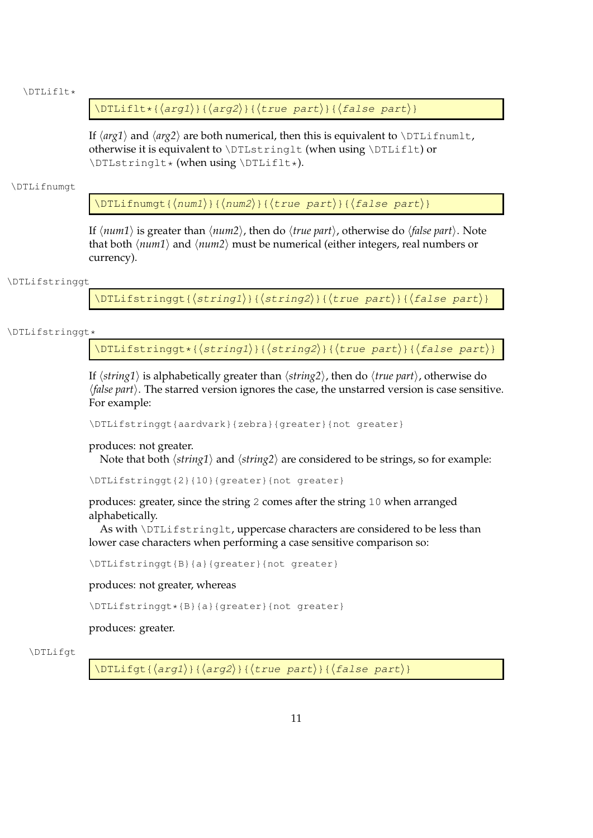#### \DTLiflt\*

\DTLiflt\*{ $\langle arg1\rangle$ }{ $\langle arg2\rangle$ }{ $\langle true\ part\rangle$ }{ $\langle false\ part\rangle$ }

If  $\langle arg1 \rangle$  and  $\langle arg2 \rangle$  are both numerical, then this is equivalent to \DTLifnumlt, otherwise it is equivalent to \DTLstringlt (when using \DTLiflt) or \DTLstringlt\* (when using \DTLiflt\*).

#### \DTLifnumgt

\DTLifnumqt{ $\langle num1\rangle$ }{ $\langle num2\rangle$ }{ $\langle true\ part\rangle$ }{ $\langle false\ part\rangle$ }

If  $\langle num1 \rangle$  is greater than  $\langle num2 \rangle$ , then do  $\langle true\ part \rangle$ , otherwise do  $\langle false\ part \rangle$ . Note that both  $\langle num1 \rangle$  and  $\langle num2 \rangle$  must be numerical (either integers, real numbers or currency).

#### \DTLifstringgt

\DTLifstringgt{ $\langle$ string1}}{ $\langle$ string2}}{ $\langle$ true part}}{ $\langle$ false part}}

#### \DTLifstringgt\*

\DTLifstringgt\*{ $\langle$ string1}}{ $\langle$ string2}}{ $\langle$ true part}}{ $\langle$ false part}}

If  $\langle$ *string1* $\rangle$  is alphabetically greater than  $\langle$ *string2* $\rangle$ , then do  $\langle$ *true part* $\rangle$ , otherwise do *(false part)*. The starred version ignores the case, the unstarred version is case sensitive. For example:

\DTLifstringgt{aardvark}{zebra}{greater}{not greater}

#### produces: not greater.

Note that both  $\langle string1 \rangle$  and  $\langle string2 \rangle$  are considered to be strings, so for example:

```
\DTLifstringgt{2}{10}{greater}{not greater}
```
produces: greater, since the string 2 comes after the string 10 when arranged alphabetically.

As with \DTLifstringlt, uppercase characters are considered to be less than lower case characters when performing a case sensitive comparison so:

\DTLifstringgt{B}{a}{greater}{not greater}

produces: not greater, whereas

\DTLifstringgt\*{B}{a}{greater}{not greater}

produces: greater.

#### \DTLifgt

 $\DTEifgt{\alpha rgl}({arg1})$ { $\langle arg2\rangle$ }{ $\langle true~part\rangle$ }{ $\langle false~part\rangle$ }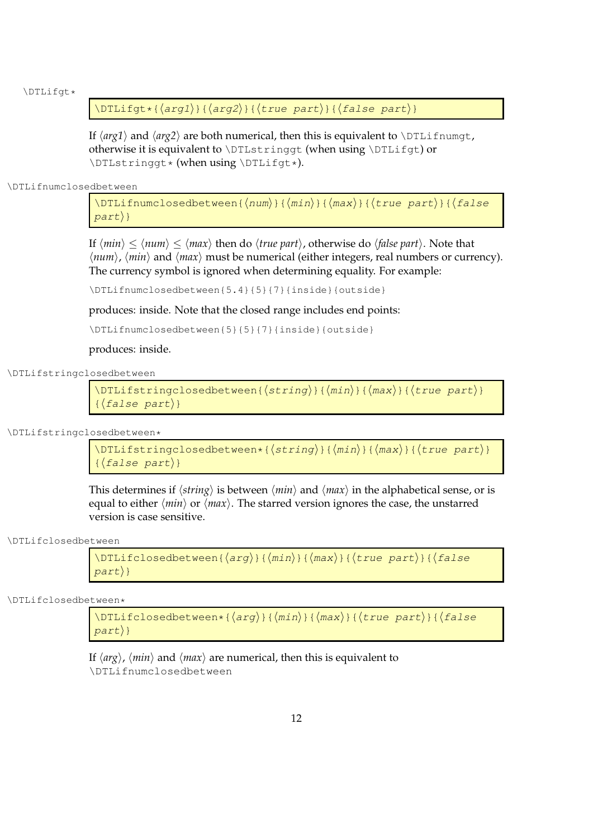\DTLifgt\*

\DTLifgt\*{ $\langle arg1\rangle$ }{ $\langle arg2\rangle$ }{ $\langle true\ part\rangle$ }{ $\langle false\ part\rangle$ }

If  $\langle arg1 \rangle$  and  $\langle arg2 \rangle$  are both numerical, then this is equivalent to  $\Delta$ TLifnumgt, otherwise it is equivalent to \DTLstringgt (when using \DTLifgt) or \DTLstringgt\* (when using \DTLifgt\*).

\DTLifnumclosedbetween

\DTLifnumclosedbetween{ $\langle num \rangle$ }{ $\langle max \rangle$ }{ $\langle true$  part}}{ $\langle false \rangle$  $part$ }

If  $\langle min \rangle \le \langle num \rangle \le \langle max \rangle$  then do  $\langle true\ part \rangle$ , otherwise do  $\langle false\ part \rangle$ . Note that  $\langle num \rangle$ ,  $\langle min \rangle$  and  $\langle max \rangle$  must be numerical (either integers, real numbers or currency). The currency symbol is ignored when determining equality. For example:

\DTLifnumclosedbetween{5.4}{5}{7}{inside}{outside}

produces: inside. Note that the closed range includes end points:

\DTLifnumclosedbetween{5}{5}{7}{inside}{outside}

produces: inside.

\DTLifstringclosedbetween

 $\DTLifstring closed between({string})({min})({max})({true part})$  $\{\langle false\ part \rangle\}$ 

\DTLifstringclosedbetween\*

\DTLifstringclosedbetween\*{ $\{string\}$ }{ $\{(\text{max})$ }{ $\{true\ part\}$ }  $\{\langle false\ part \rangle\}$ 

This determines if  $\langle$ *string* $\rangle$  is between  $\langle$ *min* $\rangle$  and  $\langle$ *max* $\rangle$  in the alphabetical sense, or is equal to either  $\langle min \rangle$  or  $\langle max \rangle$ . The starred version ignores the case, the unstarred version is case sensitive.

\DTLifclosedbetween

\DTLifclosedbetween{ $\{arg\}$ }{ $\{min\}$ }{ $\{frac\}{}$  {true part}}{ $\{false$  $part$ }

\DTLifclosedbetween\*

 $\DTHifclosed between*(arg){({min})}{\max}{}({true part)}({false)}$  $part$ }

If  $\langle arg \rangle$ ,  $\langle min \rangle$  and  $\langle max \rangle$  are numerical, then this is equivalent to \DTLifnumclosedbetween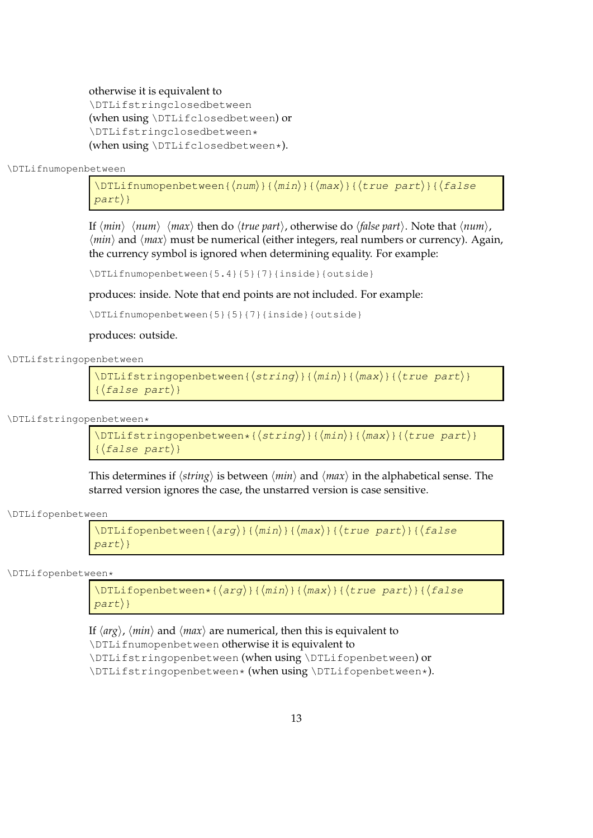#### otherwise it is equivalent to

\DTLifstringclosedbetween (when using \DTLifclosedbetween) or \DTLifstringclosedbetween\* (when using \DTLifclosedbetween\*).

\DTLifnumopenbetween

\DTLifnumopenbetween{ $\langle num \rangle$ }{ $\langle min \rangle$ }{ $\langle max \rangle$ }{ $\langle true$  part $\rangle$ }{ $\langle false \rangle$  $part$ }

If  $\langle min \rangle$   $\langle num \rangle$   $\langle max \rangle$  then do  $\langle true\ part \rangle$ , otherwise do  $\langle false\ part \rangle$ . Note that  $\langle num \rangle$ ,  $\langle min \rangle$  and  $\langle max \rangle$  must be numerical (either integers, real numbers or currency). Again, the currency symbol is ignored when determining equality. For example:

\DTLifnumopenbetween{5.4}{5}{7}{inside}{outside}

produces: inside. Note that end points are not included. For example:

\DTLifnumopenbetween{5}{5}{7}{inside}{outside}

produces: outside.

\DTLifstringopenbetween

\DTLifstringopenbetween{ $\langle$ string}}{ $\langle min\rangle$ }{ $\langle max\rangle$ }{ $\langle true\ part\rangle$ }  $\{\langle false\ part \rangle\}$ 

\DTLifstringopenbetween\*

```
\D{{\rm TLifstringopenbetween}\times{\s_{string}}{\{min\}}{\langle max{\rangle}{}\{\langle false\ part\rangle\}
```
This determines if  $\langle$ *string* $\rangle$  is between  $\langle$ *min* $\rangle$  and  $\langle$ *max* $\rangle$  in the alphabetical sense. The starred version ignores the case, the unstarred version is case sensitive.

\DTLifopenbetween

```
\DTEifopenbetween{\arg}{\dim}{\dim}{\dim}part}
```
\DTLifopenbetween\*

\DTLifopenbetween\*{ $\langle arg \rangle$ }{ $\langle max \rangle$ }{ $\langle true part \rangle$ }{ $\langle false$  $part$ }

If  $\langle arg \rangle$ ,  $\langle min \rangle$  and  $\langle max \rangle$  are numerical, then this is equivalent to \DTLifnumopenbetween otherwise it is equivalent to \DTLifstringopenbetween (when using \DTLifopenbetween) or \DTLifstringopenbetween\* (when using \DTLifopenbetween\*).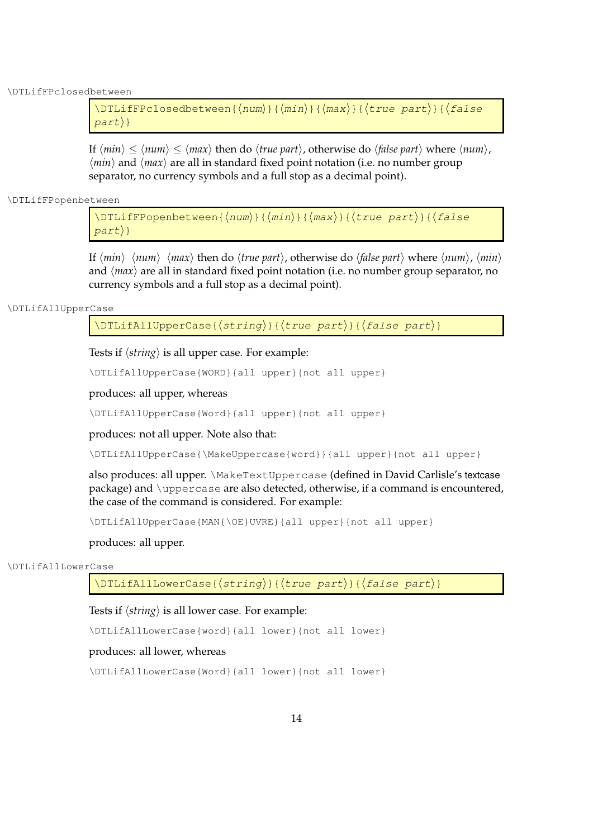\DTLifFPclosedbetween

```
\DTLifFPclosedbetween{\langle num \rangle}{\langle min \rangle}{\langle max \rangle}{\langle true \ part \rangle}{\langle false \rangle\langle part) }
```
If  $\langle min \rangle \le \langle num \rangle \le \langle max \rangle$  then do  $\langle true\ part \rangle$ , otherwise do  $\langle false\ part \rangle$  where  $\langle num \rangle$ ,  $\langle min \rangle$  and  $\langle max \rangle$  are all in standard fixed point notation (i.e. no number group separator, no currency symbols and a full stop as a decimal point).

\DTLifFPopenbetween

\DTLifFPopenbetween{ $\langle num \rangle$ }{ $\langle max \rangle$ }{ $\langle true$  part $\rangle$ }{ $\langle false$  $part$ }

If  $\langle min \rangle$   $\langle num \rangle$   $\langle max \rangle$  then do  $\langle true\ part \rangle$ , otherwise do  $\langle false\ part \rangle$  where  $\langle num \rangle$ ,  $\langle min \rangle$ and  $\langle max \rangle$  are all in standard fixed point notation (i.e. no number group separator, no currency symbols and a full stop as a decimal point).

#### \DTLifAllUpperCase

 $\DTLifAllUpperCase({string}_{\frac{\{true\ part\}}{\theta}}$ 

Tests if  $\langle$ *string* $\rangle$  is all upper case. For example:

\DTLifAllUpperCase{WORD}{all upper}{not all upper}

produces: all upper, whereas

\DTLifAllUpperCase{Word}{all upper}{not all upper}

produces: not all upper. Note also that:

\DTLifAllUpperCase{\MakeUppercase{word}}{all upper}{not all upper}

also produces: all upper. \MakeTextUppercase (defined in David Carlisle's textcase package) and \uppercase are also detected, otherwise, if a command is encountered, the case of the command is considered. For example:

\DTLifAllUpperCase{MAN{\OE}UVRE}{all upper}{not all upper}

produces: all upper.

#### \DTLifAllLowerCase

 $\DTLifAllLowerCase({string}_{\frac{\int{true}{path}}{\delta}}$ 

Tests if  $\langle$ *string* $\rangle$  is all lower case. For example:

\DTLifAllLowerCase{word}{all lower}{not all lower}

#### produces: all lower, whereas

\DTLifAllLowerCase{Word}{all lower}{not all lower}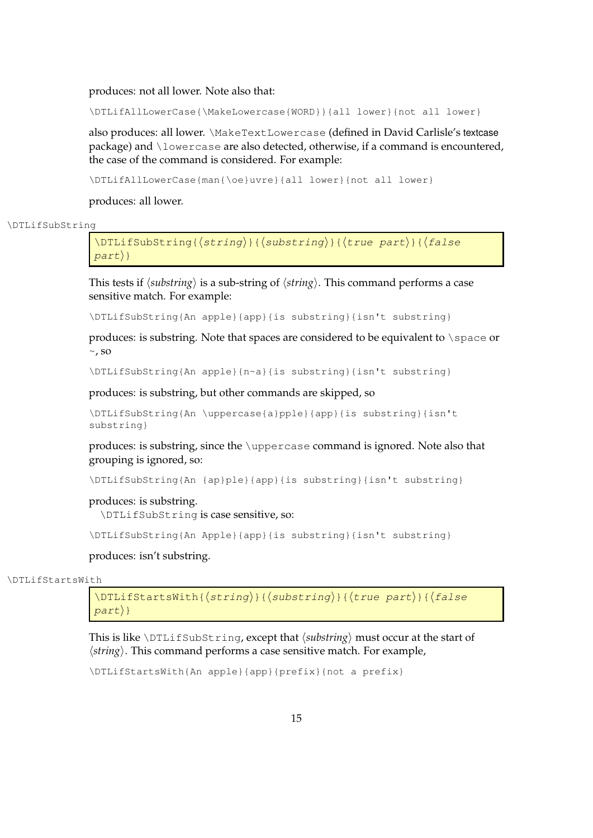produces: not all lower. Note also that:

\DTLifAllLowerCase{\MakeLowercase{WORD}}{all lower}{not all lower}

also produces: all lower. \MakeTextLowercase (defined in David Carlisle's textcase package) and \lowercase are also detected, otherwise, if a command is encountered, the case of the command is considered. For example:

\DTLifAllLowerCase{man{\oe}uvre}{all lower}{not all lower}

produces: all lower.

\DTLifSubString

 $\DTLifSubString({string})({substring})({true part})({false}$  $part$ }

This tests if  $\langle \textit{substring} \rangle$  is a sub-string of  $\langle \textit{string} \rangle$ . This command performs a case sensitive match. For example:

\DTLifSubString{An apple}{app}{is substring}{isn't substring}

produces: is substring. Note that spaces are considered to be equivalent to \space or  $\sim$ , so

\DTLifSubString{An apple}{n~a}{is substring}{isn't substring}

produces: is substring, but other commands are skipped, so

```
\DTLifSubString{An \uppercase{a}pple}{app}{is substring}{isn't
substring}
```
produces: is substring, since the \uppercase command is ignored. Note also that grouping is ignored, so:

\DTLifSubString{An {ap}ple}{app}{is substring}{isn't substring}

produces: is substring.

\DTLifSubString is case sensitive, so:

\DTLifSubString{An Apple}{app}{is substring}{isn't substring}

#### produces: isn't substring.

\DTLifStartsWith

 $\DTEifStartsWith({string}_{\delta}{}({substring})_{\delta}{}({true part}_{\delta}{}({false part}$  $part$ }

This is like \DTLifSubString, except that  $\langle$ *substring*} must occur at the start of  $\langle$ *string* $\rangle$ . This command performs a case sensitive match. For example,

\DTLifStartsWith{An apple}{app}{prefix}{not a prefix}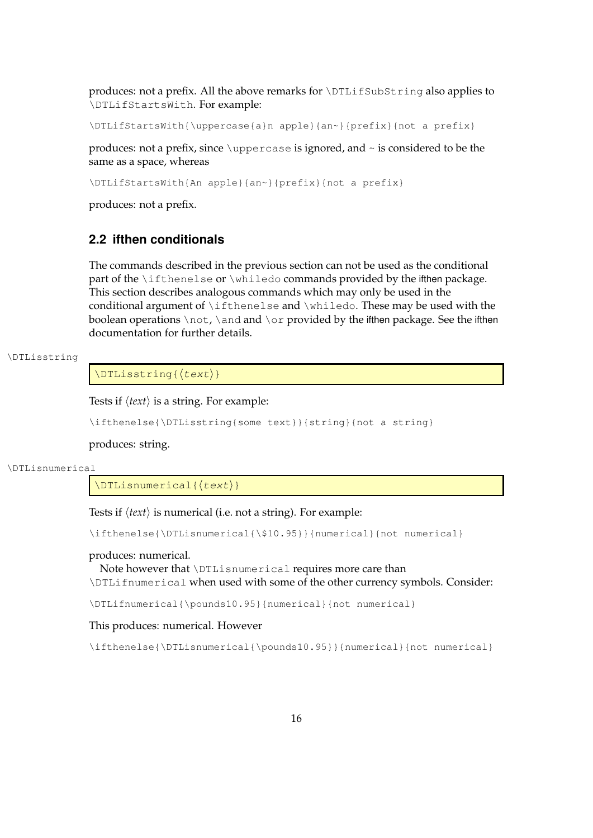produces: not a prefix. All the above remarks for \DTLifSubString also applies to \DTLifStartsWith. For example:

\DTLifStartsWith{\uppercase{a}n apple}{an~}{prefix}{not a prefix}

produces: not a prefix, since  $\mu$  produces: is ignored, and  $\sim$  is considered to be the same as a space, whereas

\DTLifStartsWith{An apple}{an~}{prefix}{not a prefix}

produces: not a prefix.

## <span id="page-24-0"></span>**2.2 ifthen conditionals**

The commands described in the previous section can not be used as the conditional part of the \ifthenelse or \whiledo commands provided by the ifthen package. This section describes analogous commands which may only be used in the conditional argument of \ifthenelse and \whiledo. These may be used with the boolean operations \not, \and and \or provided by the ifthen package. See the ifthen documentation for further details.

#### \DTLisstring

 $\Delta$ {\DTLisstring{\text}}

Tests if  $\langle text \rangle$  is a string. For example:

\ifthenelse{\DTLisstring{some text}}{string}{not a string}

produces: string.

\DTLisnumerical

 $\Delta{\{\text{text}\}}$ 

Tests if  $\langle text \rangle$  is numerical (i.e. not a string). For example:

\ifthenelse{\DTLisnumerical{\\$10.95}}{numerical}{not numerical}

#### produces: numerical.

Note however that \DTLisnumerical requires more care than \DTLifnumerical when used with some of the other currency symbols. Consider:

\DTLifnumerical{\pounds10.95}{numerical}{not numerical}

#### This produces: numerical. However

\ifthenelse{\DTLisnumerical{\pounds10.95}}{numerical}{not numerical}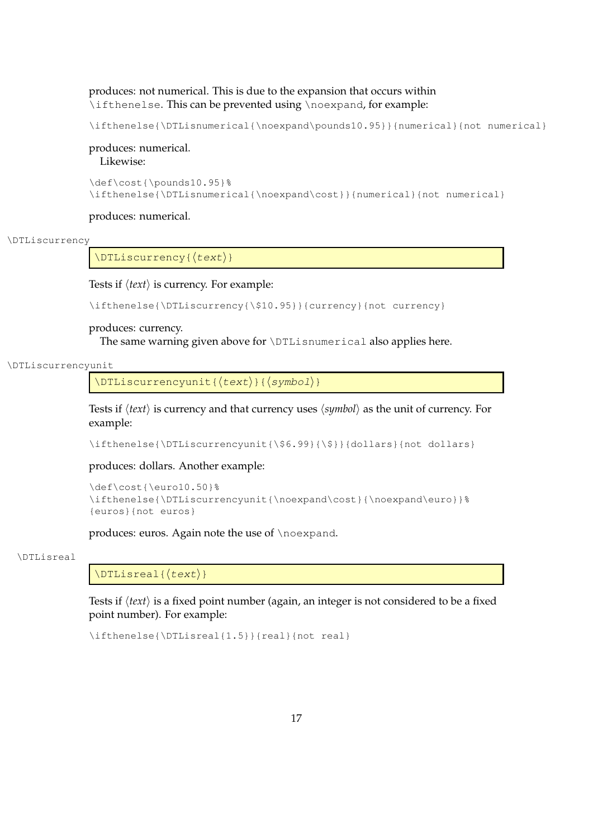### produces: not numerical. This is due to the expansion that occurs within \ifthenelse. This can be prevented using \noexpand, for example:

```
\ifthenelse{\DTLisnumerical{\noexpand\pounds10.95}}{numerical}{not numerical}
```
## produces: numerical.

Likewise:

```
\def\cost{\pounds10.95}%
\ifthenelse{\DTLisnumerical{\noexpand\cost}}{numerical}{not numerical}
```
produces: numerical.

#### \DTLiscurrency

 $\DTLiscurrency({text})$ 

#### Tests if  $\langle text \rangle$  is currency. For example:

```
\ifthenelse{\DTLiscurrency{\$10.95}}{currency}{not currency}
```
#### produces: currency.

The same warning given above for \DTLisnumerical also applies here.

#### \DTLiscurrencyunit

\DTLiscurrencyunit{ $\langle$ text $\rangle$ }{ $\langle$ symbol $\rangle$ }

Tests if  $\langle text \rangle$  is currency and that currency uses  $\langle symbol \rangle$  as the unit of currency. For example:

\ifthenelse{\DTLiscurrencyunit{\\$6.99}{\\$}}{dollars}{not dollars}

#### produces: dollars. Another example:

```
\def\cost{\euro10.50}%
\ifthenelse{\DTLiscurrencyunit{\noexpand\cost}{\noexpand\euro}}%
{euros}{not euros}
```
produces: euros. Again note the use of \noexpand.

#### \DTLisreal

 $\Delta$ {\DTLisreal{ $\langle text \rangle$ }

Tests if  $\langle text \rangle$  is a fixed point number (again, an integer is not considered to be a fixed point number). For example:

```
\ifthenelse{\DTLisreal{1.5}}{real}{not real}
```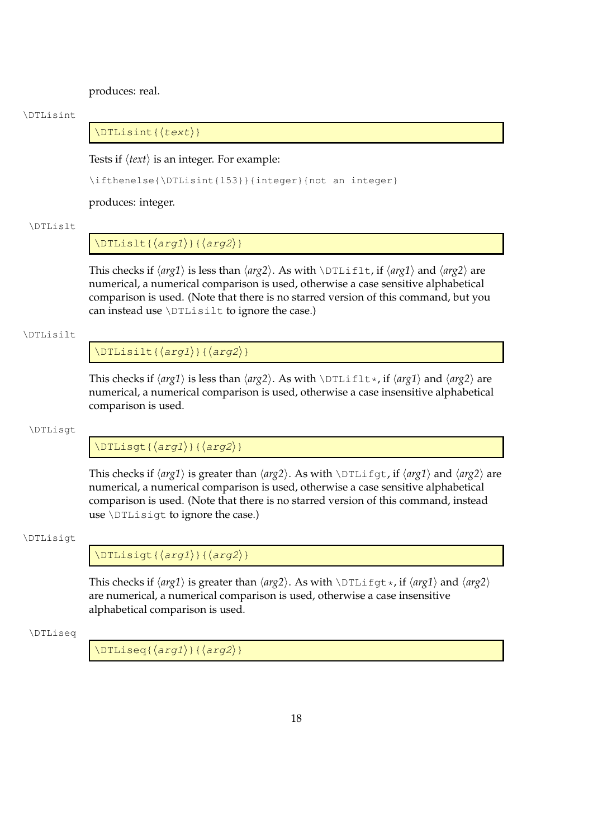produces: real.

#### \DTLisint

 $\Delta$ (DTLisint{ $\langle text \rangle$ }

Tests if  $\langle text \rangle$  is an integer. For example:

\ifthenelse{\DTLisint{153}}{integer}{not an integer}

produces: integer.

#### \DTLislt

## $\Delta{f{arg1}}({arg2})$

This checks if  $\langle arg1 \rangle$  is less than  $\langle arg2 \rangle$ . As with  $\Delta$ TLiflt, if  $\langle arg1 \rangle$  and  $\langle arg2 \rangle$  are numerical, a numerical comparison is used, otherwise a case sensitive alphabetical comparison is used. (Note that there is no starred version of this command, but you can instead use \DTLisilt to ignore the case.)

#### \DTLisilt

### $\Delta{f{arg1}}{\alpha$

This checks if  $\langle arg1 \rangle$  is less than  $\langle arg2 \rangle$ . As with  $\Delta$ rtiflt\*, if  $\langle arg1 \rangle$  and  $\langle arg2 \rangle$  are numerical, a numerical comparison is used, otherwise a case insensitive alphabetical comparison is used.

#### \DTLisgt

 $\DTHisgt({arg1}){\Arg2})$ 

This checks if  $\langle arg1 \rangle$  is greater than  $\langle arg2 \rangle$ . As with  $\Delta$ TLifgt, if  $\langle arg1 \rangle$  and  $\langle arg2 \rangle$  are numerical, a numerical comparison is used, otherwise a case sensitive alphabetical comparison is used. (Note that there is no starred version of this command, instead use \DTLisigt to ignore the case.)

#### \DTLisigt

 $\DTLisigt({arg1})({arg2})$ 

This checks if  $\langle arg1 \rangle$  is greater than  $\langle arg2 \rangle$ . As with  $\Delta$ TLifgt\*, if  $\langle arg1 \rangle$  and  $\langle arg2 \rangle$ are numerical, a numerical comparison is used, otherwise a case insensitive alphabetical comparison is used.

#### \DTLiseq

 $\Delta\$  \DTLiseq{ $\langle arg1\rangle$ }{ $\langle arg2\rangle$ }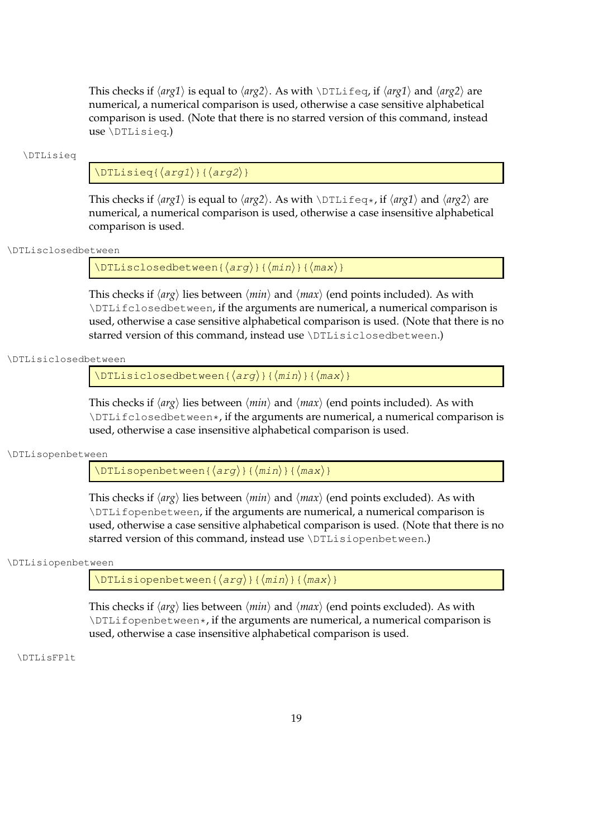This checks if  $\langle arg1 \rangle$  is equal to  $\langle arg2 \rangle$ . As with  $\DTLifeq$ , if  $\langle arg1 \rangle$  and  $\langle arg2 \rangle$  are numerical, a numerical comparison is used, otherwise a case sensitive alphabetical comparison is used. (Note that there is no starred version of this command, instead use \DTLisieq.)

#### \DTLisieq

## $\DTLisieg({arg1})({arg2})$

This checks if  $\langle arg1 \rangle$  is equal to  $\langle arg2 \rangle$ . As with  $\Delta_{\text{Tr}}$  As  $\langle arg1 \rangle$  and  $\langle arg2 \rangle$  are numerical, a numerical comparison is used, otherwise a case insensitive alphabetical comparison is used.

#### \DTLisclosedbetween

\DTLisclosedbetween{ $\langle arg \rangle$ }{ $\langle min \rangle$ }{ $\langle max \rangle$ }

This checks if  $\langle arg \rangle$  lies between  $\langle min \rangle$  and  $\langle max \rangle$  (end points included). As with \DTLifclosedbetween, if the arguments are numerical, a numerical comparison is used, otherwise a case sensitive alphabetical comparison is used. (Note that there is no starred version of this command, instead use \DTLisiclosedbetween.)

#### \DTLisiclosedbetween

 $\DTLisiclosed between({arg}{\{min\}}({max})$ 

This checks if  $\langle arg \rangle$  lies between  $\langle min \rangle$  and  $\langle max \rangle$  (end points included). As with \DTLifclosedbetween\*, if the arguments are numerical, a numerical comparison is used, otherwise a case insensitive alphabetical comparison is used.

#### \DTLisopenbetween

\DTLisopenbetween{ $\langle arg \rangle$ }{ $\langle min \rangle$ }{ $\langle max \rangle$ }

This checks if  $\langle arg \rangle$  lies between  $\langle min \rangle$  and  $\langle max \rangle$  (end points excluded). As with \DTLifopenbetween, if the arguments are numerical, a numerical comparison is used, otherwise a case sensitive alphabetical comparison is used. (Note that there is no starred version of this command, instead use \DTLisiopenbetween.)

#### \DTLisiopenbetween

\DTLisiopenbetween{ $\langle arg \rangle$ }{ $\langle min \rangle$ }{ $\langle max \rangle$ }

This checks if  $\langle arg \rangle$  lies between  $\langle min \rangle$  and  $\langle max \rangle$  (end points excluded). As with  $\DTLi$  fopenbetween $\star$ , if the arguments are numerical, a numerical comparison is used, otherwise a case insensitive alphabetical comparison is used.

\DTLisFPlt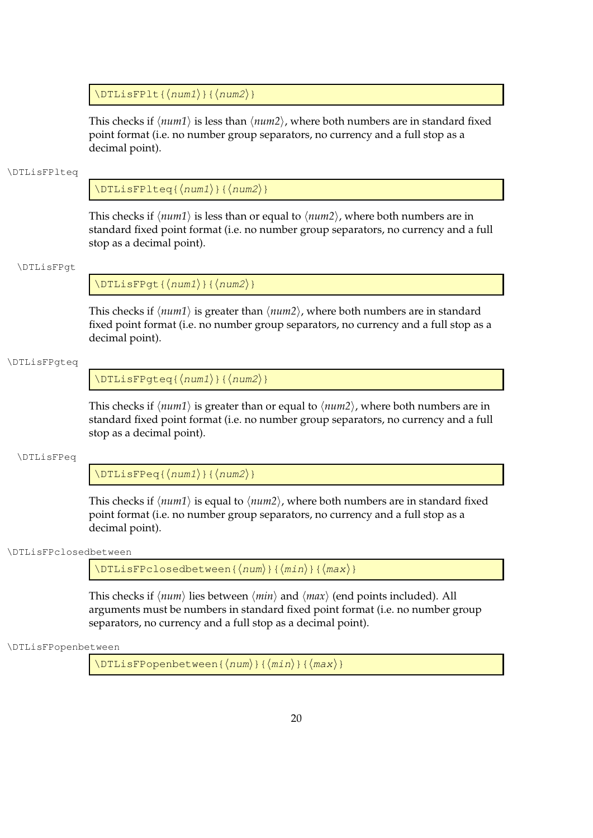$\DTLi$ sFPlt{ $\langle num1 \rangle$ }{ $\langle num2 \rangle$ }

This checks if  $\langle num1 \rangle$  is less than  $\langle num2 \rangle$ , where both numbers are in standard fixed point format (i.e. no number group separators, no currency and a full stop as a decimal point).

#### \DTLisFPlteq

 $\DTLisFPIteq({num1}){\wedge{num2}}$ 

This checks if  $\langle num1 \rangle$  is less than or equal to  $\langle num2 \rangle$ , where both numbers are in standard fixed point format (i.e. no number group separators, no currency and a full stop as a decimal point).

#### \DTLisFPgt

 $\DTLisFPgt{\langle num1\rangle}{\langle num2\rangle}$ 

This checks if  $\langle num1 \rangle$  is greater than  $\langle num2 \rangle$ , where both numbers are in standard fixed point format (i.e. no number group separators, no currency and a full stop as a decimal point).

#### \DTLisFPgteq

 $\DTLi$ sFPqteq{ $\langle num1\rangle$ }{ $\langle num2\rangle$ }

This checks if  $\langle num1 \rangle$  is greater than or equal to  $\langle num2 \rangle$ , where both numbers are in standard fixed point format (i.e. no number group separators, no currency and a full stop as a decimal point).

#### \DTLisFPeq

 $\DTLisFPeq({num1}{\f{num2}})$ 

This checks if  $\langle num1 \rangle$  is equal to  $\langle num2 \rangle$ , where both numbers are in standard fixed point format (i.e. no number group separators, no currency and a full stop as a decimal point).

#### \DTLisFPclosedbetween

 $\DTLisFPClosedbetween{\langle num\rangle}{\langle min\rangle}{\langle max\rangle}$ 

This checks if  $\langle num \rangle$  lies between  $\langle min \rangle$  and  $\langle max \rangle$  (end points included). All arguments must be numbers in standard fixed point format (i.e. no number group separators, no currency and a full stop as a decimal point).

\DTLisFPopenbetween

 $\DTLisFPopenbetween{\langle num\rangle}{\langle min\rangle}{\langle max\rangle}$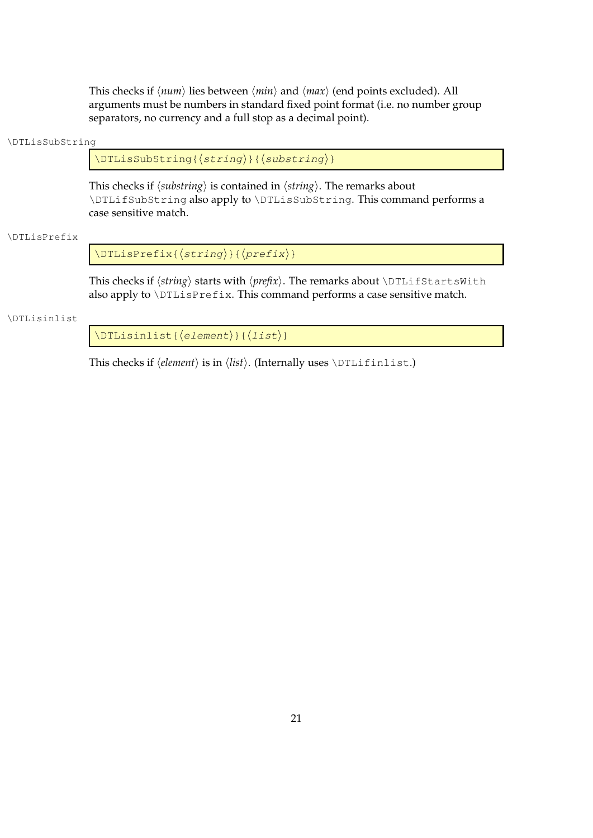This checks if  $\langle num \rangle$  lies between  $\langle min \rangle$  and  $\langle max \rangle$  (end points excluded). All arguments must be numbers in standard fixed point format (i.e. no number group separators, no currency and a full stop as a decimal point).

#### \DTLisSubString

 $\DTLi$ sSubString{ $\{string\}$ }{ $\{substring\}$ }

This checks if  $\langle$ *substring* $\rangle$  is contained in  $\langle$ *string* $\rangle$ . The remarks about \DTLifSubString also apply to \DTLisSubString. This command performs a case sensitive match.

#### \DTLisPrefix

 $\Delta{\DTLisPrefix({string})({prefix})}$ 

This checks if  $\langle string \rangle$  starts with  $\langle prefix \rangle$ . The remarks about  $\Delta$ DTLifStartsWith also apply to \DTLisPrefix. This command performs a case sensitive match.

#### \DTLisinlist

 $\Delta{\DTLisinlist({\text{element}})}({\text{list}})$ 

This checks if  $\langle element \rangle$  is in  $\langle list \rangle$ . (Internally uses  $\Delta$ DTLifinlist.)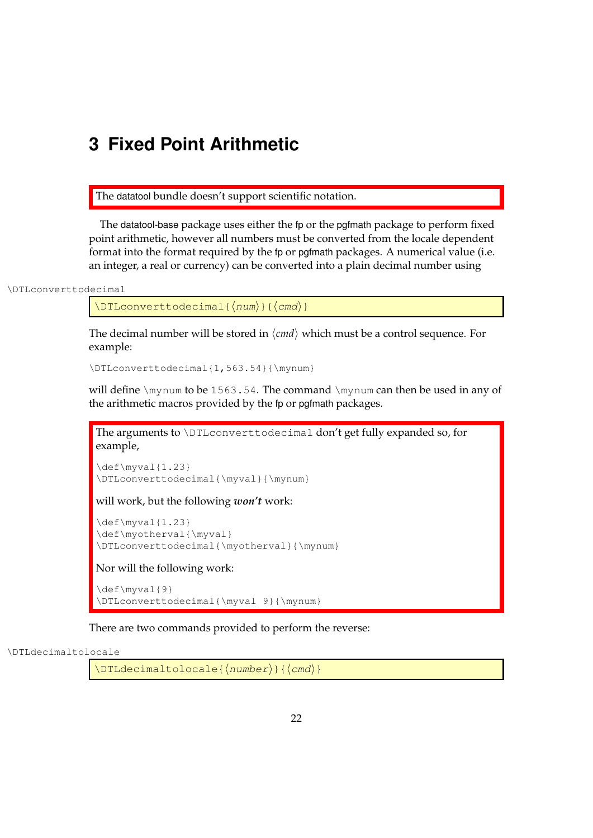## <span id="page-30-0"></span>**3 Fixed Point Arithmetic**

The datatool bundle doesn't support scientific notation.

The datatool-base package uses either the fp or the pgfmath package to perform fixed point arithmetic, however all numbers must be converted from the locale dependent format into the format required by the fp or pgfmath packages. A numerical value (i.e. an integer, a real or currency) can be converted into a plain decimal number using

\DTLconverttodecimal

 $\DTLconverttodecimal({num}){\langle cmd \rangle}$ 

The decimal number will be stored in  $\langle cmd \rangle$  which must be a control sequence. For example:

\DTLconverttodecimal{1,563.54}{\mynum}

will define  $\mu$ to be 1563.54. The command  $\mu$ nynum can then be used in any of the arithmetic macros provided by the fp or pgfmath packages.

The arguments to \DTLconverttodecimal don't get fully expanded so, for example,

\def\myval{1.23} \DTLconverttodecimal{\myval}{\mynum}

will work, but the following *won't* work:

\def\myval{1.23} \def\myotherval{\myval} \DTLconverttodecimal{\myotherval}{\mynum}

Nor will the following work:

\def\myval{9} \DTLconverttodecimal{\myval 9}{\mynum}

There are two commands provided to perform the reverse:

\DTLdecimaltolocale

 $\Delta$ DTLdecimaltolocale{ $\langle$ number $\rangle$ }{ $\langle$ cmd $\rangle$ }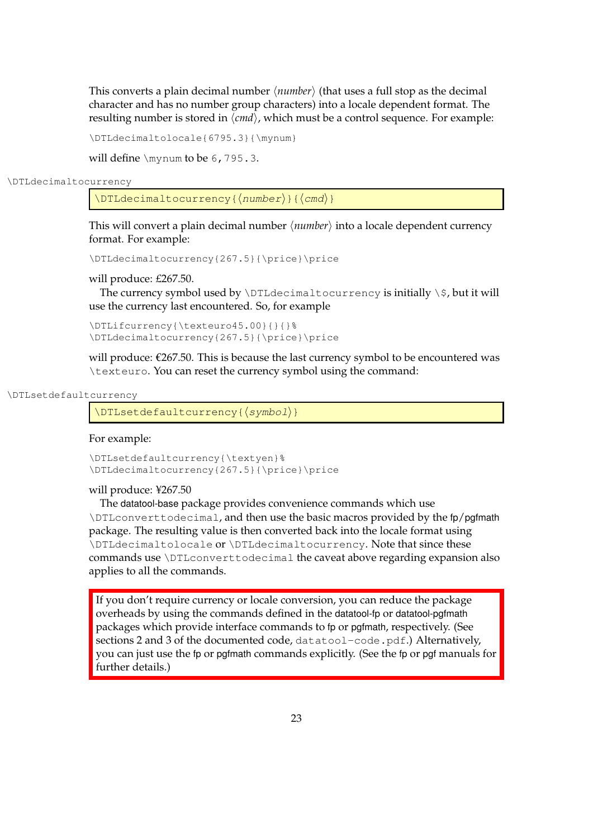This converts a plain decimal number  $\langle number \rangle$  (that uses a full stop as the decimal character and has no number group characters) into a locale dependent format. The resulting number is stored in  $\langle cmd \rangle$ , which must be a control sequence. For example:

\DTLdecimaltolocale{6795.3}{\mynum}

will define \mynum to be 6,795.3.

#### \DTLdecimaltocurrency

 $\Delta$ DTLdecimaltocurrency{ $\langle$ number $\rangle$ }{ $\langle$ cmd $\rangle$ }

This will convert a plain decimal number  $\langle number \rangle$  into a locale dependent currency format. For example:

\DTLdecimaltocurrency{267.5}{\price}\price

will produce: £267.50.

The currency symbol used by  $\DTLdecimaltocurrency$  is initially  $\$ , but it will use the currency last encountered. So, for example

\DTLifcurrency{\texteuro45.00}{}{}% \DTLdecimaltocurrency{267.5}{\price}\price

will produce: €267.50. This is because the last currency symbol to be encountered was \texteuro. You can reset the currency symbol using the command:

#### \DTLsetdefaultcurrency

 $\DTEsetdefaultcurrency({symbol\{symbol\delta}})$ 

#### For example:

\DTLsetdefaultcurrency{\textyen}% \DTLdecimaltocurrency{267.5}{\price}\price

#### will produce: ¥267.50

The datatool-base package provides convenience commands which use \DTLconverttodecimal, and then use the basic macros provided by the fp/pgfmath package. The resulting value is then converted back into the locale format using \DTLdecimaltolocale or \DTLdecimaltocurrency. Note that since these commands use \DTLconverttodecimal the caveat above regarding expansion also applies to all the commands.

If you don't require currency or locale conversion, you can reduce the package overheads by using the commands defined in the datatool-fp or datatool-pgfmath packages which provide interface commands to fp or pgfmath, respectively. (See sections 2 and 3 of the documented code, datatool-code.pdf.) Alternatively, you can just use the fp or pgfmath commands explicitly. (See the fp or pgf manuals for further details.)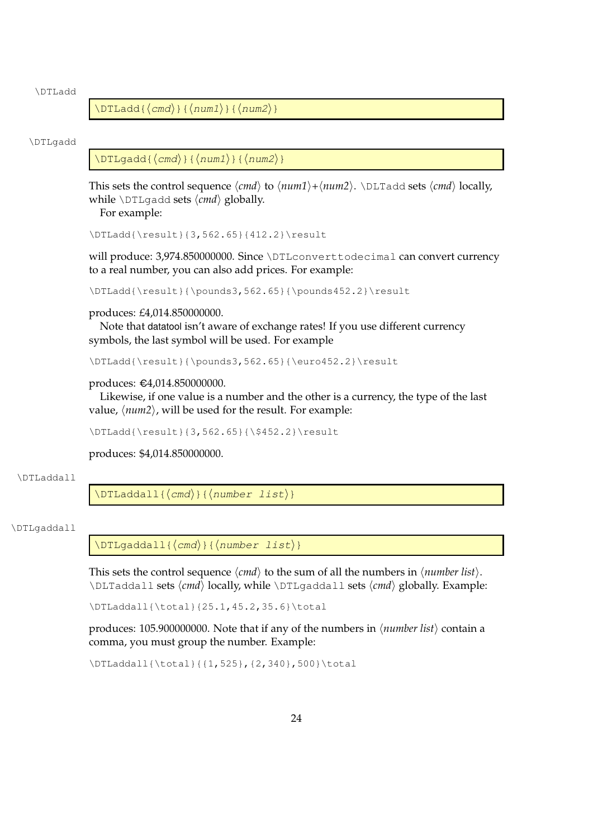\DTLadd

 $\DTLadd({cmd}{{\{num1\}}}{\theta})$ 

#### \DTLgadd

 $\DTLgadd{\cal Cmd}$  { $\langle num1\rangle$  } { $\langle num2\rangle$  }

This sets the control sequence  $\langle cmd \rangle$  to  $\langle num1 \rangle + \langle num2 \rangle$ .  $\Delta d$  sets  $\langle cmd \rangle$  locally, while  $\D{I}{q}$ add sets  $\langle cmd \rangle$  globally.

For example:

\DTLadd{\result}{3,562.65}{412.2}\result

will produce: 3,974.850000000. Since \DTLconverttodecimal can convert currency to a real number, you can also add prices. For example:

\DTLadd{\result}{\pounds3,562.65}{\pounds452.2}\result

#### produces: £4,014.850000000.

Note that datatool isn't aware of exchange rates! If you use different currency symbols, the last symbol will be used. For example

\DTLadd{\result}{\pounds3,562.65}{\euro452.2}\result

#### produces: €4,014.850000000.

Likewise, if one value is a number and the other is a currency, the type of the last value,  $\langle num2 \rangle$ , will be used for the result. For example:

\DTLadd{\result}{3,562.65}{\\$452.2}\result

produces: \$4,014.850000000.

#### \DTLaddall

 $\Delta$ laddall{ $\langle$ cmd $\rangle$ }{ $\langle$ number list $\rangle$ }

#### \DTLgaddall

 $\DTLgaddall({cmd}){\dim}$ 

This sets the control sequence  $\langle cmd \rangle$  to the sum of all the numbers in  $\langle number list \rangle$ . \DLTaddall sets h*cmd*i locally, while \DTLgaddall sets h*cmd*i globally. Example:

\DTLaddall{\total}{25.1,45.2,35.6}\total

produces: 105.900000000. Note that if any of the numbers in  $\langle$ *number list* $\rangle$  contain a comma, you must group the number. Example:

\DTLaddall{\total}{{1,525},{2,340},500}\total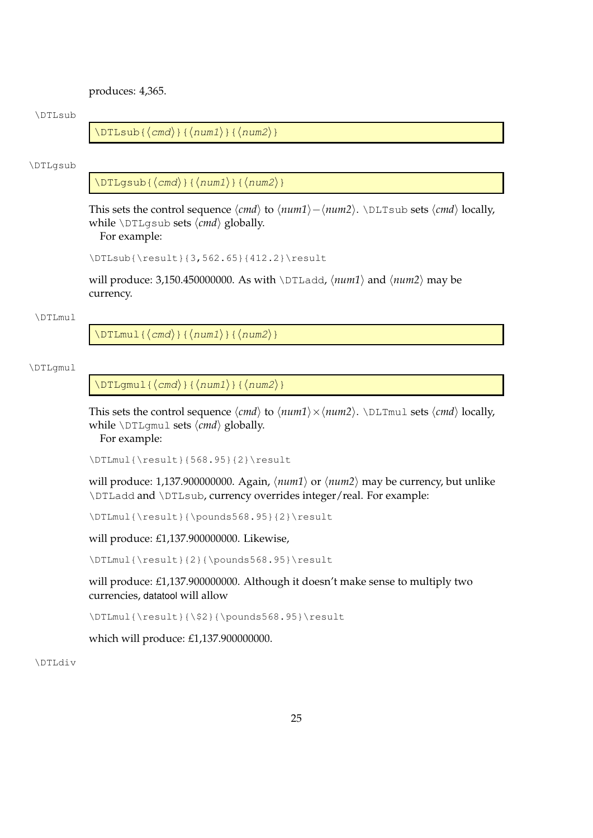produces: 4,365.

#### \DTLsub

 $\DTLsub({cmd}{{\{num1\}}{\{num2\}}$ 

#### \DTLgsub

 $\DTLgsub({\langle cmd \rangle}{\langle \text{num1} \rangle}{\langle \text{num2} \rangle}$ 

This sets the control sequence  $\langle cmd \rangle$  to  $\langle num1 \rangle - \langle num2 \rangle$ . \DLTsub sets  $\langle cmd \rangle$  locally, while  $\D{TLqsub}$  sets  $\langle cmd \rangle$  globally.

For example:

\DTLsub{\result}{3,562.65}{412.2}\result

will produce: 3,150.450000000. As with  $\DTLadd$ ,  $\langle num1 \rangle$  and  $\langle num2 \rangle$  may be currency.

#### \DTLmul

 $\DTHmul({cmd};({num1}){\dim2})$ 

#### \DTLgmul

 $\DTLgmul({cmd}{{\{num1\}}({num1})$ 

This sets the control sequence  $\langle cmd \rangle$  to  $\langle num1 \rangle \times \langle num2 \rangle$ .  $\Delta$ DLTmul sets  $\langle cmd \rangle$  locally, while  $\D{DTLgmul}$  sets  $\langle cmd \rangle$  globally.

For example:

\DTLmul{\result}{568.95}{2}\result

will produce: 1,137.900000000. Again,  $\langle num1 \rangle$  or  $\langle num2 \rangle$  may be currency, but unlike \DTLadd and \DTLsub, currency overrides integer/real. For example:

\DTLmul{\result}{\pounds568.95}{2}\result

will produce: £1,137.900000000. Likewise,

\DTLmul{\result}{2}{\pounds568.95}\result

will produce: £1,137.900000000. Although it doesn't make sense to multiply two currencies, datatool will allow

\DTLmul{\result}{\\$2}{\pounds568.95}\result

which will produce: £1,137.900000000.

\DTLdiv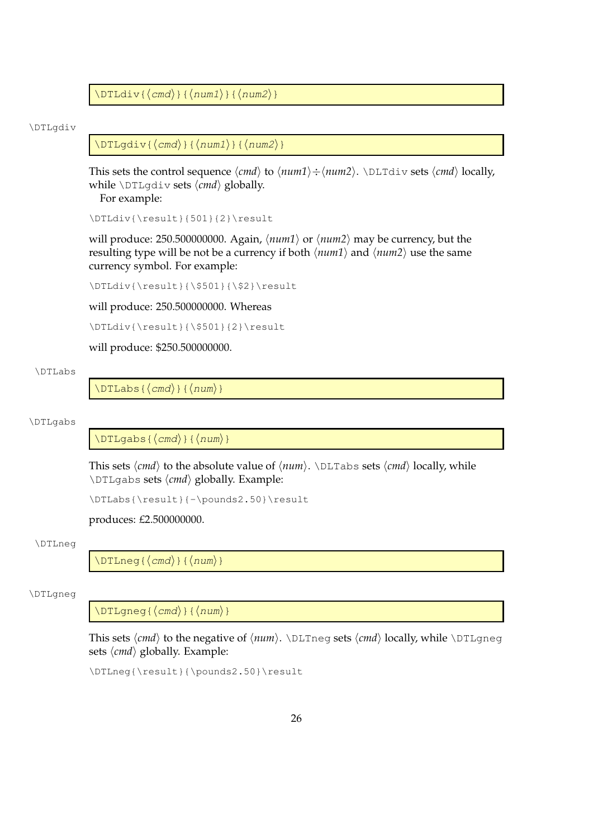$\DTLdiv{\cmd}{\rm}({\sim}$ 

\DTLgdiv

 $\DTLqdiv{\langle cmd \rangle} {\langle num1 \rangle}{\langle num2 \rangle}$ 

This sets the control sequence  $\langle cmd \rangle$  to  $\langle num1 \rangle \div \langle num2 \rangle$ .  $\Delta \Delta \Delta \Delta$  sets  $\langle cmd \rangle$  locally, while  $\D{TLqdiv}$  sets  $\langle cmd \rangle$  globally.

For example:

\DTLdiv{\result}{501}{2}\result

will produce: 250.500000000. Again,  $\langle num1 \rangle$  or  $\langle num2 \rangle$  may be currency, but the resulting type will be not be a currency if both  $\langle num1 \rangle$  and  $\langle num2 \rangle$  use the same currency symbol. For example:

\DTLdiv{\result}{\\$501}{\\$2}\result

will produce: 250.500000000. Whereas

\DTLdiv{\result}{\\$501}{2}\result

will produce: \$250.500000000.

#### \DTLabs

 $\DTLabs{\langle cmd \rangle}{\langle num \rangle}$ 

#### \DTLgabs

 $\DTLgabs({\langle cmd \rangle}{\langle num \rangle})$ 

This sets  $\langle cmd \rangle$  to the absolute value of  $\langle num \rangle$ .  $\Delta s$  sets  $\langle cmd \rangle$  locally, while \DTLqabs sets  $\langle cmd \rangle$  globally. Example:

\DTLabs{\result}{-\pounds2.50}\result

produces: £2.500000000.

#### \DTLneg

 $\Delta$ (DTLneg{ $\langle$ *cmd*}}{ $\langle$ *num*}}

#### \DTLgneg

 $\DTHqneg({\langle cmd \rangle}{\langle \eta u m \rangle})$ 

This sets  $\langle cmd \rangle$  to the negative of  $\langle num \rangle$ .  $\Delta$ DLTneg sets  $\langle cmd \rangle$  locally, while  $\Delta$ DTLgneg sets  $\langle cmd \rangle$  globally. Example:

\DTLneg{\result}{\pounds2.50}\result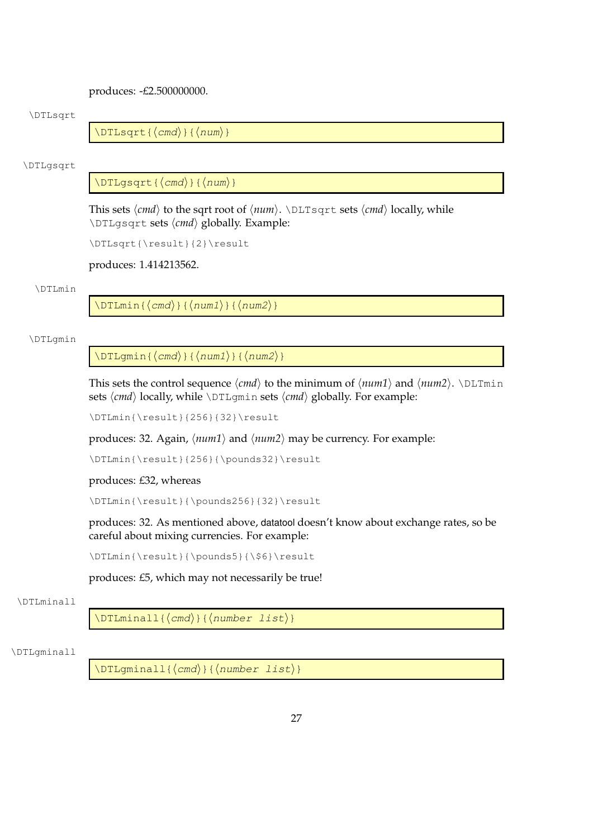produces: -£2.500000000.

#### \DTLsqrt

 $\DTLsqrt{\langle cmd \rangle}{\langle num \rangle}$ 

#### \DTLgsqrt

 $\DTLgsqrt{\langle cmd\rangle}{\langle num\rangle}$ 

This sets  $\langle cmd \rangle$  to the sqrt root of  $\langle num \rangle$ .  $\Delta$ LTsqrt sets  $\langle cmd \rangle$  locally, while \DTLqsqrt sets  $\langle cmd \rangle$  globally. Example:

\DTLsqrt{\result}{2}\result

produces: 1.414213562.

#### \DTLmin

 $\DTHmin{\lbrace\langle cmd\rangle\}\lbrace\langle num1\rangle\rbrace\{\langle num2\rangle\}\}$ 

#### \DTLgmin

 $\DTLgmin{\langle cmd \rangle}{\langle num1 \rangle}{\langle num2 \rangle}$ 

This sets the control sequence  $\langle cmd \rangle$  to the minimum of  $\langle num1 \rangle$  and  $\langle num2 \rangle$ . \DLTmin sets  $\langle cmd \rangle$  locally, while  $\Delta$ DTLgmin sets  $\langle cmd \rangle$  globally. For example:

\DTLmin{\result}{256}{32}\result

produces: 32. Again,  $\langle num1 \rangle$  and  $\langle num2 \rangle$  may be currency. For example:

\DTLmin{\result}{256}{\pounds32}\result

produces: £32, whereas

\DTLmin{\result}{\pounds256}{32}\result

produces: 32. As mentioned above, datatool doesn't know about exchange rates, so be careful about mixing currencies. For example:

\DTLmin{\result}{\pounds5}{\\$6}\result

produces: £5, which may not necessarily be true!

#### \DTLminall

 $\DTHminall({cmd}\f{number list}\)$ 

#### \DTLgminall

 $\DTLgminall({\langle cmd \rangle}{\langle number list \rangle})$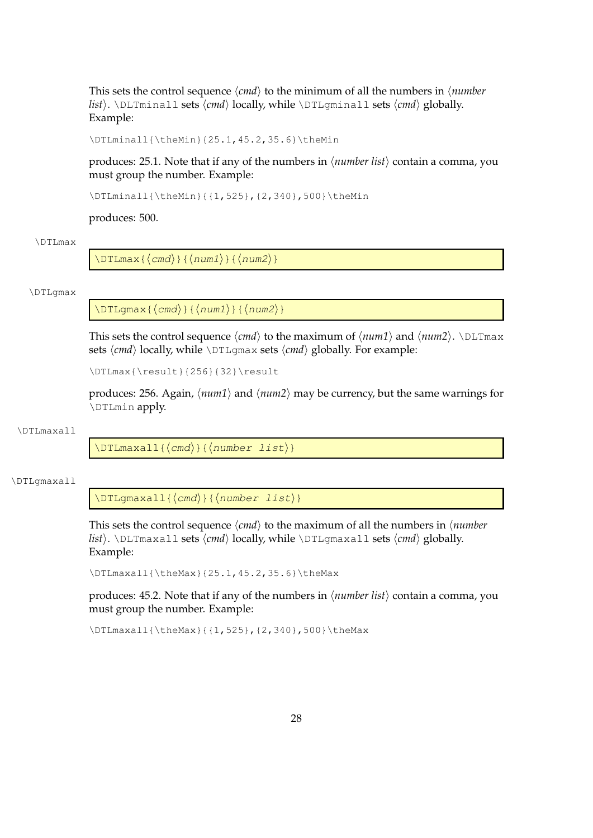This sets the control sequence  $\langle cmd \rangle$  to the minimum of all the numbers in  $\langle number$ *list*). \DLTminall sets  $\langle cmd \rangle$  locally, while \DTLgminall sets  $\langle cmd \rangle$  globally. Example:

\DTLminall{\theMin}{25.1,45.2,35.6}\theMin

produces: 25.1. Note that if any of the numbers in h*number list*i contain a comma, you must group the number. Example:

\DTLminall{\theMin}{{1,525},{2,340},500}\theMin

produces: 500.

#### \DTLmax

 $\DTHmax({cmd}{{\eta}}{dim1})$ { ${\eta}max2$ }

#### \DTLgmax

 $\DTLgmax{\langle cmd \rangle}{\langle num1 \rangle}{\langle num2 \rangle}$ 

This sets the control sequence  $\langle cmd \rangle$  to the maximum of  $\langle num1 \rangle$  and  $\langle num2 \rangle$ . \DLTmax sets  $\langle cmd \rangle$  locally, while  $\DttIgmax$  sets  $\langle cmd \rangle$  globally. For example:

\DTLmax{\result}{256}{32}\result

produces: 256. Again,  $\langle num1 \rangle$  and  $\langle num2 \rangle$  may be currency, but the same warnings for \DTLmin apply.

## \DTLmaxall

 $\DTHmaxall({cmd}\f{number list})$ 

## \DTLgmaxall

 $\DTLqmaxall({cmd}){\n{number list}}$ 

This sets the control sequence  $\langle c \rangle$  to the maximum of all the numbers in  $\langle number$ *list*). \DLTmaxall sets  $\langle cmd \rangle$  locally, while \DTLgmaxall sets  $\langle cmd \rangle$  globally. Example:

\DTLmaxall{\theMax}{25.1,45.2,35.6}\theMax

produces: 45.2. Note that if any of the numbers in  $\langle$ *number list* $\rangle$  contain a comma, you must group the number. Example:

\DTLmaxall{\theMax}{{1,525}, {2,340},500}\theMax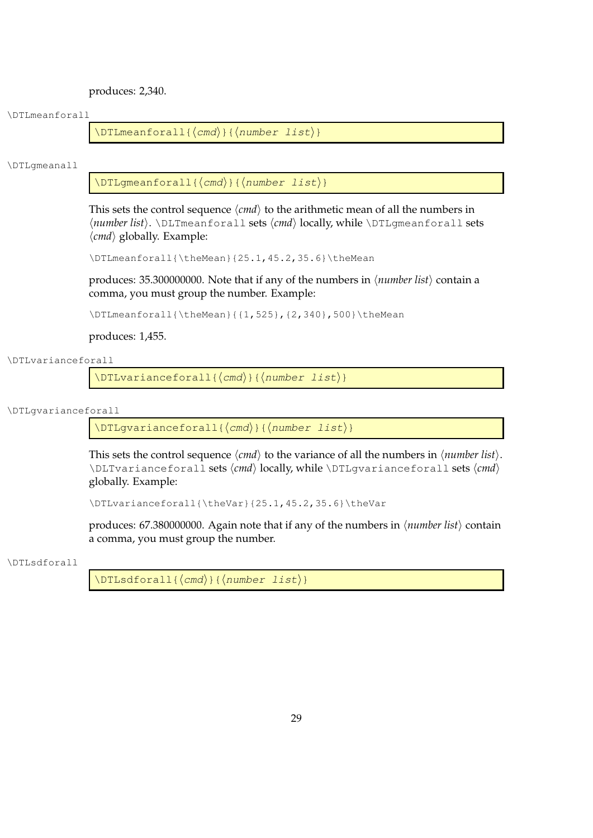produces: 2,340.

## \DTLmeanforall

 $\DTHmeanford1 {\langle cmd \rangle}{\langle number list \rangle}$ 

\DTLgmeanall

 $\Delta$ DTLgmeanforall{ $\langle$ *cmd*}}{ $\langle$ *number list*}}

This sets the control sequence  $\langle cmd \rangle$  to the arithmetic mean of all the numbers in h*number list*i. \DLTmeanforall sets h*cmd*i locally, while \DTLgmeanforall sets  $\langle \textit{cmd} \rangle$  globally. Example:

```
\DTLmeanforall{\theMean}{25.1,45.2,35.6}\theMean
```
produces:  $35.300000000$ . Note that if any of the numbers in  $\langle$ *number list* $\rangle$  contain a comma, you must group the number. Example:

\DTLmeanforall{\theMean}{{1,525}, {2,340},500}\theMean

produces: 1,455.

\DTLvarianceforall

 $\DTLvarianceforall({\langle cmd \rangle}{\langle number list \rangle})$ 

\DTLgvarianceforall

 $\DTLgvariant = \{ \langle cmd \rangle \}$  { $\langle number list \rangle$ }

This sets the control sequence  $\langle c\hat{r}\rangle$  to the variance of all the numbers in  $\langle number\; list \rangle$ . \DLTvarianceforall sets  $\langle cmd \rangle$  locally, while \DTLgvarianceforall sets  $\langle cmd \rangle$ globally. Example:

```
\DTLvarianceforall{\theVar}{25.1,45.2,35.6}\theVar
```
produces:  $67.380000000$ . Again note that if any of the numbers in  $\langle$ *number list* $\rangle$  contain a comma, you must group the number.

## \DTLsdforall

 $\Delta{\DTLsdforal1}({cmd}$ }{ ${\langle number list \rangle}$ }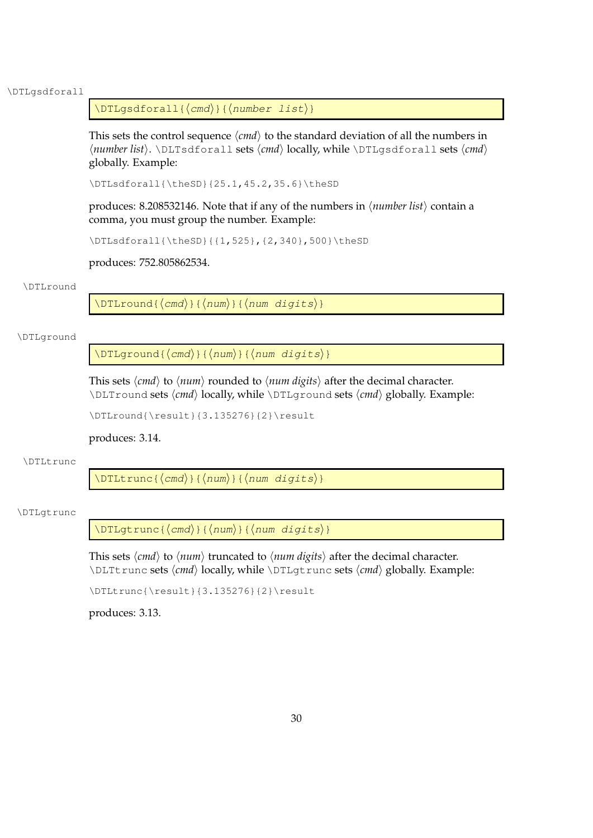#### \DTLgsdforall

## $\DTLqsdforal1({\langle cmd \rangle}{\langle number list \rangle}$

This sets the control sequence  $\langle cmd \rangle$  to the standard deviation of all the numbers in h*number list*i. \DLTsdforall sets h*cmd*i locally, while \DTLgsdforall sets h*cmd*i globally. Example:

\DTLsdforall{\theSD}{25.1,45.2,35.6}\theSD

produces: 8.208532146. Note that if any of the numbers in  $\langle$ *number list* $\rangle$  contain a comma, you must group the number. Example:

\DTLsdforall{\theSD}{{1,525},{2,340},500}\theSD

produces: 752.805862534.

#### \DTLround

 $\DTLround({cmd};({num}){\dim}$  (num digits)}

#### \DTLground

 $\DTLqround({cmd}){\min}{}({num})$ 

This sets  $\langle cmd \rangle$  to  $\langle num \rangle$  rounded to  $\langle num \, digits \rangle$  after the decimal character. \DLTround sets  $\langle cmd \rangle$  locally, while \DTLground sets  $\langle cmd \rangle$  globally. Example:

\DTLround{\result}{3.135276}{2}\result

#### produces: 3.14.

#### \DTLtrunc

 $\DTLtrunc({\langle cmd \rangle}{\langle num \rangle}{\langle numd \rangle})$ 

# \DTLgtrunc

 $\DTLgtrunc({\langle cmd \rangle}{\langle num \rangle}{\langle numd \rangle})$ 

This sets  $\langle cmd \rangle$  to  $\langle num \rangle$  truncated to  $\langle num \text{ digits} \rangle$  after the decimal character. \DLTtrunc sets  $\langle cmd \rangle$  locally, while \DTLgtrunc sets  $\langle cmd \rangle$  globally. Example:

\DTLtrunc{\result}{3.135276}{2}\result

produces: 3.13.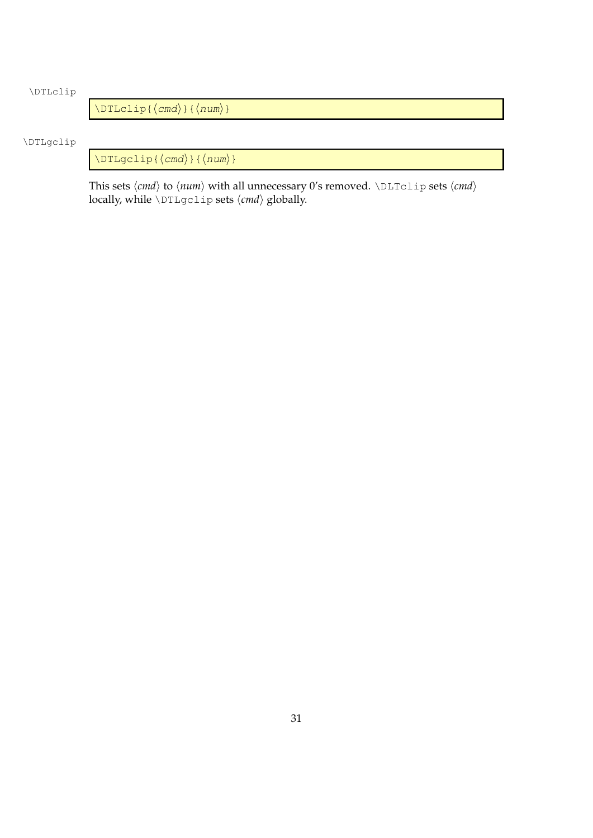# \DTLclip

 $\Delta$ inum)}  $\langle$  (md)  $\rangle$  { $\langle$  num)}

# \DTLgclip

 $\Upsilon$ DTLgclip{ $\langle$ *cmd*}}{ $\langle$ *num*}}

This sets  $\langle cmd \rangle$  to  $\langle num \rangle$  with all unnecessary 0's removed.  $\triangle$ DLTclip sets  $\langle cmd \rangle$ locally, while \DTLgclip sets  $\langle cmd \rangle$  globally.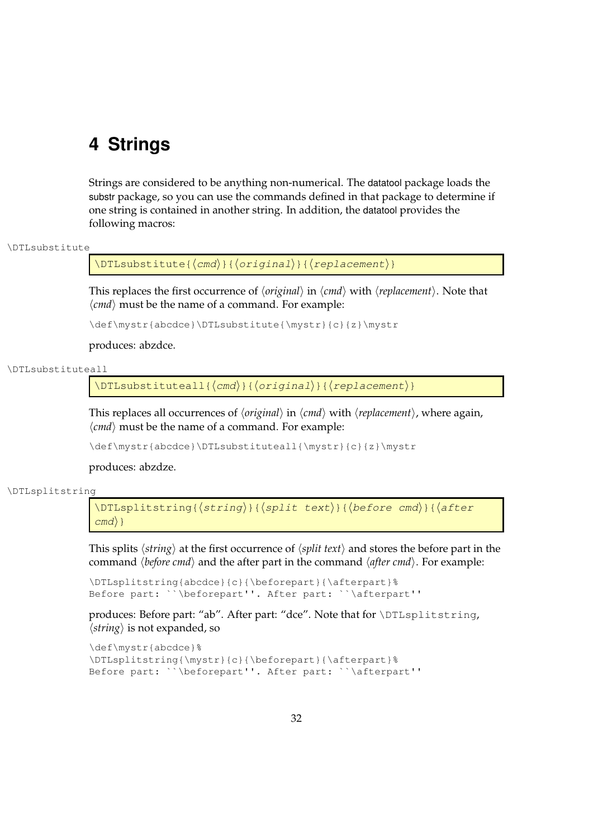# **4 Strings**

Strings are considered to be anything non-numerical. The datatool package loads the substr package, so you can use the commands defined in that package to determine if one string is contained in another string. In addition, the datatool provides the following macros:

### \DTLsubstitute

\DTLsubstitute{ $\langle$ *cmd*}}{ $\langle$ *original*}}{ $\langle$ *replacement*}}

This replaces the first occurrence of  $\langle original \rangle$  in  $\langle cmd \rangle$  with  $\langle replacement \rangle$ . Note that  $\langle \textit{cmd} \rangle$  must be the name of a command. For example:

\def\mystr{abcdce}\DTLsubstitute{\mystr}{c}{z}\mystr

produces: abzdce.

### \DTLsubstituteall

 $\DTEsubstituteall({cmd}{}_{\langle}({original})\$  { (criginal) } { (replacement) }

This replaces all occurrences of *\original* \ in  $\langle$ *cmd* \ with  $\langle$ *replacement* $\rangle$ , where again,  $\langle \text{cmd} \rangle$  must be the name of a command. For example:

\def\mystr{abcdce}\DTLsubstituteall{\mystr}{c}{z}\mystr

produces: abzdze.

#### \DTLsplitstring

 $\DTLsplitsstring({string}_{split~text})$  $\langle \text{cm} \rangle$ }

This splits  $\langle string \rangle$  at the first occurrence of  $\langle split text \rangle$  and stores the before part in the command  $\langle \text{before cmd} \rangle$  and the after part in the command  $\langle \text{after cmd} \rangle$ . For example:

```
\DTLsplitstring{abcdce}{c}{\beforepart}{\afterpart}%
Before part: ``\beforepart''. After part: ``\afterpart''
```
produces: Before part: "ab". After part: "dce". Note that for \DTLsplitstring,  $\langle$ *string* $\rangle$  is not expanded, so

```
\def\mystr{abcdce}%
\DTLsplitstring{\mystr}{c}{\beforepart}{\afterpart}%
Before part: ``\beforepart''. After part: ``\afterpart''
```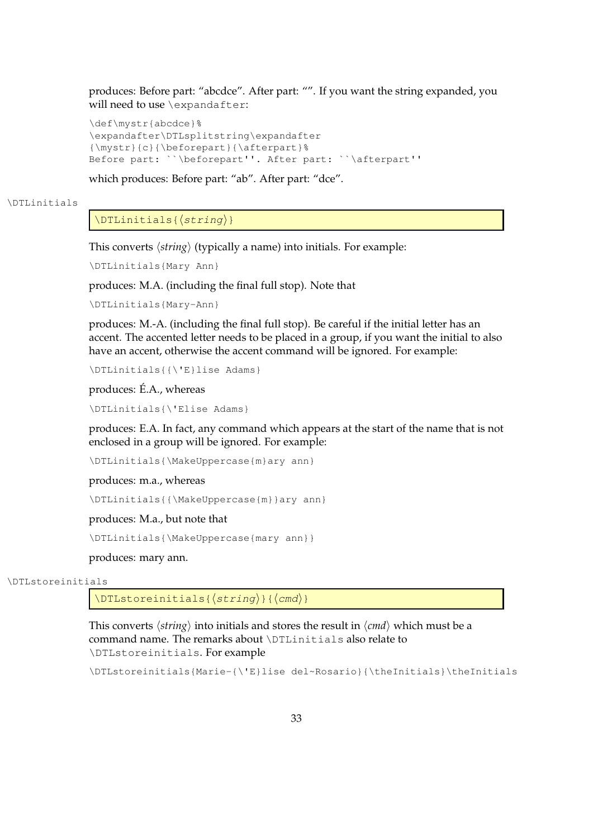produces: Before part: "abcdce". After part: "". If you want the string expanded, you will need to use \expandafter:

```
\def\mystr{abcdce}%
\expandafter\DTLsplitstring\expandafter
{\mystr}{c}{\beforepart}{\afterpart}%
Before part: ``\beforepart''. After part: ``\afterpart''
```
which produces: Before part: "ab". After part: "dce".

## \DTLinitials

# $\DTHinitials({string})$

This converts  $\langle$ *string* $\rangle$  (typically a name) into initials. For example:

\DTLinitials{Mary Ann}

produces: M.A. (including the final full stop). Note that

\DTLinitials{Mary-Ann}

produces: M.-A. (including the final full stop). Be careful if the initial letter has an accent. The accented letter needs to be placed in a group, if you want the initial to also have an accent, otherwise the accent command will be ignored. For example:

\DTLinitials{{\'E}lise Adams}

produces: É.A., whereas

\DTLinitials{\'Elise Adams}

produces: E.A. In fact, any command which appears at the start of the name that is not enclosed in a group will be ignored. For example:

\DTLinitials{\MakeUppercase{m}ary ann}

produces: m.a., whereas

\DTLinitials{{\MakeUppercase{m}}ary ann}

produces: M.a., but note that

\DTLinitials{\MakeUppercase{mary ann}}

produces: mary ann.

## \DTLstoreinitials

 $\Delta{s}{\langle string\rangle}{\langle cmd\rangle}$ 

This converts  $\langle string \rangle$  into initials and stores the result in  $\langle cmd \rangle$  which must be a command name. The remarks about \DTLinitials also relate to \DTLstoreinitials. For example

\DTLstoreinitials{Marie-{\'E}lise del~Rosario}{\theInitials}\theInitials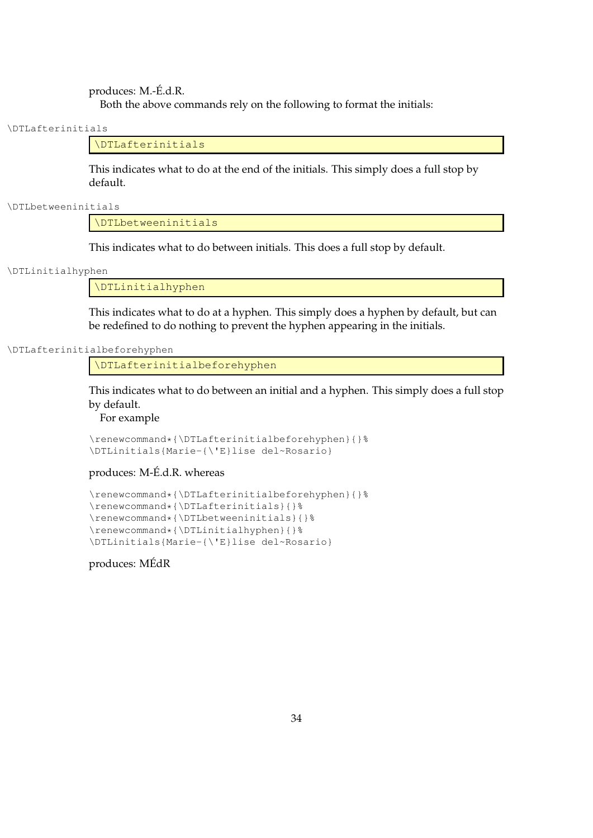produces: M.-É.d.R. Both the above commands rely on the following to format the initials:

\DTLafterinitials

\DTLafterinitials

This indicates what to do at the end of the initials. This simply does a full stop by default.

\DTLbetweeninitials

\DTLbetweeninitials

This indicates what to do between initials. This does a full stop by default.

\DTLinitialhyphen

\DTLinitialhyphen

This indicates what to do at a hyphen. This simply does a hyphen by default, but can be redefined to do nothing to prevent the hyphen appearing in the initials.

\DTLafterinitialbeforehyphen

\DTLafterinitialbeforehyphen

This indicates what to do between an initial and a hyphen. This simply does a full stop by default.

For example

```
\renewcommand*{\DTLafterinitialbeforehyphen}{}%
\DTLinitials{Marie-{\'E}lise del~Rosario}
```
produces: M-É.d.R. whereas

```
\renewcommand*{\DTLafterinitialbeforehyphen}{}%
\renewcommand*{\DTLafterinitials}{}%
\renewcommand*{\DTLbetweeninitials}{}%
\renewcommand*{\DTLinitialhyphen}{}%
\DTLinitials{Marie-{\'E}lise del~Rosario}
```
produces: MÉdR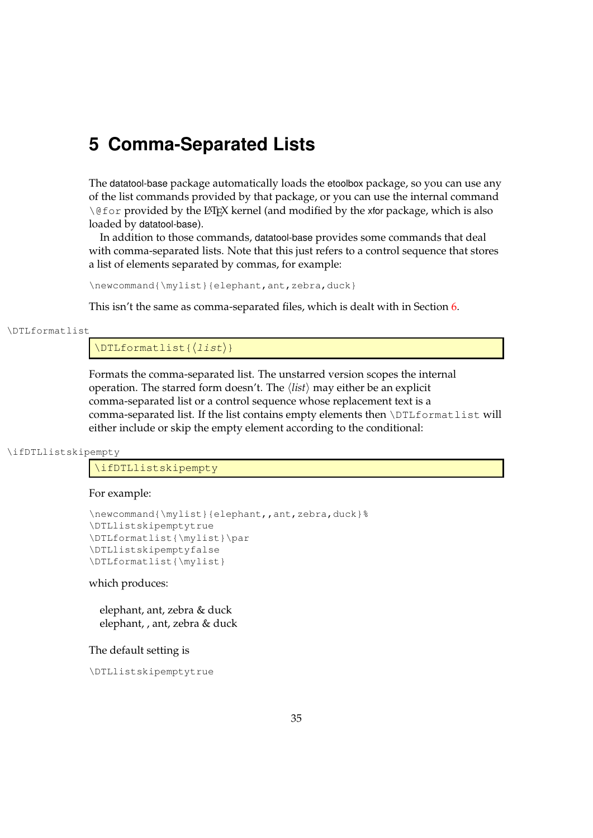# **5 Comma-Separated Lists**

The datatool-base package automatically loads the etoolbox package, so you can use any of the list commands provided by that package, or you can use the internal command \@for provided by the LATEX kernel (and modified by the xfor package, which is also loaded by datatool-base).

In addition to those commands, datatool-base provides some commands that deal with comma-separated lists. Note that this just refers to a control sequence that stores a list of elements separated by commas, for example:

```
\newcommand{\mylist}{elephant,ant,zebra,duck}
```
This isn't the same as comma-separated files, which is dealt with in Section [6.](#page-49-0)

\DTLformatlist

 $\DTLformatlist({*list*})$ 

Formats the comma-separated list. The unstarred version scopes the internal operation. The starred form doesn't. The  $\langle list \rangle$  may either be an explicit comma-separated list or a control sequence whose replacement text is a comma-separated list. If the list contains empty elements then \DTLformatlist will either include or skip the empty element according to the conditional:

\ifDTLlistskipempty

\ifDTLlistskipempty

For example:

```
\newcommand{\mylist}{elephant,,ant,zebra,duck}%
\DTLlistskipemptytrue
\DTLformatlist{\mylist}\par
\DTLlistskipemptyfalse
\DTLformatlist{\mylist}
```
which produces:

elephant, ant, zebra & duck elephant, , ant, zebra & duck

The default setting is

\DTLlistskipemptytrue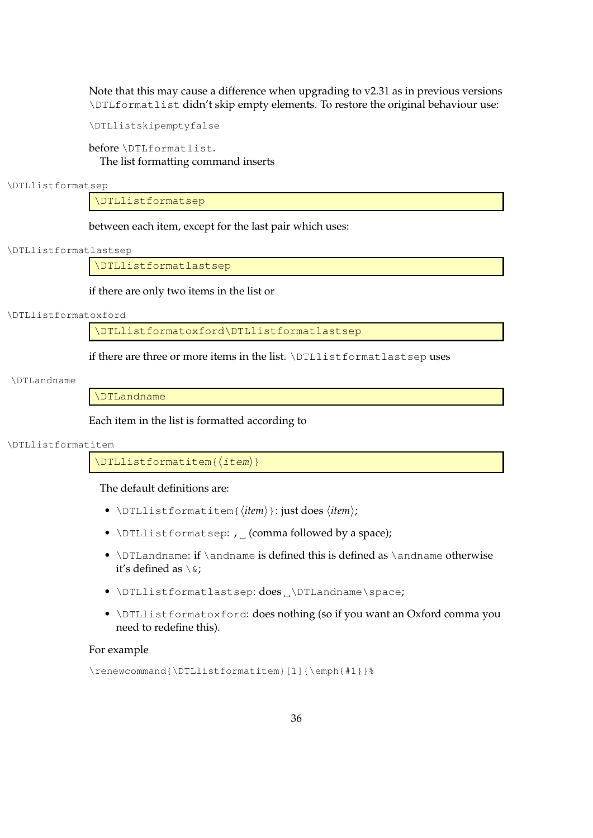Note that this may cause a difference when upgrading to v2.31 as in previous versions \DTLformatlist didn't skip empty elements. To restore the original behaviour use:

\DTLlistskipemptyfalse

before \DTLformatlist. The list formatting command inserts

\DTLlistformatsep

\DTLlistformatsep

between each item, except for the last pair which uses:

\DTLlistformatlastsep

\DTLlistformatlastsep

if there are only two items in the list or

#### \DTLlistformatoxford

\DTLlistformatoxford\DTLlistformatlastsep

if there are three or more items in the list. \DTLlistformatlastsep uses

\DTLandname

\DTLandname

Each item in the list is formatted according to

\DTLlistformatitem

 $\Delta$ ) \DTLlistformatitem{ $\langle$ *item*}}

The default definitions are:

- \DTLlistformatitem{\*item*}}: just does \*item*};
- \DTLlistformatsep: , 0 (comma followed by a space);
- $\DII$ andname: if  $\mathcal{I}$  is defined this is defined as  $\mathcal{I}$  andname otherwise it's defined as  $\setminus$  &:
- \DTLlistformatlastsep: does .\DTLandname\space;
- \DTLlistformatoxford: does nothing (so if you want an Oxford comma you need to redefine this).

# For example

```
\renewcommand{\DTLlistformatitem}[1]{\emph{#1}}%
```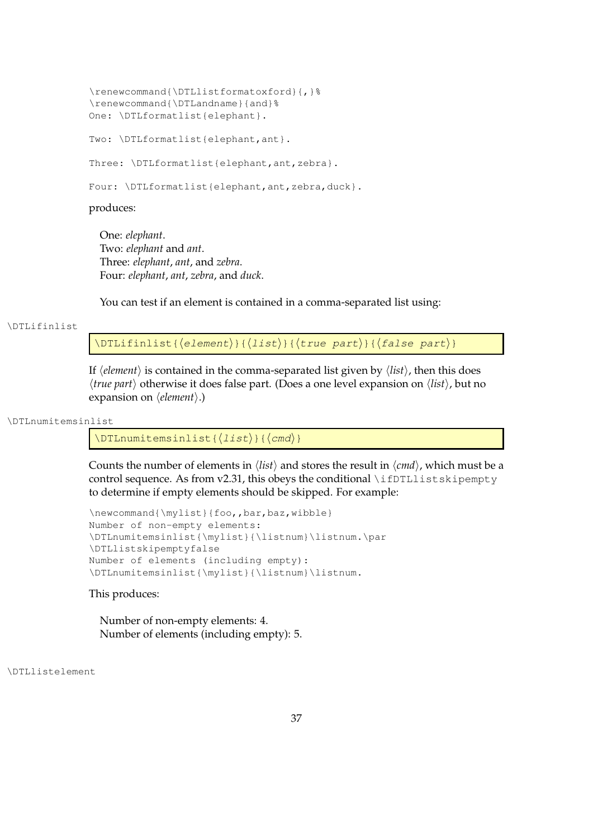```
\renewcommand{\DTLlistformatoxford}{,}%
\renewcommand{\DTLandname}{and}%
One: \DTLformatlist{elephant}.
Two: \DTLformatlist{elephant,ant}.
Three: \DTLformatlist{elephant, ant, zebra}.
Four: \DTLformatlist{elephant, ant, zebra, duck}.
```
produces:

One: *elephant*. Two: *elephant* and *ant*. Three: *elephant*, *ant*, and *zebra*. Four: *elephant*, *ant*, *zebra*, and *duck*.

You can test if an element is contained in a comma-separated list using:

#### \DTLifinlist

 $\D$ TLifinlist{ $\langle$ element $\rangle$ }{ $\langle$ list $\rangle$ }{ $\langle$ true part $\rangle$ }{ $\langle$ false part $\rangle$ }

If  $\langle element \rangle$  is contained in the comma-separated list given by  $\langle list \rangle$ , then this does *(true part)* otherwise it does false part. (Does a one level expansion on  $\langle list \rangle$ , but no expansion on  $\langle element \rangle.$ )

#### \DTLnumitemsinlist

 $\Delta$ ) \DTLnumitemsinlist{ $\langle$ list}}{ $\langle$ *cmd*}}

Counts the number of elements in  $\langle list \rangle$  and stores the result in  $\langle cmd \rangle$ , which must be a control sequence. As from v2.31, this obeys the conditional  $\if{DTLLlistskipempty.5pt}$ to determine if empty elements should be skipped. For example:

```
\newcommand{\mylist}{foo,,bar,baz,wibble}
Number of non-empty elements:
\DTLnumitemsinlist{\mylist}{\listnum}\listnum.\par
\DTLlistskipemptyfalse
Number of elements (including empty):
\DTLnumitemsinlist{\mylist}{\listnum}\listnum.
```
This produces:

Number of non-empty elements: 4. Number of elements (including empty): 5.

\DTLlistelement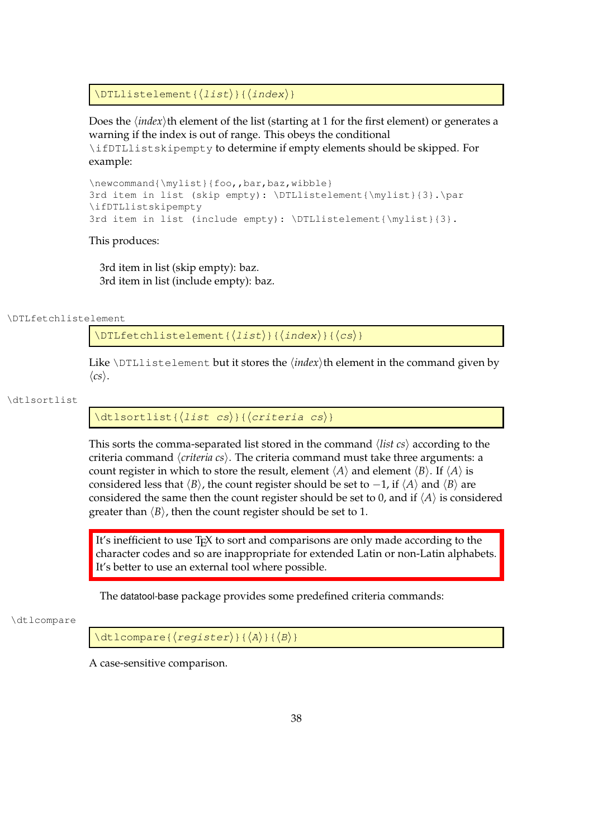$\Delta$ \DTLlistelement{ $\langle$ *list*}}{ $\langle$ *index*}}

Does the *(index)*th element of the list (starting at 1 for the first element) or generates a warning if the index is out of range. This obeys the conditional \ifDTLlistskipempty to determine if empty elements should be skipped. For example:

```
\newcommand{\mylist}{foo,,bar,baz,wibble}
3rd item in list (skip empty): \DTLlistelement{\mylist}{3}.\par
\ifDTLlistskipempty
3rd item in list (include empty): \DTLlistelement{\mylist}{3}.
```
This produces:

3rd item in list (skip empty): baz. 3rd item in list (include empty): baz.

\DTLfetchlistelement

 $\DTLfetchlistelement({*list*}{*index*}{*{cs}*}$ 

Like  $\Delta$ DTLlistelement but it stores the  $\langle index \rangle$ th element in the command given by  $\langle cs \rangle$ .

\dtlsortlist

 $\left\{\left(\text{list cs}\right)\right\}$  (criteria cs)}

This sorts the comma-separated list stored in the command h*list cs*i according to the criteria command *\criteria cs*}. The criteria command must take three arguments: a count register in which to store the result, element  $\langle A \rangle$  and element  $\langle B \rangle$ . If  $\langle A \rangle$  is considered less that  $\langle B \rangle$ , the count register should be set to  $-1$ , if  $\langle A \rangle$  and  $\langle B \rangle$  are considered the same then the count register should be set to 0, and if  $\langle A \rangle$  is considered greater than  $\langle B \rangle$ , then the count register should be set to 1.

It's inefficient to use T<sub>E</sub>X to sort and comparisons are only made according to the character codes and so are inappropriate for extended Latin or non-Latin alphabets. It's better to use an external tool where possible.

The datatool-base package provides some predefined criteria commands:

\dtlcompare

 $\left\{\text{dtlcompare}\right\}$ { $\left\{\text{register}\right\}$ }{ $\left\{\text{A}\right\}$ }{ $\left\{\text{B}\right\}$ }

A case-sensitive comparison.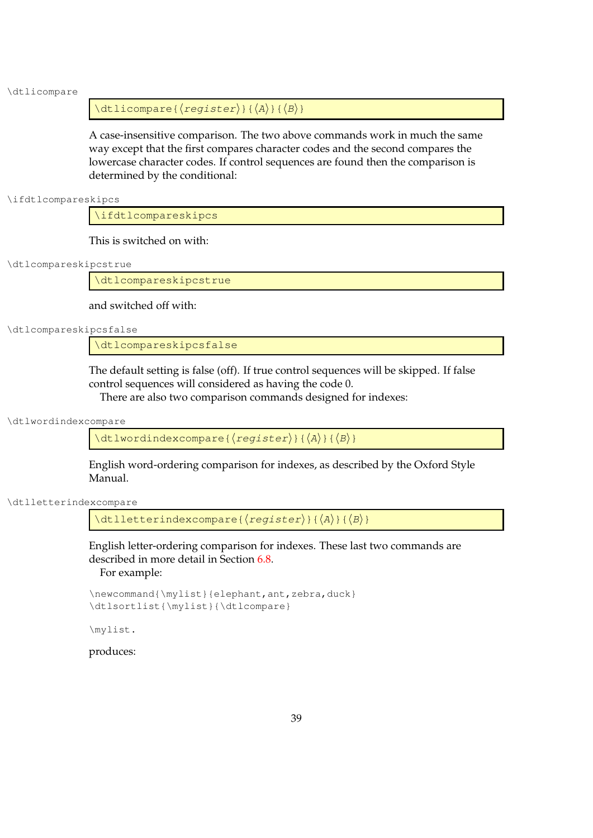#### \dtlicompare

 $\left\{ \text{degree}\right\}$  {  $\left\{ \text{degree}\right\}$  {  $\left\{ \text{A}\right\}$  } {  $\left\langle \text{B}\right\rangle$  }

A case-insensitive comparison. The two above commands work in much the same way except that the first compares character codes and the second compares the lowercase character codes. If control sequences are found then the comparison is determined by the conditional:

\ifdtlcompareskipcs

\ifdtlcompareskipcs

This is switched on with:

\dtlcompareskipcstrue

\dtlcompareskipcstrue

and switched off with:

\dtlcompareskipcsfalse

\dtlcompareskipcsfalse

The default setting is false (off). If true control sequences will be skipped. If false control sequences will considered as having the code 0.

There are also two comparison commands designed for indexes:

\dtlwordindexcompare

 $\left\{\text{dtlword}:\left\{\text{cop} \right\}\right\}$ 

English word-ordering comparison for indexes, as described by the Oxford Style Manual.

\dtlletterindexcompare

 $\left\{\text{dtlletterindexcompare}\right\}$ { $\left\{z\right\}$ }{ $\left\{A\right\}$ }{ $\left\{B\right\}$ }

English letter-ordering comparison for indexes. These last two commands are described in more detail in Section [6.8.](#page-90-0) For example:

```
\newcommand{\mylist}{elephant,ant,zebra,duck}
\dtlsortlist{\mylist}{\dtlcompare}
```
\mylist.

produces: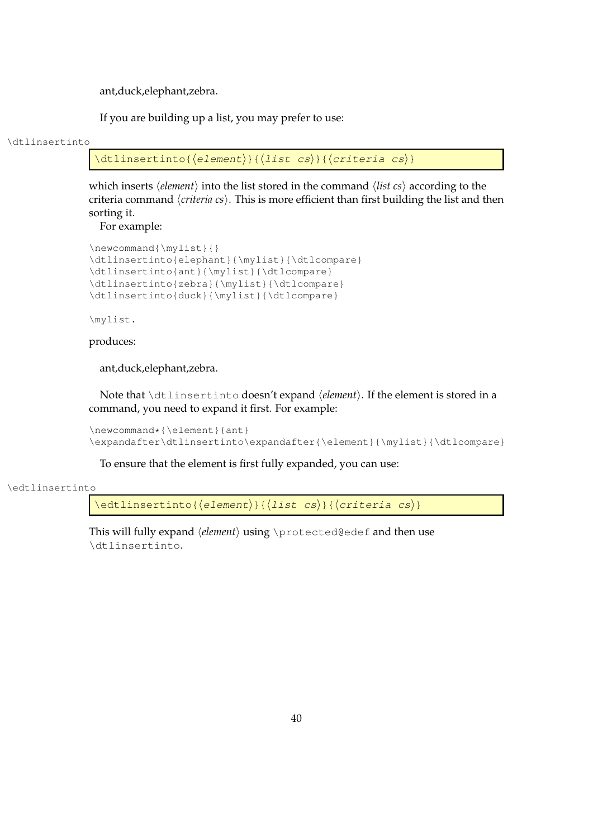ant,duck,elephant,zebra.

If you are building up a list, you may prefer to use:

#### \dtlinsertinto

 $\left\{ \left( \text{element} \right) \right\}$  {  $\left\{ \left( \text{critical cs} \right) \right\}$ 

which inserts  $\langle element \rangle$  into the list stored in the command  $\langle list \, cs \rangle$  according to the criteria command *\criteria cs*}. This is more efficient than first building the list and then sorting it.

For example:

```
\newcommand{\mylist}{}
\dtlinsertinto{elephant}{\mylist}{\dtlcompare}
\dtlinsertinto{ant}{\mylist}{\dtlcompare}
\dtlinsertinto{zebra}{\mylist}{\dtlcompare}
\dtlinsertinto{duck}{\mylist}{\dtlcompare}
```
\mylist.

# produces:

ant,duck,elephant,zebra.

Note that \dtlinsertinto doesn't expand \delement\. If the element is stored in a command, you need to expand it first. For example:

\newcommand\*{\element}{ant} \expandafter\dtlinsertinto\expandafter{\element}{\mylist}{\dtlcompare}

To ensure that the element is first fully expanded, you can use:

#### \edtlinsertinto

 $\edtlinsertinto({element}{\ddot{s}}({list cs}){\ddot{s}})$ 

This will fully expand *(element)* using \protected@edef and then use \dtlinsertinto.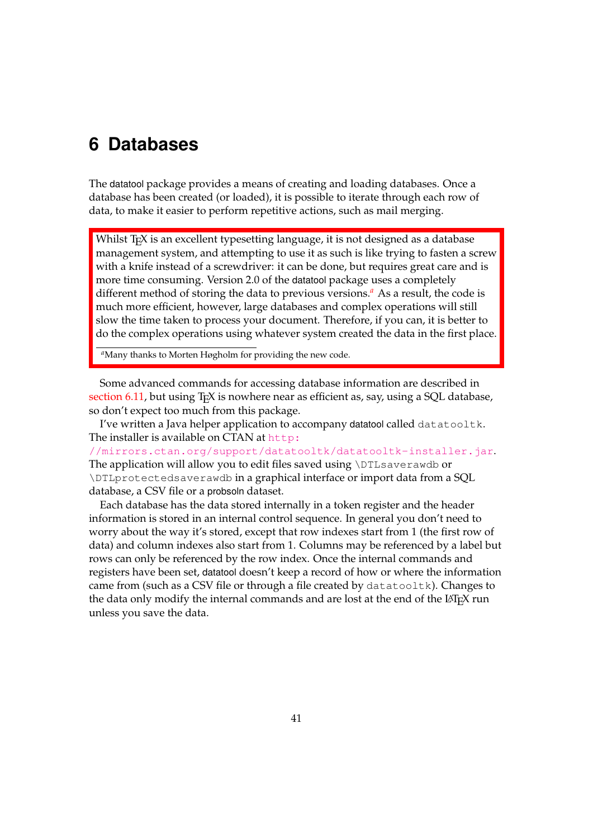# <span id="page-49-0"></span>**6 Databases**

The datatool package provides a means of creating and loading databases. Once a database has been created (or loaded), it is possible to iterate through each row of data, to make it easier to perform repetitive actions, such as mail merging.

Whilst T<sub>E</sub>X is an excellent typesetting language, it is not designed as a database management system, and attempting to use it as such is like trying to fasten a screw with a knife instead of a screwdriver: it can be done, but requires great care and is more time consuming. Version 2.0 of the datatool package uses a completely different method of storing the data to previous versions.*[a](#page-49-1)* As a result, the code is much more efficient, however, large databases and complex operations will still slow the time taken to process your document. Therefore, if you can, it is better to do the complex operations using whatever system created the data in the first place.

<span id="page-49-1"></span>*<sup>a</sup>*Many thanks to Morten Høgholm for providing the new code.

Some advanced commands for accessing database information are described in [section 6.11,](#page-104-0) but using T<sub>F</sub>X is nowhere near as efficient as, say, using a SQL database, so don't expect too much from this package.

I've written a Java helper application to accompany datatool called datatooltk. The installer is available on CTAN at [http:](http://mirrors.ctan.org/support/datatooltk/datatooltk-installer.jar)

[//mirrors.ctan.org/support/datatooltk/datatooltk-installer.jar](http://mirrors.ctan.org/support/datatooltk/datatooltk-installer.jar). The application will allow you to edit files saved using \DTLsaverawdb or \DTLprotectedsaverawdb in a graphical interface or import data from a SQL database, a CSV file or a probsoln dataset.

Each database has the data stored internally in a token register and the header information is stored in an internal control sequence. In general you don't need to worry about the way it's stored, except that row indexes start from 1 (the first row of data) and column indexes also start from 1. Columns may be referenced by a label but rows can only be referenced by the row index. Once the internal commands and registers have been set, datatool doesn't keep a record of how or where the information came from (such as a CSV file or through a file created by datatooltk). Changes to the data only modify the internal commands and are lost at the end of the LAT<sub>E</sub>X run unless you save the data.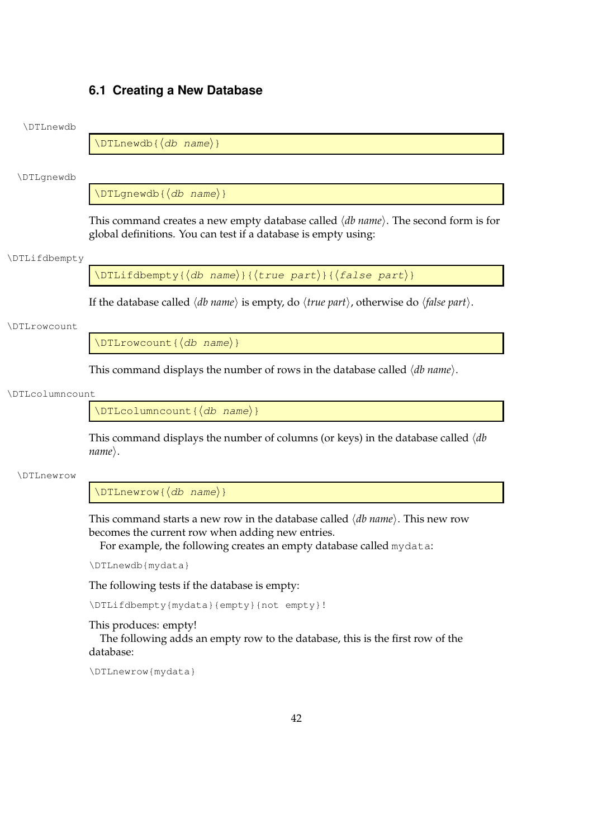# <span id="page-50-0"></span>**6.1 Creating a New Database**

# \DTLnewdb

 $\Delta\$  $\{db \ name\}$ 

\DTLgnewdb

 $\Delta\$  $\langle db \ name \rangle$ }

This command creates a new empty database called  $\langle db \text{ name} \rangle$ . The second form is for global definitions. You can test if a database is empty using:

#### \DTLifdbempty

\DTLifdbempty{ $\langle$ db name}}{ $\langle$ true part}}{ $\langle$ false part}}

If the database called  $\langle db$  *name* $\rangle$  is empty, do  $\langle true$  *part* $\rangle$ , otherwise do  $\langle false$  *part* $\rangle$ .

#### \DTLrowcount

 $\DTLrowcount({db name})$ 

This command displays the number of rows in the database called  $\langle db \ name \rangle$ .

#### \DTLcolumncount

 $\DTLcolumncount({db name})$ 

This command displays the number of columns (or keys) in the database called  $\langle db$  $name\rangle$ .

#### \DTLnewrow

 $\Delta$ bTLnewrow{ $\langle db \quad name \rangle$ }

This command starts a new row in the database called  $\langle db \ name \rangle$ . This new row becomes the current row when adding new entries.

For example, the following creates an empty database called mydata:

\DTLnewdb{mydata}

The following tests if the database is empty:

\DTLifdbempty{mydata}{empty}{not empty}!

# This produces: empty!

The following adds an empty row to the database, this is the first row of the database:

\DTLnewrow{mydata}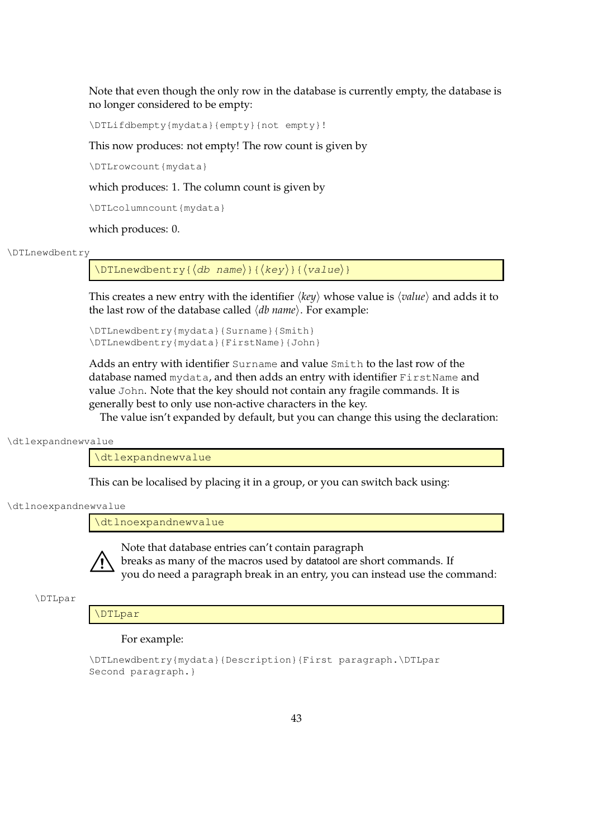Note that even though the only row in the database is currently empty, the database is no longer considered to be empty:

\DTLifdbempty{mydata}{empty}{not empty}!

This now produces: not empty! The row count is given by

\DTLrowcount{mydata}

which produces: 1. The column count is given by

\DTLcolumncount{mydata}

which produces: 0.

#### \DTLnewdbentry

 $\D$ TLnewdbentry{ $\{db \ name\}$ }{ $\{key\}$ { $\{value\}$ }

This creates a new entry with the identifier  $\langle \textit{key} \rangle$  whose value is  $\langle \textit{value} \rangle$  and adds it to the last row of the database called  $\langle db \ name \rangle$ . For example:

\DTLnewdbentry{mydata}{Surname}{Smith} \DTLnewdbentry{mydata}{FirstName}{John}

Adds an entry with identifier Surname and value Smith to the last row of the database named mydata, and then adds an entry with identifier FirstName and value John. Note that the key should not contain any fragile commands. It is generally best to only use non-active characters in the key.

The value isn't expanded by default, but you can change this using the declaration:

\dtlexpandnewvalue

\dtlexpandnewvalue

This can be localised by placing it in a group, or you can switch back using:

\dtlnoexpandnewvalue

\dtlnoexpandnewvalue



Note that database entries can't contain paragraph breaks as many of the macros used by datatool are short commands. If you do need a paragraph break in an entry, you can instead use the command:

\DTLpar

# \DTLpar

### For example:

```
\DTLnewdbentry{mydata}{Description}{First paragraph.\DTLpar
Second paragraph.}
```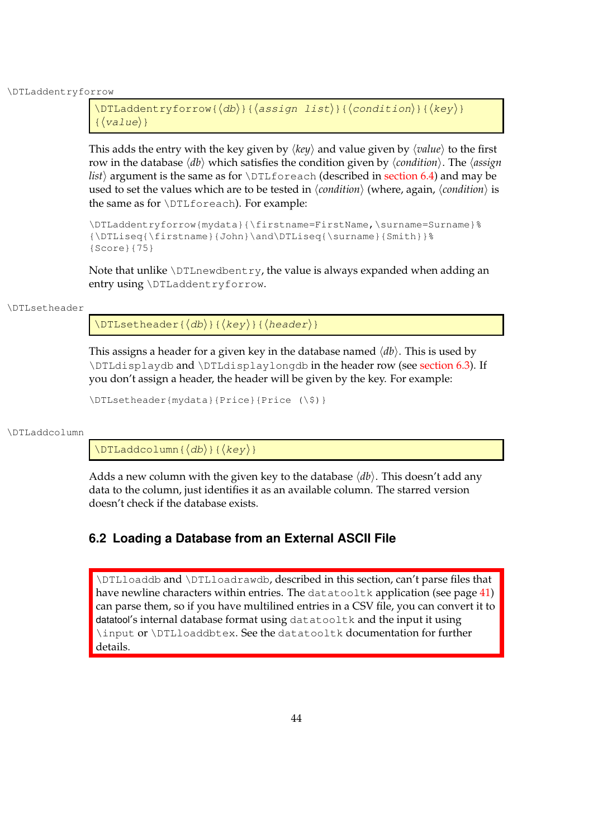\DTLaddentryforrow

```
\DTLaddentryforrow({db})({<i>assign list</i>}{<i>condition</i>}{(key)}\{\langle value \rangle\}
```
This adds the entry with the key given by  $\langle key \rangle$  and value given by  $\langle value \rangle$  to the first row in the database  $\langle db \rangle$  which satisfies the condition given by  $\langle condition \rangle$ . The  $\langle assign$ *list*) argument is the same as for \DTLforeach (described in [section 6.4\)](#page-64-0) and may be used to set the values which are to be tested in  $\langle$ *condition* $\rangle$  (where, again,  $\langle$ *condition* $\rangle$  is the same as for \DTLforeach). For example:

```
\DTLaddentryforrow{mydata}{\firstname=FirstName,\surname=Surname}%
{\DTLiseq{\firstname}{John}\and\DTLiseq{\surname}{Smith}}%
{Score}{75}
```
Note that unlike  $\D$ TLnewdbentry, the value is always expanded when adding an entry using \DTLaddentryforrow.

## \DTLsetheader

 $\DTLsetheader({db})({key})({heavy})$ 

This assigns a header for a given key in the database named  $\langle db \rangle$ . This is used by \DTLdisplaydb and \DTLdisplaylongdb in the header row (see [section 6.3\)](#page-57-0). If you don't assign a header, the header will be given by the key. For example:

\DTLsetheader{mydata}{Price}{Price (\\$)}

\DTLaddcolumn

 $\Delta$ dddcolumn{ $\langle db \rangle$ }{ $\langle key \rangle$ }

Adds a new column with the given key to the database  $\langle db \rangle$ . This doesn't add any data to the column, just identifies it as an available column. The starred version doesn't check if the database exists.

# <span id="page-52-0"></span>**6.2 Loading a Database from an External ASCII File**

\DTLloaddb and \DTLloadrawdb, described in this section, can't parse files that have newline characters within entries. The datatooltk application (see page [41\)](#page-49-0) can parse them, so if you have multilined entries in a CSV file, you can convert it to datatool's internal database format using datatooltk and the input it using \input or \DTLloaddbtex. See the datatooltk documentation for further details.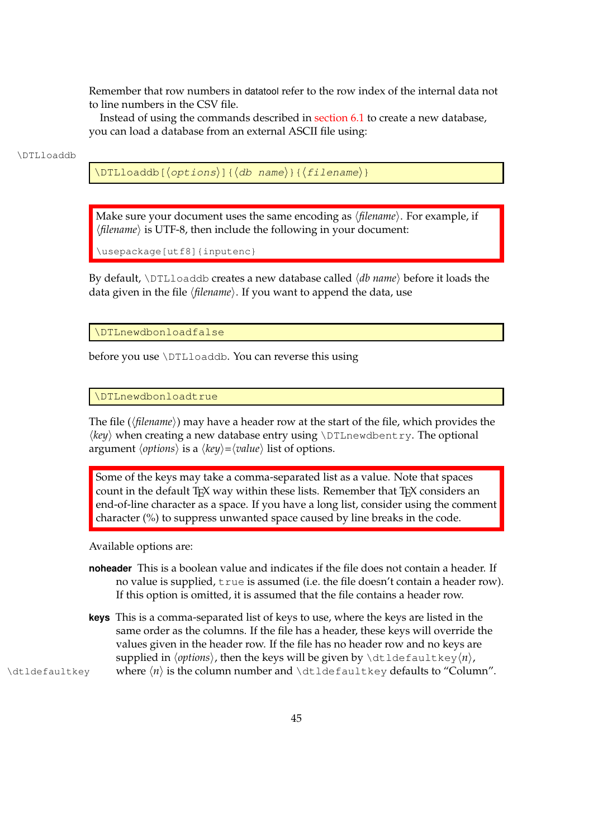Remember that row numbers in datatool refer to the row index of the internal data not to line numbers in the CSV file.

Instead of using the commands described in [section 6.1](#page-50-0) to create a new database, you can load a database from an external ASCII file using:

#### \DTLloaddb

 $\Delta$ [interprobable] \DTLloaddb[ $\langle$ options}]{ $\langle$ db name}}{ $\langle$ filename}}

Make sure your document uses the same encoding as  $\langle$ *filename* $\rangle$ . For example, if  $\langle$ *filename* $\rangle$  is UTF-8, then include the following in your document:

\usepackage[utf8]{inputenc}

By default, **\DTLloaddb** creates a new database called  $\langle db$  name**\** before it loads the data given in the file (*filename*). If you want to append the data, use

\DTLnewdbonloadfalse

before you use \DTLloaddb. You can reverse this using

\DTLnewdbonloadtrue

The file (*(filename)*) may have a header row at the start of the file, which provides the  $\langle key \rangle$  when creating a new database entry using  $\D$ L<sub>newdbentry</sub>. The optional argument  $\langle options \rangle$  is a  $\langle key \rangle = \langle value \rangle$  list of options.

Some of the keys may take a comma-separated list as a value. Note that spaces count in the default  $T_{F}X$  way within these lists. Remember that  $T_{F}X$  considers an end-of-line character as a space. If you have a long list, consider using the comment character (%) to suppress unwanted space caused by line breaks in the code.

Available options are:

- **noheader** This is a boolean value and indicates if the file does not contain a header. If no value is supplied, true is assumed (i.e. the file doesn't contain a header row). If this option is omitted, it is assumed that the file contains a header row.
- **keys** This is a comma-separated list of keys to use, where the keys are listed in the same order as the columns. If the file has a header, these keys will override the values given in the header row. If the file has no header row and no keys are supplied in  $\langle options \rangle$ , then the keys will be given by  $\delta \delta \delta \delta$  and they $\langle n \rangle$ , \dtldefaultkey where h*n*i is the column number and \dtldefaultkey defaults to "Column".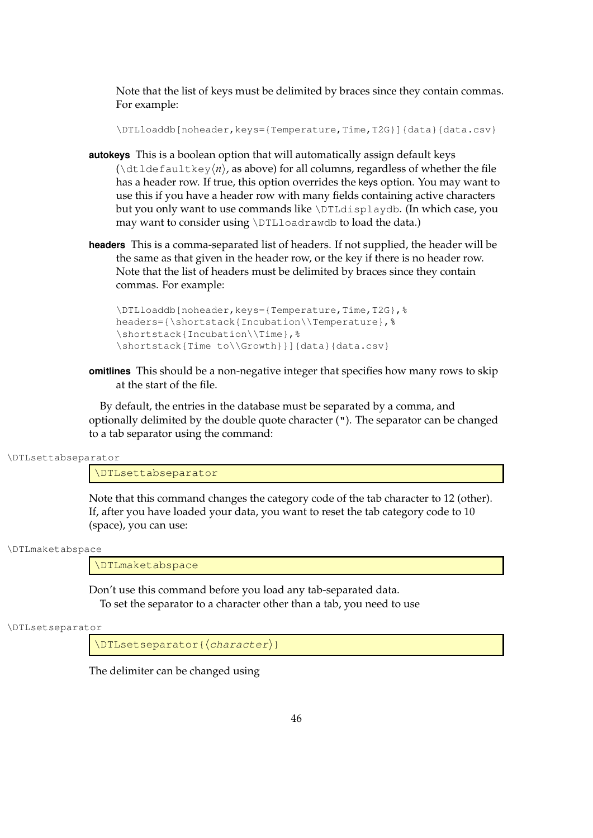Note that the list of keys must be delimited by braces since they contain commas. For example:

\DTLloaddb[noheader, keys={Temperature, Time, T2G}]{data}{data.csv}

- **autokeys** This is a boolean option that will automatically assign default keys  $(\det \text{latlet}_y(n),$  as above) for all columns, regardless of whether the file has a header row. If true, this option overrides the keys option. You may want to use this if you have a header row with many fields containing active characters but you only want to use commands like \DTLdisplaydb. (In which case, you may want to consider using \DTLloadrawdb to load the data.)
- **headers** This is a comma-separated list of headers. If not supplied, the header will be the same as that given in the header row, or the key if there is no header row. Note that the list of headers must be delimited by braces since they contain commas. For example:

```
\DTLloaddb[noheader, keys={Temperature, Time, T2G}, %
headers={\shortstack{Incubation\\Temperature},%
\shortstack{Incubation\\Time},%
\shortstack{Time to\\Growth}}]{data}{data.csv}
```
**omitlines** This should be a non-negative integer that specifies how many rows to skip at the start of the file.

By default, the entries in the database must be separated by a comma, and optionally delimited by the double quote character ("). The separator can be changed to a tab separator using the command:

\DTLsettabseparator

\DTLsettabseparator

Note that this command changes the category code of the tab character to 12 (other). If, after you have loaded your data, you want to reset the tab category code to 10 (space), you can use:

\DTLmaketabspace

\DTLmaketabspace

Don't use this command before you load any tab-separated data. To set the separator to a character other than a tab, you need to use

\DTLsetseparator

 $\Delta$ DTLsetseparator{ $\langle character \rangle$ }

The delimiter can be changed using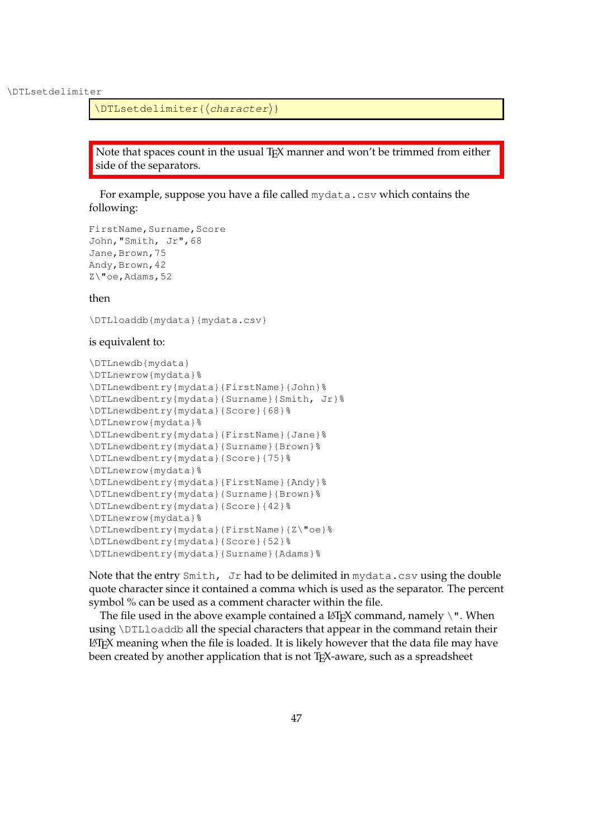\DTLsetdelimiter

\DTLsetdelimiter{(character)}

Note that spaces count in the usual T<sub>E</sub>X manner and won't be trimmed from either side of the separators.

For example, suppose you have a file called mydata.csv which contains the following:

```
FirstName, Surname, Score
John,"Smith, Jr",68
Jane, Brown, 75
Andy, Brown, 42
Z\"oe,Adams,52
```
## then

\DTLloaddb{mydata}{mydata.csv}

## is equivalent to:

```
\DTLnewdb{mydata}
\DTLnewrow{mydata}%
\DTLnewdbentry{mydata}{FirstName}{John}%
\DTLnewdbentry{mydata}{Surname}{Smith, Jr}%
\DTLnewdbentry{mydata}{Score}{68}%
\DTLnewrow{mydata}%
\DTLnewdbentry{mydata}{FirstName}{Jane}%
\DTLnewdbentry{mydata}{Surname}{Brown}%
\DTLnewdbentry{mydata}{Score}{75}%
\DTLnewrow{mydata}%
\DTLnewdbentry{mydata}{FirstName}{Andy}%
\DTLnewdbentry{mydata}{Surname}{Brown}%
\DTLnewdbentry{mydata}{Score}{42}%
\DTLnewrow{mydata}%
\DTLnewdbentry{mydata}{FirstName}{Z\"oe}%
\DTLnewdbentry{mydata}{Score}{52}%
\DTLnewdbentry{mydata}{Surname}{Adams}%
```
Note that the entry Smith, Jr had to be delimited in mydata.csv using the double quote character since it contained a comma which is used as the separator. The percent symbol % can be used as a comment character within the file.

The file used in the above example contained a  $LATFX$  command, namely  $\setminus$ ". When using \DTLloaddb all the special characters that appear in the command retain their LATEX meaning when the file is loaded. It is likely however that the data file may have been created by another application that is not T<sub>E</sub>X-aware, such as a spreadsheet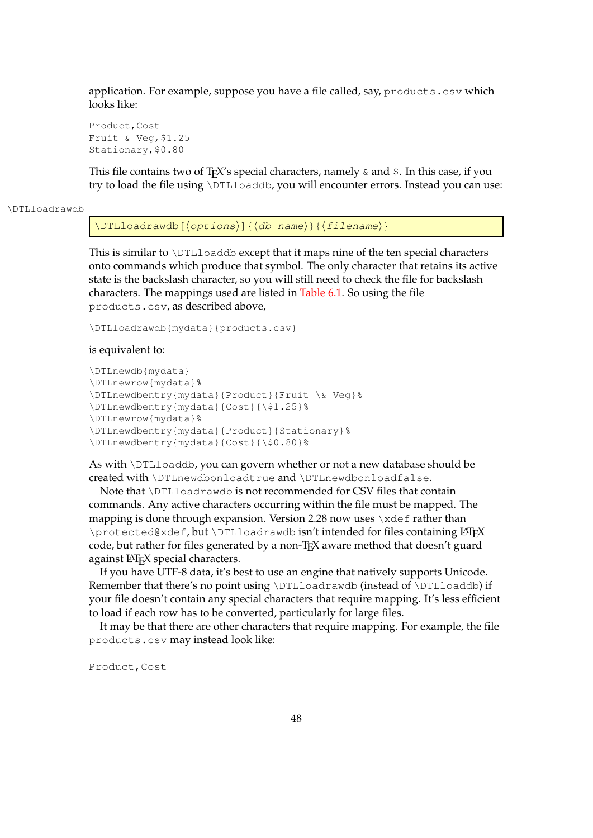application. For example, suppose you have a file called, say, products.csv which looks like:

Product,Cost Fruit & Veg,\$1.25 Stationary,\$0.80

This file contains two of T<sub>E</sub>X's special characters, namely  $\&$  and  $\&$ . In this case, if you try to load the file using \DTLloaddb, you will encounter errors. Instead you can use:

#### \DTLloadrawdb

 $\DTHloadrawdb[{options}{\&{db name}}{\&{filename}}$ 

This is similar to \DTLloaddb except that it maps nine of the ten special characters onto commands which produce that symbol. The only character that retains its active state is the backslash character, so you will still need to check the file for backslash characters. The mappings used are listed in [Table 6.1.](#page-57-1) So using the file products.csv, as described above,

```
\DTLloadrawdb{mydata}{products.csv}
```
#### is equivalent to:

```
\DTLnewdb{mydata}
\DTLnewrow{mydata}%
\DTLnewdbentry{mydata}{Product}{Fruit \& Veg}%
\DTLnewdbentry{mydata}{Cost}{\$1.25}%
\DTLnewrow{mydata}%
\DTLnewdbentry{mydata}{Product}{Stationary}%
\DTLnewdbentry{mydata}{Cost}{\$0.80}%
```
As with \DTLloaddb, you can govern whether or not a new database should be created with \DTLnewdbonloadtrue and \DTLnewdbonloadfalse.

Note that \DTLloadrawdb is not recommended for CSV files that contain commands. Any active characters occurring within the file must be mapped. The mapping is done through expansion. Version 2.28 now uses  $\x \cdot \x \cdot$  ather than \protected@xdef, but \DTLloadrawdb isn't intended for files containing LATEX code, but rather for files generated by a non-T<sub>E</sub>X aware method that doesn't guard against LAT<sub>E</sub>X special characters.

If you have UTF-8 data, it's best to use an engine that natively supports Unicode. Remember that there's no point using \DTLloadrawdb (instead of \DTLloaddb) if your file doesn't contain any special characters that require mapping. It's less efficient to load if each row has to be converted, particularly for large files.

It may be that there are other characters that require mapping. For example, the file products.csv may instead look like:

Product,Cost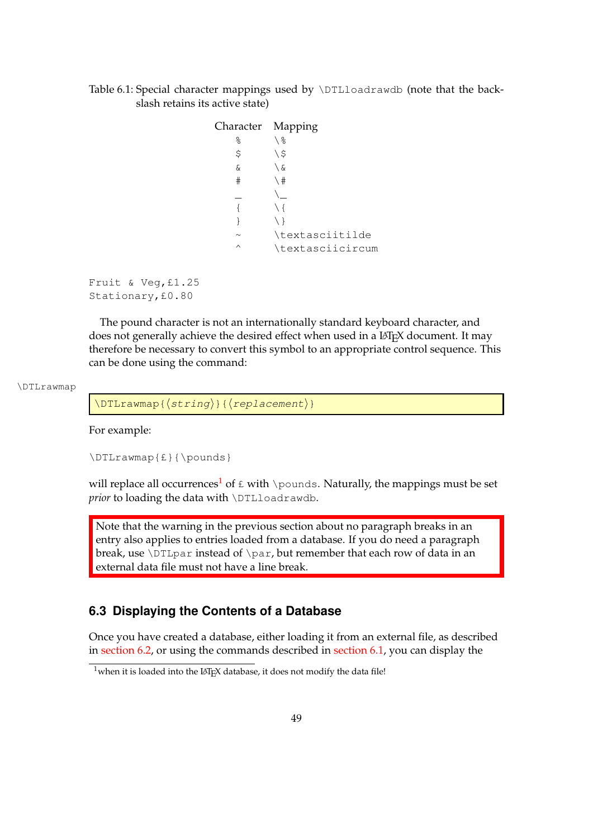# <span id="page-57-1"></span>Table 6.1: Special character mappings used by \DTLloadrawdb (note that the backslash retains its active state)

| Character Mapping |                  |
|-------------------|------------------|
| ٥,                | \ 응              |
| \$                | \\$              |
| δ,                | \ &              |
| #                 | \#               |
|                   |                  |
|                   | \ {              |
|                   | $\setminus$      |
|                   | \textasciitilde  |
| ∧                 | \textasciicircum |

Fruit & Veg,£1.25 Stationary,£0.80

The pound character is not an internationally standard keyboard character, and does not generally achieve the desired effect when used in a LAT<sub>E</sub>X document. It may therefore be necessary to convert this symbol to an appropriate control sequence. This can be done using the command:

\DTLrawmap

 $\DTLrawmap({string})({replacement})$ 

For example:

\DTLrawmap{£}{\pounds}

will replace all occurrences<sup>[1](#page-57-2)</sup> of  $E$  with \pounds. Naturally, the mappings must be set prior to loading the data with \DTLloadrawdb.

Note that the warning in the previous section about no paragraph breaks in an entry also applies to entries loaded from a database. If you do need a paragraph break, use \DTLpar instead of \par, but remember that each row of data in an external data file must not have a line break.

# <span id="page-57-0"></span>**6.3 Displaying the Contents of a Database**

Once you have created a database, either loading it from an external file, as described in [section 6.2,](#page-52-0) or using the commands described in [section 6.1,](#page-50-0) you can display the

<span id="page-57-2"></span> $1$ when it is loaded into the LAT<sub>E</sub>X database, it does not modify the data file!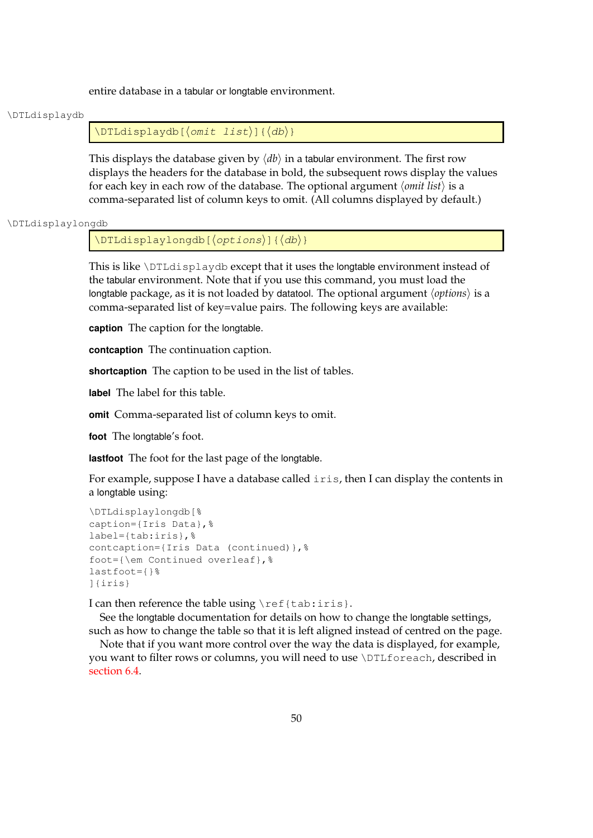entire database in a tabular or longtable environment.

#### \DTLdisplaydb

 $\Delta$ DTLdisplaydb[ $\langle Omit\; list \rangle$ ]{ $\langle db \rangle$ }

This displays the database given by  $\langle db \rangle$  in a tabular environment. The first row displays the headers for the database in bold, the subsequent rows display the values for each key in each row of the database. The optional argument *\omit list*} is a comma-separated list of column keys to omit. (All columns displayed by default.)

\DTLdisplaylongdb

 $\Delta$ DTLdisplaylongdb[ $\langle options \rangle$ ]{ $\langle db \rangle$ }

This is like \DTLdisplaydb except that it uses the longtable environment instead of the tabular environment. Note that if you use this command, you must load the longtable package, as it is not loaded by datatool. The optional argument  $\langle options \rangle$  is a comma-separated list of key=value pairs. The following keys are available:

**caption** The caption for the longtable.

**contcaption** The continuation caption.

**shortcaption** The caption to be used in the list of tables.

**label** The label for this table.

**omit** Comma-separated list of column keys to omit.

**foot** The longtable's foot.

**lastfoot** The foot for the last page of the longtable.

For example, suppose I have a database called iris, then I can display the contents in a longtable using:

```
\DTLdisplaylongdb[%
caption={Iris Data},%
label={tab:iris},%
contcaption={Iris Data (continued)},%
foot={\em Continued overleaf},%
lastfoot={}%
]{iris}
```
I can then reference the table using \ref{tab:iris}.

See the longtable documentation for details on how to change the longtable settings, such as how to change the table so that it is left aligned instead of centred on the page.

Note that if you want more control over the way the data is displayed, for example, you want to filter rows or columns, you will need to use \DTLforeach, described in [section 6.4.](#page-64-0)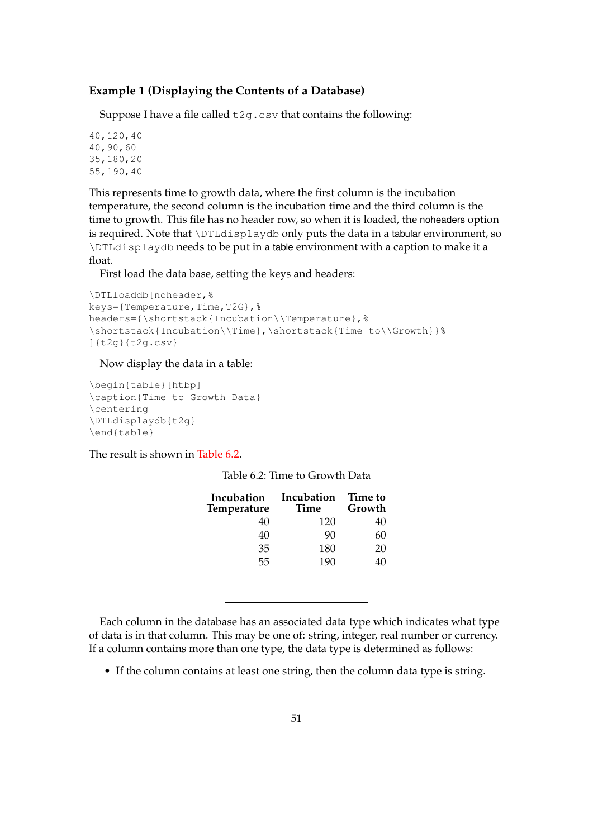# **Example 1 (Displaying the Contents of a Database)**

Suppose I have a file called  $\text{t2g.csv}$  that contains the following:

```
40,120,40
40,90,60
35,180,20
55,190,40
```
This represents time to growth data, where the first column is the incubation temperature, the second column is the incubation time and the third column is the time to growth. This file has no header row, so when it is loaded, the noheaders option is required. Note that \DTLdisplaydb only puts the data in a tabular environment, so \DTLdisplaydb needs to be put in a table environment with a caption to make it a float.

First load the data base, setting the keys and headers:

```
\DTLloaddb[noheader,%
keys={Temperature,Time,T2G},%
headers={\shortstack{Incubation\\Temperature},%
\shortstack{Incubation\\Time},\shortstack{Time to\\Growth}}%
]{t2g}{t2g.csv}
```
# Now display the data in a table:

```
\begin{table}[htbp]
\caption{Time to Growth Data}
\centering
\DTLdisplaydb{t2g}
\end{table}
```
<span id="page-59-0"></span>The result is shown in [Table 6.2.](#page-59-0)

| Incubation<br>Time | Time to<br>Growth |
|--------------------|-------------------|
| 120                | 40                |
| 90                 | 60                |
| 180                | 20                |
| 190                | 40                |
|                    |                   |

Each column in the database has an associated data type which indicates what type of data is in that column. This may be one of: string, integer, real number or currency. If a column contains more than one type, the data type is determined as follows:

• If the column contains at least one string, then the column data type is string.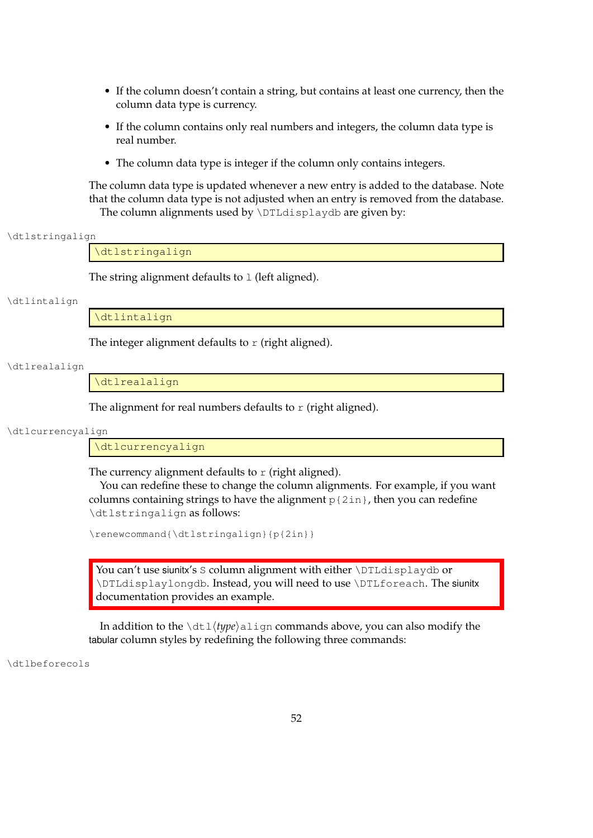- If the column doesn't contain a string, but contains at least one currency, then the column data type is currency.
- If the column contains only real numbers and integers, the column data type is real number.
- The column data type is integer if the column only contains integers.

The column data type is updated whenever a new entry is added to the database. Note that the column data type is not adjusted when an entry is removed from the database. The column alignments used by \DTLdisplaydb are given by:

\dtlstringalign

\dtlstringalign

The string alignment defaults to  $1$  (left aligned).

\dtlintalign

\dtlintalign

The integer alignment defaults to  $r$  (right aligned).

\dtlrealalign

\dtlrealalign

The alignment for real numbers defaults to  $r$  (right aligned).

\dtlcurrencyalign

\dtlcurrencyalign

The currency alignment defaults to  $r$  (right aligned).

You can redefine these to change the column alignments. For example, if you want columns containing strings to have the alignment  $p{2in}$ , then you can redefine \dtlstringalign as follows:

\renewcommand{\dtlstringalign}{p{2in}}

You can't use siunitx's S column alignment with either \DTLdisplaydb or \DTLdisplaylongdb. Instead, you will need to use \DTLforeach. The siunitx documentation provides an example.

In addition to the  $\dagger \dagger \dagger \gamma$  align commands above, you can also modify the tabular column styles by redefining the following three commands:

\dtlbeforecols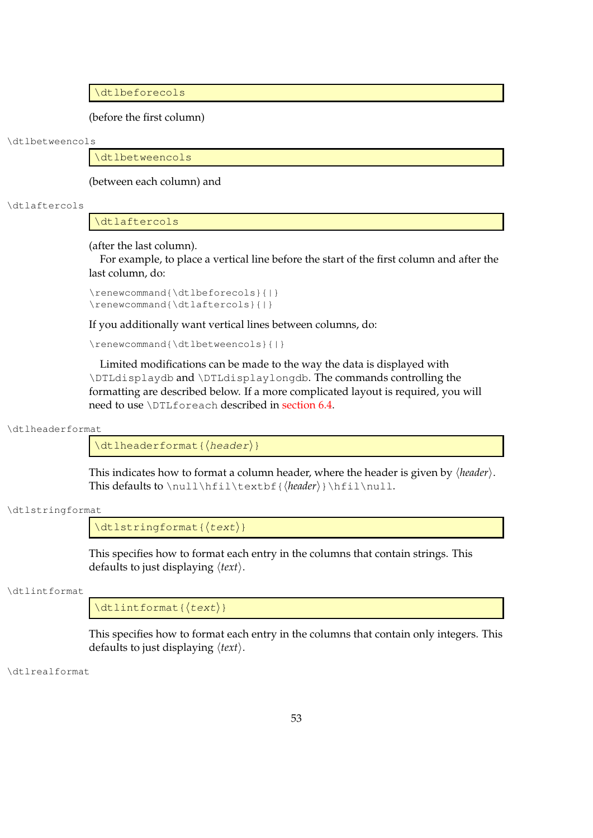\dtlbeforecols

(before the first column)

#### \dtlbetweencols

\dtlbetweencols

(between each column) and

#### \dtlaftercols

\dtlaftercols

(after the last column).

For example, to place a vertical line before the start of the first column and after the last column, do:

```
\renewcommand{\dtlbeforecols}{|}
\renewcommand{\dtlaftercols}{|}
```
If you additionally want vertical lines between columns, do:

```
\renewcommand{\dtlbetweencols}{|}
```
Limited modifications can be made to the way the data is displayed with \DTLdisplaydb and \DTLdisplaylongdb. The commands controlling the formatting are described below. If a more complicated layout is required, you will need to use \DTLforeach described in [section 6.4.](#page-64-0)

\dtlheaderformat

 $\left\{ \left\langle \text{theader} \right. \right\} \right\}$ 

This indicates how to format a column header, where the header is given by  $\langle$ *header* $\rangle$ . This defaults to \null\hfil\textbf{\\\\header\}\\hfil\null.

\dtlstringformat

 $\left\{ \text{dtlstringformat} \left( \text{text} \right) \right\}$ 

This specifies how to format each entry in the columns that contain strings. This defaults to just displaying  $\langle text \rangle$ .

\dtlintformat

 $\left\{ \text{dtlintformat} \right\}$ 

This specifies how to format each entry in the columns that contain only integers. This defaults to just displaying  $\langle text \rangle$ .

\dtlrealformat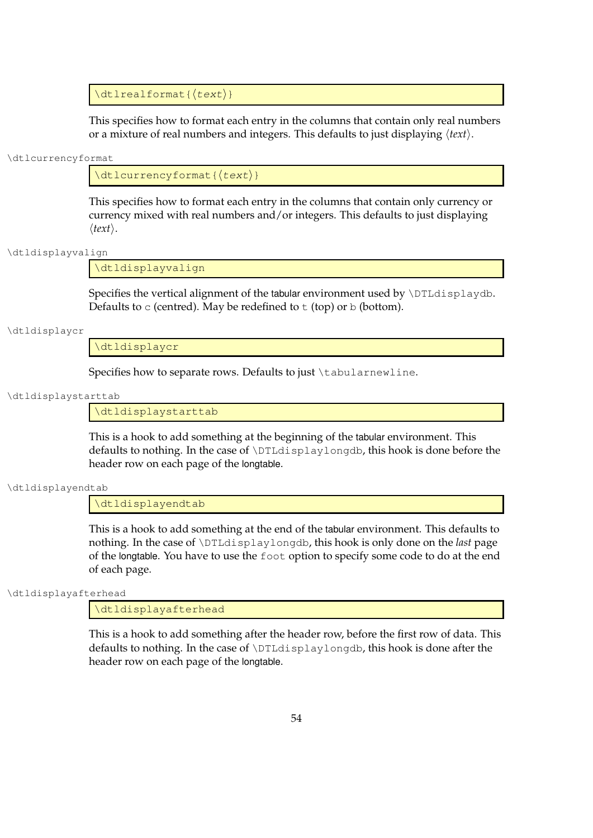$\left\{ \text{dtlrealformat} \right\}$ 

This specifies how to format each entry in the columns that contain only real numbers or a mixture of real numbers and integers. This defaults to just displaying  $\langle text \rangle$ .

#### \dtlcurrencyformat

 $\left\{\text{dtlcurencyformat}\right\}$ 

This specifies how to format each entry in the columns that contain only currency or currency mixed with real numbers and/or integers. This defaults to just displaying  $\langle text \rangle$ .

\dtldisplayvalign

\dtldisplayvalign

Specifies the vertical alignment of the tabular environment used by  $\D{TLdisplaydb}$ . Defaults to  $\circ$  (centred). May be redefined to  $\circ$  (top) or  $\circ$  (bottom).

\dtldisplaycr

\dtldisplaycr

Specifies how to separate rows. Defaults to just \tabularnewline.

#### \dtldisplaystarttab

\dtldisplaystarttab

This is a hook to add something at the beginning of the tabular environment. This defaults to nothing. In the case of \DTLdisplaylongdb, this hook is done before the header row on each page of the longtable.

\dtldisplayendtab

\dtldisplayendtab

This is a hook to add something at the end of the tabular environment. This defaults to nothing. In the case of \DTLdisplaylongdb, this hook is only done on the *last* page of the longtable. You have to use the foot option to specify some code to do at the end of each page.

\dtldisplayafterhead

\dtldisplayafterhead

This is a hook to add something after the header row, before the first row of data. This defaults to nothing. In the case of \DTLdisplaylongdb, this hook is done after the header row on each page of the longtable.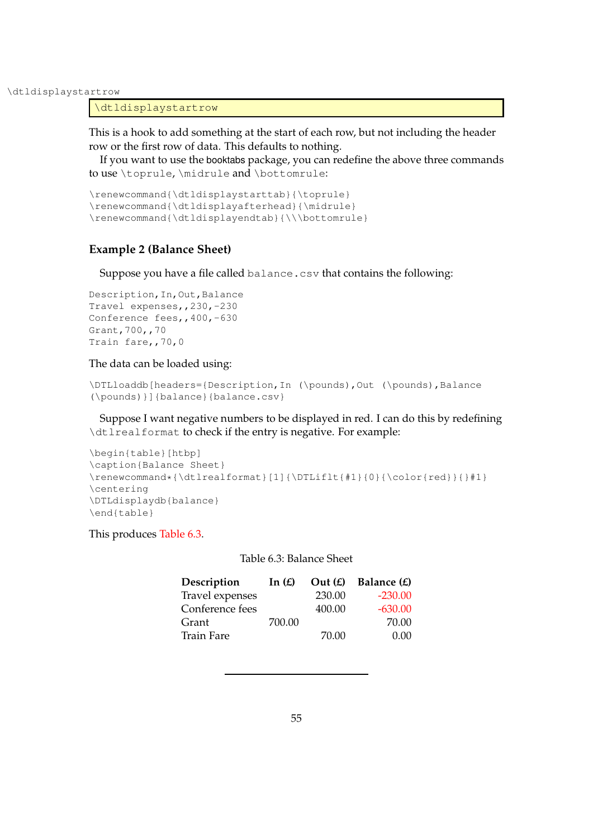\dtldisplaystartrow

\dtldisplaystartrow

This is a hook to add something at the start of each row, but not including the header row or the first row of data. This defaults to nothing.

If you want to use the booktabs package, you can redefine the above three commands to use \toprule, \midrule and \bottomrule:

```
\renewcommand{\dtldisplaystarttab}{\toprule}
\renewcommand{\dtldisplayafterhead}{\midrule}
\renewcommand{\dtldisplayendtab}{\\\bottomrule}
```
## **Example 2 (Balance Sheet)**

Suppose you have a file called balance.csv that contains the following:

```
Description, In, Out, Balance
Travel expenses,,230,-230
Conference fees, , 400, -630
Grant,700,,70
Train fare,,70,0
```
## The data can be loaded using:

```
\DTLloaddb[headers={Description, In (\pounds),Out (\pounds),Balance
(\pounds)}]{balance}{balance.csv}
```
Suppose I want negative numbers to be displayed in red. I can do this by redefining \dtlrealformat to check if the entry is negative. For example:

```
\begin{table}[htbp]
\caption{Balance Sheet}
\rm{mod} { \dtlrealformat}[1] { \DTLiflt {#1}{0} { \color{red} } { }#1}
\centering
\DTLdisplaydb{balance}
\end{table}
```
<span id="page-63-0"></span>This produces [Table 6.3.](#page-63-0)

Table 6.3: Balance Sheet

| Description       | In $(E)$ | Out(f) | Balance $(E)$ |
|-------------------|----------|--------|---------------|
| Travel expenses   |          | 230.00 | $-230.00$     |
| Conference fees   |          | 400.00 | $-630.00$     |
| Grant             | 700.00   |        | 70.00         |
| <b>Train Fare</b> |          | 70.00  | 0.00          |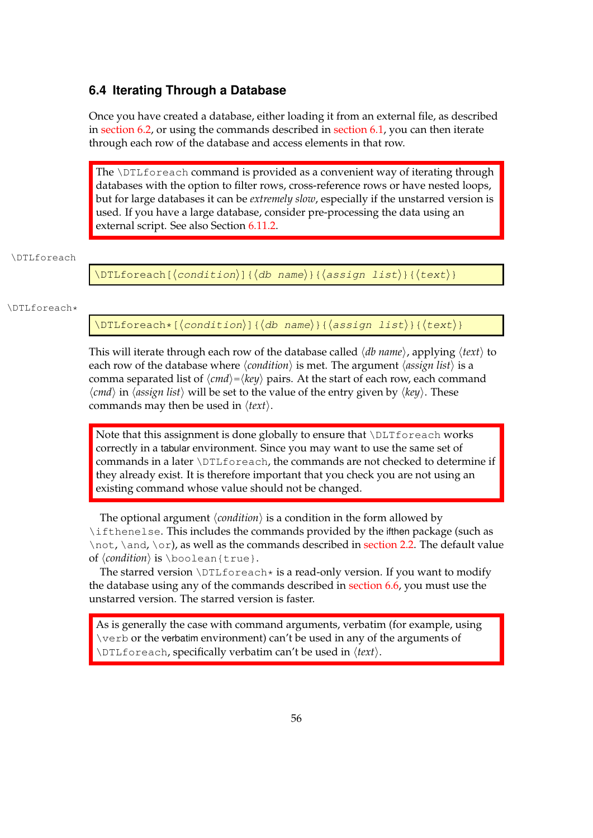# <span id="page-64-0"></span>**6.4 Iterating Through a Database**

Once you have created a database, either loading it from an external file, as described in [section 6.2,](#page-52-0) or using the commands described in [section 6.1,](#page-50-0) you can then iterate through each row of the database and access elements in that row.

The \DTLforeach command is provided as a convenient way of iterating through databases with the option to filter rows, cross-reference rows or have nested loops, but for large databases it can be *extremely slow*, especially if the unstarred version is used. If you have a large database, consider pre-processing the data using an external script. See also Section [6.11.2.](#page-114-0)

## \DTLforeach

\DTLforeach[ $\langle$ condition $\rangle$ ]{ $\langle$ db name $\rangle$ }{ $\langle$ assign list $\rangle$ }{ $\langle$ text $\rangle$ }

### \DTLforeach\*

\DTLforeach\*[ $\langle condition\rangle$ ]{ $\langle db$  name $\rangle$ }{ $\langle assign list\rangle$ }{ $\langle text\rangle$ }

This will iterate through each row of the database called  $\langle db \text{ name} \rangle$ , applying  $\langle text \rangle$  to each row of the database where  $\langle condition \rangle$  is met. The argument  $\langle assign \, list \rangle$  is a comma separated list of  $\langle \textit{cmd} \rangle = \langle \textit{key} \rangle$  pairs. At the start of each row, each command  $\langle \text{cmd} \rangle$  in  $\langle \text{assign list} \rangle$  will be set to the value of the entry given by  $\langle \text{key} \rangle$ . These commands may then be used in  $\langle text \rangle$ .

Note that this assignment is done globally to ensure that \DLTforeach works correctly in a tabular environment. Since you may want to use the same set of commands in a later \DTLforeach, the commands are not checked to determine if they already exist. It is therefore important that you check you are not using an existing command whose value should not be changed.

The optional argument  $\langle condition \rangle$  is a condition in the form allowed by \ifthenelse. This includes the commands provided by the ifthen package (such as  $\not\phi$ ,  $\phi$ ,  $\dot\phi$ ,  $\dot\phi$ , as well as the commands described in [section 2.2.](#page-24-0) The default value of  $\langle condition \rangle$  is  $\boldsymbol{\lambda}$  is  $\boldsymbol{\lambda}$ .

The starred version \DTLforeach\* is a read-only version. If you want to modify the database using any of the commands described in [section 6.6,](#page-83-0) you must use the unstarred version. The starred version is faster.

As is generally the case with command arguments, verbatim (for example, using \verb or the verbatim environment) can't be used in any of the arguments of \DTLforeach, specifically verbatim can't be used in  $\langle text \rangle$ .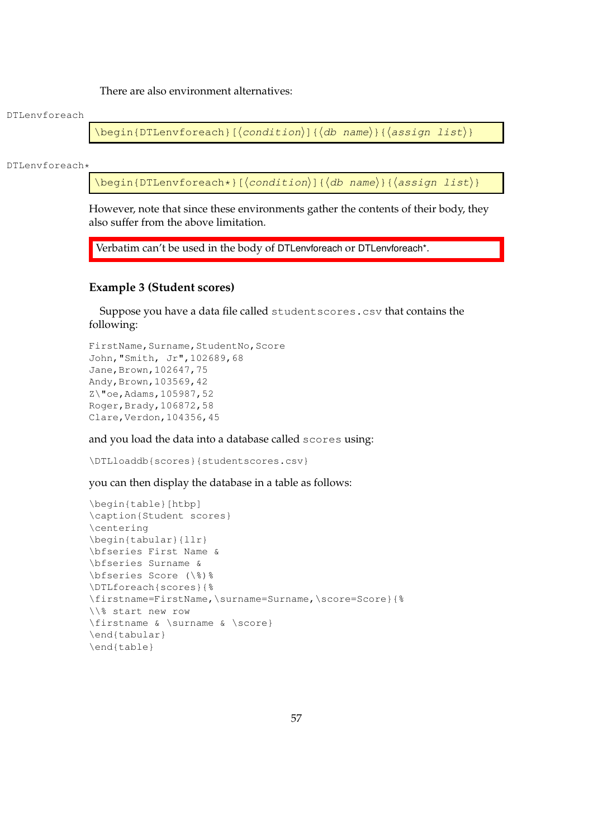There are also environment alternatives:

#### DTLenvforeach

 $\begin{align} \begin{bmatrix} \begin{pmatrix} b & d \end{pmatrix} \end{bmatrix} \begin{bmatrix} \begin{pmatrix} d & d \end{pmatrix} \end{bmatrix} & \begin{pmatrix} d & d \end{pmatrix} \end{align}$ 

DTLenvforeach\*

 $\begin{equation*}$  \begin{DTLenvforeach\*}[ $\{constant\}$ ]{ $\{db \ name\}$ }{ $\{assign \ list\}$ }

However, note that since these environments gather the contents of their body, they also suffer from the above limitation.

Verbatim can't be used in the body of DTLenvforeach or DTLenvforeach\*.

## <span id="page-65-0"></span>**Example 3 (Student scores)**

Suppose you have a data file called studentscores.csv that contains the following:

```
FirstName, Surname, StudentNo, Score
John,"Smith, Jr",102689,68
Jane, Brown, 102647, 75
Andy, Brown, 103569, 42
Z\"oe,Adams,105987,52
Roger,Brady,106872,58
Clare,Verdon,104356,45
```
and you load the data into a database called scores using:

\DTLloaddb{scores}{studentscores.csv}

you can then display the database in a table as follows:

```
\begin{table}[htbp]
\caption{Student scores}
\centering
\begin{tabular}{llr}
\bfseries First Name &
\bfseries Surname &
\bfseries Score (\%)%
\DTLforeach{scores}{%
\firstname=FirstName,\surname=Surname,\score=Score}{%
\\% start new row
\firstname & \surname & \score}
\end{tabular}
\end{table}
```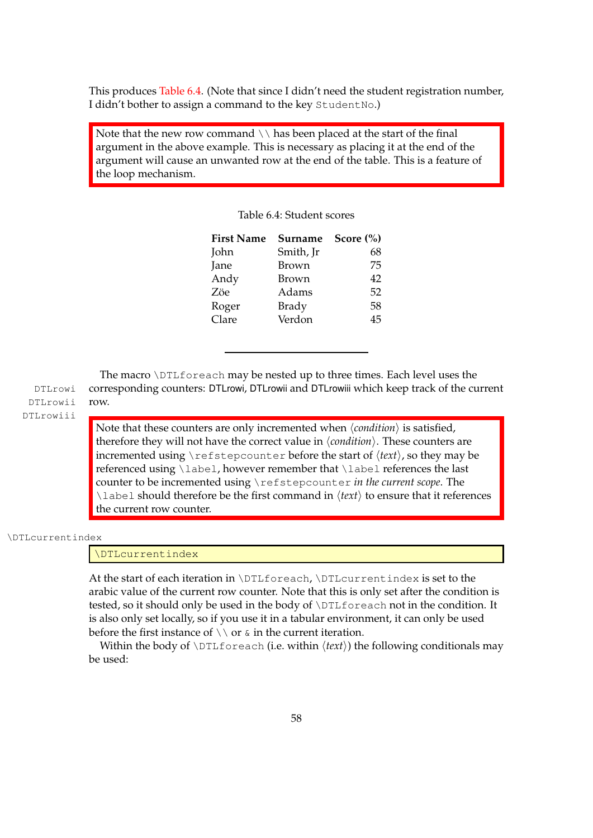This produces [Table 6.4.](#page-66-0) (Note that since I didn't need the student registration number, I didn't bother to assign a command to the key StudentNo.)

<span id="page-66-0"></span>Note that the new row command  $\setminus \lambda$  has been placed at the start of the final argument in the above example. This is necessary as placing it at the end of the argument will cause an unwanted row at the end of the table. This is a feature of the loop mechanism.

| <b>First Name</b> | Surname      | Score $(\% )$ |
|-------------------|--------------|---------------|
| John              | Smith, Jr    | 68            |
| Jane              | <b>Brown</b> | 75            |
| Andy              | Brown        | 42            |
| Zöe               | Adams        | 52            |
| Roger             | Brady        | 58            |
| Clare             | Verdon       | 45            |

Table 6.4: Student scores

The macro \DTLforeach may be nested up to three times. Each level uses the DTLrowi corresponding counters: DTLrowi, DTLrowii and DTLrowiii which keep track of the current DTLrowii row.

DTLrowiii

Note that these counters are only incremented when  $\langle condition \rangle$  is satisfied, therefore they will not have the correct value in  $\langle condition \rangle$ . These counters are incremented using  $\ref{tept}$  before the start of  $\langle text \rangle$ , so they may be referenced using \label, however remember that \label references the last counter to be incremented using \refstepcounter *in the current scope*. The  $\lambda$ label should therefore be the first command in  $\langle text \rangle$  to ensure that it references the current row counter.

\DTLcurrentindex

\DTLcurrentindex

At the start of each iteration in \DTLforeach, \DTLcurrentindex is set to the arabic value of the current row counter. Note that this is only set after the condition is tested, so it should only be used in the body of \DTLforeach not in the condition. It is also only set locally, so if you use it in a tabular environment, it can only be used before the first instance of  $\setminus \setminus$  or  $\&$  in the current iteration.

Within the body of  $\D$ Lforeach (i.e. within  $\langle text \rangle$ ) the following conditionals may be used: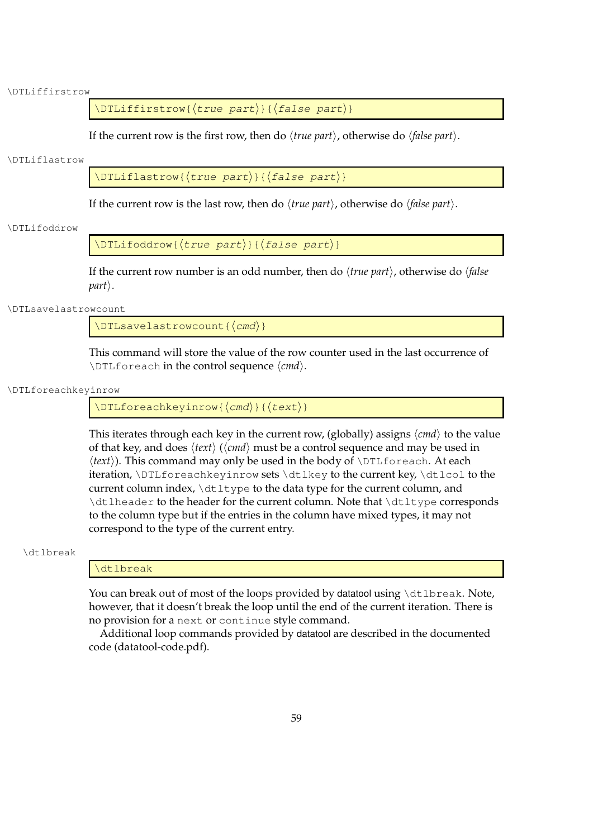#### \DTLiffirstrow

 $\DTLiffirstrow({true part})({false part})$ 

If the current row is the first row, then do  $\langle true\ part \rangle$ , otherwise do  $\langle false\ part \rangle$ .

#### \DTLiflastrow

 $\Delta$ DTLiflastrow{ $\langle true~part \rangle$ }{ $\langle false~part \rangle$ }

If the current row is the last row, then do  $\langle true\ part \rangle$ , otherwise do  $\langle false\ part \rangle$ .

#### \DTLifoddrow

 $\Delta$ DTLifoddrow{ $\langle true~part \rangle$ }{ $\langle false~part \rangle$ }

If the current row number is an odd number, then do  $\langle true\ part \rangle$ , otherwise do  $\langle false\$  $part$ .

\DTLsavelastrowcount

 $\Delta$ DTLsavelastrowcount{ $\langle cmd\rangle$ }

This command will store the value of the row counter used in the last occurrence of \DTLforeach in the control sequence  $\langle cmd\rangle$ .

#### \DTLforeachkeyinrow

 $\DTLforeachkeyinrow({\cmd}){\text{text}}$ 

This iterates through each key in the current row, (globally) assigns  $\langle cmd \rangle$  to the value of that key, and does  $\langle text \rangle$  ( $\langle cmd \rangle$  must be a control sequence and may be used in *(text)*). This command may only be used in the body of *\DTLforeach*. At each iteration, \DTLforeachkeyinrow sets \dtlkey to the current key, \dtlcol to the current column index,  $\dagger$  the  $\ddagger$  to the data type for the current column, and \dtlheader to the header for the current column. Note that \dtltype corresponds to the column type but if the entries in the column have mixed types, it may not correspond to the type of the current entry.

#### \dtlbreak

## \dtlbreak

You can break out of most of the loops provided by datatool using \dtlbreak. Note, however, that it doesn't break the loop until the end of the current iteration. There is no provision for a next or continue style command.

Additional loop commands provided by datatool are described in the documented code (datatool-code.pdf).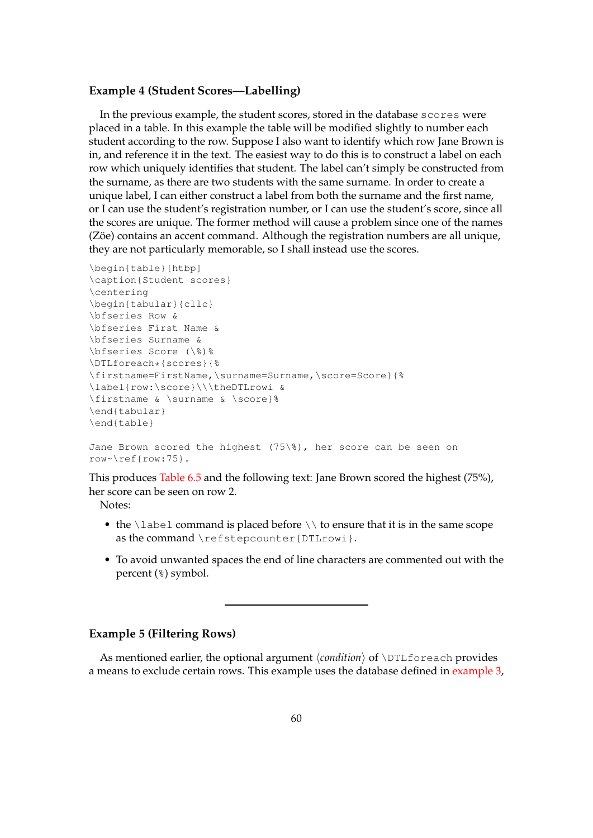## **Example 4 (Student Scores—Labelling)**

In the previous example, the student scores, stored in the database scores were placed in a table. In this example the table will be modified slightly to number each student according to the row. Suppose I also want to identify which row Jane Brown is in, and reference it in the text. The easiest way to do this is to construct a label on each row which uniquely identifies that student. The label can't simply be constructed from the surname, as there are two students with the same surname. In order to create a unique label, I can either construct a label from both the surname and the first name, or I can use the student's registration number, or I can use the student's score, since all the scores are unique. The former method will cause a problem since one of the names (Zöe) contains an accent command. Although the registration numbers are all unique, they are not particularly memorable, so I shall instead use the scores.

```
\begin{table}[htbp]
\caption{Student scores}
\centering
\begin{tabular}{cllc}
\bfseries Row &
\bfseries First Name &
\bfseries Surname &
\bfseries Score (\%)%
\DTLforeach*{scores}{%
\firstname=FirstName,\surname=Surname,\score=Score}{%
\label{row:\score}\\\theDTLrowi &
\firstname & \surname & \score}%
\end{tabular}
\end{table}
```

```
Jane Brown scored the highest (75\%), her score can be seen on
row~\ref{row:75}.
```
This produces [Table 6.5](#page-69-0) and the following text: Jane Brown scored the highest (75%), her score can be seen on row 2.

Notes:

- the \label command is placed before  $\setminus \setminus$  to ensure that it is in the same scope as the command \refstepcounter{DTLrowi}.
- To avoid unwanted spaces the end of line characters are commented out with the percent (%) symbol.

# **Example 5 (Filtering Rows)**

As mentioned earlier, the optional argument  $\langle condition \rangle$  of  $\DTLfore$  ach provides a means to exclude certain rows. This example uses the database defined in [example 3,](#page-65-0)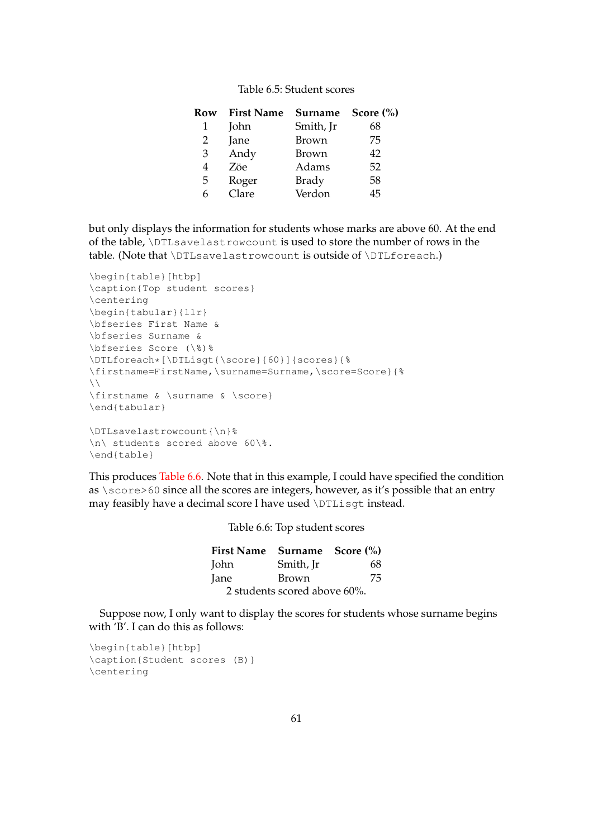| Table 6.5: Student scores |  |
|---------------------------|--|
|                           |  |

<span id="page-69-0"></span>

| Row | <b>First Name</b> | Surname   | Score $(\% )$ |
|-----|-------------------|-----------|---------------|
| 1   | John              | Smith, Jr | 68            |
| 2   | Jane              | Brown     | 75            |
| 3   | Andy              | Brown     | 42            |
| 4   | Zöe               | Adams     | 52            |
| 5   | Roger             | Brady     | 58            |
| h   | Clare             | Verdon    | 45            |

but only displays the information for students whose marks are above 60. At the end of the table, \DTLsavelastrowcount is used to store the number of rows in the table. (Note that \DTLsavelastrowcount is outside of \DTLforeach.)

```
\begin{table}[htbp]
\caption{Top student scores}
\centering
\begin{tabular}{llr}
\bfseries First Name &
\bfseries Surname &
\bfseries Score (\%)%
\DTLforeach*[\DTLisgt{\score}{60}]{scores}{%
\firstname=FirstName,\surname=Surname,\score=Score}{%
\setminus\firstname & \surname & \score}
\end{tabular}
\DTLsavelastrowcount{\n}%
\n\ students scored above 60\%.
\end{table}
```
<span id="page-69-1"></span>This produces [Table 6.6.](#page-69-1) Note that in this example, I could have specified the condition as \score>60 since all the scores are integers, however, as it's possible that an entry may feasibly have a decimal score I have used \DTLisgt instead.

Table 6.6: Top student scores

|      | First Name Surname Score (%) |    |
|------|------------------------------|----|
| John | Smith, Jr                    | 68 |
| Jane | Brown                        | 75 |
|      | 2 students scored above 60%. |    |

Suppose now, I only want to display the scores for students whose surname begins with 'B'. I can do this as follows:

```
\begin{table}[htbp]
\caption{Student scores (B)}
\centering
```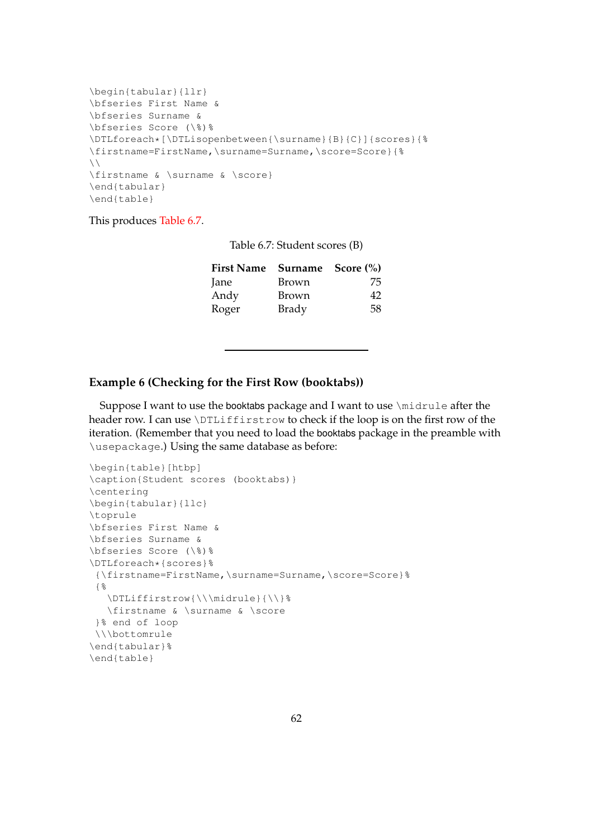```
\begin{tabular}{llr}
\bfseries First Name &
\bfseries Surname &
\bfseries Score (\%)%
\DTLforeach*[\DTLisopenbetween{\surname}{B}{C}]{scores}{%
\firstname=FirstName,\surname=Surname,\score=Score}{%
\setminus\firstname & \surname & \score}
\end{tabular}
\end{table}
```
<span id="page-70-0"></span>This produces [Table 6.7.](#page-70-0)

| Table 6.7: Student scores (B) |  |  |
|-------------------------------|--|--|
|-------------------------------|--|--|

| First Name Surname Score (%) |       |    |
|------------------------------|-------|----|
| Jane                         | Brown | 75 |
| Andy                         | Brown | 42 |
| Roger                        | Brady | 58 |

# **Example 6 (Checking for the First Row (booktabs))**

Suppose I want to use the booktabs package and I want to use \midrule after the header row. I can use \DTLiffirstrow to check if the loop is on the first row of the iteration. (Remember that you need to load the booktabs package in the preamble with \usepackage.) Using the same database as before:

```
\begin{table}[htbp]
\caption{Student scores (booktabs)}
\centering
\begin{tabular}{llc}
\toprule
\bfseries First Name &
\bfseries Surname &
\bfseries Score (\%)%
\DTLforeach*{scores}%
 {\firstname=FirstName,\surname=Surname,\score=Score}%
 {%
   \DTLiffirstrow{\\\midrule}{\\}%
   \firstname & \surname & \score
 }% end of loop
 \\\bottomrule
\end{tabular}%
\end{table}
```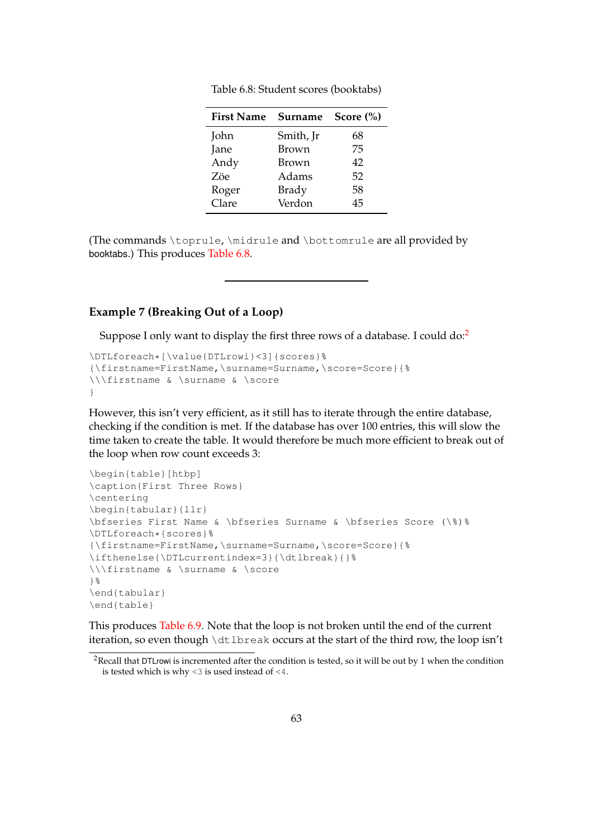<span id="page-71-0"></span>

| <b>First Name</b> | <b>Surname</b> | Score $(\% )$ |
|-------------------|----------------|---------------|
| John              | Smith, Jr      | 68            |
| Jane              | Brown          | 75            |
| Andy              | Brown          | 42            |
| Zöe               | Adams          | 52            |
| Roger             | Brady          | 58            |
| Clare             | Verdon         | 45            |

Table 6.8: Student scores (booktabs)

(The commands \toprule, \midrule and \bottomrule are all provided by booktabs.) This produces [Table 6.8.](#page-71-0)

# **Example 7 (Breaking Out of a Loop)**

Suppose I only want to display the first three rows of a database. I could do:<sup>[2](#page-71-1)</sup>

```
\DTLforeach*[\value{DTLrowi}<3]{scores}%
{\firstname=FirstName,\surname=Surname,\score=Score}{%
\\\firstname & \surname & \score
}
```
However, this isn't very efficient, as it still has to iterate through the entire database, checking if the condition is met. If the database has over 100 entries, this will slow the time taken to create the table. It would therefore be much more efficient to break out of the loop when row count exceeds 3:

```
\begin{table}[htbp]
\caption{First Three Rows}
\centering
\begin{tabular}{llr}
\bfseries First Name & \bfseries Surname & \bfseries Score (\%)%
\DTLforeach*{scores}%
{\firstname=FirstName,\surname=Surname,\score=Score}{%
\ifthenelse{\DTLcurrentindex=3}{\dtlbreak}{}%
\\\firstname & \surname & \score
}%
\end{tabular}
\end{table}
```
This produces [Table 6.9.](#page-72-0) Note that the loop is not broken until the end of the current iteration, so even though \dtlbreak occurs at the start of the third row, the loop isn't

<span id="page-71-1"></span><sup>&</sup>lt;sup>2</sup>Recall that DTLrowi is incremented after the condition is tested, so it will be out by 1 when the condition is tested which is why <3 is used instead of <4.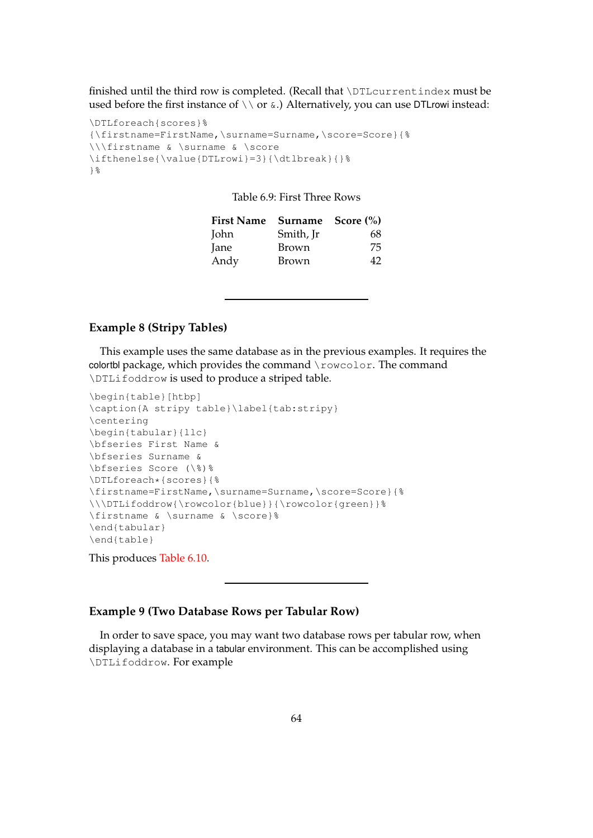finished until the third row is completed. (Recall that \DTLcurrentindex must be used before the first instance of  $\setminus \setminus$  or  $\&$ .) Alternatively, you can use DTLrowi instead:

```
\DTLforeach{scores}%
{\firstname=FirstName,\surname=Surname,\score=Score}{%
\\\firstname & \surname & \score
\ifthenelse{\value{DTLrowi}=3}{\dtlbreak}{}%
}%
```
Table 6.9: First Three Rows

| First Name Surname Score (%) |           |    |
|------------------------------|-----------|----|
| John                         | Smith, Ir | 68 |
| Jane                         | Brown     | 75 |
| Andy                         | Brown     | 42 |

# **Example 8 (Stripy Tables)**

This example uses the same database as in the previous examples. It requires the colortbl package, which provides the command \rowcolor. The command \DTLifoddrow is used to produce a striped table.

```
\begin{table}[htbp]
\caption{A stripy table}\label{tab:stripy}
\centering
\begin{tabular}{llc}
\bfseries First Name &
\bfseries Surname &
\bfseries Score (\%)%
\DTLforeach*{scores}{%
\firstname=FirstName,\surname=Surname,\score=Score}{%
\\\DTLifoddrow{\rowcolor{blue}}{\rowcolor{green}}%
\firstname & \surname & \score}%
\end{tabular}
\end{table}
```
This produces [Table 6.10.](#page-73-0)

## <span id="page-72-0"></span>**Example 9 (Two Database Rows per Tabular Row)**

In order to save space, you may want two database rows per tabular row, when displaying a database in a tabular environment. This can be accomplished using \DTLifoddrow. For example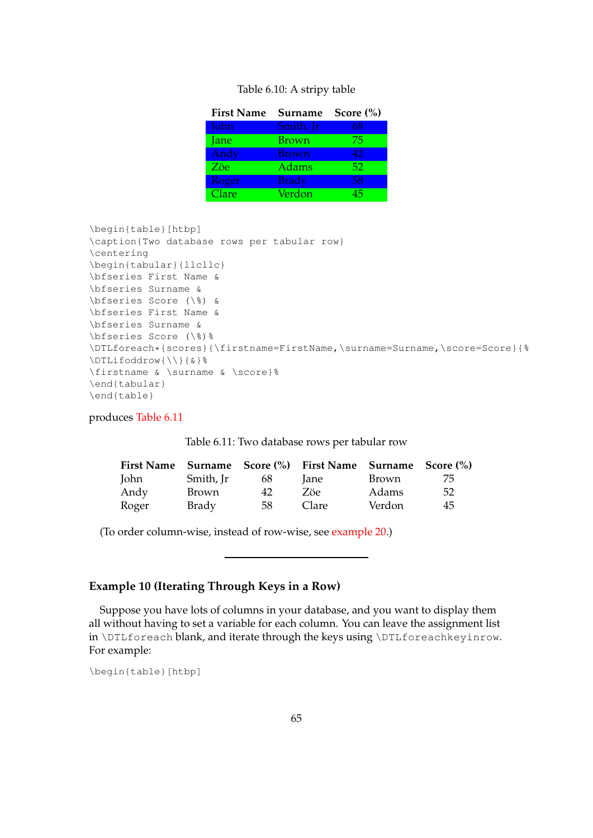### Table 6.10: A stripy table

<span id="page-73-0"></span>

| <b>First Name</b> | Surname      | Score $(\% )$ |
|-------------------|--------------|---------------|
| John              | Smith, Jr    | 68            |
| Jane              | Brown        | 75            |
| Andy              | <b>Brown</b> | 42            |
| Zöe               | Adams        | 52            |
| Roger             | <b>Brady</b> | 58            |
| Clare             | Verdon       | 45            |

```
\begin{table}[htbp]
\caption{Two database rows per tabular row}
\centering
\begin{tabular}{llcllc}
\bfseries First Name &
\bfseries Surname &
\bfseries Score (\%) &
\bfseries First Name &
\bfseries Surname &
\bfseries Score (\%)%
\DTLforeach*{scores}{\firstname=FirstName,\surname=Surname,\score=Score}{%
\DTLifoddrow{\\}{&}%
\firstname & \surname & \score}%
\end{tabular}
\end{table}
```
<span id="page-73-1"></span>produces [Table 6.11](#page-73-1)

|       |              |    | First Name Surname Score (%) First Name Surname Score (%) |              |    |
|-------|--------------|----|-----------------------------------------------------------|--------------|----|
| John  | Smith, Jr    | 68 | lane                                                      | <b>Brown</b> | 75 |
| Andy  | <b>Brown</b> | 42 | Zöe                                                       | Adams        | 52 |
| Roger | Brady        | 58 | Clare                                                     | Verdon       | 45 |

(To order column-wise, instead of row-wise, see [example 20.](#page-107-0))

# **Example 10 (Iterating Through Keys in a Row)**

Suppose you have lots of columns in your database, and you want to display them all without having to set a variable for each column. You can leave the assignment list in \DTLforeach blank, and iterate through the keys using \DTLforeachkeyinrow. For example:

\begin{table}[htbp]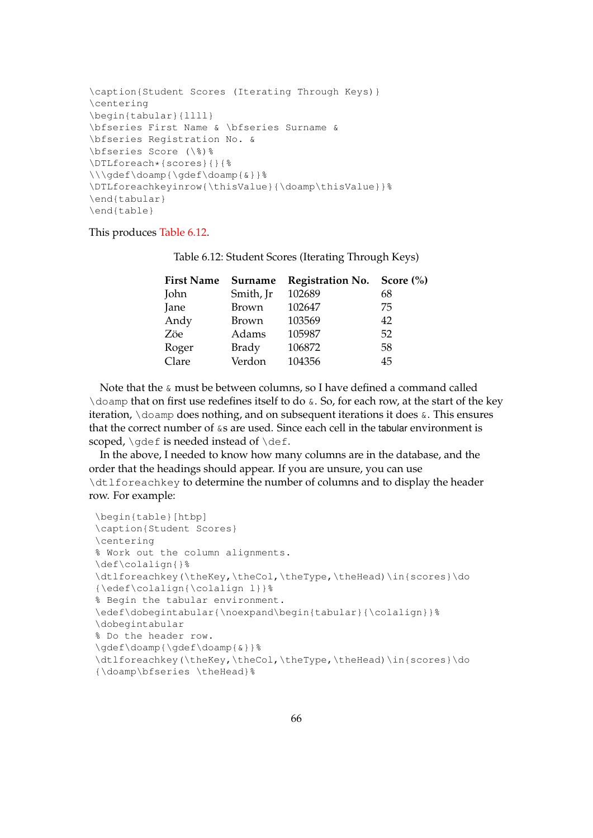```
\caption{Student Scores (Iterating Through Keys)}
\centering
\begin{tabular}{llll}
\bfseries First Name & \bfseries Surname &
\bfseries Registration No. &
\bfseries Score (\%)%
\DTLforeach*{scores}{}{%
\\\gdef\doamp{\gdef\doamp{&}}%
\DTLforeachkeyinrow{\thisValue}{\doamp\thisValue}}%
\end{tabular}
\end{table}
```
# <span id="page-74-0"></span>This produces [Table 6.12.](#page-74-0)

| <b>First Name</b> | Surname      | Registration No. Score (%) |    |
|-------------------|--------------|----------------------------|----|
| John              | Smith, Jr    | 102689                     | 68 |
| Jane              | <b>Brown</b> | 102647                     | 75 |
| Andy              | <b>Brown</b> | 103569                     | 42 |
| Zöe               | Adams        | 105987                     | 52 |
| Roger             | <b>Brady</b> | 106872                     | 58 |
| Clare             | Verdon       | 104356                     | 45 |

Table 6.12: Student Scores (Iterating Through Keys)

Note that the  $\&$  must be between columns, so I have defined a command called \doamp that on first use redefines itself to do  $\&$ . So, for each row, at the start of the key iteration, \doamp does nothing, and on subsequent iterations it does &. This ensures that the correct number of  $\&$ s are used. Since each cell in the tabular environment is scoped,  $\q$ def is needed instead of  $\det$ .

In the above, I needed to know how many columns are in the database, and the order that the headings should appear. If you are unsure, you can use \dtlforeachkey to determine the number of columns and to display the header row. For example:

```
\begin{table}[htbp]
\caption{Student Scores}
\centering
% Work out the column alignments.
\def\colalign{}%
\dtlforeachkey(\theKey,\theCol,\theType,\theHead)\in{scores}\do
{\edef\colalign{\colalign l}}%
% Begin the tabular environment.
\edef\dobegintabular{\noexpand\begin{tabular}{\colalign}}%
\dobegintabular
% Do the header row.
\gdef\doamp{\gdef\doamp{&}}%
\dtlforeachkey(\theKey,\theCol,\theType,\theHead)\in{scores}\do
{\doamp\bfseries \theHead}%
```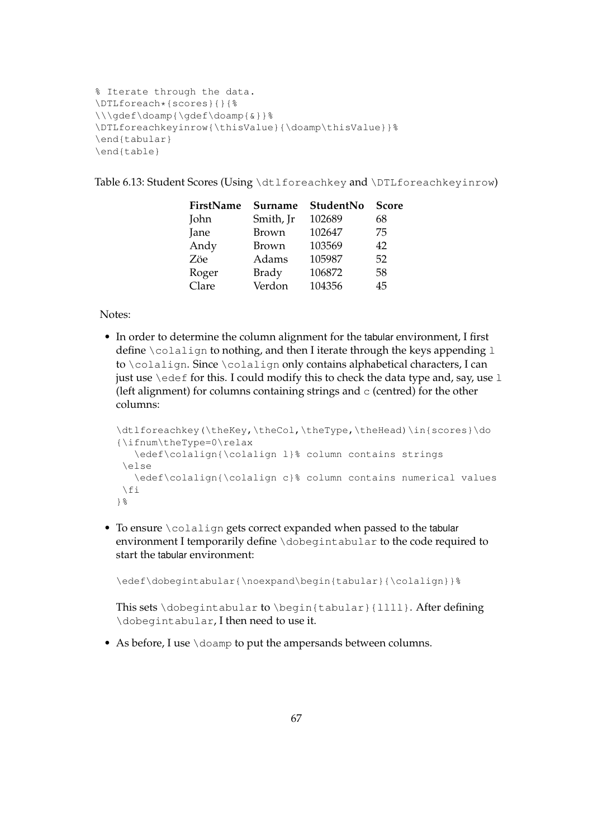```
% Iterate through the data.
\DTLforeach*{scores}{}{%
\\\gdef\doamp{\gdef\doamp{&}}%
\DTLforeachkeyinrow{\thisValue}{\doamp\thisValue}}%
\end{tabular}
\end{table}
```
Table 6.13: Student Scores (Using \dtlforeachkey and \DTLforeachkeyinrow)

| Surname      | StudentNo | <b>Score</b> |
|--------------|-----------|--------------|
| Smith, Jr    | 102689    | 68           |
| Brown        | 102647    | 75           |
| Brown        | 103569    | 42           |
| Adams        | 105987    | 52           |
| <b>Brady</b> | 106872    | 58           |
| Verdon       | 104356    | 45           |
|              |           |              |

Notes:

• In order to determine the column alignment for the tabular environment, I first define \colalign to nothing, and then I iterate through the keys appending 1 to \colalign. Since \colalign only contains alphabetical characters, I can just use  $\text{Set}$  for this. I could modify this to check the data type and, say, use 1 (left alignment) for columns containing strings and  $\sigma$  (centred) for the other columns:

```
\dtlforeachkey(\theKey,\theCol,\theType,\theHead)\in{scores}\do
{\ifnum\theType=0\relax
   \edef\colalign{\colalign l}% column contains strings
 \else
   \edef\colalign{\colalign c}% column contains numerical values
 \left\{ \begin{array}{c} f \\ f \end{array} \right\}}%
```
• To ensure \colalign gets correct expanded when passed to the tabular environment I temporarily define \dobegintabular to the code required to start the tabular environment:

\edef\dobegintabular{\noexpand\begin{tabular}{\colalign}}%

This sets \dobegintabular to \begin{tabular}{llll}. After defining \dobegintabular, I then need to use it.

• As before, I use \doamp to put the ampersands between columns.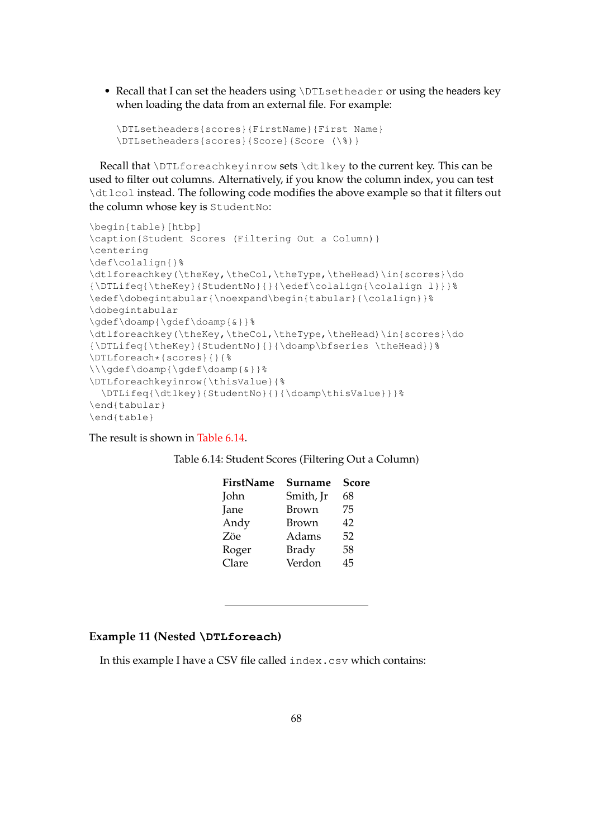• Recall that I can set the headers using \DTLsetheader or using the headers key when loading the data from an external file. For example:

```
\DTLsetheaders{scores}{FirstName}{First Name}
\DTLsetheaders{scores}{Score}{Score (\%)}
```
Recall that \DTLforeachkeyinrow sets \dtlkey to the current key. This can be used to filter out columns. Alternatively, if you know the column index, you can test \dtlcol instead. The following code modifies the above example so that it filters out the column whose key is StudentNo:

```
\begin{table}[htbp]
\caption{Student Scores (Filtering Out a Column)}
\centering
\def\colalign{}%
\dtlforeachkey(\theKey,\theCol,\theType,\theHead)\in{scores}\do
{\DTLifeq{\theKey}{StudentNo}{}{\edef\colalign{\colalign l}}}%
\edef\dobegintabular{\noexpand\begin{tabular}{\colalign}}%
\dobegintabular
\gdef\doamp{\gdef\doamp{&}}%
\dtlforeachkey(\theKey,\theCol,\theType,\theHead)\in{scores}\do
{\DTLifeq{\theKey}{StudentNo}{}{\doamp\bfseries \theHead}}%
\DTLforeach*{scores}{}{%
\\\gdef\doamp{\gdef\doamp{&}}%
\DTLforeachkeyinrow{\thisValue}{%
 \DTLifeq{\dtlkey}{StudentNo}{}{\doamp\thisValue}}}%
\end{tabular}
\end{table}
```
<span id="page-76-0"></span>The result is shown in [Table 6.14.](#page-76-0)

| FirstName | Surname      | <b>Score</b> |
|-----------|--------------|--------------|
| John      | Smith, Jr    | 68           |
| Jane      | <b>Brown</b> | 75           |
| Andy      | Brown        | 42           |
| Zöe       | Adams        | 52           |
| Roger     | <b>Brady</b> | 58           |
| Clare     | Verdon       | 45           |
|           |              |              |

# **Example 11 (Nested \DTLforeach)**

In this example I have a CSV file called index.csv which contains: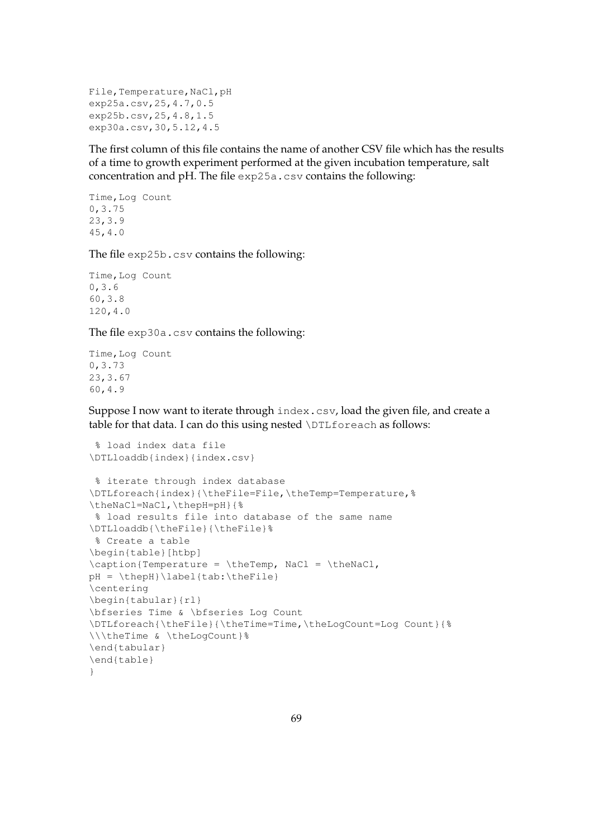```
File, Temperature, NaCl, pH
exp25a.csv,25,4.7,0.5
exp25b.csv,25,4.8,1.5
exp30a.csv,30,5.12,4.5
```
The first column of this file contains the name of another CSV file which has the results of a time to growth experiment performed at the given incubation temperature, salt concentration and pH. The file exp25a.csv contains the following:

```
Time,Log Count
0,3.75
23,3.9
45,4.0
```
The file exp25b.csv contains the following:

```
Time, Log Count
0,3.6
60,3.8
120,4.0
```
The file exp30a.csv contains the following:

```
Time,Log Count
0,3.73
23,3.67
60,4.9
```
Suppose I now want to iterate through index.csv, load the given file, and create a table for that data. I can do this using nested \DTLforeach as follows:

```
% load index data file
\DTLloaddb{index}{index.csv}
% iterate through index database
\DTLforeach{index}{\theFile=File,\theTemp=Temperature,%
\theNaCl=NaCl,\thepH=pH}{%
% load results file into database of the same name
\DTLloaddb{\theFile}{\theFile}%
% Create a table
\begin{table}[htbp]
\caption{Temperature = \theTemp, NaCl = \theNaCl,
pH = \thepH}\label{tab:\theFile}
\centering
\begin{tabular}{rl}
\bfseries Time & \bfseries Log Count
\DTLforeach{\theFile}{\theTime=Time,\theLogCount=Log Count}{%
\\\theTime & \theLogCount}%
\end{tabular}
\end{table}
}
```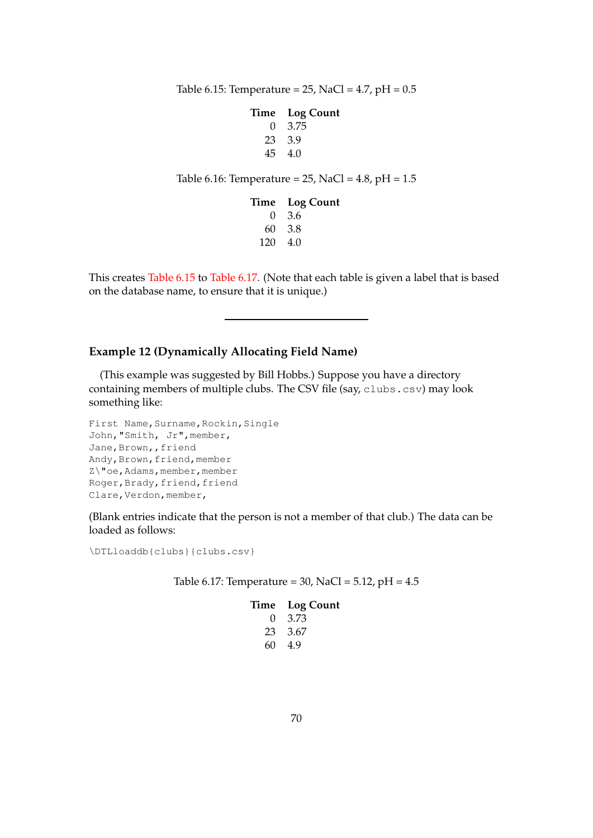<span id="page-78-0"></span>Table 6.15: Temperature =  $25$ , NaCl =  $4.7$ , pH =  $0.5$ 

### **Time Log Count** 0 3.75

23 3.9 45 4.0

Table 6.16: Temperature =  $25$ , NaCl =  $4.8$ , pH =  $1.5$ 

|                 | Time Log Count |
|-----------------|----------------|
|                 | $0\quad 3.6$   |
|                 | 60 3.8         |
| $120 \quad 4.0$ |                |

This creates [Table 6.15](#page-78-0) to [Table 6.17.](#page-78-1) (Note that each table is given a label that is based on the database name, to ensure that it is unique.)

## **Example 12 (Dynamically Allocating Field Name)**

(This example was suggested by Bill Hobbs.) Suppose you have a directory containing members of multiple clubs. The CSV file (say, clubs.csv) may look something like:

```
First Name, Surname, Rockin, Single
John,"Smith, Jr",member,
Jane, Brown,, friend
Andy, Brown, friend, member
Z\"oe, Adams, member, member
Roger, Brady, friend, friend
Clare, Verdon, member,
```
(Blank entries indicate that the person is not a member of that club.) The data can be loaded as follows:

<span id="page-78-1"></span>\DTLloaddb{clubs}{clubs.csv}

Table 6.17: Temperature =  $30$ , NaCl =  $5.12$ , pH =  $4.5$ 

## **Time Log Count**

| 0  | 3.73 |
|----|------|
| 23 | 3.67 |
| 60 | 4.9  |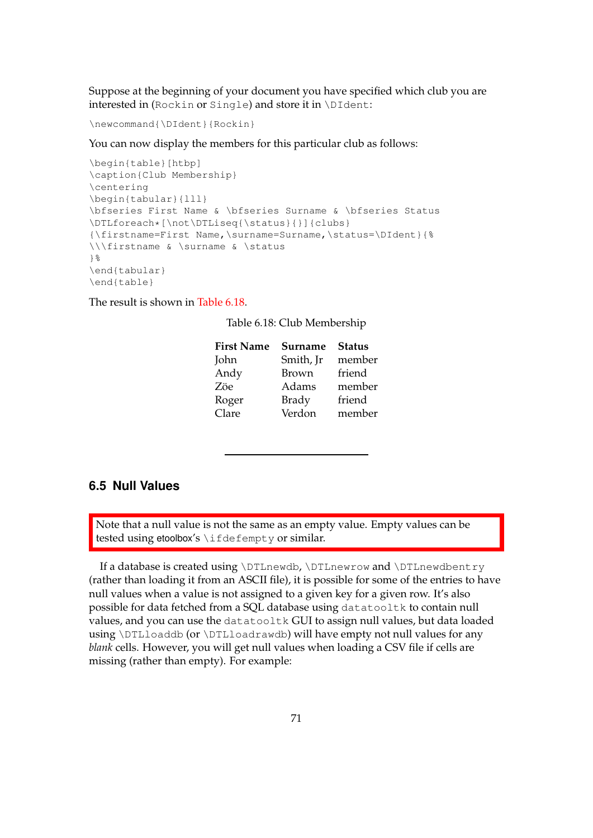Suppose at the beginning of your document you have specified which club you are interested in (Rockin or Single) and store it in \DIdent:

\newcommand{\DIdent}{Rockin}

You can now display the members for this particular club as follows:

```
\begin{table}[htbp]
\caption{Club Membership}
\centering
\begin{tabular}{lll}
\bfseries First Name & \bfseries Surname & \bfseries Status
\DTLforeach*[\not\DTLiseq{\status}{}]{clubs}
{\firstname=First Name,\surname=Surname,\status=\DIdent}{%
\\\firstname & \surname & \status
}%
\end{tabular}
\end{table}
```
<span id="page-79-0"></span>The result is shown in [Table 6.18.](#page-79-0)

Table 6.18: Club Membership

| <b>Surname</b> | <b>Status</b> |
|----------------|---------------|
| Smith, Jr      | member        |
| <b>Brown</b>   | friend        |
| Adams          | member        |
| <b>Brady</b>   | friend        |
| Verdon         | member        |
|                |               |

# **6.5 Null Values**

Note that a null value is not the same as an empty value. Empty values can be tested using etoolbox's \ifdefempty or similar.

If a database is created using \DTLnewdb, \DTLnewrow and \DTLnewdbentry (rather than loading it from an ASCII file), it is possible for some of the entries to have null values when a value is not assigned to a given key for a given row. It's also possible for data fetched from a SQL database using datatooltk to contain null values, and you can use the datatooltk GUI to assign null values, but data loaded using \DTLloaddb (or \DTLloadrawdb) will have empty not null values for any *blank* cells. However, you will get null values when loading a CSV file if cells are missing (rather than empty). For example: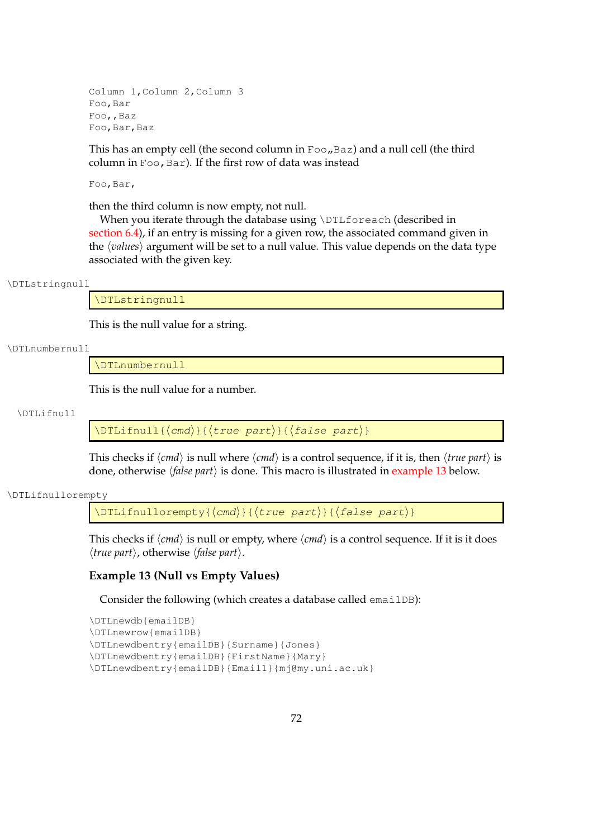Column 1,Column 2,Column 3 Foo,Bar Foo,,Baz Foo,Bar,Baz

This has an empty cell (the second column in  $F \circ \circ \theta$ , Baz) and a null cell (the third column in  $Foo$ , Bar). If the first row of data was instead

Foo,Bar,

then the third column is now empty, not null.

When you iterate through the database using \DTLforeach (described in [section 6.4\)](#page-64-0), if an entry is missing for a given row, the associated command given in the *(values)* argument will be set to a null value. This value depends on the data type associated with the given key.

#### \DTLstringnull

\DTLstringnull

This is the null value for a string.

#### \DTLnumbernull

\DTLnumbernull

This is the null value for a number.

### \DTLifnull

 $\Delta$ [\DTLifnull{ $\langle$ *cmd*}}{ $\langle$ true part}}{ $\langle$ *false part*}}

This checks if  $\langle cmd \rangle$  is null where  $\langle cmd \rangle$  is a control sequence, if it is, then  $\langle true\ part \rangle$  is done, otherwise h*false part*i is done. This macro is illustrated in [example 13](#page-80-0) below.

#### \DTLifnullorempty

\DTLifnullorempty{ $\langle$ cmd)}{ $\langle$ true part)}{ $\langle$ false part)}

This checks if  $\langle cmd \rangle$  is null or empty, where  $\langle cmd \rangle$  is a control sequence. If it is it does  $\langle true\ part \rangle$ , otherwise  $\langle false\ part \rangle$ .

## <span id="page-80-0"></span>**Example 13 (Null vs Empty Values)**

Consider the following (which creates a database called emailDB):

```
\DTLnewdb{emailDB}
\DTLnewrow{emailDB}
\DTLnewdbentry{emailDB}{Surname}{Jones}
\DTLnewdbentry{emailDB}{FirstName}{Mary}
\DTLnewdbentry{emailDB}{Email1}{mj@my.uni.ac.uk}
```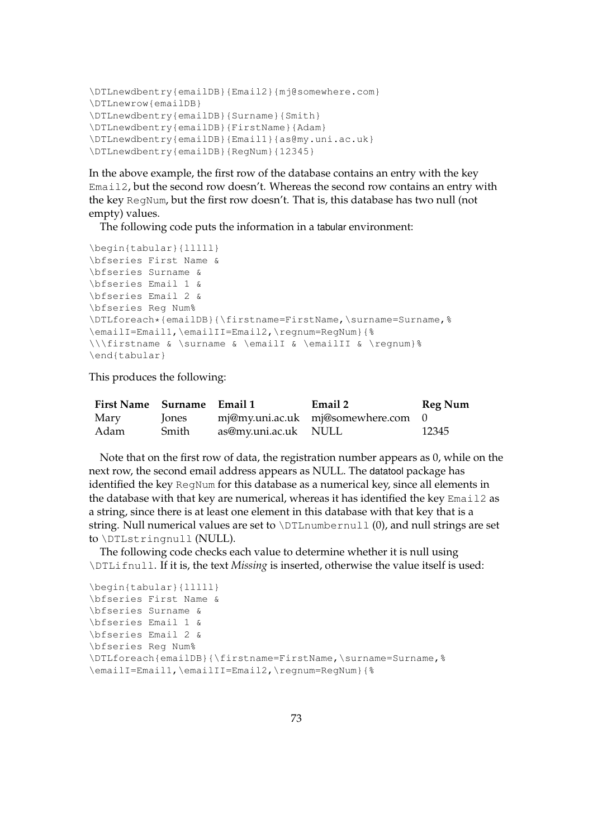```
\DTLnewdbentry{emailDB}{Email2}{mj@somewhere.com}
\DTLnewrow{emailDB}
\DTLnewdbentry{emailDB}{Surname}{Smith}
\DTLnewdbentry{emailDB}{FirstName}{Adam}
\DTLnewdbentry{emailDB}{Email1}{as@my.uni.ac.uk}
\DTLnewdbentry{emailDB}{RegNum}{12345}
```
In the above example, the first row of the database contains an entry with the key Email2, but the second row doesn't. Whereas the second row contains an entry with the key RegNum, but the first row doesn't. That is, this database has two null (not empty) values.

The following code puts the information in a tabular environment:

```
\begin{tabular}{lllll}
\bfseries First Name &
\bfseries Surname &
\bfseries Email 1 &
\bfseries Email 2 &
\bfseries Reg Num%
\DTLforeach*{emailDB}{\firstname=FirstName,\surname=Surname,%
\emailI=Email1,\emailII=Email2,\regnum=RegNum}{%
\\\firstname & \surname & \emailI & \emailII & \regnum}%
\end{tabular}
```
This produces the following:

| First Name Surname Email 1 |              |                      | Email 2                            | Reg Num |
|----------------------------|--------------|----------------------|------------------------------------|---------|
| Mary                       | <b>lones</b> |                      | mj@my.uni.ac.uk mj@somewhere.com 0 |         |
| Adam                       | Smith        | as@my.uni.ac.uk NULL |                                    | 12345   |

Note that on the first row of data, the registration number appears as 0, while on the next row, the second email address appears as NULL. The datatool package has identified the key RegNum for this database as a numerical key, since all elements in the database with that key are numerical, whereas it has identified the key Email2 as a string, since there is at least one element in this database with that key that is a string. Null numerical values are set to  $\D$ LLnumbernull  $(0)$ , and null strings are set to \DTLstringnull (NULL).

The following code checks each value to determine whether it is null using \DTLifnull. If it is, the text *Missing* is inserted, otherwise the value itself is used:

```
\begin{tabular}{lllll}
\bfseries First Name &
\bfseries Surname &
\bfseries Email 1 &
\bfseries Email 2 &
\bfseries Reg Num%
\DTLforeach{emailDB}{\firstname=FirstName,\surname=Surname,%
\emailI=Email1,\emailII=Email2,\regnum=RegNum}{%
```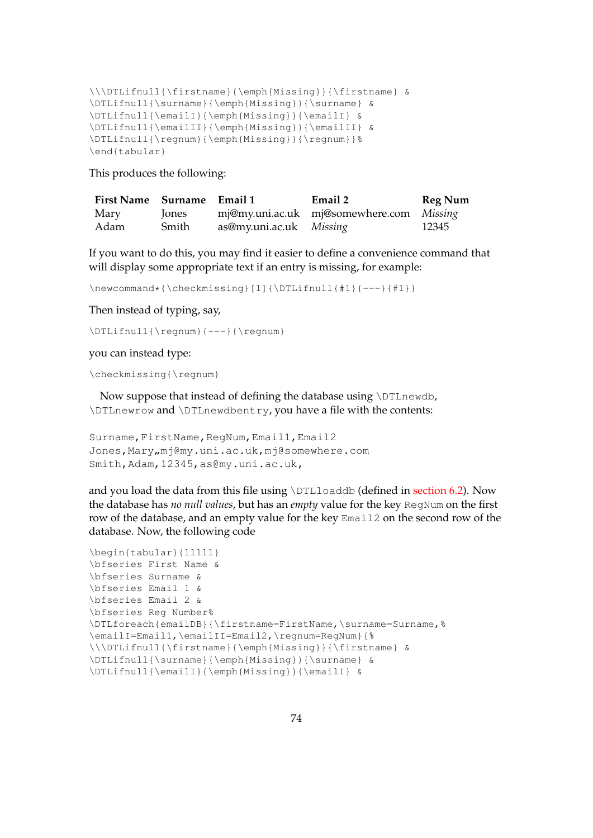```
\\\DTLifnull{\firstname}{\emph{Missing}}{\firstname} &
\DTLifnull{\surname}{\emph{Missing}}{\surname} &
\DTLifnull{\emailI}{\emph{Missing}}{\emailI} &
\DTLifnull{\emailII}{\emph{Missing}}{\emailII} &
\DTLifnull{\regnum}{\emph{Missing}}{\regnum}}%
\end{tabular}
```
This produces the following:

| First Name Surname Email 1 |              |                                | Email 2                                  | <b>Reg Num</b> |
|----------------------------|--------------|--------------------------------|------------------------------------------|----------------|
| Mary                       | <b>lones</b> |                                | mj@my.uni.ac.uk mj@somewhere.com Missing |                |
| Adam                       | Smith        | as@my.uni.ac.uk <i>Missing</i> |                                          | 12345          |

If you want to do this, you may find it easier to define a convenience command that will display some appropriate text if an entry is missing, for example:

```
\newcommand*{\\check{th}eckmissing{1}{\DTLifnull{#1}{--}{#1}}
```
Then instead of typing, say,

```
\DTLifnull{\regnum}{---}{\regnum}
```
you can instead type:

\checkmissing{\regnum}

Now suppose that instead of defining the database using \DTLnewdb, \DTLnewrow and \DTLnewdbentry, you have a file with the contents:

```
Surname, FirstName, RegNum, Email1, Email2
Jones, Mary, mj@my.uni.ac.uk, mj@somewhere.com
Smith,Adam,12345,as@my.uni.ac.uk,
```
and you load the data from this file using  $\D$ Lloaddb (defined in [section 6.2\)](#page-52-0). Now the database has *no null values*, but has an *empty* value for the key RegNum on the first row of the database, and an empty value for the key Email2 on the second row of the database. Now, the following code

```
\begin{tabular}{lllll}
\bfseries First Name &
\bfseries Surname &
\bfseries Email 1 &
\bfseries Email 2 &
\bfseries Reg Number%
\DTLforeach{emailDB}{\firstname=FirstName,\surname=Surname,%
\emailI=Email1,\emailII=Email2,\regnum=RegNum}{%
\\\DTLifnull{\firstname}{\emph{Missing}}{\firstname} &
\DTLifnull{\surname}{\emph{Missing}}{\surname} &
\DTLifnull{\emailI}{\emph{Missing}}{\emailI} &
```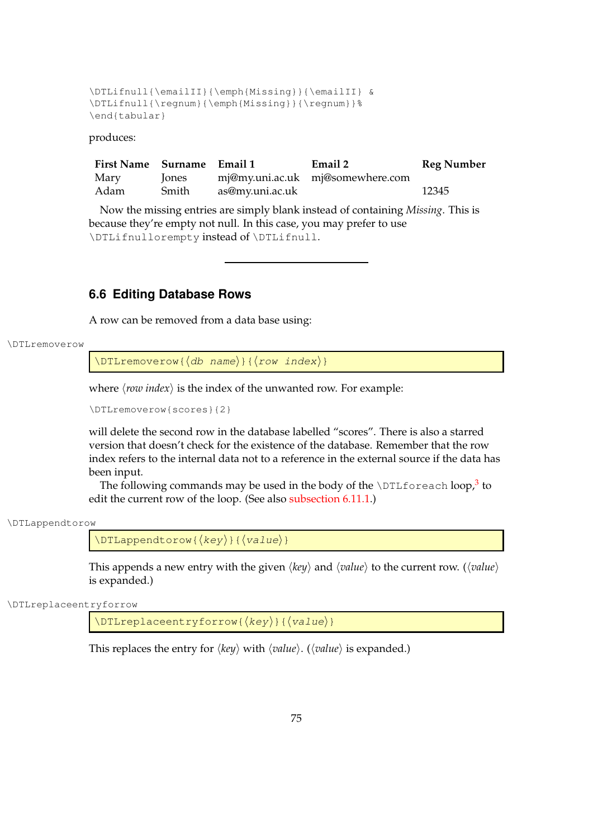```
\DTLifnull{\emailII}{\emph{Missing}}{\emailII} &
\DTLifnull{\regnum}{\emph{Missing}}{\regnum}}%
\end{tabular}
```
produces:

| First Name Surname Email 1 |       |                 | Email 2                          | <b>Reg Number</b> |
|----------------------------|-------|-----------------|----------------------------------|-------------------|
| Mary                       | Jones |                 | mj@my.uni.ac.uk mj@somewhere.com |                   |
| Adam                       | Smith | as@my.uni.ac.uk |                                  | 12345             |

Now the missing entries are simply blank instead of containing *Missing*. This is because they're empty not null. In this case, you may prefer to use \DTLifnullorempty instead of \DTLifnull.

# **6.6 Editing Database Rows**

A row can be removed from a data base using:

```
\DTLremoverow
```
 $\DTLremoverow({db name})({row index})$ 

where  $\langle row\ index \rangle$  is the index of the unwanted row. For example:

\DTLremoverow{scores}{2}

will delete the second row in the database labelled "scores". There is also a starred version that doesn't check for the existence of the database. Remember that the row index refers to the internal data not to a reference in the external source if the data has been input.

The following commands may be used in the body of the <code>\DTLforeach</code> loop, $^3$  $^3$  to edit the current row of the loop. (See also [subsection 6.11.1.](#page-108-0))

```
\DTLappendtorow
```
 $\DTLappendtorow({key})({value})$ 

This appends a new entry with the given  $\langle key \rangle$  and  $\langle value \rangle$  to the current row. ( $\langle value \rangle$ is expanded.)

\DTLreplaceentryforrow

 $\DTLreplaceentryforrow({key})({value})$ 

This replaces the entry for  $\langle key \rangle$  with  $\langle value \rangle$ . ( $\langle value \rangle$  is expanded.)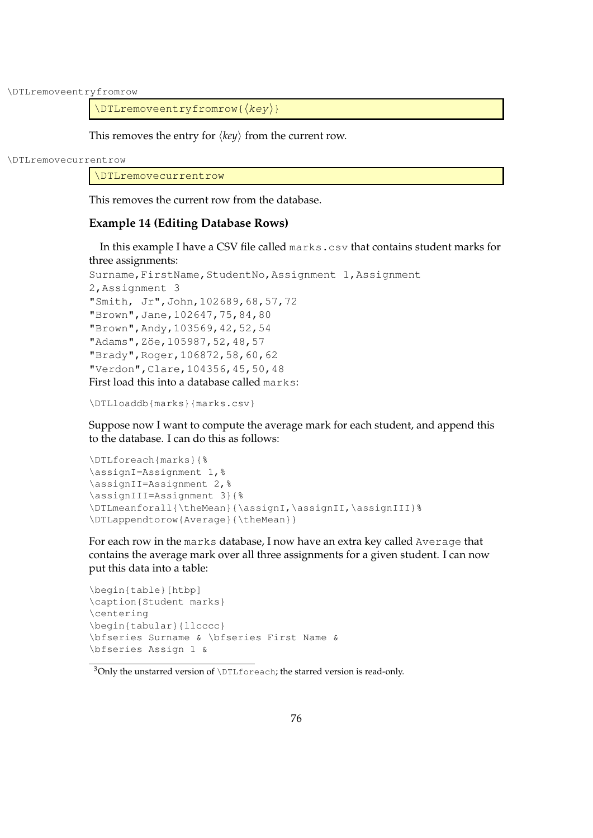\DTLremoveentryfromrow

 $\DTL$ removeentryfromrow{ $\langle key \rangle$ }

This removes the entry for  $\langle key \rangle$  from the current row.

\DTLremovecurrentrow

\DTLremovecurrentrow

This removes the current row from the database.

## **Example 14 (Editing Database Rows)**

In this example I have a CSV file called marks.csv that contains student marks for three assignments: Surname, FirstName, StudentNo, Assignment 1, Assignment 2,Assignment 3 "Smith, Jr",John,102689,68,57,72 "Brown",Jane,102647,75,84,80 "Brown",Andy,103569,42,52,54 "Adams", Zöe, 105987, 52, 48, 57 "Brady",Roger,106872,58,60,62

\DTLloaddb{marks}{marks.csv}

"Verdon",Clare,104356,45,50,48 First load this into a database called marks:

Suppose now I want to compute the average mark for each student, and append this to the database. I can do this as follows:

```
\DTLforeach{marks}{%
\assignI=Assignment 1,%
\assignII=Assignment 2,%
\assignIII=Assignment 3}{%
\DTLmeanforall{\theMean}{\assignI,\assignII,\assignIII}%
\DTLappendtorow{Average}{\theMean}}
```
For each row in the marks database, I now have an extra key called Average that contains the average mark over all three assignments for a given student. I can now put this data into a table:

```
\begin{table}[htbp]
\caption{Student marks}
\centering
\begin{tabular}{llcccc}
\bfseries Surname & \bfseries First Name &
\bfseries Assign 1 &
```
<span id="page-84-0"></span> $3$ Only the unstarred version of  $\DTLf$ oreach; the starred version is read-only.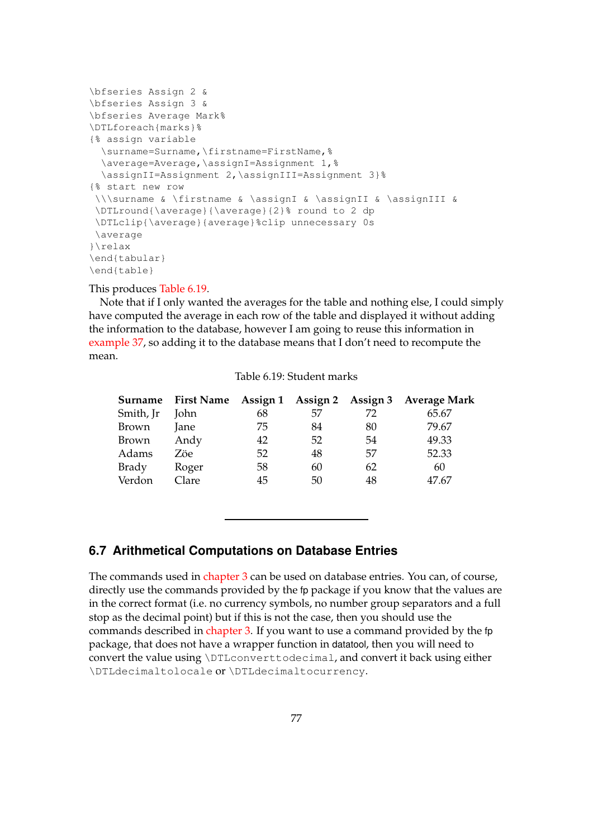```
\bfseries Assign 2 &
\bfseries Assign 3 &
\bfseries Average Mark%
\DTLforeach{marks}%
{% assign variable
  \surname=Surname,\firstname=FirstName,%
  \average=Average,\assignI=Assignment 1,%
  \assignII=Assignment 2,\assignIII=Assignment 3}%
{% start new row
 \\\surname & \firstname & \assignI & \assignII & \assignIII &
 \DTLround{\average}{\average}{2}% round to 2 dp
 \DTLclip{\average}{average}%clip unnecessary 0s
 \average
}\relax
\end{tabular}
\end{table}
```
#### This produces [Table 6.19.](#page-85-0)

Note that if I only wanted the averages for the table and nothing else, I could simply have computed the average in each row of the table and displayed it without adding the information to the database, however I am going to reuse this information in [example 37,](#page-185-0) so adding it to the database means that I don't need to recompute the mean.

<span id="page-85-0"></span>

|           |             |    |    |    | Surname First Name Assign 1 Assign 2 Assign 3 Average Mark |
|-----------|-------------|----|----|----|------------------------------------------------------------|
| Smith, Jr | <b>John</b> | 68 | 57 | 72 | 65.67                                                      |
| Brown     | Jane        | 75 | 84 | 80 | 79.67                                                      |
| Brown     | Andy        | 42 | 52 | 54 | 49.33                                                      |
| Adams     | Zöe         | 52 | 48 | 57 | 52.33                                                      |
| Brady     | Roger       | 58 | 60 | 62 | 60                                                         |
| Verdon    | Clare       | 45 | 50 | 48 | 47.67                                                      |

Table 6.19: Student marks

# **6.7 Arithmetical Computations on Database Entries**

The commands used in [chapter 3](#page-30-0) can be used on database entries. You can, of course, directly use the commands provided by the fp package if you know that the values are in the correct format (i.e. no currency symbols, no number group separators and a full stop as the decimal point) but if this is not the case, then you should use the commands described in [chapter 3.](#page-30-0) If you want to use a command provided by the fp package, that does not have a wrapper function in datatool, then you will need to convert the value using \DTLconverttodecimal, and convert it back using either \DTLdecimaltolocale or \DTLdecimaltocurrency.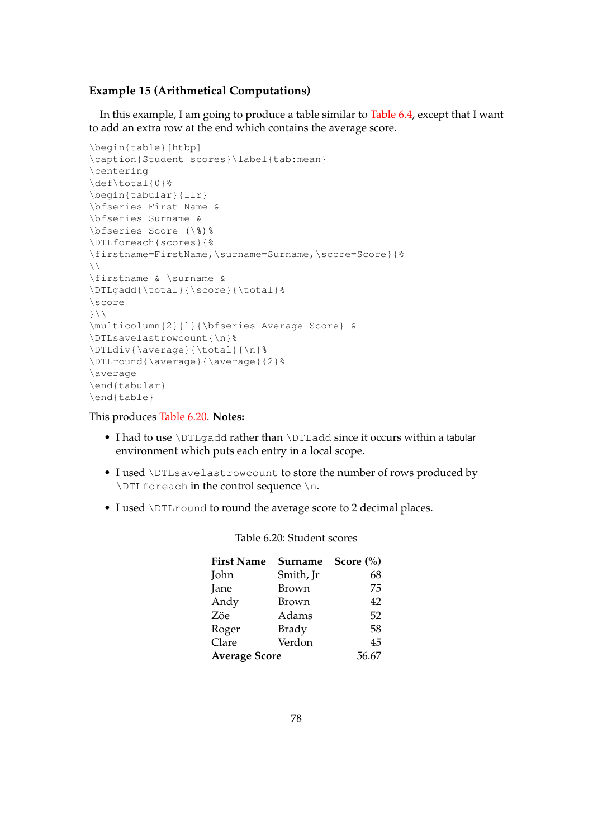## **Example 15 (Arithmetical Computations)**

In this example, I am going to produce a table similar to [Table 6.4,](#page-66-0) except that I want to add an extra row at the end which contains the average score.

```
\begin{table}[htbp]
\caption{Student scores}\label{tab:mean}
\centering
\def\total{0}%
\begin{tabular}{llr}
\bfseries First Name &
\bfseries Surname &
\bfseries Score (\%)%
\DTLforeach{scores}{%
\firstname=FirstName,\surname=Surname,\score=Score}{%
\lambda\firstname & \surname &
\DTLgadd{\total}{\score}{\total}%
\score
\left\{ \frac{1}{2}\multicolumn{2}{l}{\bfseries Average Score} &
\DTLsavelastrowcount{\n}%
\DTLdiv{\average}{\total}{\n}%
\DTLround{\average}{\average}{2}%
\average
\end{tabular}
\end{table}
```
This produces [Table 6.20.](#page-86-0) **Notes:**

- I had to use \DTLgadd rather than \DTLadd since it occurs within a tabular environment which puts each entry in a local scope.
- I used \DTLsavelastrowcount to store the number of rows produced by \DTLforeach in the control sequence \n.
- <span id="page-86-0"></span>• I used \DTLround to round the average score to 2 decimal places.

| <b>First Name</b>    | Surname      | Score $(\% )$ |
|----------------------|--------------|---------------|
| John                 | Smith, Jr    | 68            |
| Jane                 | <b>Brown</b> | 75            |
| Andy                 | Brown        | 42            |
| Zöe                  | Adams        | 52            |
| Roger                | <b>Brady</b> | 58            |
| Clare                | Verdon       | 45            |
| <b>Average Score</b> | 56.67        |               |

# Table 6.20: Student scores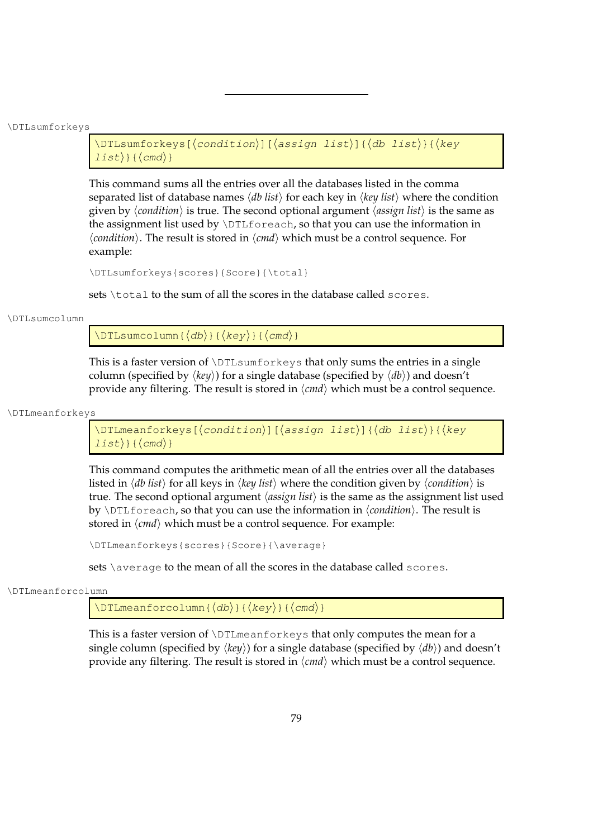\DTLsumforkeys

```
\DTLsumforkeys[\langle condition\rangle][\langle assign\ list\rangle]{\langle db\ list\rangle}{\langle key\ \rangle\{list\} { \langle cmd \rangle }
```
This command sums all the entries over all the databases listed in the comma separated list of database names  $\langle db \text{ list} \rangle$  for each key in  $\langle \text{key list} \rangle$  where the condition given by  $\langle$ *condition* $\rangle$  is true. The second optional argument  $\langle$ *assign list* $\rangle$  is the same as the assignment list used by \DTLforeach, so that you can use the information in  $\langle condition \rangle$ . The result is stored in  $\langle cmd \rangle$  which must be a control sequence. For example:

```
\DTLsumforkeys{scores}{Score}{\total}
```
sets \total to the sum of all the scores in the database called scores.

#### \DTLsumcolumn

 $\DTLsumcolum{{db}}{\Re}({key}){\Re}$ 

This is a faster version of  $\D$ ILsumforkeys that only sums the entries in a single column (specified by  $\langle key \rangle$ ) for a single database (specified by  $\langle db \rangle$ ) and doesn't provide any filtering. The result is stored in  $\langle c \mid d \rangle$  which must be a control sequence.

\DTLmeanforkeys

\DTLmeanforkeys[ $\langle condition\rangle$ ][ $\langle assign list\rangle$ ]{ $\langle db list\rangle$ }{ $\langle key$  $\{list\}$ { $\{cmd\}$ }

This command computes the arithmetic mean of all the entries over all the databases listed in  $\langle db \text{ list} \rangle$  for all keys in  $\langle key \text{ list} \rangle$  where the condition given by  $\langle$  *condition* $\rangle$  is true. The second optional argument  $\langle assign\, list \rangle$  is the same as the assignment list used by \DTLforeach, so that you can use the information in  $\langle condition \rangle$ . The result is stored in  $\langle cmd \rangle$  which must be a control sequence. For example:

\DTLmeanforkeys{scores}{Score}{\average}

sets \average to the mean of all the scores in the database called scores.

\DTLmeanforcolumn

 $\DTHmeanforcolumn({db})({key})({cmd})$ 

This is a faster version of \DTLmeanforkeys that only computes the mean for a single column (specified by  $\langle key \rangle$ ) for a single database (specified by  $\langle db \rangle$ ) and doesn't provide any filtering. The result is stored in  $\langle \text{cmd} \rangle$  which must be a control sequence.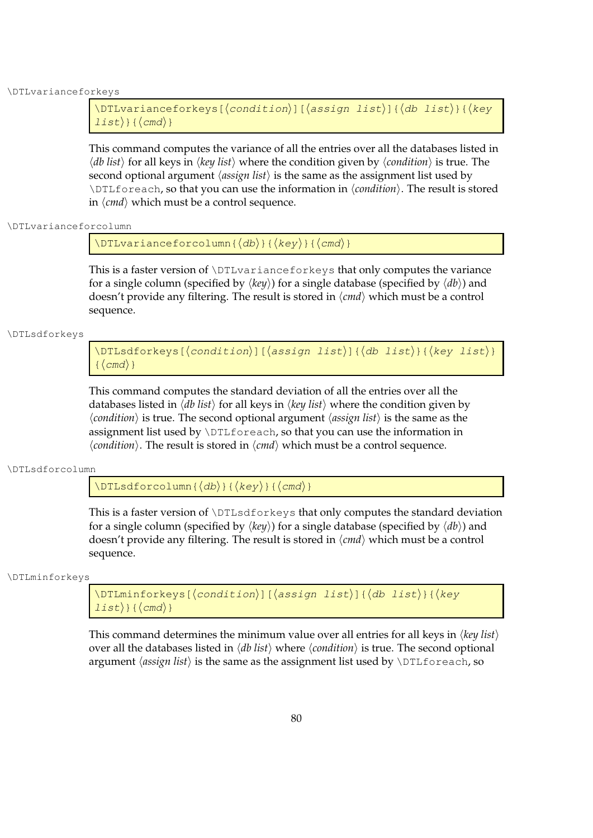\DTLvarianceforkeys

```
\DTLvarianceforkeys[\langlecondition\rangle][\langleassign list\rangle]{\langledb list\rangle}{\langlekey
\{list\} { \langle cmd \rangle }
```
This command computes the variance of all the entries over all the databases listed in  $\langle db \text{ list} \rangle$  for all keys in  $\langle key \text{ list} \rangle$  where the condition given by  $\langle condition \rangle$  is true. The second optional argument  $\langle assign\, list \rangle$  is the same as the assignment list used by \DTLforeach, so that you can use the information in  $\langle condition \rangle$ . The result is stored in  $\langle cmd \rangle$  which must be a control sequence.

### \DTLvarianceforcolumn

 $\DTLvarianceforcedumn({db})({key})({cmd})$ 

This is a faster version of \DTLvarianceforkeys that only computes the variance for a single column (specified by  $\langle key \rangle$ ) for a single database (specified by  $\langle db \rangle$ ) and doesn't provide any filtering. The result is stored in  $\langle cmd \rangle$  which must be a control sequence.

\DTLsdforkeys

\DTLsdforkeys[ $\langle condition \rangle$ ][ $\langle assign list \rangle$ ]{ $\langle db list \rangle$ }{ $\langle key list \rangle$ }  $\{ \langle cmd \rangle \}$ 

This command computes the standard deviation of all the entries over all the databases listed in  $\langle db \text{ list} \rangle$  for all keys in  $\langle key \text{ list} \rangle$  where the condition given by  $\langle condition \rangle$  is true. The second optional argument  $\langle assign\, list \rangle$  is the same as the assignment list used by \DTLforeach, so that you can use the information in  $\langle condition \rangle$ . The result is stored in  $\langle cmd \rangle$  which must be a control sequence.

\DTLsdforcolumn

 $\DTLsdforcolum{( { $\langle \text{cmd}\rangle$ }$ 

This is a faster version of \DTLsdforkeys that only computes the standard deviation for a single column (specified by  $\langle key \rangle$ ) for a single database (specified by  $\langle db \rangle$ ) and doesn't provide any filtering. The result is stored in  $\langle cmd \rangle$  which must be a control sequence.

\DTLminforkeys

 $\DTHminforkeys[\langle condition\rangle][\langle assign list\rangle]{\langle db list\rangle}{\langle key$  $\{list\}$ { $\{cmd\}$ }

This command determines the minimum value over all entries for all keys in  $\langle key \; list \rangle$ over all the databases listed in  $\langle db \text{ list } \rangle$  where  $\langle condition \rangle$  is true. The second optional argument  $\langle \text{assign list} \rangle$  is the same as the assignment list used by  $\DTLfore$  ach, so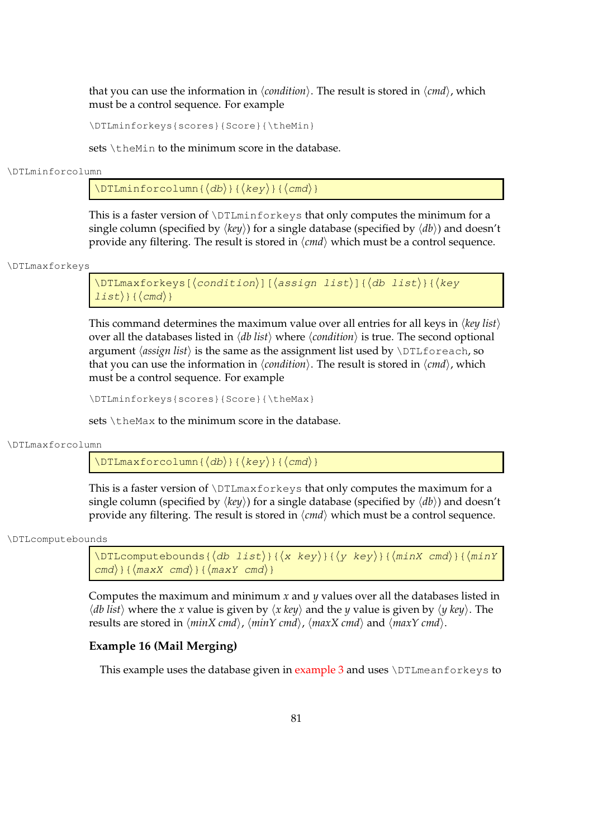that you can use the information in  $\langle condition \rangle$ . The result is stored in  $\langle cmd \rangle$ , which must be a control sequence. For example

\DTLminforkeys{scores}{Score}{\theMin}

sets \theMin to the minimum score in the database.

\DTLminforcolumn

 $\DTHminforcolum{ \langle db \rangle } {\langle key \rangle } {\langle cmd \rangle }$ 

This is a faster version of \DTLminforkeys that only computes the minimum for a single column (specified by  $\langle key \rangle$ ) for a single database (specified by  $\langle db \rangle$ ) and doesn't provide any filtering. The result is stored in  $\langle \text{cmd}\rangle$  which must be a control sequence.

\DTLmaxforkeys

```
\DTLmaxforkeys[\langle condition\rangle][\langle assign\ list\rangle][\langle db\ list\rangle]{\langle key\ \rangle\{list\} { \langle cmd \rangle }
```
This command determines the maximum value over all entries for all keys in  $\langle \text{key list} \rangle$ over all the databases listed in  $\langle db \text{ list } \rangle$  where  $\langle condition \rangle$  is true. The second optional argument  $\langle \text{assign list} \rangle$  is the same as the assignment list used by  $\DITI$ that you can use the information in  $\langle condition \rangle$ . The result is stored in  $\langle cmd \rangle$ , which must be a control sequence. For example

```
\DTLminforkeys{scores}{Score}{\theMax}
```
sets  $\theta$  the Max to the minimum score in the database.

\DTLmaxforcolumn

 $\DTHmaxforcolum{ \langle db \rangle } {\langle key \rangle } {\langle cmd \rangle }$ 

This is a faster version of  $\D$ TLmaxforkeys that only computes the maximum for a single column (specified by  $\langle \text{key} \rangle$ ) for a single database (specified by  $\langle \text{db} \rangle$ ) and doesn't provide any filtering. The result is stored in  $\langle cmd \rangle$  which must be a control sequence.

\DTLcomputebounds

```
\DTLcomputebounds{\langle db \; list \rangle}{\langle x \; key \rangle}{\langle y \; key \rangle}{\langle minX \; cmd \rangle}{\langle minY \;\langlecmd)}{\langlemaxX cmd)}{\langlemaxY cmd)}
```
Computes the maximum and minimum *x* and *y* values over all the databases listed in  $\langle db \text{ list } \rangle$  where the *x* value is given by  $\langle x \text{ key } \rangle$  and the *y* value is given by  $\langle y \text{ key } \rangle$ . The results are stored in  $\langle minX \, \text{cmd} \rangle$ ,  $\langle minY \, \text{cmd} \rangle$ ,  $\langle maxX \, \text{cmd} \rangle$  and  $\langle maxY \, \text{cmd} \rangle$ .

## **Example 16 (Mail Merging)**

This example uses the database given in example  $3$  and uses  $\D$ TLmeanforkeys to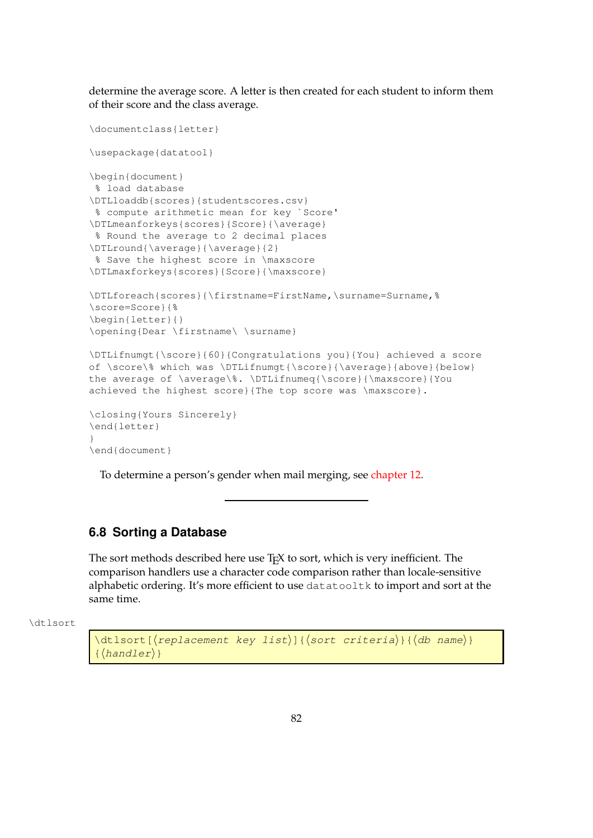determine the average score. A letter is then created for each student to inform them of their score and the class average.

```
\documentclass{letter}
\usepackage{datatool}
\begin{document}
% load database
\DTLloaddb{scores}{studentscores.csv}
% compute arithmetic mean for key `Score'
\DTLmeanforkeys{scores}{Score}{\average}
% Round the average to 2 decimal places
\DTLround{\average}{\average}{2}
% Save the highest score in \maxscore
\DTLmaxforkeys{scores}{Score}{\maxscore}
\DTLforeach{scores}{\firstname=FirstName,\surname=Surname,%
\score=Score}{%
\begin{letter}{}
\opening{Dear \firstname\ \surname}
\DTLifnumgt{\score}{60}{Congratulations you}{You} achieved a score
of \score\% which was \DTLifnumgt{\score}{\average}{above}{below}
the average of \average\%. \DTLifnumeq{\score}{\maxscore}{You
achieved the highest score}{The top score was \maxscore}.
\closing{Yours Sincerely}
\end{letter}
}
\end{document}
```
To determine a person's gender when mail merging, see [chapter 12.](#page-208-0)

# **6.8 Sorting a Database**

The sort methods described here use T<sub>E</sub>X to sort, which is very inefficient. The comparison handlers use a character code comparison rather than locale-sensitive alphabetic ordering. It's more efficient to use datatooltk to import and sort at the same time.

\dtlsort

```
\dtlsort[\langlereplacement key list\rangle]{\langlesort criteria\rangle}{\langledb name\rangle}
\{ \langle \text{handler} \rangle \}
```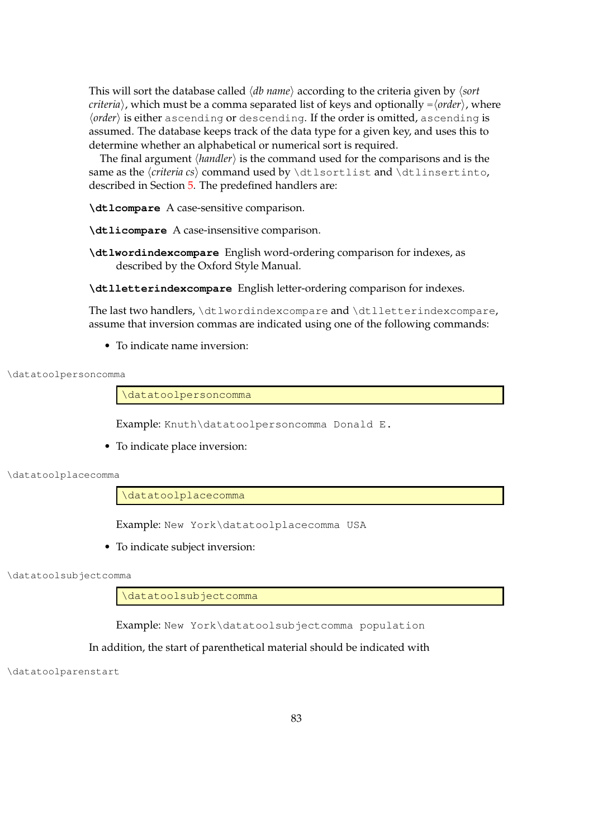This will sort the database called *(db name)* according to the criteria given by */sort criteria*), which must be a comma separated list of keys and optionally = $\langle order \rangle$ , where *(order)* is either ascending or descending. If the order is omitted, ascending is assumed. The database keeps track of the data type for a given key, and uses this to determine whether an alphabetical or numerical sort is required.

The final argument  $\langle \text{handler} \rangle$  is the command used for the comparisons and is the same as the *\criteria cs*} command used by \dtlsortlist and \dtlinsertinto, described in Section [5.](#page-43-0) The predefined handlers are:

**\dtlcompare** A case-sensitive comparison.

**\dtlicompare** A case-insensitive comparison.

**\dtlwordindexcompare** English word-ordering comparison for indexes, as described by the Oxford Style Manual.

**\dtlletterindexcompare** English letter-ordering comparison for indexes.

The last two handlers, \dtlwordindexcompare and \dtlletterindexcompare, assume that inversion commas are indicated using one of the following commands:

• To indicate name inversion:

```
\datatoolpersoncomma
```
\datatoolpersoncomma

Example: Knuth\datatoolpersoncomma Donald E.

• To indicate place inversion:

\datatoolplacecomma

\datatoolplacecomma

Example: New York\datatoolplacecomma USA

• To indicate subject inversion:

\datatoolsubjectcomma

\datatoolsubjectcomma

Example: New York\datatoolsubjectcomma population

### In addition, the start of parenthetical material should be indicated with

\datatoolparenstart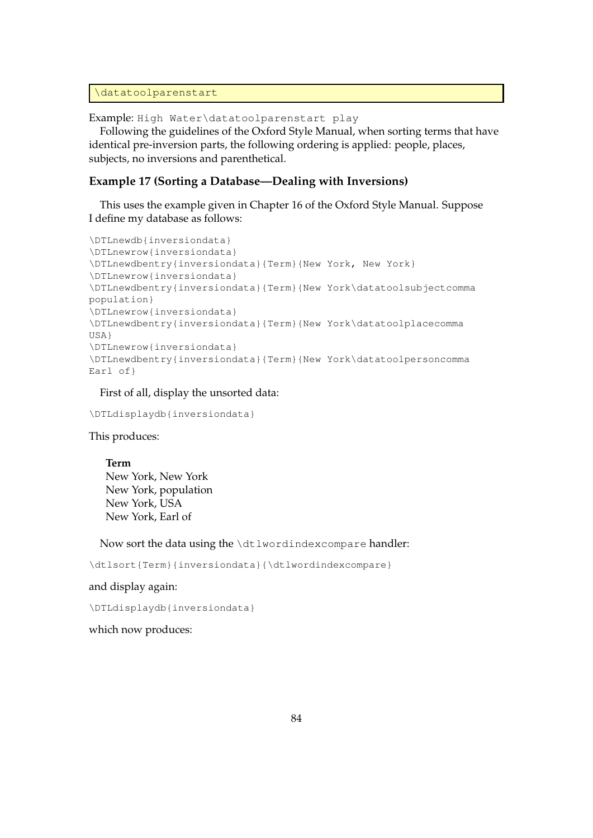```
\datatoolparenstart
```
Example: High Water\datatoolparenstart play

Following the guidelines of the Oxford Style Manual, when sorting terms that have identical pre-inversion parts, the following ordering is applied: people, places, subjects, no inversions and parenthetical.

## **Example 17 (Sorting a Database—Dealing with Inversions)**

This uses the example given in Chapter 16 of the Oxford Style Manual. Suppose I define my database as follows:

```
\DTLnewdb{inversiondata}
\DTLnewrow{inversiondata}
\DTLnewdbentry{inversiondata}{Term}{New York, New York}
\DTLnewrow{inversiondata}
\DTLnewdbentry{inversiondata}{Term}{New York\datatoolsubjectcomma
population}
\DTLnewrow{inversiondata}
\DTLnewdbentry{inversiondata}{Term}{New York\datatoolplacecomma
USA}
\DTLnewrow{inversiondata}
\DTLnewdbentry{inversiondata}{Term}{New York\datatoolpersoncomma
Earl of}
```
First of all, display the unsorted data:

\DTLdisplaydb{inversiondata}

This produces:

**Term** New York, New York New York, population New York, USA New York, Earl of

Now sort the data using the \dtlwordindexcompare handler:

\dtlsort{Term}{inversiondata}{\dtlwordindexcompare}

### and display again:

\DTLdisplaydb{inversiondata}

which now produces: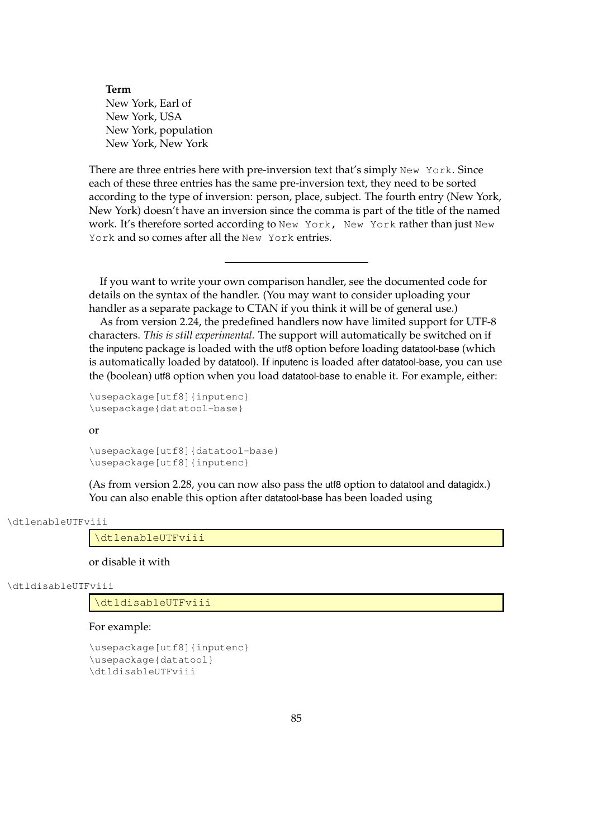**Term** New York, Earl of New York, USA New York, population New York, New York

There are three entries here with pre-inversion text that's simply New York. Since each of these three entries has the same pre-inversion text, they need to be sorted according to the type of inversion: person, place, subject. The fourth entry (New York, New York) doesn't have an inversion since the comma is part of the title of the named work. It's therefore sorted according to New York, New York rather than just New York and so comes after all the New York entries.

If you want to write your own comparison handler, see the documented code for details on the syntax of the handler. (You may want to consider uploading your handler as a separate package to CTAN if you think it will be of general use.)

As from version 2.24, the predefined handlers now have limited support for UTF-8 characters. *This is still experimental.* The support will automatically be switched on if the inputenc package is loaded with the utf8 option before loading datatool-base (which is automatically loaded by datatool). If inputenc is loaded after datatool-base, you can use the (boolean) utf8 option when you load datatool-base to enable it. For example, either:

\usepackage[utf8]{inputenc} \usepackage{datatool-base}

#### or

\usepackage[utf8]{datatool-base} \usepackage[utf8]{inputenc}

(As from version 2.28, you can now also pass the utf8 option to datatool and datagidx.) You can also enable this option after datatool-base has been loaded using

#### \dtlenableUTFviii

\dtlenableUTFviii

or disable it with

\dtldisableUTFviii

\dtldisableUTFviii

#### For example:

```
\usepackage[utf8]{inputenc}
\usepackage{datatool}
\dtldisableUTFviii
```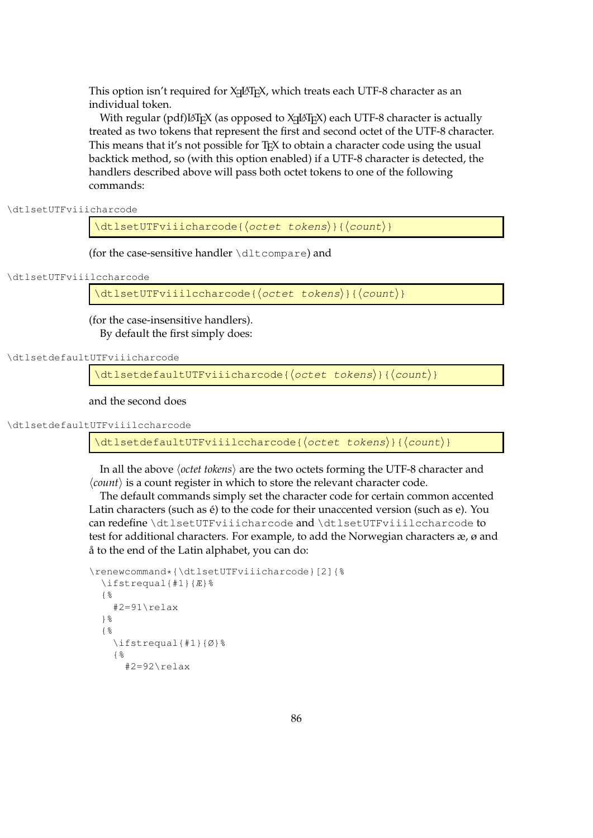This option isn't required for  $X_{\exists}$   $\boxplus$   $\boxdot$  which treats each UTF-8 character as an individual token.

With regular (pdf) $\mathbb{F}_\mathrm{E}$ X (as opposed to X $\mathbb{H}$ EX) each UTF-8 character is actually treated as two tokens that represent the first and second octet of the UTF-8 character. This means that it's not possible for T<sub>E</sub>X to obtain a character code using the usual backtick method, so (with this option enabled) if a UTF-8 character is detected, the handlers described above will pass both octet tokens to one of the following commands:

\dtlsetUTFviiicharcode

 $\left\{ \left( \right) \right\} \times \left( \left( \right) \right)$ 

(for the case-sensitive handler \dltcompare) and

\dtlsetUTFviiilccharcode

 $\left\{\left(\text{octet} \times \text{6} \times \text{6} \times \text{6} \times \text{6} \times \text{6} \times \text{7} \times \text{7} \times \text{7} \times \text{8} \times \text{8} \times \text{9} \times \text{1} \times \text{1} \times \text{1} \times \text{1} \times \text{1} \times \text{1} \times \text{1} \times \text{1} \times \text{1} \times \text{1} \times \text{1} \times \text{1} \times \text{1} \times \text{1} \times \text{1} \times \text{1} \times \text{1} \times \text{1} \times \text{1$ 

(for the case-insensitive handlers). By default the first simply does:

\dtlsetdefaultUTFviiicharcode

 $\left\{ \left( \text{det}\left\{ \mathcal{L}\right\} \right\} \right\}$ 

and the second does

\dtlsetdefaultUTFviiilccharcode

 $\left\{ \left( \right) \right\}$ 

In all the above *(octet tokens)* are the two octets forming the UTF-8 character and  $\langle count \rangle$  is a count register in which to store the relevant character code.

The default commands simply set the character code for certain common accented Latin characters (such as é) to the code for their unaccented version (such as e). You can redefine \dtlsetUTFviiicharcode and \dtlsetUTFviiilccharcode to test for additional characters. For example, to add the Norwegian characters æ, ø and å to the end of the Latin alphabet, you can do:

```
\renewcommand*{\dtlsetUTFviiicharcode}[2]{%
  \ifstrequal{#1}{Æ}%
  {%
    #2=91\relax
  }%
  {%
    \ifstrequal{#1}{Ø}%
    {%
      #2=92\relax
```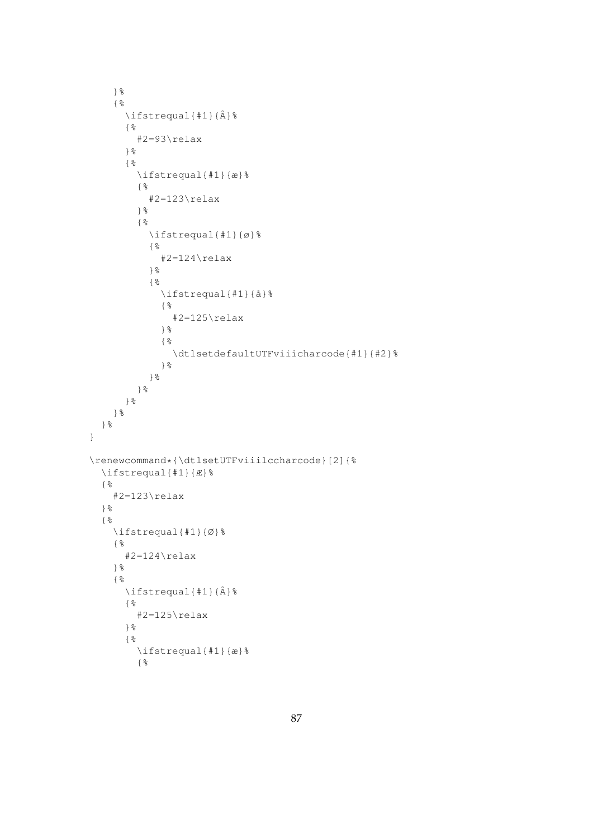```
}%
     {%
       \ifstrequal{#1}{Å}%
       {%
          #2=93\relax
       }%
       \{ \begin{array}{l} \circ \\ \circ \end{array}\ifstrequal{#1}{æ}%
          {%
            #2=123\relax
          }%
          {%
            \ifstrequal{#1}{ø}%
            \{ %
               #2=124\relax
            }%
            \frac{9}{6}\ifstrequal{#1}{å}%
               {%
                 #2=125\relax
               }%
               \{ \frac{9}{6}\dtlsetdefaultUTFviiicharcode{#1}{#2}%
              }%
            }%
         }%
       }%
     }%
  }%
}
\renewcommand*{\dtlsetUTFviiilccharcode}[2]{%
  \ifstrequal{#1}{Æ}%
  \{ \frac{9}{6}#2=123\relax
  }%
  {%
     \ifstrequal{#1}{Ø}%
    {%
       #2=124\relax
     }%
     \{ \frac{9}{6}\ifstrequal{#1}{Å}%
       {%
          #2=125\relax
       }%
       {%
         \ifstrequal{#1}{æ}%
          {%
```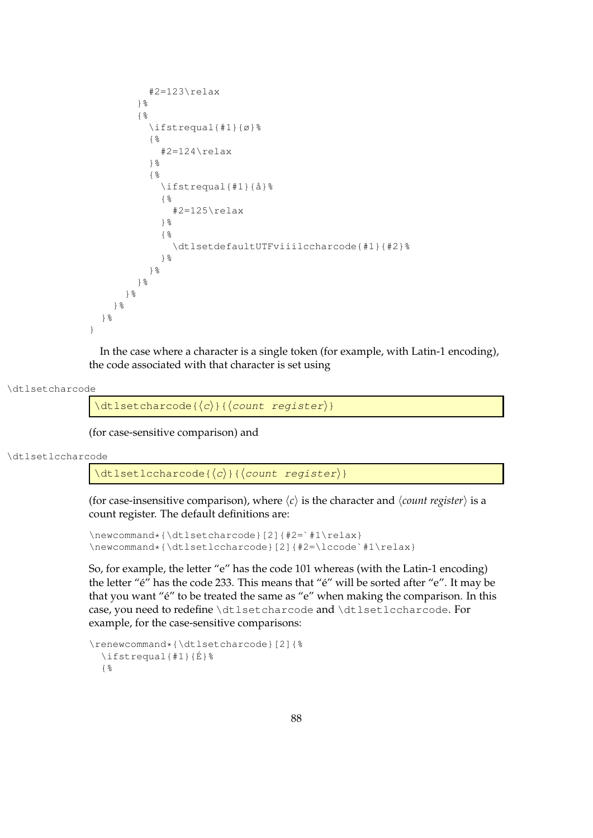```
#2=123\relax
        }%
        {%
          \ifstrequal{#1}{ø}%
           {%
             #2=124\relax
          }%
           {%
             \ifstrequal{#1}{å}%
             {%
               #2=125\relax
             }%
             {%
               \dtlsetdefaultUTFviiilccharcode{#1}{#2}%
             }%
          }%
        }%
      }%
    }%
  }%
}
```
In the case where a character is a single token (for example, with Latin-1 encoding), the code associated with that character is set using

\dtlsetcharcode

 $\left\{ \left\langle c \right\rangle \right\}$  {  $\left\{ \left\langle count \right\rangle \right\}$ }

(for case-sensitive comparison) and

\dtlsetlccharcode

 $\left\{ \det\left( \operatorname{cchar}(\overline{c})\right\} \right\}$ 

(for case-insensitive comparison), where  $\langle c \rangle$  is the character and  $\langle count \space register \rangle$  is a count register. The default definitions are:

```
\newcommand*{\dtlsetcharcode}[2]{#2=`#1\relax}
\newcommand*{\dtlsetlccharcode}[2]{#2=\lccode`#1\relax}
```
So, for example, the letter "e" has the code 101 whereas (with the Latin-1 encoding) the letter "é" has the code 233. This means that "é" will be sorted after "e". It may be that you want "é" to be treated the same as "e" when making the comparison. In this case, you need to redefine \dtlsetcharcode and \dtlsetlccharcode. For example, for the case-sensitive comparisons:

```
\renewcommand*{\dtlsetcharcode}[2]{%
  \ifstrequal{#1}{É}%
  {%
```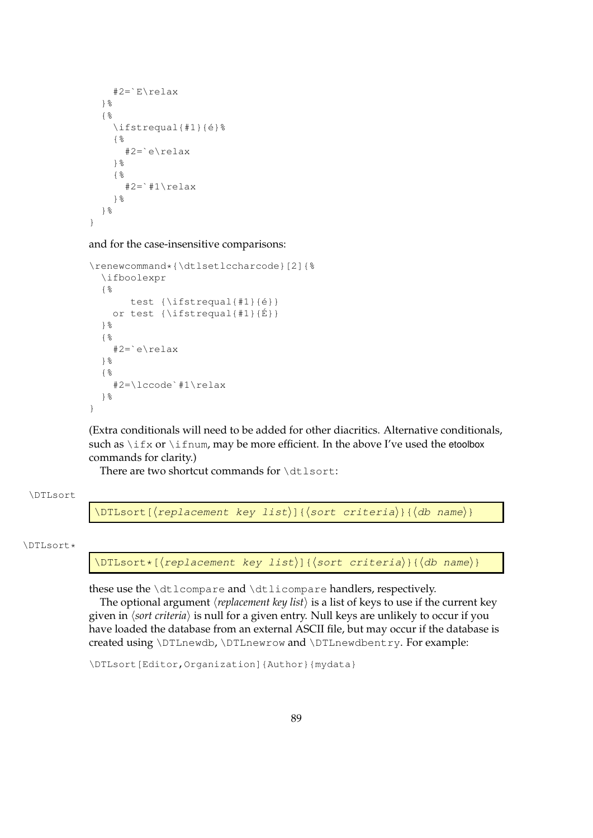```
#2=`E\relax
  }%
  {%
    \ifstrequal{#1}{é}%
    {%
      #2=`e\relax
    }%
    {%
      #2=`#1\relax
    }%
  }%
}
```
and for the case-insensitive comparisons:

```
\renewcommand*{\dtlsetlccharcode}[2]{%
  \ifboolexpr
  {%
       test {\ifstrequal{#1}{é}}
   or test {\ifstrequal{#1}{É}}
 }%
  {%
    #2=`e\relax
 }%
  {%
    #2=\lccode`#1\relax
  }%
}
```
(Extra conditionals will need to be added for other diacritics. Alternative conditionals, such as  $\iota$  if x or  $\iota$  if num, may be more efficient. In the above I've used the etoolbox commands for clarity.)

There are two shortcut commands for \dtlsort:

### \DTLsort

\DTLsort[ $\langle$ replacement key list $\rangle$ ]{ $\langle$ sort criteria $\rangle$ }{ $\langle$ db name $\rangle$ }

#### \DTLsort\*

\DTLsort\*[ $\langle$ replacement key list $\rangle$ ]{ $\langle$ sort criteria $\rangle$ }{ $\langle$ db name $\rangle$ }

these use the \dtlcompare and \dtlicompare handlers, respectively.

The optional argument  $\langle$ *replacement key list* $\rangle$  is a list of keys to use if the current key given in *(sort criteria)* is null for a given entry. Null keys are unlikely to occur if you have loaded the database from an external ASCII file, but may occur if the database is created using \DTLnewdb, \DTLnewrow and \DTLnewdbentry. For example:

\DTLsort[Editor,Organization]{Author}{mydata}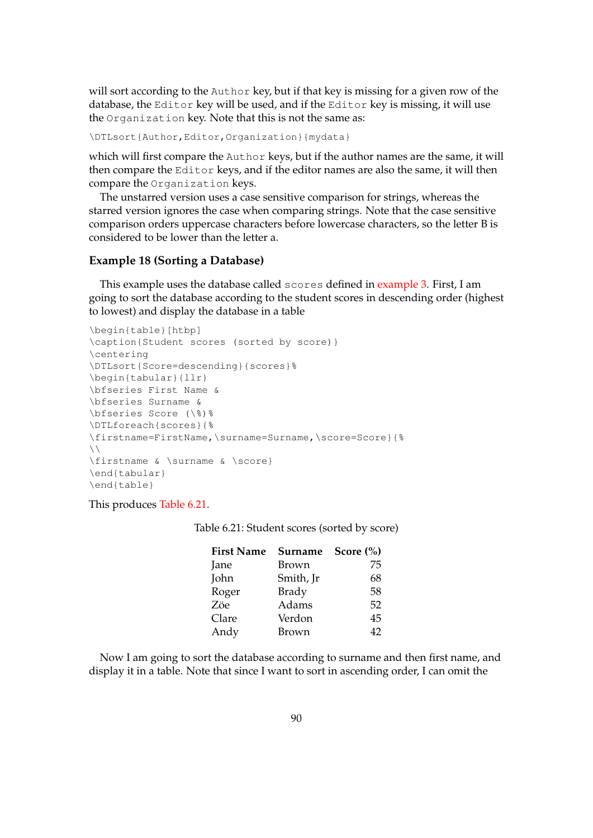will sort according to the Author key, but if that key is missing for a given row of the database, the Editor key will be used, and if the Editor key is missing, it will use the Organization key. Note that this is not the same as:

\DTLsort{Author,Editor,Organization}{mydata}

which will first compare the Author keys, but if the author names are the same, it will then compare the Editor keys, and if the editor names are also the same, it will then compare the Organization keys.

The unstarred version uses a case sensitive comparison for strings, whereas the starred version ignores the case when comparing strings. Note that the case sensitive comparison orders uppercase characters before lowercase characters, so the letter B is considered to be lower than the letter a.

## **Example 18 (Sorting a Database)**

This example uses the database called scores defined in [example 3.](#page-65-0) First, I am going to sort the database according to the student scores in descending order (highest to lowest) and display the database in a table

```
\begin{table}[htbp]
\caption{Student scores (sorted by score)}
\centering
\DTLsort{Score=descending}{scores}%
\begin{tabular}{llr}
\bfseries First Name &
\bfseries Surname &
\bfseries Score (\%)%
\DTLforeach{scores}{%
\firstname=FirstName,\surname=Surname,\score=Score}{%
\setminus\firstname & \surname & \score}
\end{tabular}
\end{table}
```
<span id="page-98-0"></span>This produces [Table 6.21.](#page-98-0)

Table 6.21: Student scores (sorted by score)

| <b>First Name</b> | Surname      | Score $(\% )$ |
|-------------------|--------------|---------------|
| Jane              | Brown        | 75            |
| John              | Smith, Jr    | 68            |
| Roger             | <b>Brady</b> | 58            |
| Zöe               | Adams        | 52            |
| Clare             | Verdon       | 45            |
| Andy              | Brown        | 42            |

Now I am going to sort the database according to surname and then first name, and display it in a table. Note that since I want to sort in ascending order, I can omit the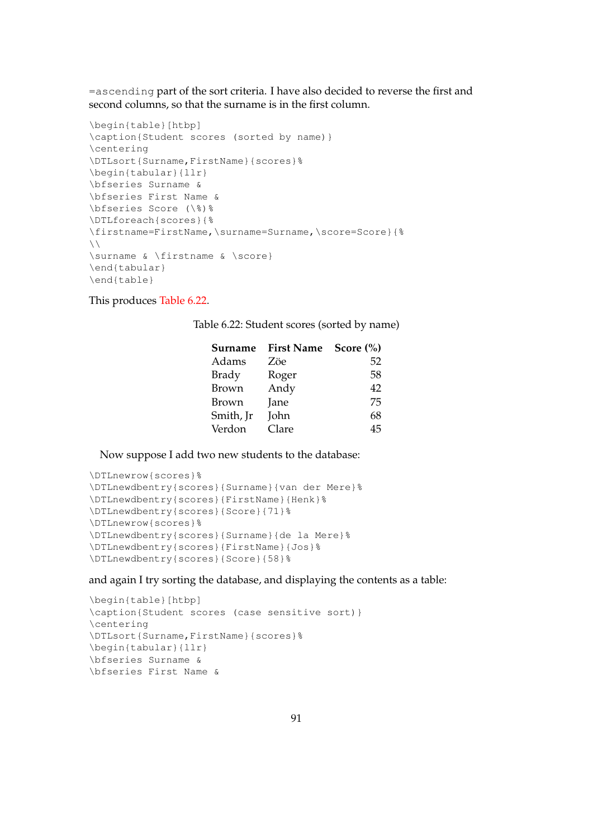=ascending part of the sort criteria. I have also decided to reverse the first and second columns, so that the surname is in the first column.

```
\begin{table}[htbp]
\caption{Student scores (sorted by name)}
\centering
\DTLsort{Surname,FirstName}{scores}%
\begin{tabular}{llr}
\bfseries Surname &
\bfseries First Name &
\bfseries Score (\%)%
\DTLforeach{scores}{%
\firstname=FirstName,\surname=Surname,\score=Score}{%
\lambda\surname & \firstname & \score}
\end{tabular}
\end{table}
```
<span id="page-99-0"></span>This produces [Table 6.22.](#page-99-0)

Table 6.22: Student scores (sorted by name)

| Surname      | First Name Score (%) |    |
|--------------|----------------------|----|
| Adams        | Zöe                  | 52 |
| <b>Brady</b> | Roger                | 58 |
| <b>Brown</b> | Andy                 | 42 |
| Brown        | Jane                 | 75 |
| Smith, Jr    | John                 | 68 |
| Verdon       | Clare                | 45 |

Now suppose I add two new students to the database:

```
\DTLnewrow{scores}%
\DTLnewdbentry{scores}{Surname}{van der Mere}%
\DTLnewdbentry{scores}{FirstName}{Henk}%
\DTLnewdbentry{scores}{Score}{71}%
\DTLnewrow{scores}%
\DTLnewdbentry{scores}{Surname}{de la Mere}%
\DTLnewdbentry{scores}{FirstName}{Jos}%
\DTLnewdbentry{scores}{Score}{58}%
```
and again I try sorting the database, and displaying the contents as a table:

```
\begin{table}[htbp]
\caption{Student scores (case sensitive sort)}
\centering
\DTLsort{Surname,FirstName}{scores}%
\begin{tabular}{llr}
\bfseries Surname &
\bfseries First Name &
```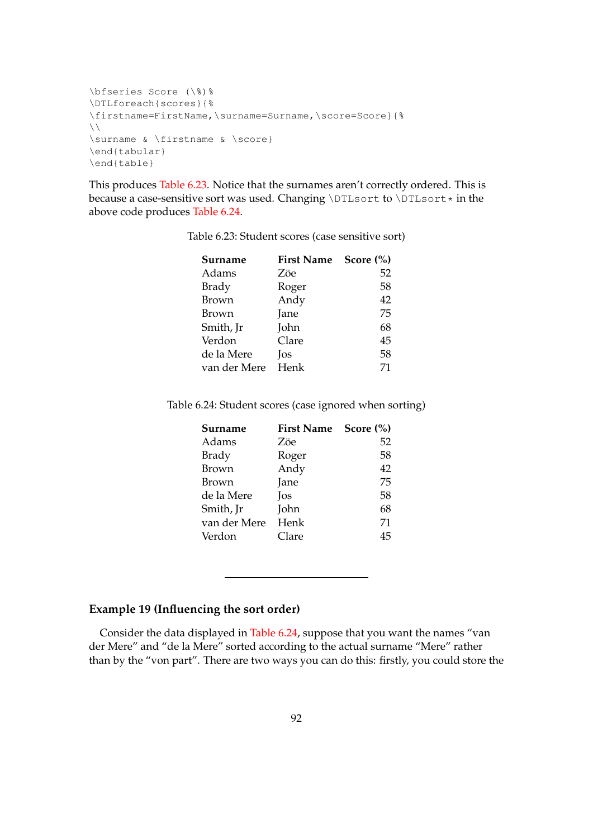```
\bfseries Score (\%)%
\DTLforeach{scores}{%
\firstname=FirstName,\surname=Surname,\score=Score}{%
\setminus \setminus\surname & \firstname & \score}
\end{tabular}
\end{table}
```
<span id="page-100-0"></span>This produces [Table 6.23.](#page-100-0) Notice that the surnames aren't correctly ordered. This is because a case-sensitive sort was used. Changing \DTLsort to \DTLsort  $\star$  in the above code produces [Table 6.24.](#page-100-1)

| Surname      | First Name Score (%) |    |
|--------------|----------------------|----|
| Adams        | Zöe                  | 52 |
| <b>Brady</b> | Roger                | 58 |
| <b>Brown</b> | Andy                 | 42 |
| Brown        | Jane                 | 75 |
| Smith, Jr    | John                 | 68 |
| Verdon       | Clare                | 45 |
| de la Mere   | Jos                  | 58 |
| van der Mere | Henk                 | 71 |

Table 6.23: Student scores (case sensitive sort)

<span id="page-100-1"></span>Table 6.24: Student scores (case ignored when sorting)

| Surname      | <b>First Name</b> | Score $(\% )$ |
|--------------|-------------------|---------------|
| Adams        | Zöe               | 52            |
| <b>Brady</b> | Roger             | 58            |
| <b>Brown</b> | Andy              | 42            |
| Brown        | Jane              | 75            |
| de la Mere   | Jos               | 58            |
| Smith, Jr    | John              | 68            |
| van der Mere | Henk              | 71            |
| Verdon       | Clare             | 45            |

## **Example 19 (Influencing the sort order)**

Consider the data displayed in [Table 6.24,](#page-100-1) suppose that you want the names "van der Mere" and "de la Mere" sorted according to the actual surname "Mere" rather than by the "von part". There are two ways you can do this: firstly, you could store the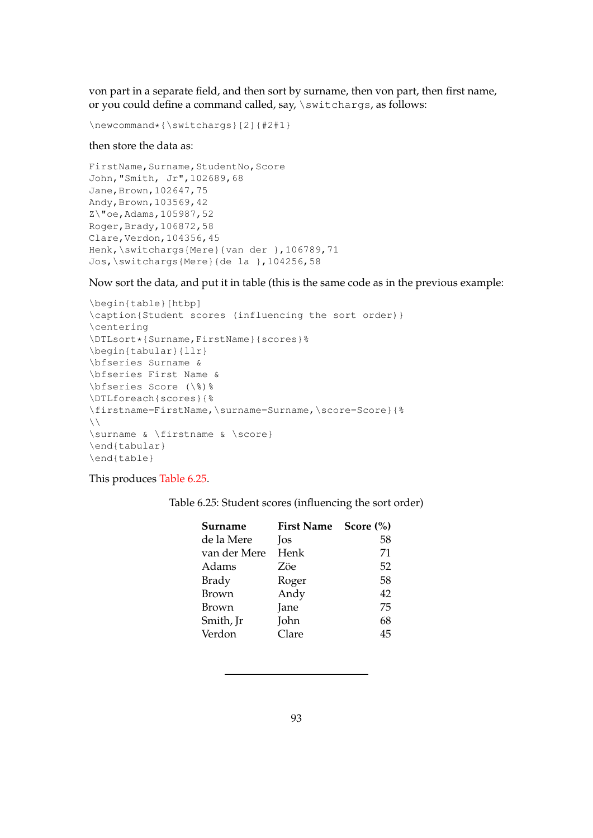von part in a separate field, and then sort by surname, then von part, then first name, or you could define a command called, say, \switchargs, as follows:

```
\newcommand*{\switchargs}[2]{#2#1}
```
### then store the data as:

```
FirstName, Surname, StudentNo, Score
John,"Smith, Jr",102689,68
Jane, Brown, 102647, 75
Andy, Brown, 103569, 42
Z\"oe,Adams,105987,52
Roger,Brady,106872,58
Clare,Verdon,104356,45
Henk,\switchargs{Mere}{van der },106789,71
Jos,\switchargs{Mere}{de la },104256,58
```
Now sort the data, and put it in table (this is the same code as in the previous example:

```
\begin{table}[htbp]
\caption{Student scores (influencing the sort order)}
\centering
\DTLsort*{Surname,FirstName}{scores}%
\begin{tabular}{llr}
\bfseries Surname &
\bfseries First Name &
\bfseries Score (\%)%
\DTLforeach{scores}{%
\firstname=FirstName,\surname=Surname,\score=Score}{%
\setminus\surname & \firstname & \score}
\end{tabular}
\end{table}
```
## <span id="page-101-0"></span>This produces [Table 6.25.](#page-101-0)

Table 6.25: Student scores (influencing the sort order)

| <b>First Name</b> | Score $(\% )$ |
|-------------------|---------------|
| Jos               | 58            |
| Henk              | 71            |
| Zöe               | 52            |
| Roger             | 58            |
| Andy              | 42            |
| Jane              | 75            |
| John              | 68            |
| Clare             | 45            |
|                   |               |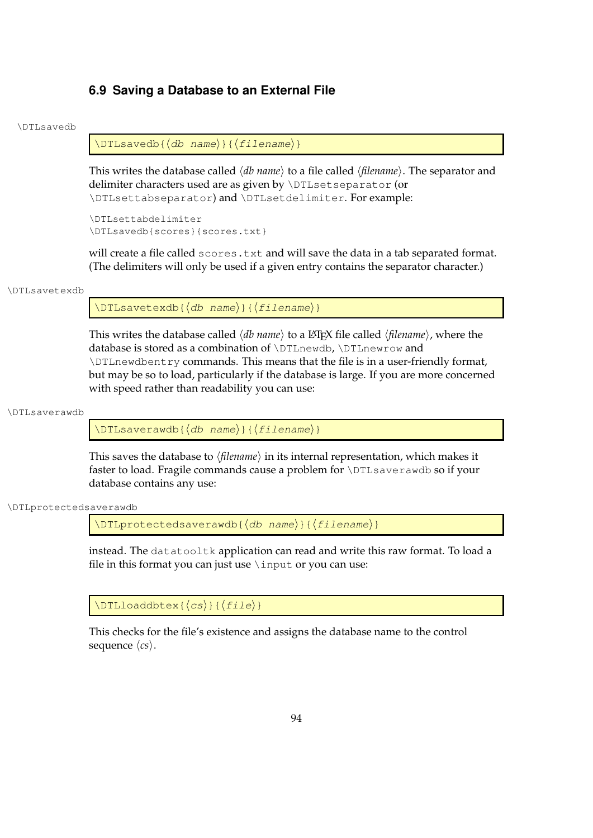# **6.9 Saving a Database to an External File**

#### \DTLsavedb

 $\DTLsavedb({db name}){\filename})$ 

This writes the database called  $\langle db$  name) to a file called  $\langle filename \rangle$ . The separator and delimiter characters used are as given by \DTLsetseparator (or \DTLsettabseparator) and \DTLsetdelimiter. For example:

```
\DTLsettabdelimiter
\DTLsavedb{scores}{scores.txt}
```
will create a file called scores.txt and will save the data in a tab separated format. (The delimiters will only be used if a given entry contains the separator character.)

#### \DTLsavetexdb

 $\DTLsavetexdb({db name}){\Theta$ 

This writes the database called  $\langle db$  name $\rangle$  to a LAT<sub>E</sub>X file called  $\langle filename \rangle$ , where the database is stored as a combination of \DTLnewdb, \DTLnewrow and \DTLnewdbentry commands. This means that the file is in a user-friendly format, but may be so to load, particularly if the database is large. If you are more concerned with speed rather than readability you can use:

#### \DTLsaverawdb

 $\DTLsaverawdb({db name}){\Theta$ 

This saves the database to  $\langle$ *filename* $\rangle$  in its internal representation, which makes it faster to load. Fragile commands cause a problem for \DTLsaverawdb so if your database contains any use:

\DTLprotectedsaverawdb

 $\D$ TLprotectedsaverawdb{ $\langle$ db name)}{ $\langle$ filename)}

instead. The datatooltk application can read and write this raw format. To load a file in this format you can just use  $\infty$  input or you can use:

 $\Delta{\text{DTLloaddbtex}$  $\langle cs \rangle$ }{ $\langle file \rangle$ }

This checks for the file's existence and assigns the database name to the control sequence  $\langle cs \rangle$ .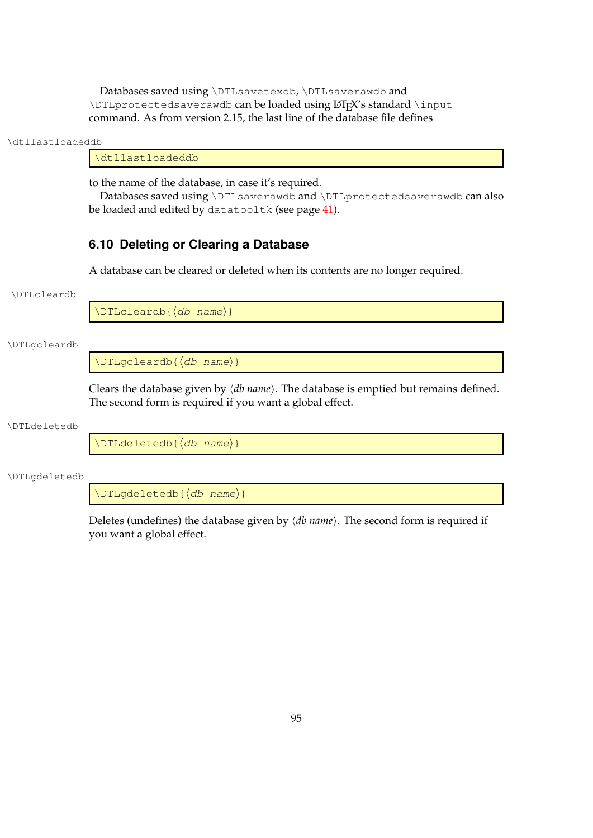Databases saved using \DTLsavetexdb, \DTLsaverawdb and \DTLprotectedsaverawdb can be loaded using LATEX's standard \input command. As from version 2.15, the last line of the database file defines

#### \dtllastloadeddb

\dtllastloadeddb

to the name of the database, in case it's required.

Databases saved using \DTLsaverawdb and \DTLprotectedsaverawdb can also be loaded and edited by datatooltk (see page [41\)](#page-49-0).

# **6.10 Deleting or Clearing a Database**

A database can be cleared or deleted when its contents are no longer required.

#### \DTLcleardb

 $\Delta\$   $\langle db \ name \rangle$ }

## \DTLgcleardb

 $\Delta\$  $\langle db \ name \rangle$ }

Clears the database given by  $\langle db \text{ name} \rangle$ . The database is emptied but remains defined. The second form is required if you want a global effect.

#### \DTLdeletedb

 $\Delta$ DTLdeletedb{ $\langle db \space name \rangle$ }

\DTLgdeletedb

 $\Delta$ DTLgdeletedb{ $\langle$ *db name*}}

Deletes (undefines) the database given by  $\langle db \ name \rangle$ . The second form is required if you want a global effect.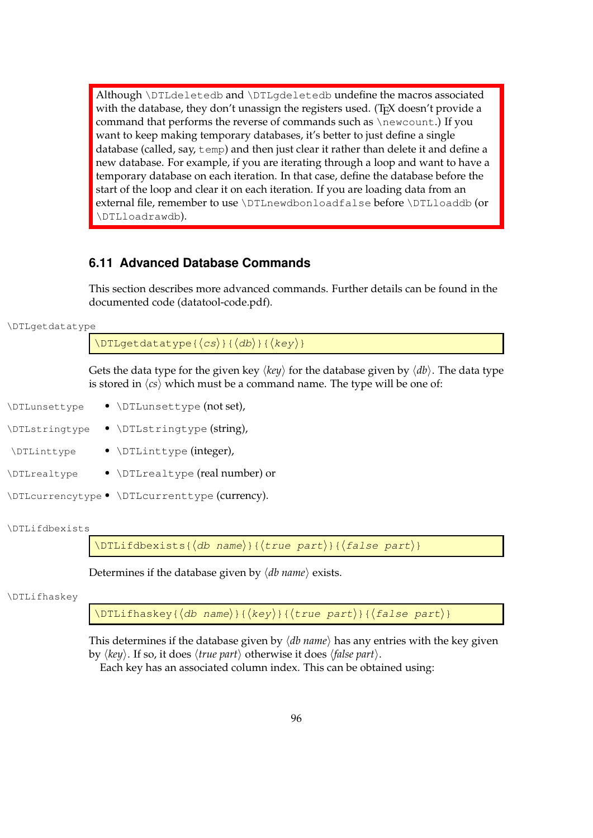Although \DTLdeletedb and \DTLgdeletedb undefine the macros associated with the database, they don't unassign the registers used. (T<sub>E</sub>X doesn't provide a command that performs the reverse of commands such as \newcount.) If you want to keep making temporary databases, it's better to just define a single database (called, say, temp) and then just clear it rather than delete it and define a new database. For example, if you are iterating through a loop and want to have a temporary database on each iteration. In that case, define the database before the start of the loop and clear it on each iteration. If you are loading data from an external file, remember to use \DTLnewdbonloadfalse before \DTLloaddb (or \DTLloadrawdb).

# **6.11 Advanced Database Commands**

This section describes more advanced commands. Further details can be found in the documented code (datatool-code.pdf).

### \DTLgetdatatype

 $\DTLqetdatatype({cs};({db};({key});$ 

Gets the data type for the given key  $\langle key \rangle$  for the database given by  $\langle db \rangle$ . The data type is stored in  $\langle cs \rangle$  which must be a command name. The type will be one of:

- \DTLunsettype \DTLunsettype (not set),
- \DTLstringtype \DTLstringtype (string),
- \DTLinttype \DTLinttype (integer),
- \DTLrealtype \DTLrealtype (real number) or
- \DTLcurrencytype \DTLcurrenttype (currency).

#### \DTLifdbexists

\DTLifdbexists{ $\langle$ db name $\rangle$ }{ $\langle$ true part $\rangle$ }{ $\langle$ false part $\rangle$ }

Determines if the database given by  $\langle db \text{ name} \rangle$  exists.

#### \DTLifhaskey

 $\Delta$ DTLifhaskey{ $\langle$ db name $\rangle$ }{ $\langle$ key $\rangle$ }{ $\langle$ true part $\rangle$ }{ $\langle$ false part $\rangle$ }

This determines if the database given by  $\langle db \text{ name} \rangle$  has any entries with the key given by  $\langle key \rangle$ . If so, it does  $\langle true\ part \rangle$  otherwise it does  $\langle false\ part \rangle$ .

Each key has an associated column index. This can be obtained using: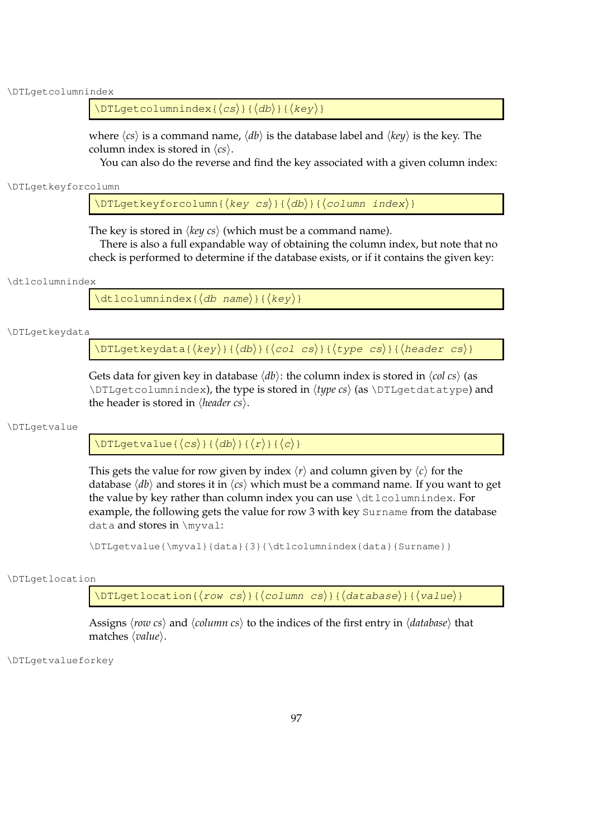\DTLgetcolumnindex

 $\DTLgetcolumnindex({cs})({db})({key})$ 

where  $\langle cs \rangle$  is a command name,  $\langle db \rangle$  is the database label and  $\langle key \rangle$  is the key. The column index is stored in  $\langle cs \rangle$ .

You can also do the reverse and find the key associated with a given column index:

\DTLgetkeyforcolumn

 $\DTLqetkeyforcolumn({key cs}{\dbb{ab}}({db})|({column index})$ 

The key is stored in  $\langle \text{key cs} \rangle$  (which must be a command name).

There is also a full expandable way of obtaining the column index, but note that no check is performed to determine if the database exists, or if it contains the given key:

#### \dtlcolumnindex

 $\left\{ \text{d}t \right\}$  |  $\left\{ \text{d}t \right\}$  |  $\left\{ \text{deg}(k) \right\}$ 

\DTLgetkeydata

\DTLgetkeydata{ $\langle key \rangle$ }{ $\langle db \rangle$ }{ $\langle col \ cs \rangle$ }{ $\langle type \ cs \rangle$ }{ $\langle header \ cs \rangle$ }

Gets data for given key in database  $\langle db \rangle$ : the column index is stored in  $\langle col \; cs \rangle$  (as  $\DTLqetcclummindex$ , the type is stored in  $\langle type\ cs\rangle$  (as  $\DTLqetdatatype$ ) and the header is stored in  $\langle$ *header cs* $\rangle$ .

#### \DTLgetvalue

 $\Delta$ UTLgetvalue{ $\langle cs \rangle$ }{ $\langle db \rangle$ }{ $\langle r \rangle$ }{ $\langle c \rangle$ }

This gets the value for row given by index  $\langle r \rangle$  and column given by  $\langle c \rangle$  for the database  $\langle db \rangle$  and stores it in  $\langle cs \rangle$  which must be a command name. If you want to get the value by key rather than column index you can use \dtlcolumnindex. For example, the following gets the value for row 3 with key Surname from the database data and stores in \myval:

\DTLgetvalue{\myval}{data}{3}{\dtlcolumnindex{data}{Surname}}

#### \DTLgetlocation

\DTLgetlocation{ $\langle row cs \rangle$ }{ $\langle column cs \rangle$ }{ $\langle database \rangle$ }{ $\langle value \rangle$ }

Assigns *(row cs)* and *(column cs)* to the indices of the first entry in *(database)* that matches  $\langle value \rangle$ .

\DTLgetvalueforkey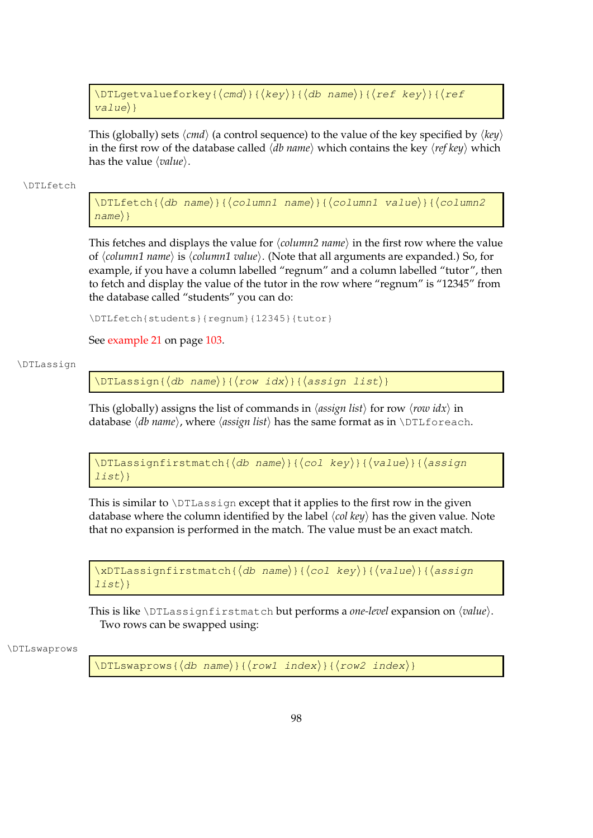```
\DTLgetvalueforkey{\langlecmd\rangle}{\langlekey\rangle}{\langledb name\rangle}{\langleref key\rangle}{\langleref
value\rangle}
```
This (globally) sets  $\langle \text{cmd} \rangle$  (a control sequence) to the value of the key specified by  $\langle \text{key} \rangle$ in the first row of the database called  $\langle db \text{ name} \rangle$  which contains the key  $\langle ref \text{ } key \rangle$  which has the value *(value)*.

#### \DTLfetch

 $\DTEfetch({db name}){\langle column1 name \rangle}{\langle column1 0 m.0 | column2}$  $name\$ 

This fetches and displays the value for  $\langle column2 \text{ name} \rangle$  in the first row where the value of *(column1 name)* is *(column1 value)*. (Note that all arguments are expanded.) So, for example, if you have a column labelled "regnum" and a column labelled "tutor", then to fetch and display the value of the tutor in the row where "regnum" is "12345" from the database called "students" you can do:

\DTLfetch{students}{regnum}{12345}{tutor}

See [example 21](#page-111-0) on page [103.](#page-111-0)

### \DTLassign

 $\DTLassign({db name}) {\{row idx\} {\{assign 1ist\}}$ 

This (globally) assigns the list of commands in  $\langle assign\, list \rangle$  for row  $\langle row\, idx \rangle$  in database  $\langle db$  name), where  $\langle assign \, list \rangle$  has the same format as in \DTLforeach.

 $\D$ TLassignfirstmatch{ $\langle$ db name}}{ $\langle$ col key}}{ $\langle$ value}}{ $\langle$ assign  $\{list\}$ 

This is similar to \DTLassign except that it applies to the first row in the given database where the column identified by the label  $\langle col \; key \rangle$  has the given value. Note that no expansion is performed in the match. The value must be an exact match.

```
\langle xDTLassignfirstmatch{\langle db \space name \rangle}{\langle col \space key \rangle}{\langle value \rangle}{\langle assign \rangle\exists i s t}}
```
This is like \DTLassignfirstmatch but performs a *one-level* expansion on  $\langle value \rangle$ . Two rows can be swapped using:

#### \DTLswaprows

\DTLswaprows{ $\langle$ db name}}{ $\langle$ row1 index}}{ $\langle$ row2 index}}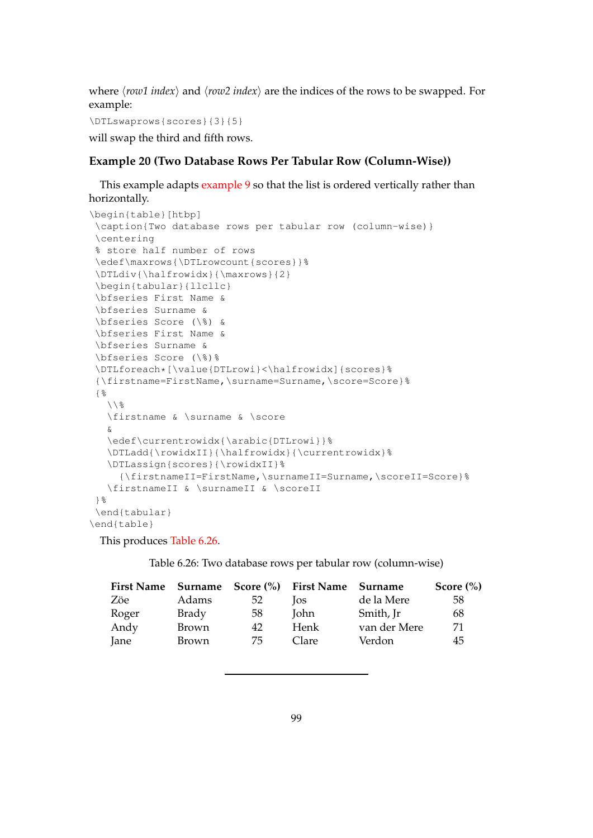where  $\langle$ row1 index $\rangle$  and  $\langle$ row2 index $\rangle$  are the indices of the rows to be swapped. For example:

\DTLswaprows{scores}{3}{5}

<span id="page-107-0"></span>will swap the third and fifth rows.

## **Example 20 (Two Database Rows Per Tabular Row (Column-Wise))**

This example adapts [example 9](#page-72-0) so that the list is ordered vertically rather than horizontally.

```
\begin{table}[htbp]
 \caption{Two database rows per tabular row (column-wise)}
 \centering
 % store half number of rows
 \edef\maxrows{\DTLrowcount{scores}}%
 \DTLdiv{\halfrowidx}{\maxrows}{2}
 \begin{tabular}{llcllc}
 \bfseries First Name &
 \bfseries Surname &
 \bfseries Score (\%) &
 \bfseries First Name &
 \bfseries Surname &
 \bfseries Score (\%)%
 \DTLforeach*[\value{DTLrowi}<\halfrowidx]{scores}%
 {\firstname=FirstName,\surname=Surname,\score=Score}%
 {%
   \setminus \ \frac{6}{6}\firstname & \surname & \score
   &
   \edef\currentrowidx{\arabic{DTLrowi}}%
   \DTLadd{\rowidxII}{\halfrowidx}{\currentrowidx}%
   \DTLassign{scores}{\rowidxII}%
     {\firstnameII=FirstName,\surnameII=Surname,\scoreII=Score}%
   \firstnameII & \surnameII & \scoreII
 }%
 \end{tabular}
\end{table}
```
<span id="page-107-1"></span>This produces [Table 6.26.](#page-107-1)

Table 6.26: Two database rows per tabular row (column-wise)

|       |              |     | First Name Surname Score (%) First Name Surname |              | Score $(\% )$ |
|-------|--------------|-----|-------------------------------------------------|--------------|---------------|
| Zöe   | Adams        | -52 | <b>los</b>                                      | de la Mere   | 58            |
| Roger | Brady        | -58 | <b>John</b>                                     | Smith, Jr    | 68            |
| Andy  | Brown        | 42  | Henk                                            | van der Mere | 71            |
| Jane  | <b>Brown</b> | 75  | Clare                                           | Verdon       | 45            |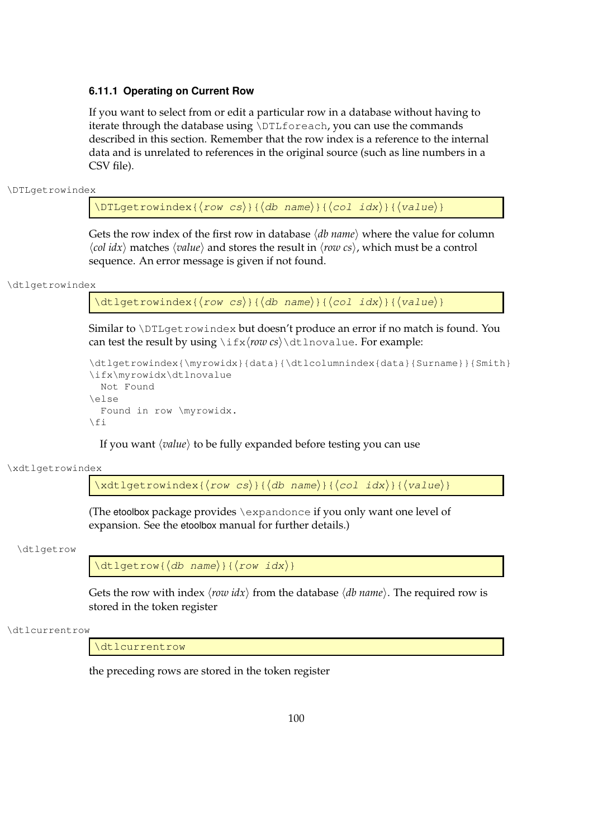## **6.11.1 Operating on Current Row**

If you want to select from or edit a particular row in a database without having to iterate through the database using \DTLforeach, you can use the commands described in this section. Remember that the row index is a reference to the internal data and is unrelated to references in the original source (such as line numbers in a CSV file).

\DTLgetrowindex

 $\DTLgetrowindex{\row cs}{\ddelta}$  (db name)}{ $\langle col \; i dx \rangle$ }{ $\langle value \rangle$ }

Gets the row index of the first row in database  $\langle db$  name $\rangle$  where the value for column  $\langle col \, idx \rangle$  matches  $\langle value \rangle$  and stores the result in  $\langle row \, cs \rangle$ , which must be a control sequence. An error message is given if not found.

\dtlgetrowindex

\dtlgetrowindex{ $\langle row cs \rangle$ }{ $\langle db \ name \rangle$ }{ $\langle col \ idx \rangle$ }{ $\langle value \rangle$ }

Similar to \DTLgetrowindex but doesn't produce an error if no match is found. You can test the result by using  $\iota\$ r*ow cs* $\cdot\cdot\cdot\cdot$  be the result by using  $\iota\$ r $\alpha$  *cs*)  $\cdot\cdot\cdot\cdot$ 

```
\dtlgetrowindex{\myrowidx}{data}{\dtlcolumnindex{data}{Surname}}{Smith}
\ifx\myrowidx\dtlnovalue
  Not Found
\else
  Found in row \myrowidx.
\setminus f_i
```
If you want *(value)* to be fully expanded before testing you can use

\xdtlgetrowindex

 $\xdt1qetrowindex{\row cs}{\d0b \ name}{\cdots}$ 

(The etoolbox package provides \expandonce if you only want one level of expansion. See the etoolbox manual for further details.)

\dtlgetrow

 $\left\{ \det_{\alpha} \{ \langle d\beta \rangle \} \{ \langle row \rangle \} \right\}$ 

Gets the row with index  $\langle r \circ w \, i dx \rangle$  from the database  $\langle db \, name \rangle$ . The required row is stored in the token register

\dtlcurrentrow

\dtlcurrentrow

the preceding rows are stored in the token register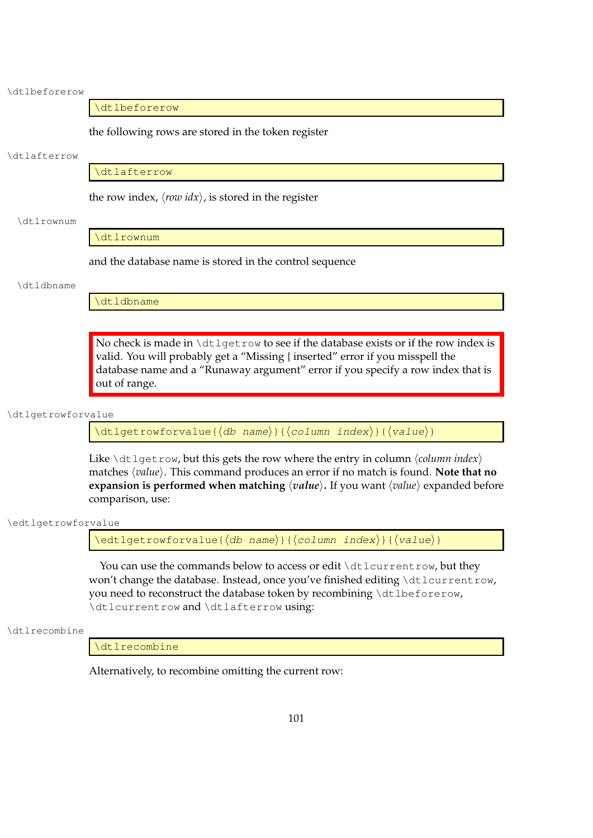\dtlbeforerow

\dtlbeforerow

the following rows are stored in the token register

#### \dtlafterrow

\dtlafterrow

the row index,  $\langle row \, idx \rangle$ , is stored in the register

#### \dtlrownum

\dtlrownum

and the database name is stored in the control sequence

#### \dtldbname

\dtldbname

No check is made in \dtlgetrow to see if the database exists or if the row index is valid. You will probably get a "Missing { inserted" error if you misspell the database name and a "Runaway argument" error if you specify a row index that is out of range.

#### \dtlgetrowforvalue

\dtlgetrowforvalue{ $\langle$ db name}}{ $\langle$ column index}}{ $\langle$ value}}

Like \dtlgetrow, but this gets the row where the entry in column  $\langle$  *column index*) matches  $\langle value \rangle$ . This command produces an error if no match is found. **Note that no expansion is performed when matching**  $\langle value \rangle$ . If you want  $\langle value \rangle$  expanded before comparison, use:

\edtlgetrowforvalue

 $\edtlgetrowforwardue({db name}){\ldots}$ 

You can use the commands below to access or edit \dtlcurrentrow, but they won't change the database. Instead, once you've finished editing \dtlcurrentrow, you need to reconstruct the database token by recombining \dtlbeforerow, \dtlcurrentrow and \dtlafterrow using:

\dtlrecombine

\dtlrecombine

Alternatively, to recombine omitting the current row: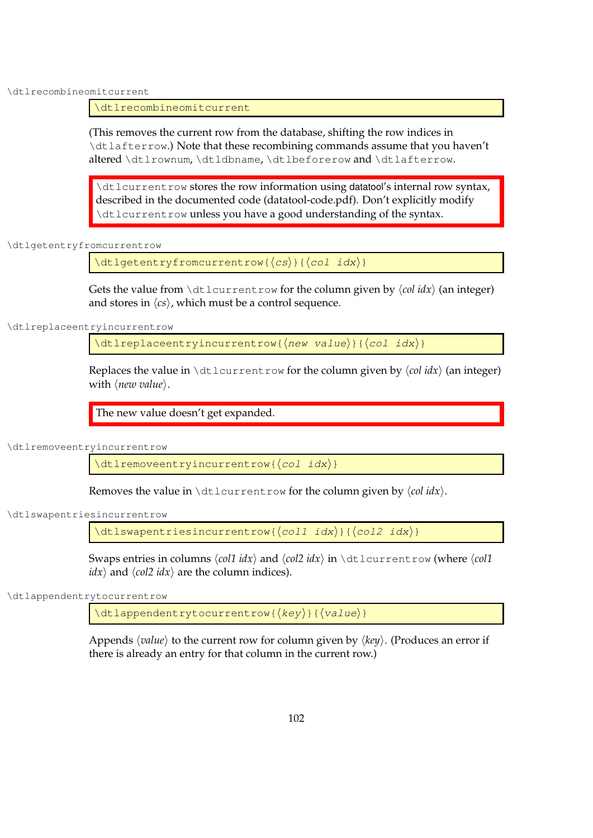\dtlrecombineomitcurrent

\dtlrecombineomitcurrent

(This removes the current row from the database, shifting the row indices in \dtlafterrow.) Note that these recombining commands assume that you haven't altered \dtlrownum, \dtldbname, \dtlbeforerow and \dtlafterrow.

\dtlcurrentrow stores the row information using datatool's internal row syntax, described in the documented code (datatool-code.pdf). Don't explicitly modify \dtlcurrentrow unless you have a good understanding of the syntax.

\dtlgetentryfromcurrentrow

 $\left\{ \left\langle \text{c} \right\rangle \right\}$  { $\left\langle \text{c} \right\rangle$ } { $\left\langle \text{c} \right\rangle$  idx) }

Gets the value from  $\det\lvert \det\mathbf{r} \rangle$  (or the column given by  $\langle \operatorname{col} \operatorname{id} x \rangle$  (an integer) and stores in  $\langle cs \rangle$ , which must be a control sequence.

\dtlreplaceentryincurrentrow

 $\left\{\text{dtlreplace}(\{q\})\right\}$ 

Replaces the value in  $\text{dtlcurrentrow}$  for the column given by  $\langle col \, idx \rangle$  (an integer) with  $\langle new value \rangle$ .

The new value doesn't get expanded.

\dtlremoveentryincurrentrow

 $\left\{\det\text{remove} \right\}$ 

Removes the value in  $\det \text{currentrow}$  for the column given by  $\langle col \, idx \rangle$ .

\dtlswapentriesincurrentrow

\dtlswapentriesincurrentrow{ $\langle$ col1 idx}}{ $\langle$ col2 idx}}

Swaps entries in columns  $\langle \text{col1 } i dx \rangle$  and  $\langle \text{col2 } i dx \rangle$  in  $\text{ol1}$  currentrow (where  $\langle \text{col1 } i dx \rangle$  $idx$  and  $\langle col2 idx \rangle$  are the column indices).

\dtlappendentrytocurrentrow

 $\left\{ \frac{key}{key} \right\}$ 

Appends  $\langle value \rangle$  to the current row for column given by  $\langle key \rangle$ . (Produces an error if there is already an entry for that column in the current row.)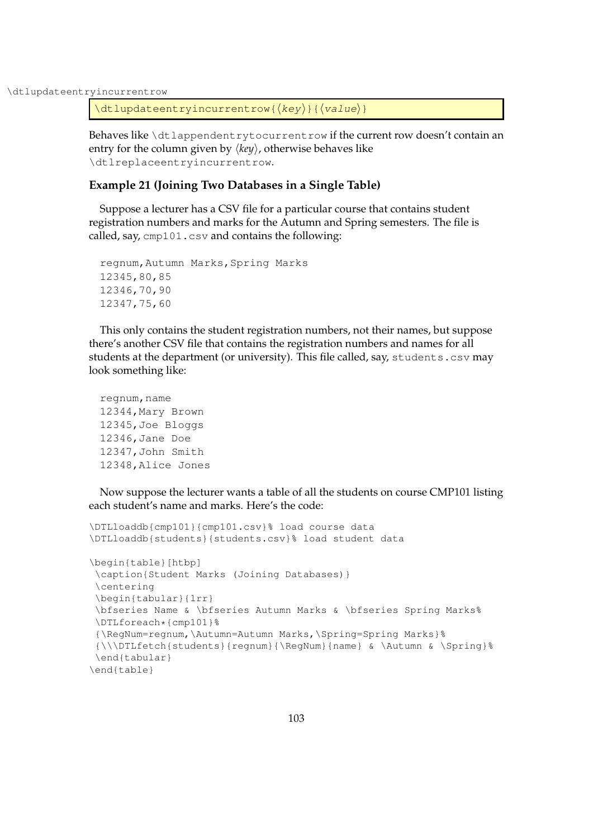\dtlupdateentryincurrentrow

```
\left\{ \text{dtlupdateentry} \right\}
```
Behaves like \dtlappendentrytocurrentrow if the current row doesn't contain an entry for the column given by  $\langle key \rangle$ , otherwise behaves like \dtlreplaceentryincurrentrow.

## **Example 21 (Joining Two Databases in a Single Table)**

Suppose a lecturer has a CSV file for a particular course that contains student registration numbers and marks for the Autumn and Spring semesters. The file is called, say, cmp101.csv and contains the following:

```
regnum,Autumn Marks,Spring Marks
12345,80,85
12346,70,90
12347,75,60
```
This only contains the student registration numbers, not their names, but suppose there's another CSV file that contains the registration numbers and names for all students at the department (or university). This file called, say, students.csv may look something like:

```
regnum, name
12344,Mary Brown
12345,Joe Bloggs
12346,Jane Doe
12347,John Smith
12348,Alice Jones
```
Now suppose the lecturer wants a table of all the students on course CMP101 listing each student's name and marks. Here's the code:

```
\DTLloaddb{cmp101}{cmp101.csv}% load course data
\DTLloaddb{students}{students.csv}% load student data
\begin{table}[htbp]
 \caption{Student Marks (Joining Databases)}
 \centering
 \begin{tabular}{lrr}
 \bfseries Name & \bfseries Autumn Marks & \bfseries Spring Marks%
 \DTLforeach*{cmp101}%
 {\RegNum=regnum,\Autumn=Autumn Marks,\Spring=Spring Marks}%
 {\\\DTLfetch{students}{regnum}{\RegNum}{name} & \Autumn & \Spring}%
 \end{tabular}
\end{table}
```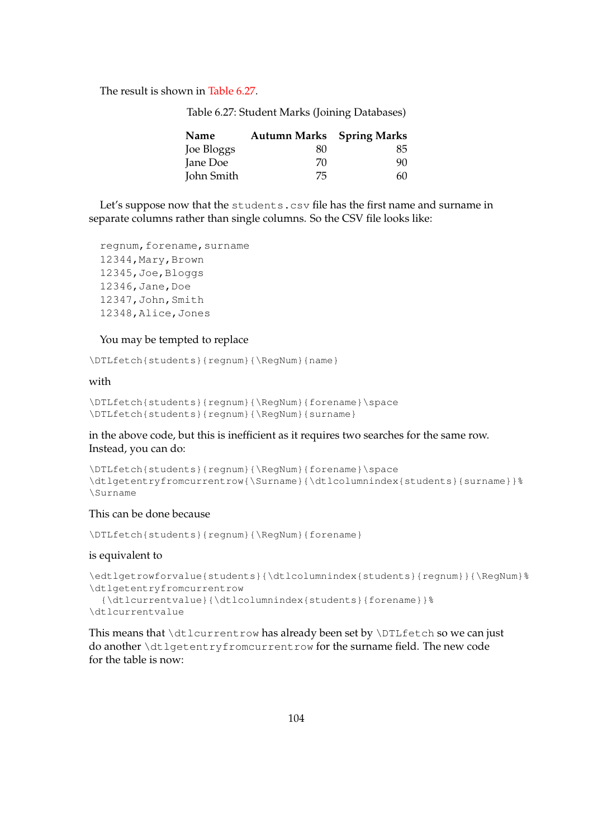<span id="page-112-0"></span>The result is shown in [Table 6.27.](#page-112-0)

Table 6.27: Student Marks (Joining Databases)

| Name       | <b>Autumn Marks</b> Spring Marks |    |
|------------|----------------------------------|----|
| Joe Bloggs | 80                               | 85 |
| Jane Doe   | 70                               | 90 |
| John Smith | 75                               | 60 |

Let's suppose now that the students.csv file has the first name and surname in separate columns rather than single columns. So the CSV file looks like:

```
regnum, forename, surname
12344,Mary,Brown
12345,Joe,Bloggs
12346,Jane,Doe
12347,John,Smith
12348,Alice,Jones
```
#### You may be tempted to replace

\DTLfetch{students}{regnum}{\RegNum}{name}

## with

```
\DTLfetch{students}{regnum}{\RegNum}{forename}\space
\DTLfetch{students}{regnum}{\RegNum}{surname}
```
## in the above code, but this is inefficient as it requires two searches for the same row. Instead, you can do:

```
\DTLfetch{students}{regnum}{\RegNum}{forename}\space
\dtlgetentryfromcurrentrow{\Surname}{\dtlcolumnindex{students}{surname}}%
\Surname
```
## This can be done because

\DTLfetch{students}{regnum}{\RegNum}{forename}

#### is equivalent to

```
\edtlgetrowforvalue{students}{\dtlcolumnindex{students}{regnum}}{\RegNum}%
\dtlgetentryfromcurrentrow
  {\dtlcurrentvalue}{\dtlcolumnindex{students}{forename}}%
\dtlcurrentvalue
```
This means that \dtlcurrentrow has already been set by \DTLfetch so we can just do another \dtlgetentryfromcurrentrow for the surname field. The new code for the table is now: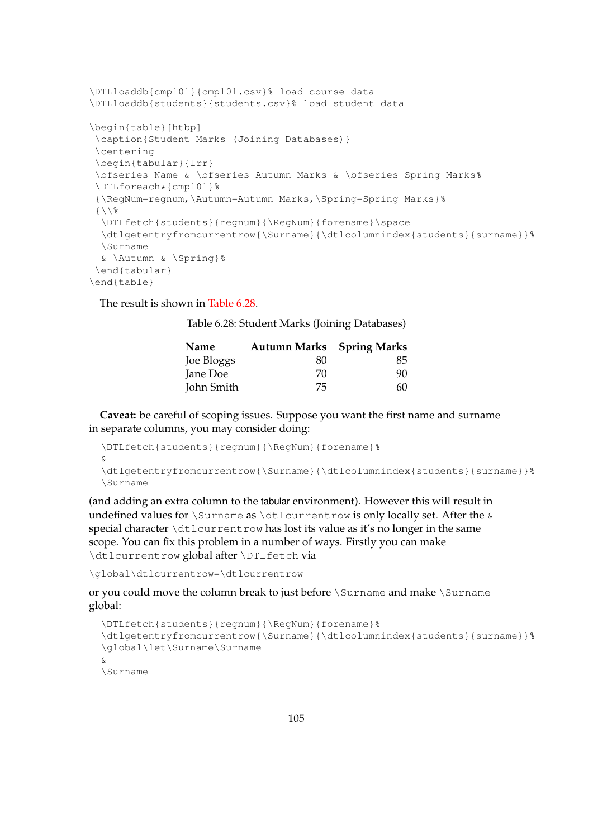```
\DTLloaddb{cmp101}{cmp101.csv}% load course data
\DTLloaddb{students}{students.csv}% load student data
\begin{table}[htbp]
 \caption{Student Marks (Joining Databases)}
 \centering
\begin{tabular}{lrr}
\bfseries Name & \bfseries Autumn Marks & \bfseries Spring Marks%
 \DTLforeach*{cmp101}%
 {\RegNum=regnum,\Autumn=Autumn Marks,\Spring=Spring Marks}%
 {\{\ \ }{\}\}\DTLfetch{students}{regnum}{\RegNum}{forename}\space
 \dtlgetentryfromcurrentrow{\Surname}{\dtlcolumnindex{students}{surname}}%
 \Surname
 & \Autumn & \Spring}%
 \end{tabular}
\end{table}
```
<span id="page-113-0"></span>The result is shown in [Table 6.28.](#page-113-0)

Table 6.28: Student Marks (Joining Databases)

| Name       | <b>Autumn Marks</b> Spring Marks |    |  |
|------------|----------------------------------|----|--|
| Joe Bloggs | 80                               | 85 |  |
| Jane Doe   | 70                               | 90 |  |
| John Smith | 75                               | 60 |  |

**Caveat:** be careful of scoping issues. Suppose you want the first name and surname in separate columns, you may consider doing:

```
\DTLfetch{students}{regnum}{\RegNum}{forename}%
&
\dtlgetentryfromcurrentrow{\Surname}{\dtlcolumnindex{students}{surname}}%
\Surname
```
(and adding an extra column to the tabular environment). However this will result in undefined values for \Surname as \dtlcurrentrow is only locally set. After the  $\&$ special character \dtlcurrentrow has lost its value as it's no longer in the same scope. You can fix this problem in a number of ways. Firstly you can make \dtlcurrentrow global after \DTLfetch via

\global\dtlcurrentrow=\dtlcurrentrow

or you could move the column break to just before \Surname and make \Surname global:

```
\DTLfetch{students}{regnum}{\RegNum}{forename}%
\dtlgetentryfromcurrentrow{\Surname}{\dtlcolumnindex{students}{surname}}%
\global\let\Surname\Surname
&
\Surname
```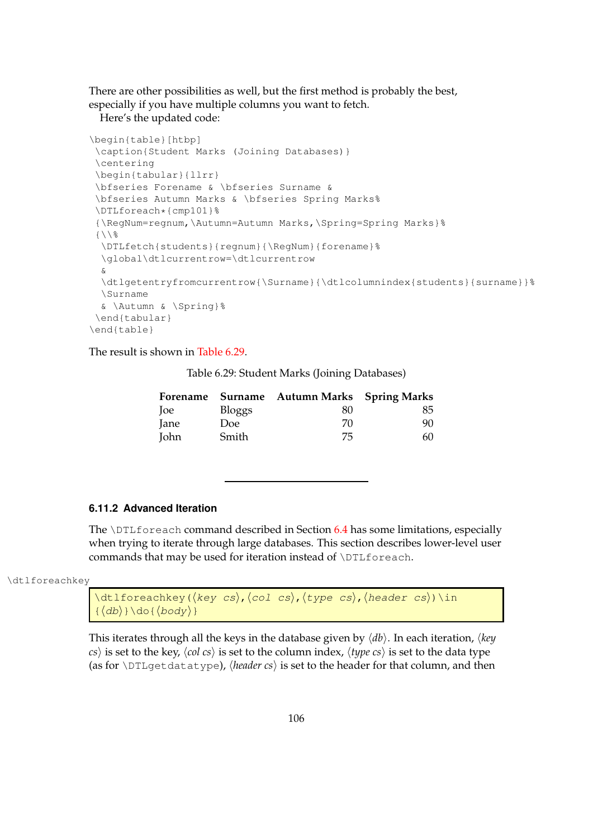There are other possibilities as well, but the first method is probably the best, especially if you have multiple columns you want to fetch.

Here's the updated code:

```
\begin{table}[htbp]
 \caption{Student Marks (Joining Databases)}
 \centering
 \begin{tabular}{llrr}
 \bfseries Forename & \bfseries Surname &
 \bfseries Autumn Marks & \bfseries Spring Marks%
 \DTLforeach*{cmp101}%
 {\RegNum=regnum,\Autumn=Autumn Marks,\Spring=Spring Marks}%
 \{\ \ \ \ \ \ \ \ \\DTLfetch{students}{regnum}{\RegNum}{forename}%
 \global\dtlcurrentrow=\dtlcurrentrow
 &
 \dtlgetentryfromcurrentrow{\Surname}{\dtlcolumnindex{students}{surname}}%
 \Surname
 & \Autumn & \Spring}%
 \end{tabular}
\end{table}
```
<span id="page-114-0"></span>The result is shown in [Table 6.29.](#page-114-0)

Table 6.29: Student Marks (Joining Databases)

|             |               | Forename Surname Autumn Marks Spring Marks |    |
|-------------|---------------|--------------------------------------------|----|
| loe         | <b>Bloggs</b> | 80                                         | 85 |
| Jane        | Doe:          | 70                                         | 90 |
| <b>John</b> | Smith         | 75                                         | 60 |

## **6.11.2 Advanced Iteration**

The  $\D$ ILforeach command described in Section [6.4](#page-64-0) has some limitations, especially when trying to iterate through large databases. This section describes lower-level user commands that may be used for iteration instead of \DTLforeach.

\dtlforeachkey

```
\left\{ \Delta \cdot \frac{1}{\det\{ \frac{f}{f}\right\} } \right\} (key cs), \left\{ \frac{c}{h}\right\}, \left\{ \frac{f}{f}\right\} (header cs)) \sinh\left( \frac{f}{f}\right)\{\langle db \rangle\} \setminusdo\{\langle body \rangle\}
```
This iterates through all the keys in the database given by  $\langle db \rangle$ . In each iteration,  $\langle key \rangle$  $\langle cs \rangle$  is set to the key,  $\langle col \; cs \rangle$  is set to the column index,  $\langle type \; cs \rangle$  is set to the data type (as for  $\D{DTL}$ getdatatype), *{header cs}* is set to the header for that column, and then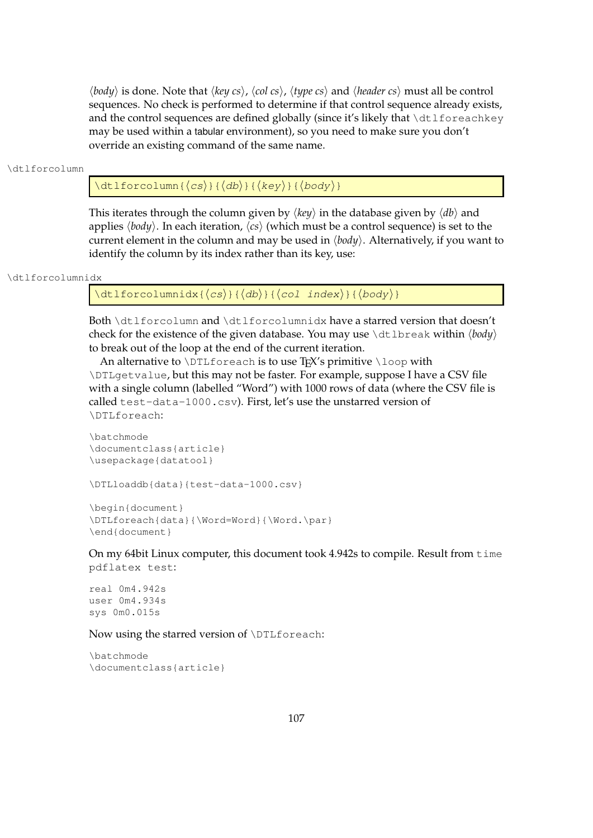$\langle body \rangle$  is done. Note that  $\langle key \, cs \rangle$ ,  $\langle col \, cs \rangle$ ,  $\langle type \, cs \rangle$  and  $\langle header \, cs \rangle$  must all be control sequences. No check is performed to determine if that control sequence already exists, and the control sequences are defined globally (since it's likely that  $\dagger$ dtlforeachkey may be used within a tabular environment), so you need to make sure you don't override an existing command of the same name.

#### \dtlforcolumn

 $\left\{ \det\right\}$  {  $\left\langle \cos\right\rangle$  } {  $\left\langle \det\right\rangle$  } {  $\left\langle \cos\right\rangle$  }

This iterates through the column given by  $\langle \text{key} \rangle$  in the database given by  $\langle \text{db} \rangle$  and applies  $\langle body \rangle$ . In each iteration,  $\langle cs \rangle$  (which must be a control sequence) is set to the current element in the column and may be used in  $\langle body \rangle$ . Alternatively, if you want to identify the column by its index rather than its key, use:

```
\dtlforcolumnidx
```

```
\left\{ \frac{d\tau}{d\sigma} \right\}{\left\{ \frac{d\sigma}{d\sigma} \right\}}{\left\{ \frac{d\sigma}{d\sigma} \right\}}{\left\{ \frac{d\sigma}{d\sigma} \right\}}
```
Both \dtlforcolumn and \dtlforcolumnidx have a starred version that doesn't check for the existence of the given database. You may use \dtlbreak within  $\langle body \rangle$ to break out of the loop at the end of the current iteration.

An alternative to  $\D$ Lforeach is to use TEX's primitive  $\lozenge$ loop with \DTLgetvalue, but this may not be faster. For example, suppose I have a CSV file with a single column (labelled "Word") with 1000 rows of data (where the CSV file is called test-data-1000.csv). First, let's use the unstarred version of \DTLforeach:

```
\batchmode
\documentclass{article}
\usepackage{datatool}
```
\DTLloaddb{data}{test-data-1000.csv}

```
\begin{document}
\DTLforeach{data}{\Word=Word}{\Word.\par}
\end{document}
```
On my 64bit Linux computer, this document took 4.942s to compile. Result from time pdflatex test:

real 0m4.942s user 0m4.934s sys 0m0.015s

Now using the starred version of \DTLforeach:

\batchmode \documentclass{article}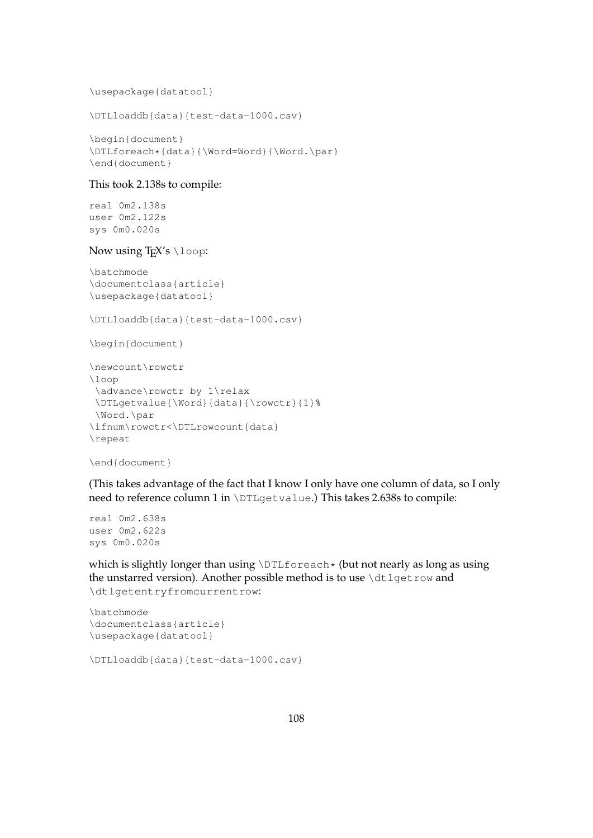\usepackage{datatool}

```
\DTLloaddb{data}{test-data-1000.csv}
```

```
\begin{document}
\DTLforeach*{data}{\Word=Word}{\Word.\par}
\end{document}
```
## This took 2.138s to compile:

real 0m2.138s user 0m2.122s sys 0m0.020s

## Now using T<sub>E</sub>X's \loop:

```
\batchmode
\documentclass{article}
\usepackage{datatool}
```

```
\DTLloaddb{data}{test-data-1000.csv}
```

```
\begin{document}
```

```
\newcount\rowctr
\loop
 \advance\rowctr by 1\relax
\DTLgetvalue{\Word}{data}{\rowctr}{1}%
\Word.\par
\ifnum\rowctr<\DTLrowcount{data}
\repeat
```

```
\end{document}
```
(This takes advantage of the fact that I know I only have one column of data, so I only need to reference column 1 in \DTLgetvalue.) This takes 2.638s to compile:

```
real 0m2.638s
user 0m2.622s
sys 0m0.020s
```
which is slightly longer than using \DTLforeach\* (but not nearly as long as using the unstarred version). Another possible method is to use  $\text{dtlqetrow}$  and \dtlgetentryfromcurrentrow:

```
\batchmode
\documentclass{article}
\usepackage{datatool}
```

```
\DTLloaddb{data}{test-data-1000.csv}
```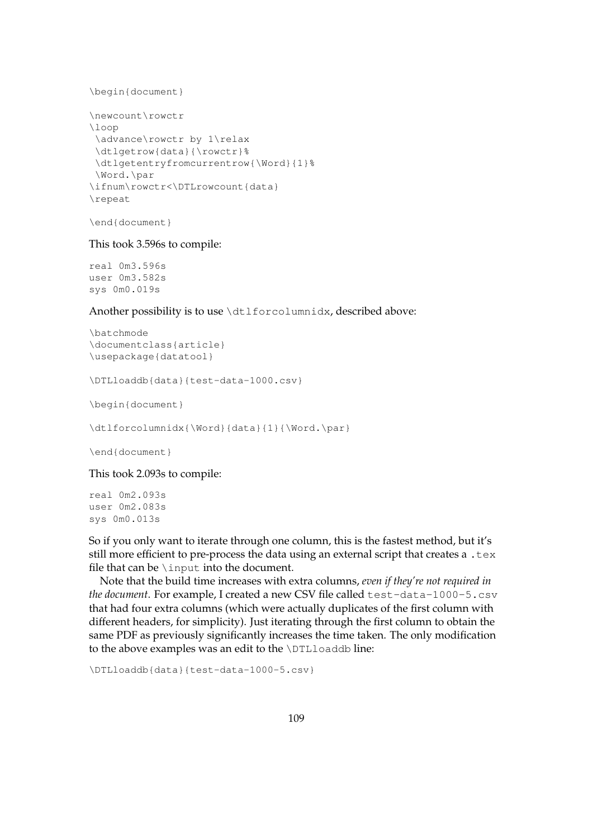```
\begin{document}
```

```
\newcount\rowctr
\loop
\advance\rowctr by 1\relax
\dtlgetrow{data}{\rowctr}%
\dtlgetentryfromcurrentrow{\Word}{1}%
\Word.\par
\ifnum\rowctr<\DTLrowcount{data}
\repeat
```
\end{document}

This took 3.596s to compile:

real 0m3.596s user 0m3.582s sys 0m0.019s

Another possibility is to use \dtlforcolumnidx, described above:

```
\batchmode
\documentclass{article}
\usepackage{datatool}
```
\DTLloaddb{data}{test-data-1000.csv}

\begin{document}

\dtlforcolumnidx{\Word}{data}{1}{\Word.\par}

\end{document}

This took 2.093s to compile:

real 0m2.093s user 0m2.083s sys 0m0.013s

So if you only want to iterate through one column, this is the fastest method, but it's still more efficient to pre-process the data using an external script that creates a .tex file that can be  $\infty$  input into the document.

Note that the build time increases with extra columns, *even if they're not required in the document*. For example, I created a new CSV file called test-data-1000-5.csv that had four extra columns (which were actually duplicates of the first column with different headers, for simplicity). Just iterating through the first column to obtain the same PDF as previously significantly increases the time taken. The only modification to the above examples was an edit to the \DTLloaddb line:

\DTLloaddb{data}{test-data-1000-5.csv}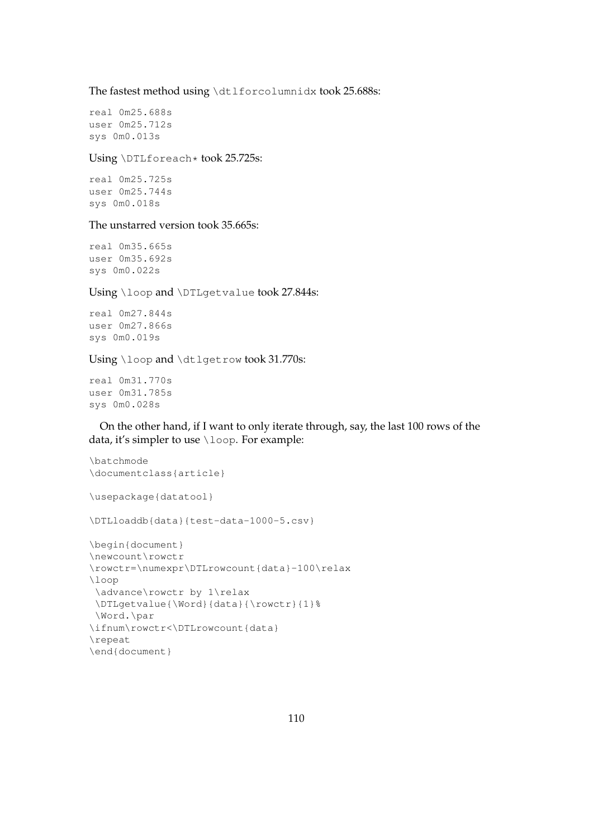The fastest method using \dtlforcolumnidx took 25.688s:

real 0m25.688s user 0m25.712s sys 0m0.013s

Using \DTLforeach\* took 25.725s:

real 0m25.725s user 0m25.744s sys 0m0.018s

#### The unstarred version took 35.665s:

real 0m35.665s user 0m35.692s sys 0m0.022s

Using \loop and \DTLgetvalue took 27.844s:

real 0m27.844s user 0m27.866s sys 0m0.019s

Using \loop and \dtlgetrow took 31.770s:

real 0m31.770s user 0m31.785s sys 0m0.028s

On the other hand, if I want to only iterate through, say, the last 100 rows of the data, it's simpler to use \loop. For example:

```
\batchmode
\documentclass{article}
\usepackage{datatool}
\DTLloaddb{data}{test-data-1000-5.csv}
\begin{document}
\newcount\rowctr
\rowctr=\numexpr\DTLrowcount{data}-100\relax
\loop
 \advance\rowctr by 1\relax
 \DTLgetvalue{\Word}{data}{\rowctr}{1}%
\Word.\par
\ifnum\rowctr<\DTLrowcount{data}
\repeat
\end{document}
```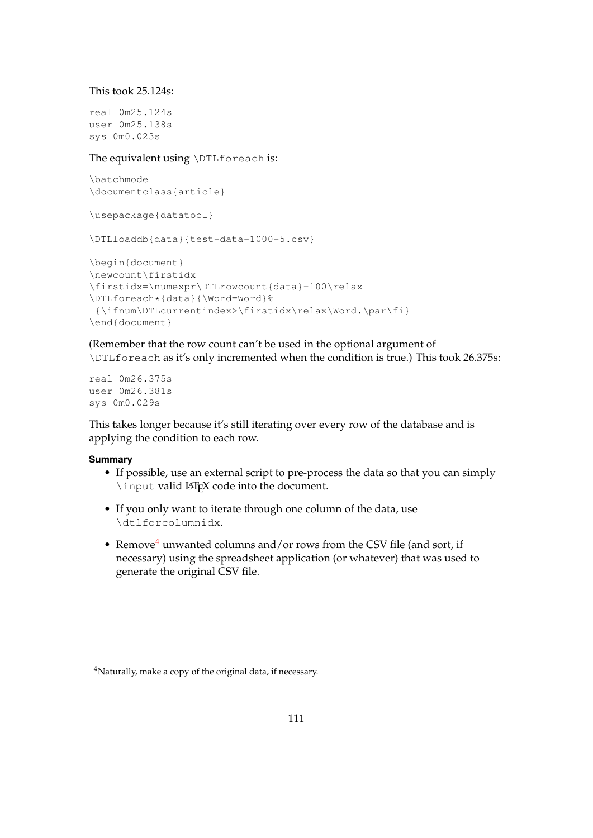This took 25.124s:

real 0m25.124s user 0m25.138s sys 0m0.023s

The equivalent using \DTLforeach is:

\batchmode \documentclass{article}

\usepackage{datatool}

\DTLloaddb{data}{test-data-1000-5.csv}

```
\begin{document}
\newcount\firstidx
\firstidx=\numexpr\DTLrowcount{data}-100\relax
\DTLforeach*{data}{\Word=Word}%
{\ifnum\DTLcurrentindex>\firstidx\relax\Word.\par\fi}
\end{document}
```
(Remember that the row count can't be used in the optional argument of \DTLforeach as it's only incremented when the condition is true.) This took 26.375s:

real 0m26.375s user 0m26.381s sys 0m0.029s

This takes longer because it's still iterating over every row of the database and is applying the condition to each row.

## **Summary**

- If possible, use an external script to pre-process the data so that you can simply \input valid LATEX code into the document.
- If you only want to iterate through one column of the data, use \dtlforcolumnidx.
- Remove<sup>[4](#page-119-0)</sup> unwanted columns and/or rows from the CSV file (and sort, if necessary) using the spreadsheet application (or whatever) that was used to generate the original CSV file.

<span id="page-119-0"></span><sup>4</sup>Naturally, make a copy of the original data, if necessary.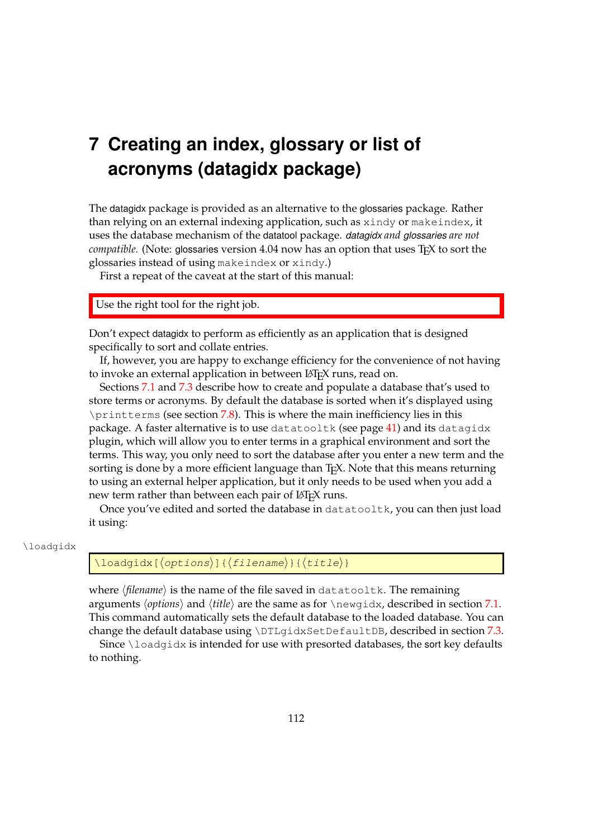# **7 Creating an index, glossary or list of acronyms (datagidx package)**

The datagidx package is provided as an alternative to the glossaries package. Rather than relying on an external indexing application, such as xindy or makeindex, it uses the database mechanism of the datatool package. *datagidx and glossaries are not compatible.* (Note: glossaries version 4.04 now has an option that uses T<sub>E</sub>X to sort the glossaries instead of using makeindex or xindy.)

First a repeat of the caveat at the start of this manual:

Use the right tool for the right job.

Don't expect datagidx to perform as efficiently as an application that is designed specifically to sort and collate entries.

If, however, you are happy to exchange efficiency for the convenience of not having to invoke an external application in between LATEX runs, read on.

Sections [7.1](#page-121-0) and [7.3](#page-123-0) describe how to create and populate a database that's used to store terms or acronyms. By default the database is sorted when it's displayed using \printterms (see section [7.8\)](#page-140-0). This is where the main inefficiency lies in this package. A faster alternative is to use datatooltk (see page [41\)](#page-49-0) and its datagidx plugin, which will allow you to enter terms in a graphical environment and sort the terms. This way, you only need to sort the database after you enter a new term and the sorting is done by a more efficient language than T<sub>E</sub>X. Note that this means returning to using an external helper application, but it only needs to be used when you add a new term rather than between each pair of LATEX runs.

Once you've edited and sorted the database in datatooltk, you can then just load it using:

#### \loadgidx

# $\ldots$  \loadqidx[ $\langle$ options}]{ $\langle$ filename}}{ $\langle$ title}}

where  $\langle$ *filename* $\rangle$  is the name of the file saved in datatooltk. The remaining arguments  $\langle options \rangle$  and  $\langle title \rangle$  are the same as for  $\langle newqidx \rangle$ , described in section [7.1.](#page-121-0) This command automatically sets the default database to the loaded database. You can change the default database using \DTLgidxSetDefaultDB, described in section [7.3.](#page-123-0) Since  $\ldots$  and  $q$  is intended for use with presorted databases, the sort key defaults

to nothing.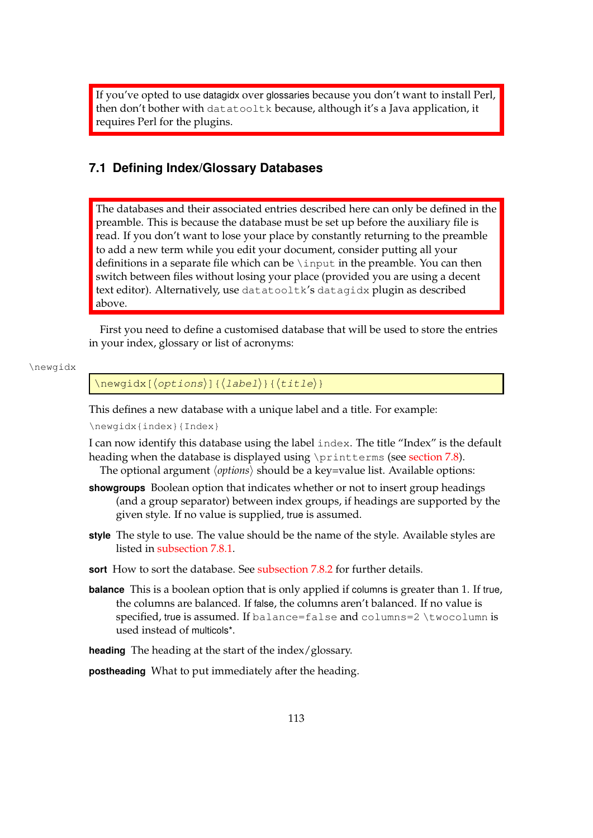If you've opted to use datagidx over glossaries because you don't want to install Perl, then don't bother with datatooltk because, although it's a Java application, it requires Perl for the plugins.

# <span id="page-121-0"></span>**7.1 Defining Index/Glossary Databases**

The databases and their associated entries described here can only be defined in the preamble. This is because the database must be set up before the auxiliary file is read. If you don't want to lose your place by constantly returning to the preamble to add a new term while you edit your document, consider putting all your definitions in a separate file which can be  $\infty$  input in the preamble. You can then switch between files without losing your place (provided you are using a decent text editor). Alternatively, use datatooltk's datagidx plugin as described above.

First you need to define a customised database that will be used to store the entries in your index, glossary or list of acronyms:

\newgidx

 $\langle$ newgidx[ $\langle$ options $\rangle$ ]{ $\langle$ label $\rangle$ }{ $\langle$ title $\rangle$ }

This defines a new database with a unique label and a title. For example:

\newgidx{index}{Index}

I can now identify this database using the label index. The title "Index" is the default heading when the database is displayed using \printterms (see [section 7.8\)](#page-140-0). The optional argument  $\langle options \rangle$  should be a key=value list. Available options:

- **showgroups** Boolean option that indicates whether or not to insert group headings (and a group separator) between index groups, if headings are supported by the given style. If no value is supplied, true is assumed.
- **style** The style to use. The value should be the name of the style. Available styles are listed in [subsection 7.8.1.](#page-142-0)
- **sort** How to sort the database. See [subsection 7.8.2](#page-144-0) for further details.
- **balance** This is a boolean option that is only applied if columns is greater than 1. If true, the columns are balanced. If false, the columns aren't balanced. If no value is specified, true is assumed. If balance=false and columns=2 \twocolumn is used instead of multicols\*.

**heading** The heading at the start of the index/glossary.

**postheading** What to put immediately after the heading.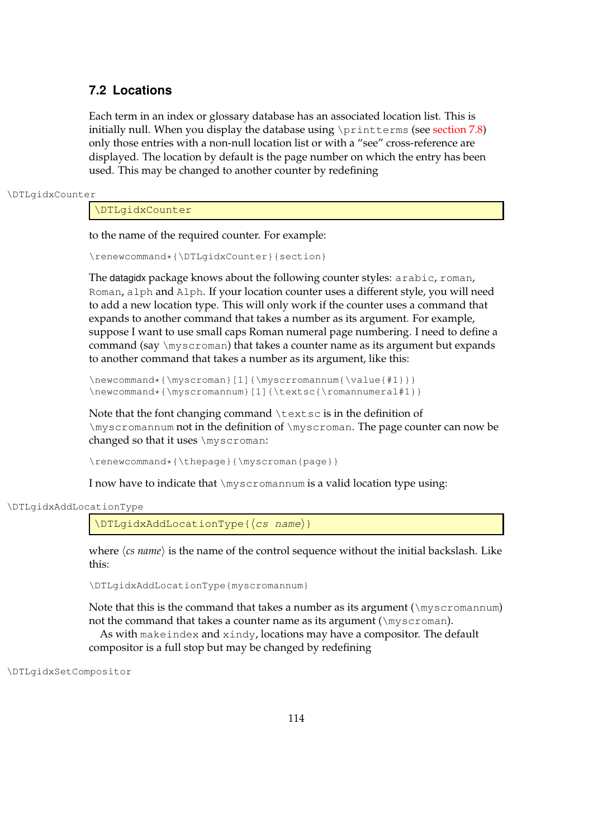# **7.2 Locations**

Each term in an index or glossary database has an associated location list. This is initially null. When you display the database using \printterms (see [section 7.8\)](#page-140-0) only those entries with a non-null location list or with a "see" cross-reference are displayed. The location by default is the page number on which the entry has been used. This may be changed to another counter by redefining

\DTLgidxCounter

\DTLgidxCounter

to the name of the required counter. For example:

\renewcommand\*{\DTLgidxCounter}{section}

The datagidx package knows about the following counter styles: arabic, roman, Roman, alph and Alph. If your location counter uses a different style, you will need to add a new location type. This will only work if the counter uses a command that expands to another command that takes a number as its argument. For example, suppose I want to use small caps Roman numeral page numbering. I need to define a command (say \myscroman) that takes a counter name as its argument but expands to another command that takes a number as its argument, like this:

\newcommand\*{\myscroman}[1]{\myscrromannum{\value{#1}}} \newcommand\*{\myscromannum}[1]{\textsc{\romannumeral#1}}

Note that the font changing command \textsc is in the definition of \myscromannum not in the definition of \myscroman. The page counter can now be changed so that it uses \myscroman:

\renewcommand\*{\thepage}{\myscroman{page}}

I now have to indicate that \myscromannum is a valid location type using:

\DTLgidxAddLocationType

\DTLgidxAddLocationType{(cs name)}

where  $\langle$ *cs name* $\rangle$  is the name of the control sequence without the initial backslash. Like this:

\DTLgidxAddLocationType{myscromannum}

Note that this is the command that takes a number as its argument  $(\mu s)^T$  ( $\mu s$ ) not the command that takes a counter name as its argument ( $\m$ yscroman). As with makeindex and xindy, locations may have a compositor. The default compositor is a full stop but may be changed by redefining

\DTLgidxSetCompositor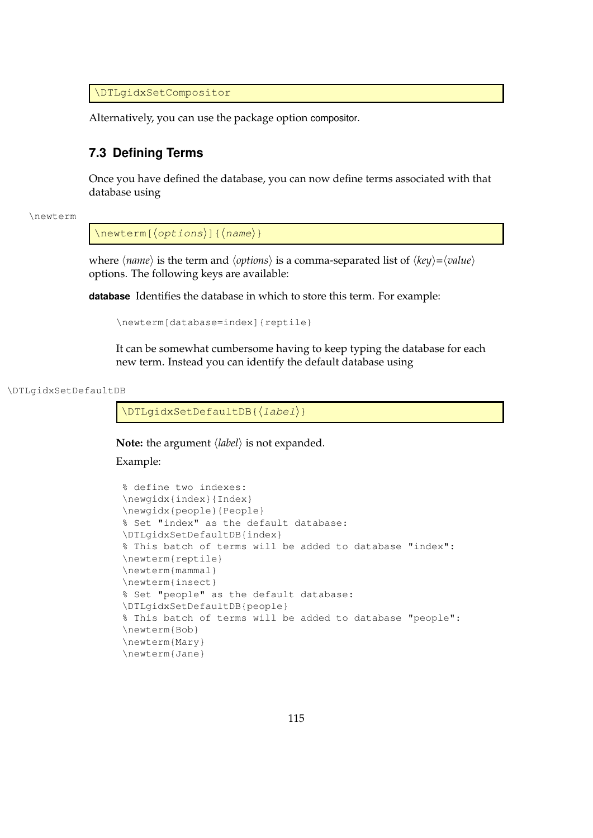\DTLgidxSetCompositor

Alternatively, you can use the package option compositor.

## <span id="page-123-0"></span>**7.3 Defining Terms**

Once you have defined the database, you can now define terms associated with that database using

\newterm

 $\langle$ newterm[ $\langle$ options}]{ $\langle$ name}}

*where*  $\langle name \rangle$  *is the term and*  $\langle options \rangle$  *is a comma-separated list of*  $\langle key \rangle = \langle value \rangle$ options. The following keys are available:

**database** Identifies the database in which to store this term. For example:

```
\newterm[database=index]{reptile}
```
It can be somewhat cumbersome having to keep typing the database for each new term. Instead you can identify the default database using

\DTLgidxSetDefaultDB

\DTLqidxSetDefaultDB{(label)}

**Note:** the argument  $\langle label \rangle$  is not expanded.

Example:

```
% define two indexes:
\newgidx{index}{Index}
\newgidx{people}{People}
% Set "index" as the default database:
\DTLgidxSetDefaultDB{index}
% This batch of terms will be added to database "index":
\newterm{reptile}
\newterm{mammal}
\newterm{insect}
% Set "people" as the default database:
\DTLgidxSetDefaultDB{people}
% This batch of terms will be added to database "people":
\newterm{Bob}
\newterm{Mary}
\newterm{Jane}
```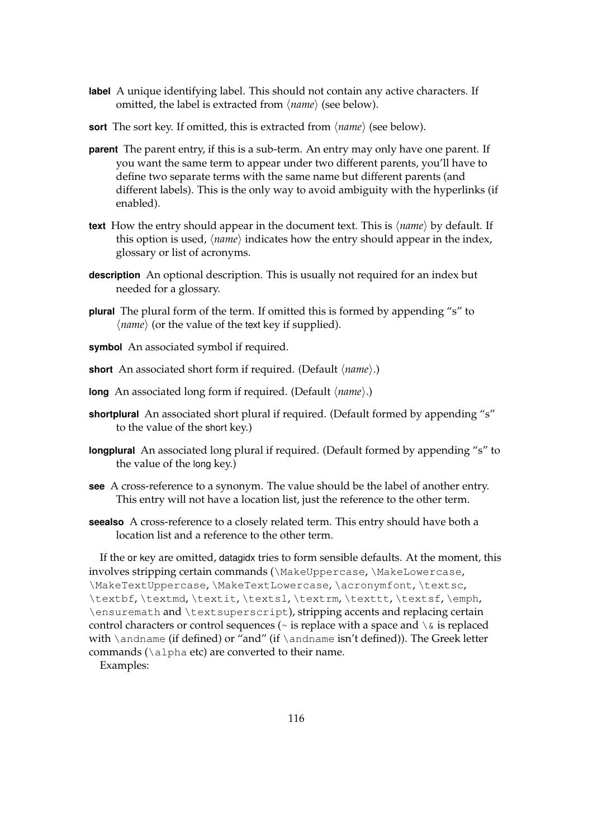- **label** A unique identifying label. This should not contain any active characters. If omitted, the label is extracted from  $\langle name \rangle$  (see below).
- **sort** The sort key. If omitted, this is extracted from  $\langle name \rangle$  (see below).
- **parent** The parent entry, if this is a sub-term. An entry may only have one parent. If you want the same term to appear under two different parents, you'll have to define two separate terms with the same name but different parents (and different labels). This is the only way to avoid ambiguity with the hyperlinks (if enabled).
- **text** How the entry should appear in the document text. This is  $\langle name \rangle$  by default. If this option is used,  $\langle name \rangle$  indicates how the entry should appear in the index, glossary or list of acronyms.
- **description** An optional description. This is usually not required for an index but needed for a glossary.
- **plural** The plural form of the term. If omitted this is formed by appending "s" to  $\langle name \rangle$  (or the value of the text key if supplied).
- **symbol** An associated symbol if required.
- **short** An associated short form if required. (Default  $\langle name \rangle$ .)
- long An associated long form if required. (Default  $\langle name \rangle$ .)
- **shortplural** An associated short plural if required. (Default formed by appending "s" to the value of the short key.)
- **longplural** An associated long plural if required. (Default formed by appending "s" to the value of the long key.)
- **see** A cross-reference to a synonym. The value should be the label of another entry. This entry will not have a location list, just the reference to the other term.
- **seealso** A cross-reference to a closely related term. This entry should have both a location list and a reference to the other term.

If the or key are omitted, datagidx tries to form sensible defaults. At the moment, this involves stripping certain commands (\MakeUppercase, \MakeLowercase, \MakeTextUppercase, \MakeTextLowercase, \acronymfont, \textsc, \textbf, \textmd, \textit, \textsl, \textrm, \texttt, \textsf, \emph, \ensuremath and \textsuperscript), stripping accents and replacing certain control characters or control sequences ( $\sim$  is replace with a space and  $\setminus \&$  is replaced with \andname (if defined) or "and" (if \andname isn't defined)). The Greek letter commands (\alpha etc) are converted to their name.

Examples: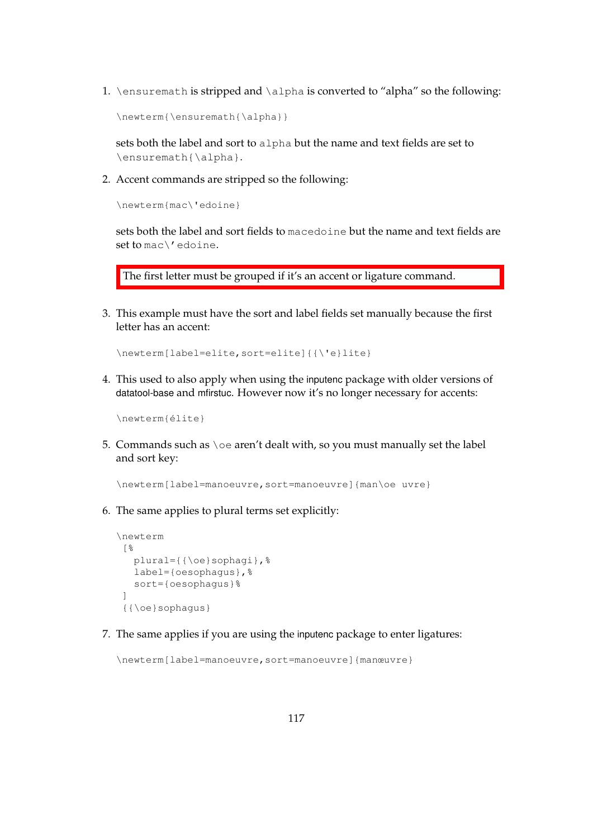1. \ensuremath is stripped and \alpha is converted to "alpha" so the following:

\newterm{\ensuremath{\alpha}}

sets both the label and sort to alpha but the name and text fields are set to \ensuremath{\alpha}.

2. Accent commands are stripped so the following:

\newterm{mac\'edoine}

sets both the label and sort fields to macedoine but the name and text fields are set to mac\'edoine.

The first letter must be grouped if it's an accent or ligature command.

3. This example must have the sort and label fields set manually because the first letter has an accent:

```
\newterm[label=elite,sort=elite]{{\'e}lite}
```
4. This used to also apply when using the inputenc package with older versions of datatool-base and mfirstuc. However now it's no longer necessary for accents:

```
\newterm{élite}
```
5. Commands such as \oe aren't dealt with, so you must manually set the label and sort key:

\newterm[label=manoeuvre,sort=manoeuvre]{man\oe uvre}

6. The same applies to plural terms set explicitly:

```
\newterm
 [%
  plural={{\oe}sophagi},%
  label={oesophagus},%
  sort={oesophagus}%
 ]
 {{\oe}sophagus}
```
7. The same applies if you are using the inputenc package to enter ligatures:

\newterm[label=manoeuvre,sort=manoeuvre]{manœuvre}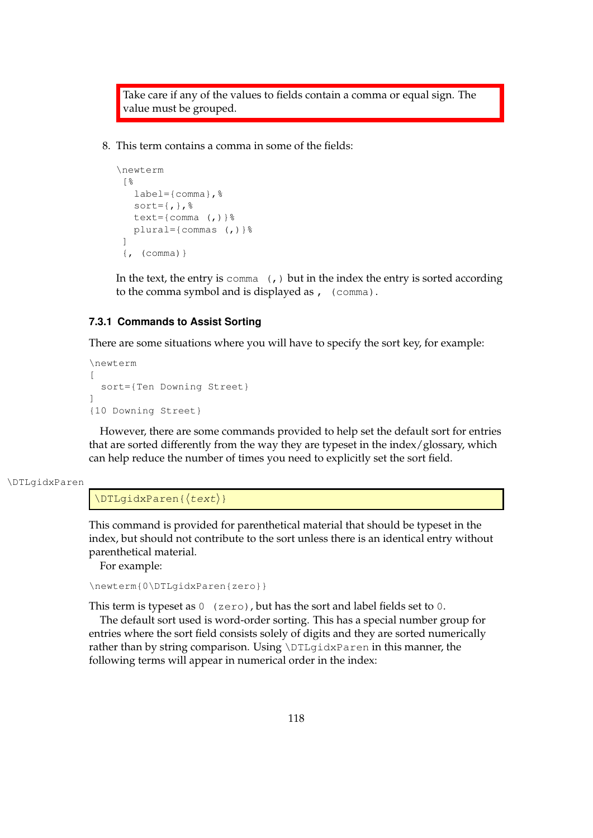Take care if any of the values to fields contain a comma or equal sign. The value must be grouped.

8. This term contains a comma in some of the fields:

```
\newterm
[%
   label={comma}, %sort=\{,\}, \}text={comma (,)}%
  plural={commas (,)}%
 ]
 \{, (comma) \}
```
In the text, the entry is  $\text{comm}_{(t)}$  but in the index the entry is sorted according to the comma symbol and is displayed as , (comma).

## **7.3.1 Commands to Assist Sorting**

There are some situations where you will have to specify the sort key, for example:

```
\newterm
\Gammasort={Ten Downing Street}
]
{10 Downing Street}
```
However, there are some commands provided to help set the default sort for entries that are sorted differently from the way they are typeset in the index/glossary, which can help reduce the number of times you need to explicitly set the sort field.

```
\DTLgidxParen
```
#### $\Delta$ PTLqidxParen{ $\langle test \rangle$ }

This command is provided for parenthetical material that should be typeset in the index, but should not contribute to the sort unless there is an identical entry without parenthetical material.

For example:

```
\newterm{0\DTLgidxParen{zero}}
```
This term is typeset as  $0$  (zero), but has the sort and label fields set to 0.

The default sort used is word-order sorting. This has a special number group for entries where the sort field consists solely of digits and they are sorted numerically rather than by string comparison. Using \DTLgidxParen in this manner, the following terms will appear in numerical order in the index: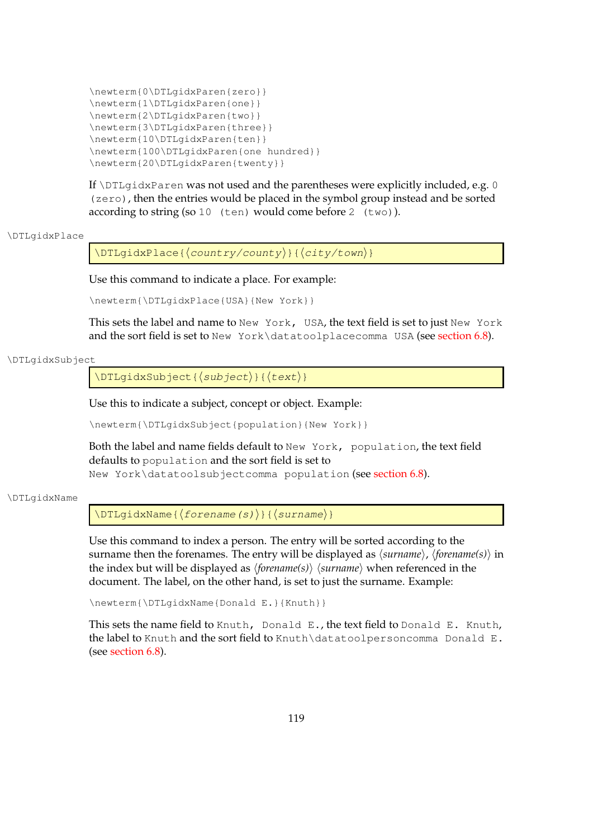```
\newterm{0\DTLgidxParen{zero}}
\newterm{1\DTLgidxParen{one}}
\newterm{2\DTLgidxParen{two}}
\newterm{3\DTLgidxParen{three}}
\newterm{10\DTLgidxParen{ten}}
\newterm{100\DTLgidxParen{one hundred}}
\newterm{20\DTLgidxParen{twenty}}
```
If  $\D$ ILgidxParen was not used and the parentheses were explicitly included, e.g. 0 (zero), then the entries would be placed in the symbol group instead and be sorted according to string (so 10 (ten) would come before 2 (two)).

#### \DTLgidxPlace

\DTLgidxPlace{hcountry/countyi}{hcity/towni}

Use this command to indicate a place. For example:

\newterm{\DTLgidxPlace{USA}{New York}}

This sets the label and name to New York, USA, the text field is set to just New York and the sort field is set to New York\datatoolplacecomma USA (see [section 6.8\)](#page-90-0).

#### \DTLgidxSubject

 $\DTLgidxSubject({subject})({text}$ 

Use this to indicate a subject, concept or object. Example:

\newterm{\DTLgidxSubject{population}{New York}}

Both the label and name fields default to New York, population, the text field defaults to population and the sort field is set to New York\datatoolsubjectcomma population (see [section 6.8\)](#page-90-0).

#### \DTLgidxName

 $\DTLgidxName({forename(s)})({surname})$ 

Use this command to index a person. The entry will be sorted according to the surname then the forenames. The entry will be displayed as  $\langle$ *surname* $\rangle$ ,  $\langle$ *forename* $\langle s \rangle$  in the index but will be displayed as  $\langle$  *forename*(s) $\rangle$   $\langle$  *surname* $\rangle$  when referenced in the document. The label, on the other hand, is set to just the surname. Example:

\newterm{\DTLgidxName{Donald E.}{Knuth}}

This sets the name field to Knuth, Donald E., the text field to Donald E. Knuth, the label to Knuth and the sort field to Knuth\datatoolpersoncomma Donald E. (see [section 6.8\)](#page-90-0).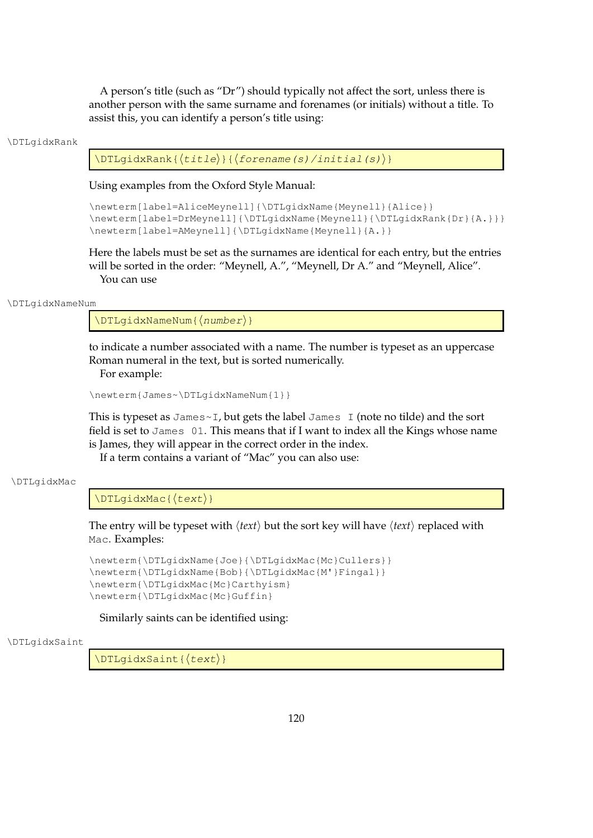A person's title (such as "Dr") should typically not affect the sort, unless there is another person with the same surname and forenames (or initials) without a title. To assist this, you can identify a person's title using:

#### \DTLgidxRank

 $\Delta$ DTLgidxRank{ $\langle$ title $\rangle$ }{ $\langle$ forename(s)/initial(s)}}

Using examples from the Oxford Style Manual:

```
\newterm[label=AliceMeynell]{\DTLgidxName{Meynell}{Alice}}
\newterm[label=DrMeynell]{\DTLgidxName{Meynell}{\DTLgidxRank{Dr}{A.}}}
\newterm[label=AMeynell]{\DTLgidxName{Meynell}{A.}}
```
Here the labels must be set as the surnames are identical for each entry, but the entries will be sorted in the order: "Meynell, A.", "Meynell, Dr A." and "Meynell, Alice". You can use

#### \DTLgidxNameNum

 $\DTLqidxNameNum({number})$ 

to indicate a number associated with a name. The number is typeset as an uppercase Roman numeral in the text, but is sorted numerically. For example:

```
\newterm{James~\DTLgidxNameNum{1}}
```
This is typeset as James $\sim$ I, but gets the label James I (note no tilde) and the sort field is set to James 01. This means that if I want to index all the Kings whose name is James, they will appear in the correct order in the index.

If a term contains a variant of "Mac" you can also use:

#### \DTLgidxMac

 $\Delta$ XMac{ $\langle test\rangle$ }

The entry will be typeset with  $\langle text \rangle$  but the sort key will have  $\langle text \rangle$  replaced with Mac. Examples:

```
\newterm{\DTLgidxName{Joe}{\DTLgidxMac{Mc}Cullers}}
\newterm{\DTLgidxName{Bob}{\DTLgidxMac{M'}Fingal}}
\newterm{\DTLgidxMac{Mc}Carthyism}
\newterm{\DTLgidxMac{Mc}Guffin}
```
Similarly saints can be identified using:

#### \DTLgidxSaint

 $\Delta$ Saint{ $\langle test\rangle$ }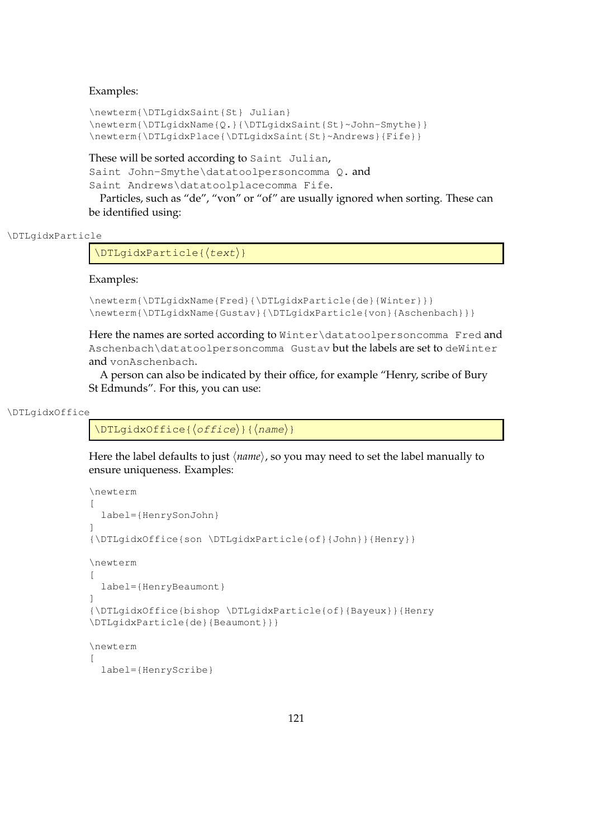## Examples:

```
\newterm{\DTLgidxSaint{St} Julian}
\newterm{\DTLgidxName{Q.}{\DTLgidxSaint{St}~John-Smythe}}
\newterm{\DTLgidxPlace{\DTLgidxSaint{St}~Andrews}{Fife}}
```
These will be sorted according to Saint Julian, Saint John-Smythe\datatoolpersoncomma Q. and Saint Andrews\datatoolplacecomma Fife.

Particles, such as "de", "von" or "of" are usually ignored when sorting. These can be identified using:

```
\DTLgidxParticle
```
 $\Delta$ PTLgidxParticle{ $\langle test \rangle$ }

## Examples:

```
\newterm{\DTLgidxName{Fred}{\DTLgidxParticle{de}{Winter}}}
\newterm{\DTLgidxName{Gustav}{\DTLgidxParticle{von}{Aschenbach}}}
```
Here the names are sorted according to Winter\datatoolpersoncomma Fred and Aschenbach\datatoolpersoncomma Gustav but the labels are set to deWinter and vonAschenbach.

A person can also be indicated by their office, for example "Henry, scribe of Bury St Edmunds". For this, you can use:

#### \DTLgidxOffice

 $\DTLgidxOfface({office}) {\langle name\rangle}$ 

Here the label defaults to just  $\langle name \rangle$ , so you may need to set the label manually to ensure uniqueness. Examples:

```
\newterm
\lceillabel={HenrySonJohn}
]
{\DTLgidxOffice{son \DTLgidxParticle{of}{John}}{Henry}}
\newterm
\sqrt{2}label={HenryBeaumont}
\begin{array}{c} \rule{0pt}{2.5ex} \rule{0pt}{2.5ex} \rule{0pt}{2.5ex} \rule{0pt}{2.5ex} \rule{0pt}{2.5ex} \rule{0pt}{2.5ex} \rule{0pt}{2.5ex} \rule{0pt}{2.5ex} \rule{0pt}{2.5ex} \rule{0pt}{2.5ex} \rule{0pt}{2.5ex} \rule{0pt}{2.5ex} \rule{0pt}{2.5ex} \rule{0pt}{2.5ex} \rule{0pt}{2.5ex} \rule{0pt}{2.5ex} \rule{0pt}{2.5ex} \rule{0pt}{2.5ex} \rule{0pt}{2.5ex} \rule{0{\DTLgidxOffice{bishop \DTLgidxParticle{of}{Bayeux}}{Henry
\DTLgidxParticle{de}{Beaumont}}}
\newterm
\sqrt{2}label={HenryScribe}
```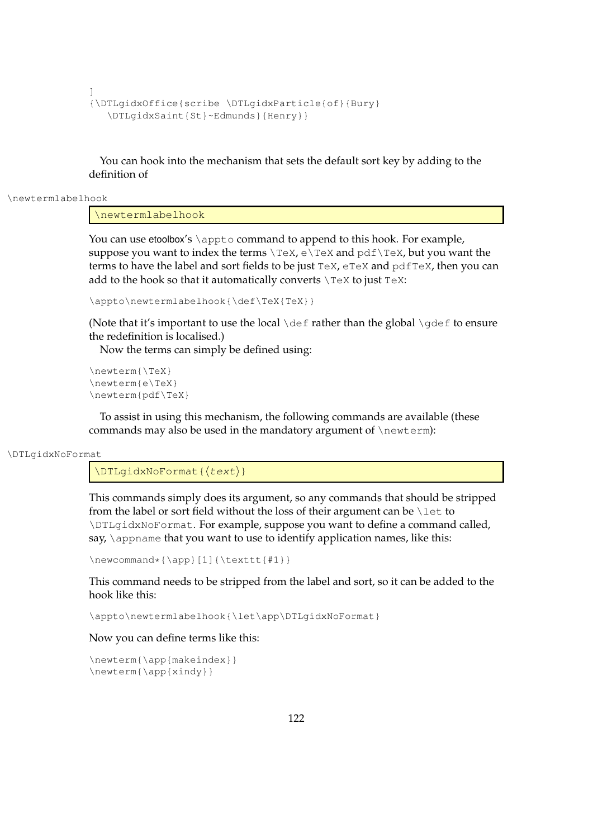```
]
{\DTLgidxOffice{scribe \DTLgidxParticle{of}{Bury}
  \DTLgidxSaint{St}~Edmunds}{Henry}}
```
You can hook into the mechanism that sets the default sort key by adding to the definition of

\newtermlabelhook

\newtermlabelhook

You can use etoolbox's \appto command to append to this hook. For example, suppose you want to index the terms  $\Tex$ ,  $e\TeX$  and  $pdf\TeX$ , but you want the terms to have the label and sort fields to be just TeX, eTeX and pdfTeX, then you can add to the hook so that it automatically converts  $\Gamma$ eX to just TeX:

```
\appto\newtermlabelhook{\def\TeX{TeX}}
```
(Note that it's important to use the local  $\det$  rather than the global  $\det$  to ensure the redefinition is localised.)

Now the terms can simply be defined using:

```
\newterm{\TeX}
\newterm{e\TeX}
\newterm{pdf\TeX}
```
To assist in using this mechanism, the following commands are available (these commands may also be used in the mandatory argument of \newterm):

```
\DTLgidxNoFormat
```
 $\Delta$ DTLqidxNoFormat{ $\langle test\rangle$ }

This commands simply does its argument, so any commands that should be stripped from the label or sort field without the loss of their argument can be \let to \DTLgidxNoFormat. For example, suppose you want to define a command called, say, *\appname that you want to use to identify application names, like this:* 

\newcommand\*{\app}[1]{\texttt{#1}}

This command needs to be stripped from the label and sort, so it can be added to the hook like this:

\appto\newtermlabelhook{\let\app\DTLgidxNoFormat}

Now you can define terms like this:

```
\newterm{\app{makeindex}}
\newterm{\app{xindy}}
```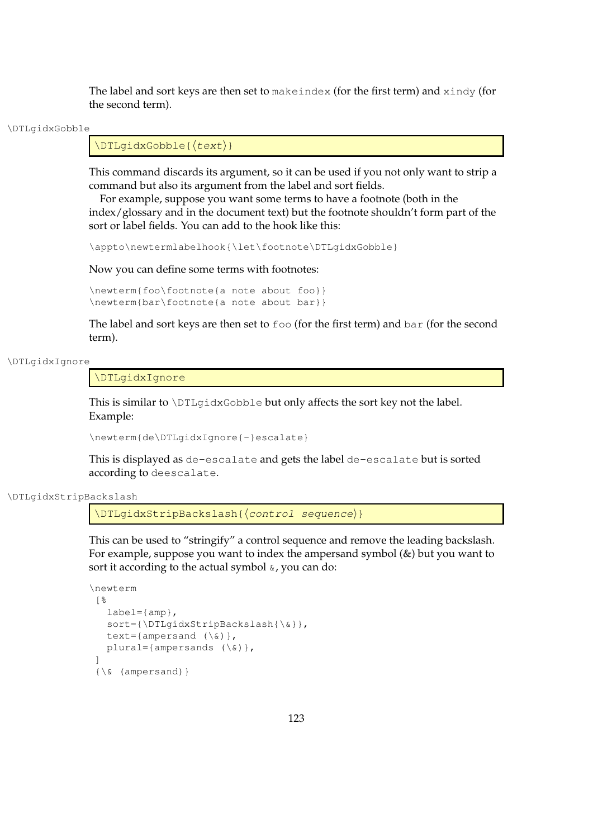The label and sort keys are then set to make index (for the first term) and  $x$  indy (for the second term).

\DTLgidxGobble

 $\Delta\text{Cobble}$ 

This command discards its argument, so it can be used if you not only want to strip a command but also its argument from the label and sort fields.

For example, suppose you want some terms to have a footnote (both in the index/glossary and in the document text) but the footnote shouldn't form part of the sort or label fields. You can add to the hook like this:

\appto\newtermlabelhook{\let\footnote\DTLgidxGobble}

Now you can define some terms with footnotes:

```
\newterm{foo\footnote{a note about foo}}
\newterm{bar\footnote{a note about bar}}
```
The label and sort keys are then set to foo (for the first term) and bar (for the second term).

#### \DTLgidxIgnore

\DTLgidxIgnore

This is similar to  $DTLqidxGobble$  but only affects the sort key not the label. Example:

\newterm{de\DTLgidxIgnore{-}escalate}

This is displayed as de-escalate and gets the label de-escalate but is sorted according to deescalate.

\DTLgidxStripBackslash

\DTLqidxStripBackslash{(control sequence)}

This can be used to "stringify" a control sequence and remove the leading backslash. For example, suppose you want to index the ampersand symbol (&) but you want to sort it according to the actual symbol  $\alpha$ , you can do:

```
\newterm
 [%
   label={amp;amp;}sort={\DTLgidxStripBackslash{\&}},
   text={ampersand (\setminus \&) },
   plural={ampersands (\forall x) },
 ]
 \{\&\ (ampersand)\}
```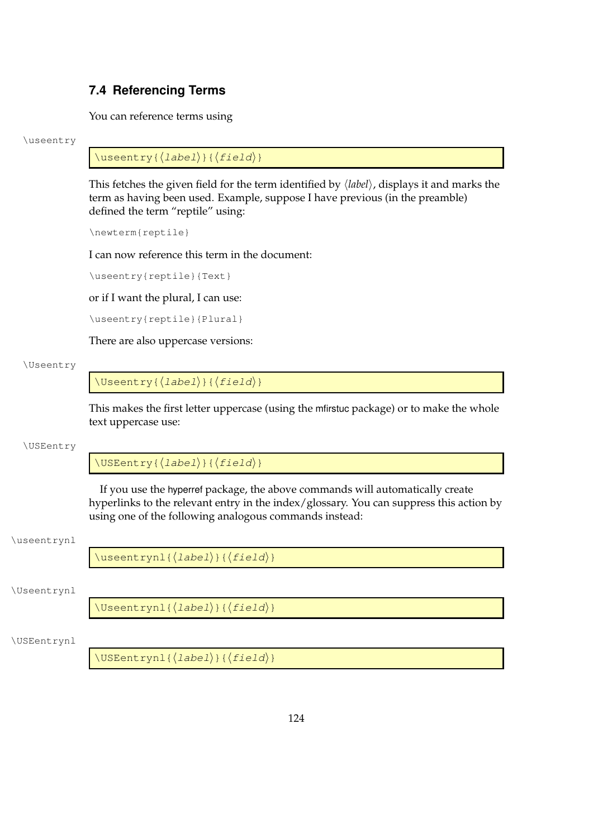# **7.4 Referencing Terms**

You can reference terms using

## \useentry

 $\{\text{useentry}(\text{label}\}$  {  $\{\text{field}\}$ }

This fetches the given field for the term identified by  $\langle label \rangle$ , displays it and marks the term as having been used. Example, suppose I have previous (in the preamble) defined the term "reptile" using:

\newterm{reptile}

I can now reference this term in the document:

\useentry{reptile}{Text}

or if I want the plural, I can use:

\useentry{reptile}{Plural}

There are also uppercase versions:

## \Useentry

 $\Upsilon$ Useentry{ $\langle$ label}}{ $\langle$ field}}

This makes the first letter uppercase (using the mfirstuc package) or to make the whole text uppercase use:

## \USEentry

 $\Upsilon$ USEentry{ $\langle$ label}}{ $\langle$ field}}

If you use the hyperref package, the above commands will automatically create hyperlinks to the relevant entry in the index/glossary. You can suppress this action by using one of the following analogous commands instead:

## \useentrynl

 $\langle$ useentrynl{ $\langle$ *label*}}{ $\langle$ *field*}}

## \Useentrynl

 $\Upsilon$ Useentrynl{ $\langle$ *label*}}{ $\langle$ *field*}}

## \USEentrynl

 $\Upsilon$ USEentrynl{ $\langle$ *label*}}{ $\langle$ *field*}}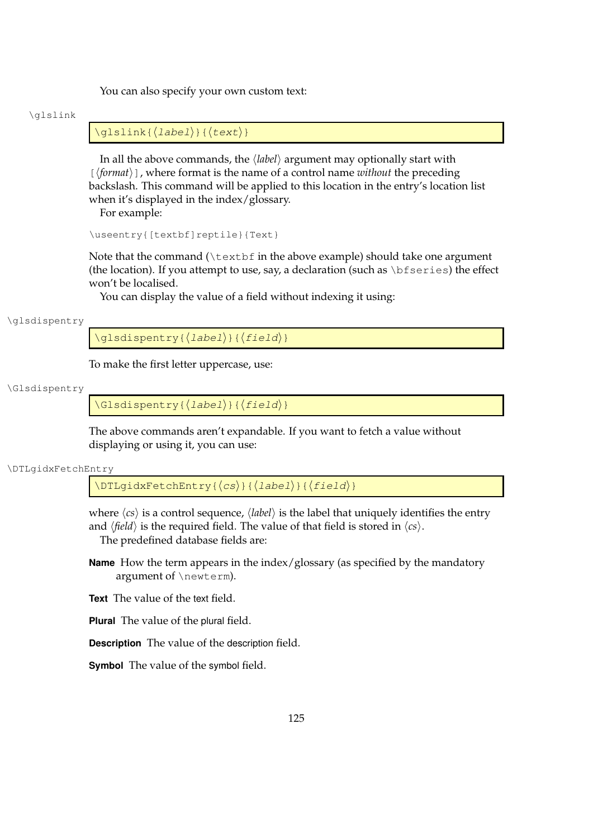You can also specify your own custom text:

#### \glslink

## $\qquad\{label\}$  \glslink{ $\langle$ *label*}}{ $\langle$ *text*}}

In all the above commands, the  $\langle label \rangle$  argument may optionally start with  $[\langle format \rangle]$ , where format is the name of a control name *without* the preceding backslash. This command will be applied to this location in the entry's location list when it's displayed in the index/glossary.

For example:

```
\useentry{[textbf]reptile}{Text}
```
Note that the command  $(\text{text of in the above example})$  should take one argument (the location). If you attempt to use, say, a declaration (such as  $\bf \delta$ ) the effect won't be localised.

You can display the value of a field without indexing it using:

\glsdispentry

 $\gtrsim$ glsdispentry{ $\langle$ label $\rangle$ }{ $\langle$ field $\rangle$ }

To make the first letter uppercase, use:

#### \Glsdispentry

 $\langle Glsdispentry{\langle label\rangle}{\langle field\rangle}$ 

The above commands aren't expandable. If you want to fetch a value without displaying or using it, you can use:

\DTLgidxFetchEntry

 $\Delta$ DTLgidxFetchEntry{ $\langle cs \rangle$ }{ $\langle label \rangle$ }{ $\langle field \rangle$ }

where  $\langle cs \rangle$  is a control sequence,  $\langle label \rangle$  is the label that uniquely identifies the entry and  $\langle field \rangle$  is the required field. The value of that field is stored in  $\langle cs \rangle$ . The predefined database fields are:

**Name** How the term appears in the index/glossary (as specified by the mandatory argument of \newterm).

**Text** The value of the text field.

**Plural** The value of the plural field.

**Description** The value of the description field.

**Symbol** The value of the symbol field.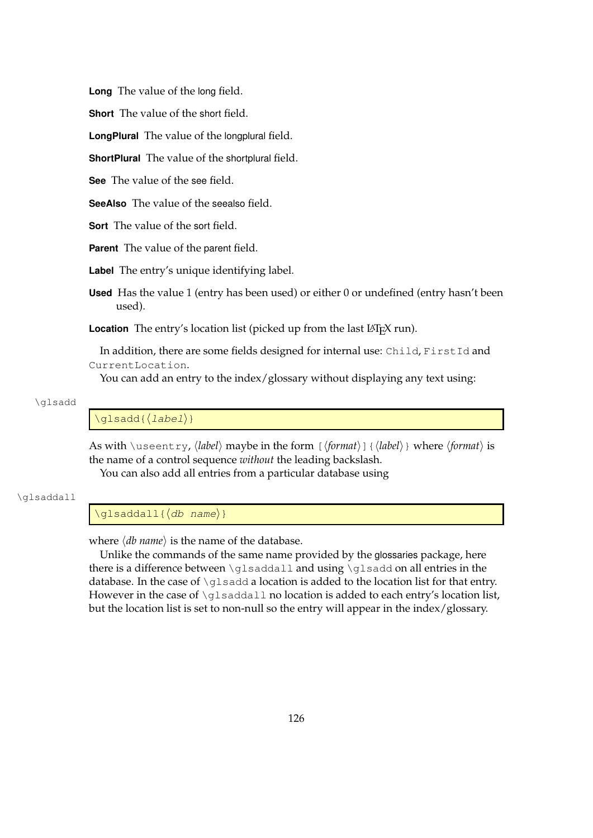**Long** The value of the long field.

**Short** The value of the short field.

**LongPlural** The value of the longplural field.

**ShortPlural** The value of the shortplural field.

**See** The value of the see field.

**SeeAlso** The value of the seealso field.

**Sort** The value of the sort field.

**Parent** The value of the parent field.

**Label** The entry's unique identifying label.

**Used** Has the value 1 (entry has been used) or either 0 or undefined (entry hasn't been used).

Location The entry's location list (picked up from the last L<sup>AT</sup>EX run).

In addition, there are some fields designed for internal use: Child, FirstId and CurrentLocation.

You can add an entry to the index/glossary without displaying any text using:

#### \glsadd

\glsadd{hlabeli}

As with \useentry,  $\langle label \rangle$  maybe in the form  $[\langle format \rangle]$  { $\langle label \rangle$ } where  $\langle format \rangle$  is the name of a control sequence *without* the leading backslash.

You can also add all entries from a particular database using

#### \glsaddall

 $\qquad \qquad \qquad \langle db \text{ name} \rangle$ 

where  $\langle db \text{ name} \rangle$  is the name of the database.

Unlike the commands of the same name provided by the glossaries package, here there is a difference between \glsaddall and using \glsadd on all entries in the database. In the case of  $\gtrsim$  1 sadd a location is added to the location list for that entry. However in the case of  $\qquad \qquad \text{al}$  no location is added to each entry's location list, but the location list is set to non-null so the entry will appear in the index/glossary.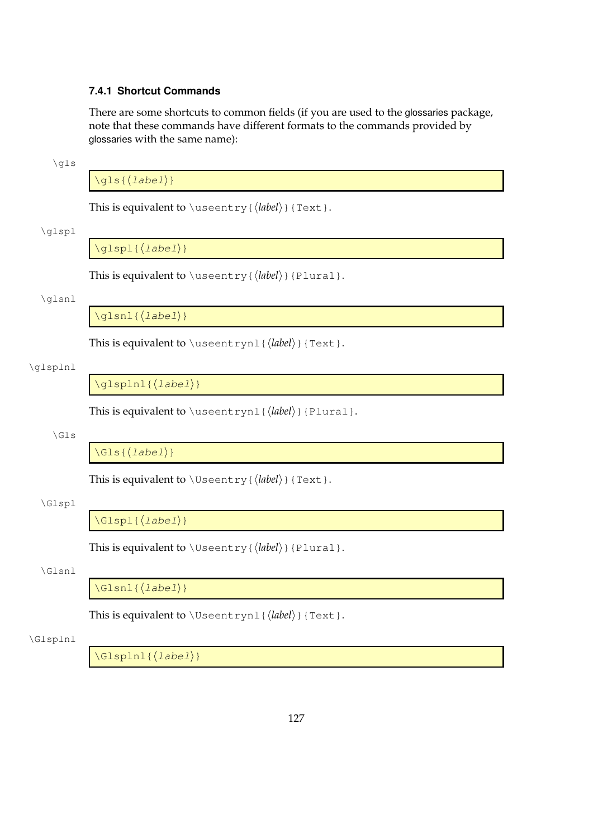## **7.4.1 Shortcut Commands**

There are some shortcuts to common fields (if you are used to the glossaries package, note that these commands have different formats to the commands provided by glossaries with the same name):

\gls

## $\qquad\{label\}$

This is equivalent to  $\text{user}(label})$  {Text}.

#### \glspl

 $\qquadlangle$  [*label*}}

This is equivalent to  $\text{user}( \{ label \} \$  {Plural}.

## \glsnl

 $\qquad$ 

This is equivalent to  $\text{v}_1$ { $\label{li:1}$ }{Text}.

## \glsplnl

 $\gtrsim$ glsplnl{ $\langle$ *label*}}

This is equivalent to \useentrynl{ $\langle$ *label*}}{Plural}.

\Gls

 $\langle\text{cls}\{\text{label}\}\rangle\}$ 

This is equivalent to  $\Upsilon$ seentry{ $\langle$ *label*}}{Text}.

## \Glspl

 $\langle\text{clspl}\{\langle\text{label}\rangle\}$ 

This is equivalent to  $\Upsilon$  seentry {  $\langle$  *label* $\rangle$  } {Plural}.

## \Glsnl

 $\langle\text{Glsnl}\left\langle\text{label}\right\rangle\}$ 

This is equivalent to  $\text{Useentrynl}(label)$  {Text}.

## \Glsplnl

 $\langle Glspln1\{\langle label\rangle\}\rangle$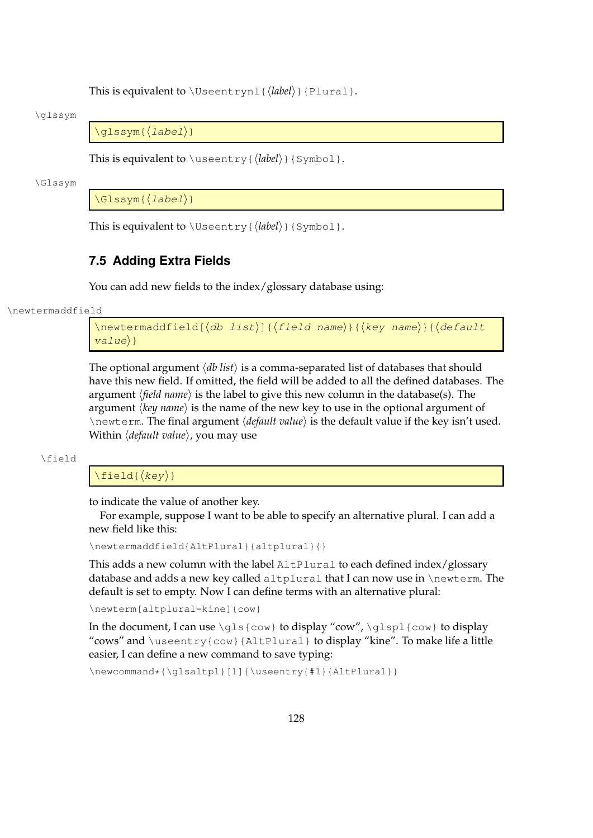This is equivalent to  $\Upsilon$ seentrynl{ $\langle$ *label*}}{Plural}.

#### \glssym

 $\qquadq$ lssym{ $\langle$ *label*}}

This is equivalent to  $\text{user}( \{ \text{label} \} \}$  { Symbol }.

#### \Glssym

 $\langle\text{Glssym}\left\{\langle label\right\rangle\right\}$ 

This is equivalent to  $\Upsilon$ seentry{ $\langle$ *label*}}{Symbol}.

## **7.5 Adding Extra Fields**

You can add new fields to the index/glossary database using:

\newtermaddfield

\newtermaddfield[ $\langle$ *db list*)]{ $\langle$ f*ield name*}}{ $\langle$ *key name*}}{ $\langle$ *default*  $value\rangle$ }

The optional argument  $\langle db \text{ list} \rangle$  is a comma-separated list of databases that should have this new field. If omitted, the field will be added to all the defined databases. The argument *(field name)* is the label to give this new column in the database(s). The argument *(key name)* is the name of the new key to use in the optional argument of \newterm. The final argument *\default value*} is the default value if the key isn't used. Within *(default value)*, you may use

\field

## $\left\{$

to indicate the value of another key.

For example, suppose I want to be able to specify an alternative plural. I can add a new field like this:

\newtermaddfield{AltPlural}{altplural}{}

This adds a new column with the label AltPlural to each defined index/glossary database and adds a new key called altplural that I can now use in \newterm. The default is set to empty. Now I can define terms with an alternative plural:

\newterm[altplural=kine]{cow}

In the document, I can use  $\gtrsim$   $\gtrsim$  to display "cow",  $\gtrsim$   $\gtrsim$  to display "cows" and  $\text{user}(row){\text{AltPlural}}$  to display "kine". To make life a little easier, I can define a new command to save typing:

\newcommand\*{\qlsaltpl}[1]{\useentry{#1}{AltPlural}}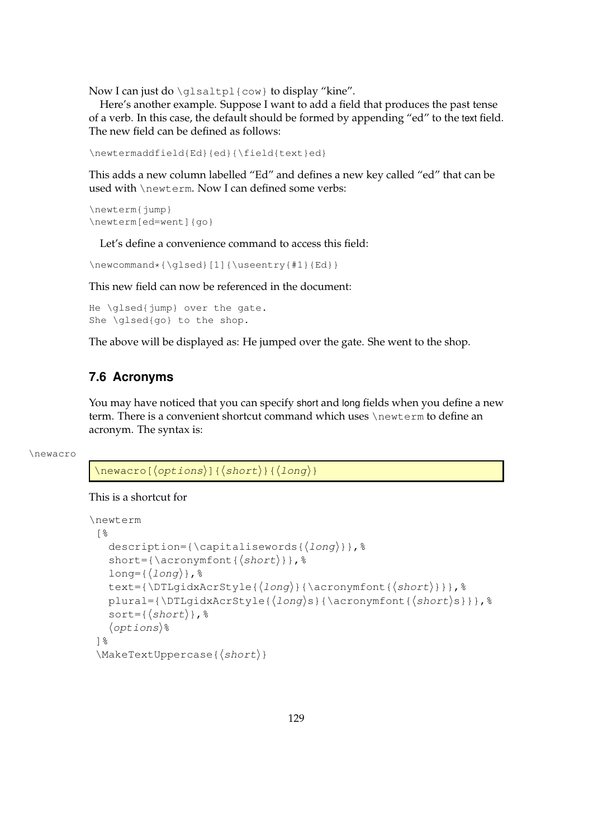Now I can just do \glsaltpl{cow} to display "kine".

Here's another example. Suppose I want to add a field that produces the past tense of a verb. In this case, the default should be formed by appending "ed" to the text field. The new field can be defined as follows:

```
\newtermaddfield{Ed}{ed}{\field{text}ed}
```
This adds a new column labelled "Ed" and defines a new key called "ed" that can be used with \newterm. Now I can defined some verbs:

```
\newterm{jump}
\newterm[ed=went]{go}
```
Let's define a convenience command to access this field:

\newcommand\*{\glsed}[1]{\useentry{#1}{Ed}}

This new field can now be referenced in the document:

```
He \glsed{jump} over the gate.
She \glsed{go} to the shop.
```
The above will be displayed as: He jumped over the gate. She went to the shop.

# **7.6 Acronyms**

You may have noticed that you can specify short and long fields when you define a new term. There is a convenient shortcut command which uses \newterm to define an acronym. The syntax is:

```
\newacro
```
 $\langle$ newacro[ $\langle$ options}]{ $\langle$ short}}{ $\langle$ long}}

## This is a shortcut for

```
\newterm
 [%
   description={\capitalisewords{\langle long \rangle}}, %
   short={\acronymfont{\langle short \rangle}}, %
   long={\langle}long{\rangle}, \}text={\DTLqidxAcrStyle{\{long\}}{\acronymfont{\short}}}, %
   plural={\DTLqidxAcrStyle{longs}{}}{\acronymfont{short}}}, %
   sort={\{short\}},\langleoptions)%
 ]%
 \MakeTextUppercase({\n<i>short</i>})
```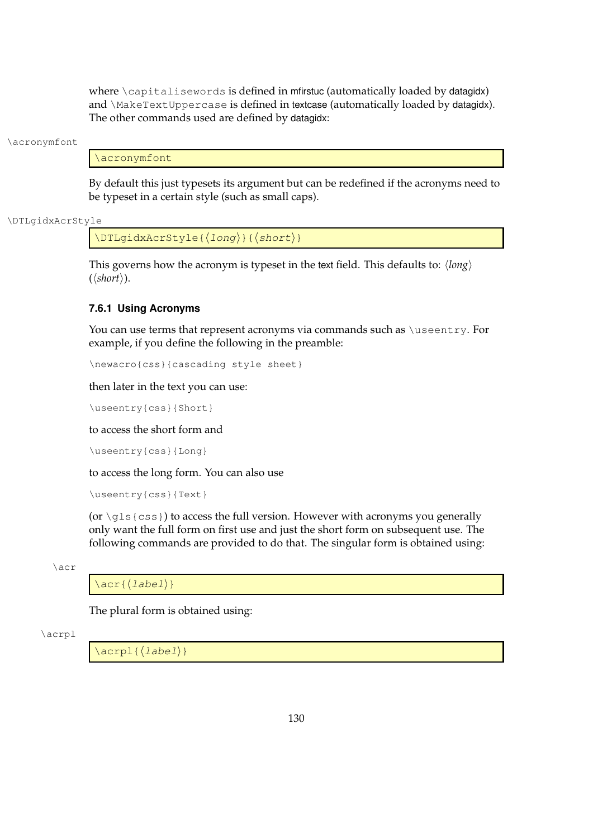where  $\cap$  depitalisewords is defined in mfirstuc (automatically loaded by datagidx) and \MakeTextUppercase is defined in textcase (automatically loaded by datagidx). The other commands used are defined by datagidx:

\acronymfont

\acronymfont

By default this just typesets its argument but can be redefined if the acronyms need to be typeset in a certain style (such as small caps).

\DTLgidxAcrStyle

 $\DTLgidxAcrStyle({long})({short})$ 

This governs how the acronym is typeset in the text field. This defaults to:  $\langle long \rangle$  $(\langle short \rangle).$ 

## **7.6.1 Using Acronyms**

You can use terms that represent acronyms via commands such as *\useentry*. For example, if you define the following in the preamble:

\newacro{css}{cascading style sheet}

then later in the text you can use:

\useentry{css}{Short}

to access the short form and

\useentry{css}{Long}

to access the long form. You can also use

\useentry{css}{Text}

(or  $\gtrsim$ gls $\{css\}$ ) to access the full version. However with acronyms you generally only want the full form on first use and just the short form on subsequent use. The following commands are provided to do that. The singular form is obtained using:

\acr

 $\langle \text{label} \rangle$ 

The plural form is obtained using:

\acrpl

 $\langle |a|$  \acrpl $|d|$ }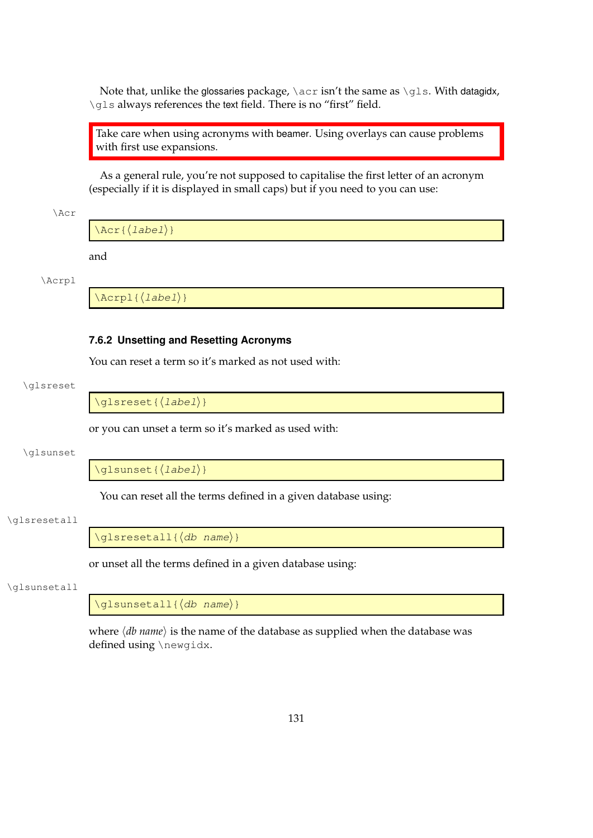Note that, unlike the glossaries package, \acr isn't the same as \gls. With datagidx, \qls always references the text field. There is no "first" field.

Take care when using acronyms with beamer. Using overlays can cause problems with first use expansions.

As a general rule, you're not supposed to capitalise the first letter of an acronym (especially if it is displayed in small caps) but if you need to you can use:

\Acr

 $\text{Acr}\left\{\text{label}\right\}$ 

and

\Acrpl

 $\langle \text{Acrpl}\left\{ \langle \text{label} \right\rangle \}$ 

#### **7.6.2 Unsetting and Resetting Acronyms**

You can reset a term so it's marked as not used with:

#### \glsreset

 $\qquad$ 

or you can unset a term so it's marked as used with:

\glsunset

\glsunset{(label)}

You can reset all the terms defined in a given database using:

#### \glsresetall

 $\gtrsim$ glsresetall{ $\langle db \space name \rangle$ }

or unset all the terms defined in a given database using:

#### \glsunsetall

 $\qquad \qquad \qquad \qquad \qquad \qquad \$ 

where  $\langle db$  *name* $\rangle$  is the name of the database as supplied when the database was defined using \newgidx.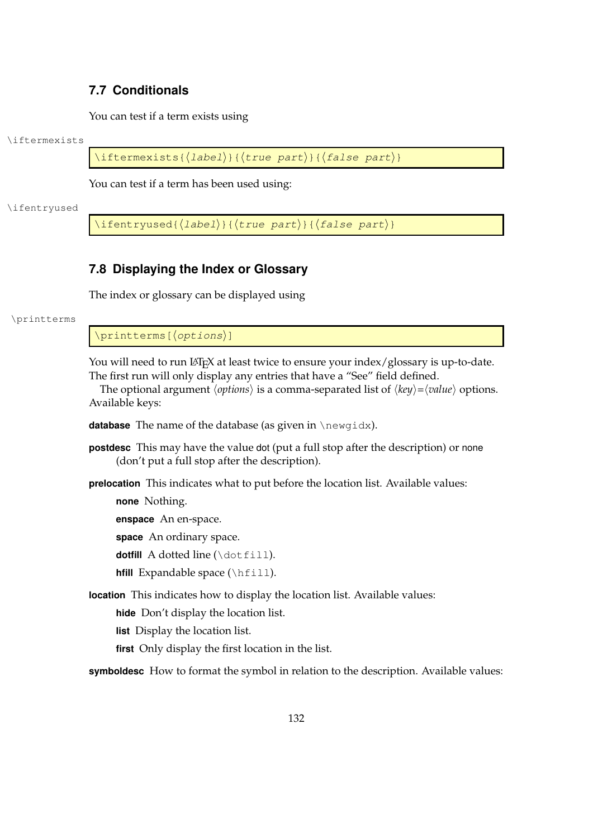# **7.7 Conditionals**

You can test if a term exists using

\iftermexists

\iftermexists{ $\langle$ label $\rangle$ }{ $\langle$ true part $\rangle$ }{ $\langle$ false part $\rangle$ }

You can test if a term has been used using:

\ifentryused

\ifentryused{ $\langle$ label}}{ $\langle$ true part}}{ $\langle$ false part $\rangle$ }

# <span id="page-140-0"></span>**7.8 Displaying the Index or Glossary**

The index or glossary can be displayed using

\printterms

\printterms[(options)]

You will need to run LATEX at least twice to ensure your index/glossary is up-to-date. The first run will only display any entries that have a "See" field defined.

The optional argument  $\langle options \rangle$  is a comma-separated list of  $\langle key \rangle = \langle value \rangle$  options. Available keys:

**database** The name of the database (as given in \newgidx).

- **postdesc** This may have the value dot (put a full stop after the description) or none (don't put a full stop after the description).
- **prelocation** This indicates what to put before the location list. Available values:

**none** Nothing.

**enspace** An en-space.

**space** An ordinary space.

**dotfill** A dotted line (\dotfill).

**hfill** Expandable space (\hfill).

**location** This indicates how to display the location list. Available values:

**hide** Don't display the location list.

**list** Display the location list.

**first** Only display the first location in the list.

**symboldesc** How to format the symbol in relation to the description. Available values: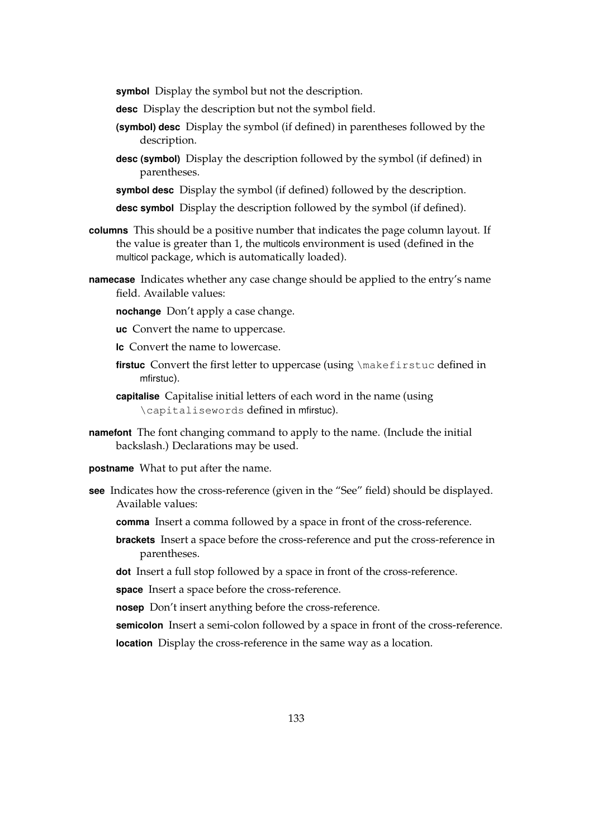**symbol** Display the symbol but not the description.

- **desc** Display the description but not the symbol field.
- **(symbol) desc** Display the symbol (if defined) in parentheses followed by the description.
- **desc (symbol)** Display the description followed by the symbol (if defined) in parentheses.
- **symbol desc** Display the symbol (if defined) followed by the description.
- **desc symbol** Display the description followed by the symbol (if defined).
- **columns** This should be a positive number that indicates the page column layout. If the value is greater than 1, the multicols environment is used (defined in the multicol package, which is automatically loaded).
- **namecase** Indicates whether any case change should be applied to the entry's name field. Available values:
	- **nochange** Don't apply a case change.
	- **uc** Convert the name to uppercase.
	- **lc** Convert the name to lowercase.
	- firstuc Convert the first letter to uppercase (using \makefirstuc defined in mfirstuc).
	- **capitalise** Capitalise initial letters of each word in the name (using \capitalisewords defined in mfirstuc).
- **namefont** The font changing command to apply to the name. (Include the initial backslash.) Declarations may be used.
- **postname** What to put after the name.
- **see** Indicates how the cross-reference (given in the "See" field) should be displayed. Available values:
	- **comma** Insert a comma followed by a space in front of the cross-reference.
	- **brackets** Insert a space before the cross-reference and put the cross-reference in parentheses.
	- **dot** Insert a full stop followed by a space in front of the cross-reference.
	- **space** Insert a space before the cross-reference.
	- **nosep** Don't insert anything before the cross-reference.

**semicolon** Insert a semi-colon followed by a space in front of the cross-reference. **location** Display the cross-reference in the same way as a location.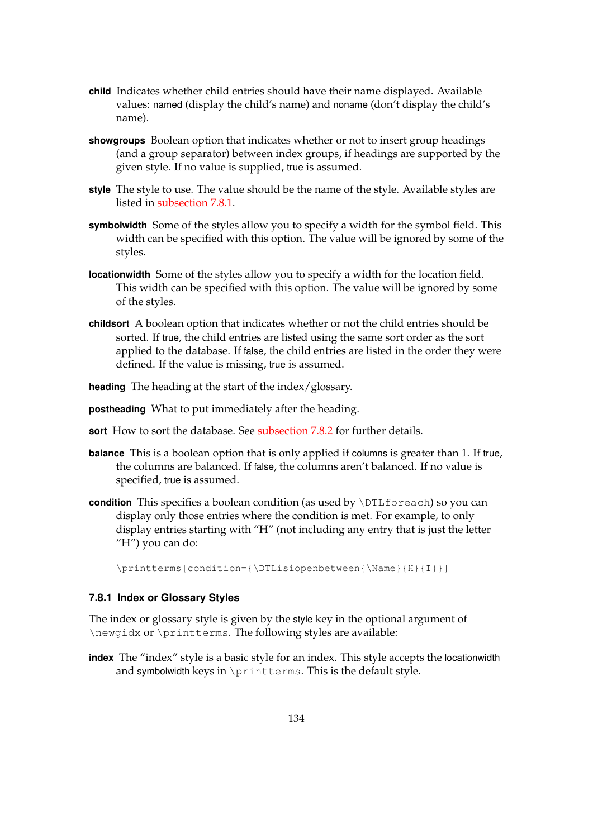- **child** Indicates whether child entries should have their name displayed. Available values: named (display the child's name) and noname (don't display the child's name).
- **showgroups** Boolean option that indicates whether or not to insert group headings (and a group separator) between index groups, if headings are supported by the given style. If no value is supplied, true is assumed.
- **style** The style to use. The value should be the name of the style. Available styles are listed in [subsection 7.8.1.](#page-142-0)
- **symbolwidth** Some of the styles allow you to specify a width for the symbol field. This width can be specified with this option. The value will be ignored by some of the styles.
- **locationwidth** Some of the styles allow you to specify a width for the location field. This width can be specified with this option. The value will be ignored by some of the styles.
- **childsort** A boolean option that indicates whether or not the child entries should be sorted. If true, the child entries are listed using the same sort order as the sort applied to the database. If false, the child entries are listed in the order they were defined. If the value is missing, true is assumed.

**heading** The heading at the start of the index/glossary.

**postheading** What to put immediately after the heading.

- **sort** How to sort the database. See [subsection 7.8.2](#page-144-0) for further details.
- **balance** This is a boolean option that is only applied if columns is greater than 1. If true, the columns are balanced. If false, the columns aren't balanced. If no value is specified, true is assumed.
- **condition** This specifies a boolean condition (as used by \DTLforeach) so you can display only those entries where the condition is met. For example, to only display entries starting with "H" (not including any entry that is just the letter "H") you can do:

\printterms[condition={\DTLisiopenbetween{\Name}{H}{I}}]

## <span id="page-142-0"></span>**7.8.1 Index or Glossary Styles**

The index or glossary style is given by the style key in the optional argument of \newgidx or \printterms. The following styles are available:

**index** The "index" style is a basic style for an index. This style accepts the locationwidth and symbolwidth keys in \printterms. This is the default style.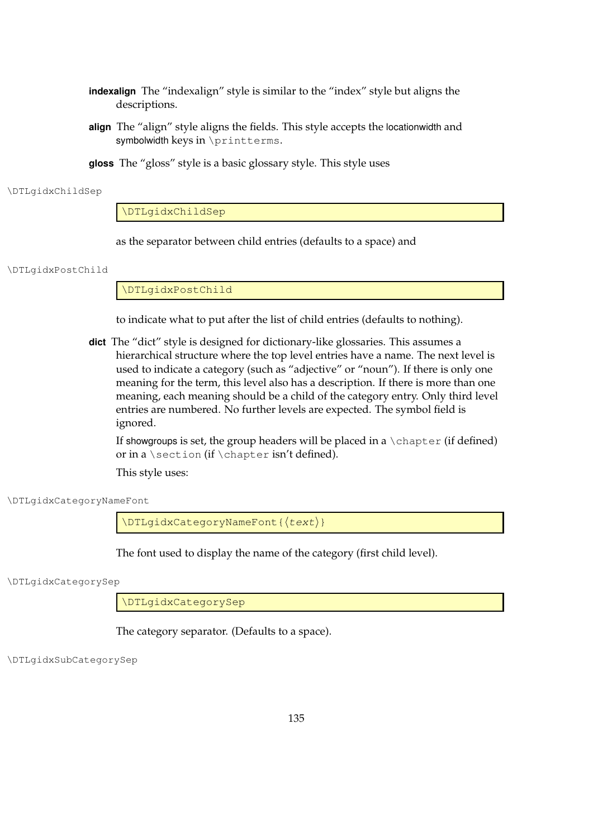- **indexalign** The "indexalign" style is similar to the "index" style but aligns the descriptions.
- **align** The "align" style aligns the fields. This style accepts the locationwidth and symbolwidth keys in \printterms.
- **gloss** The "gloss" style is a basic glossary style. This style uses

#### \DTLgidxChildSep

\DTLgidxChildSep

as the separator between child entries (defaults to a space) and

\DTLgidxPostChild

\DTLgidxPostChild

to indicate what to put after the list of child entries (defaults to nothing).

**dict** The "dict" style is designed for dictionary-like glossaries. This assumes a hierarchical structure where the top level entries have a name. The next level is used to indicate a category (such as "adjective" or "noun"). If there is only one meaning for the term, this level also has a description. If there is more than one meaning, each meaning should be a child of the category entry. Only third level entries are numbered. No further levels are expected. The symbol field is ignored.

If showgroups is set, the group headers will be placed in a  $\lambda$ chapter (if defined) or in a \section (if \chapter isn't defined).

This style uses:

\DTLgidxCategoryNameFont

\DTLgidxCategoryNameFont{(text)}

The font used to display the name of the category (first child level).

\DTLgidxCategorySep

\DTLgidxCategorySep

The category separator. (Defaults to a space).

\DTLgidxSubCategorySep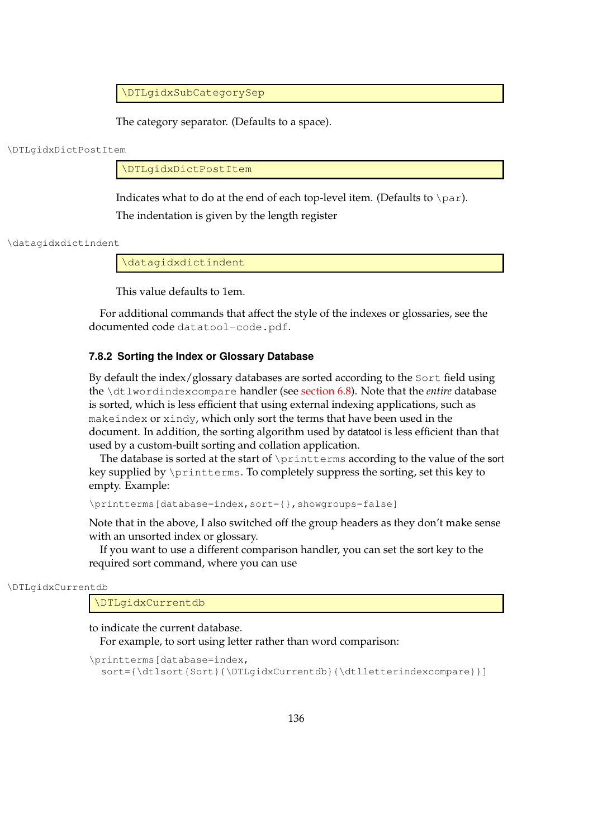\DTLgidxSubCategorySep

The category separator. (Defaults to a space).

\DTLgidxDictPostItem

\DTLgidxDictPostItem

Indicates what to do at the end of each top-level item. (Defaults to \par). The indentation is given by the length register

\datagidxdictindent

\datagidxdictindent

This value defaults to 1em.

For additional commands that affect the style of the indexes or glossaries, see the documented code datatool-code.pdf.

#### **7.8.2 Sorting the Index or Glossary Database**

By default the index/glossary databases are sorted according to the Sort field using the \dtlwordindexcompare handler (see [section 6.8\)](#page-90-0). Note that the *entire* database is sorted, which is less efficient that using external indexing applications, such as makeindex or xindy, which only sort the terms that have been used in the document. In addition, the sorting algorithm used by datatool is less efficient than that used by a custom-built sorting and collation application.

The database is sorted at the start of \printterms according to the value of the sort key supplied by \printterms. To completely suppress the sorting, set this key to empty. Example:

\printterms[database=index,sort={},showgroups=false]

Note that in the above, I also switched off the group headers as they don't make sense with an unsorted index or glossary.

If you want to use a different comparison handler, you can set the sort key to the required sort command, where you can use

\DTLgidxCurrentdb

\DTLgidxCurrentdb

to indicate the current database.

For example, to sort using letter rather than word comparison:

```
\printterms[database=index,
  sort={\dtlsort{Sort}{\DTLgidxCurrentdb}{\dtlletterindexcompare}}]
```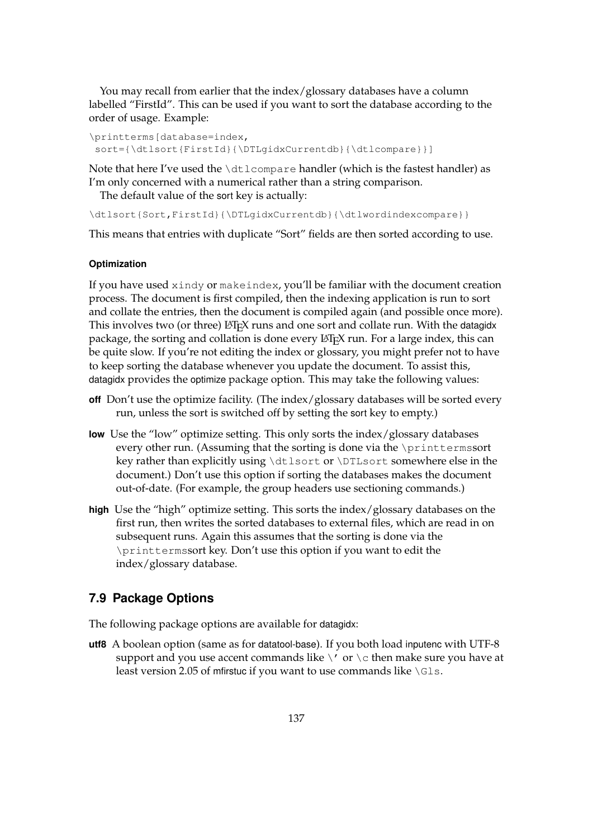You may recall from earlier that the index/glossary databases have a column labelled "FirstId". This can be used if you want to sort the database according to the order of usage. Example:

```
\printterms[database=index,
sort={\dtlsort{FirstId}{\DTLgidxCurrentdb}{\dtlcompare}}]
```
Note that here I've used the  $\dagger \dagger \c{m}$  are handler (which is the fastest handler) as I'm only concerned with a numerical rather than a string comparison.

The default value of the sort key is actually:

\dtlsort{Sort,FirstId}{\DTLgidxCurrentdb}{\dtlwordindexcompare}}

This means that entries with duplicate "Sort" fields are then sorted according to use.

#### <span id="page-145-0"></span>**Optimization**

If you have used xindy or makeindex, you'll be familiar with the document creation process. The document is first compiled, then the indexing application is run to sort and collate the entries, then the document is compiled again (and possible once more). This involves two (or three) LAT<sub>E</sub>X runs and one sort and collate run. With the datagidx package, the sorting and collation is done every LATEX run. For a large index, this can be quite slow. If you're not editing the index or glossary, you might prefer not to have to keep sorting the database whenever you update the document. To assist this, datagidx provides the optimize package option. This may take the following values:

- **off** Don't use the optimize facility. (The index/glossary databases will be sorted every run, unless the sort is switched off by setting the sort key to empty.)
- **low** Use the "low" optimize setting. This only sorts the index/glossary databases every other run. (Assuming that the sorting is done via the \printtermssort key rather than explicitly using \dtlsort or \DTLsort somewhere else in the document.) Don't use this option if sorting the databases makes the document out-of-date. (For example, the group headers use sectioning commands.)
- **high** Use the "high" optimize setting. This sorts the index/glossary databases on the first run, then writes the sorted databases to external files, which are read in on subsequent runs. Again this assumes that the sorting is done via the \printtermssort key. Don't use this option if you want to edit the index/glossary database.

# **7.9 Package Options**

The following package options are available for datagidx:

**utf8** A boolean option (same as for datatool-base). If you both load inputenc with UTF-8 support and you use accent commands like  $\setminus'$  or  $\setminus$ c then make sure you have at least version 2.05 of mfirstuc if you want to use commands like \Gls.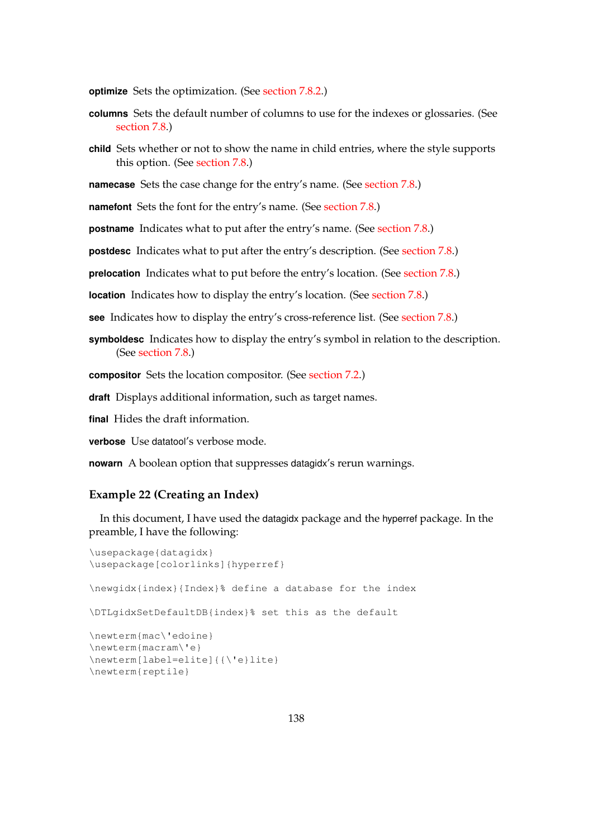**optimize** Sets the optimization. (See [section 7.8.2.](#page-145-0))

- **columns** Sets the default number of columns to use for the indexes or glossaries. (See [section 7.8.](#page-140-0))
- **child** Sets whether or not to show the name in child entries, where the style supports this option. (See [section 7.8.](#page-140-0))

**namecase** Sets the case change for the entry's name. (See [section 7.8.](#page-140-0))

**namefont** Sets the font for the entry's name. (See [section 7.8.](#page-140-0))

**postname** Indicates what to put after the entry's name. (See [section 7.8.](#page-140-0))

**postdesc** Indicates what to put after the entry's description. (See [section 7.8.](#page-140-0))

**prelocation** Indicates what to put before the entry's location. (See [section 7.8.](#page-140-0))

**location** Indicates how to display the entry's location. (See [section 7.8.](#page-140-0))

**see** Indicates how to display the entry's cross-reference list. (See [section 7.8.](#page-140-0))

**symboldesc** Indicates how to display the entry's symbol in relation to the description. (See [section 7.8.](#page-140-0))

**compositor** Sets the location compositor. (See [section 7.2.](#page-122-0))

**draft** Displays additional information, such as target names.

**final** Hides the draft information.

**verbose** Use datatool's verbose mode.

**nowarn** A boolean option that suppresses datagidx's rerun warnings.

## **Example 22 (Creating an Index)**

In this document, I have used the datagidx package and the hyperref package. In the preamble, I have the following:

```
\usepackage{datagidx}
\usepackage[colorlinks]{hyperref}
\newgidx{index}{Index}% define a database for the index
\DTLgidxSetDefaultDB{index}% set this as the default
\newterm{mac\'edoine}
\newterm{macram\'e}
\newterm[label=elite]{{\'e}lite}
\newterm{reptile}
```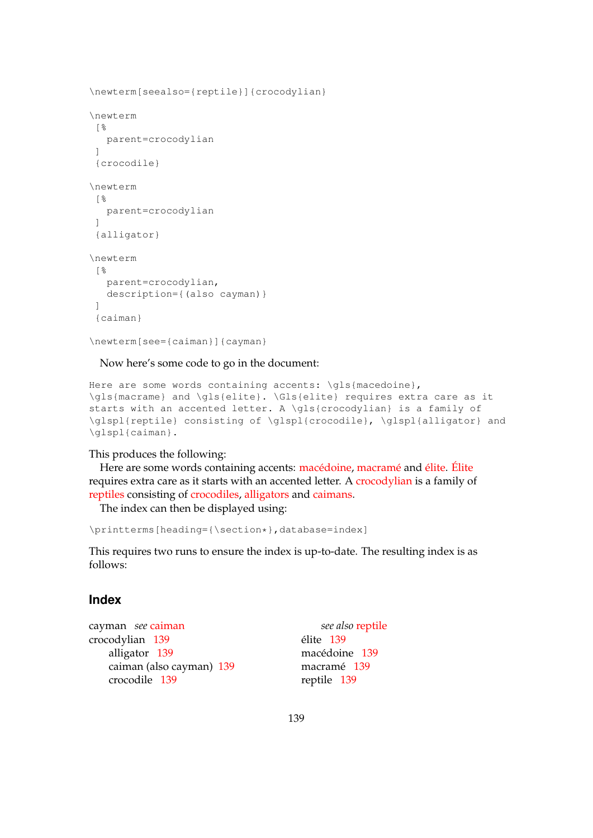```
\newterm[seealso={reptile}]{crocodylian}
\newterm
 \frac{6}{3}parent=crocodylian
 ]
 {crocodile}
\newterm
 \lceil \cdot \rceilparent=crocodylian
 ]
 {alligator}
\newterm
 \lceil \frac{6}{6} \rceilparent=crocodylian,
   description={(also cayman)}
 ]
 {caiman}
```

```
\newterm[see={caiman}]{cayman}
```
Now here's some code to go in the document:

```
Here are some words containing accents: \gls{macedoine},
\gls{macrame} and \gls{elite}. \Gls{elite} requires extra care as it
starts with an accented letter. A \gls{crocodylian} is a family of
\glspl{reptile} consisting of \glspl{crocodile}, \glspl{alligator} and
\glspl{caiman}.
```
#### This produces the following:

Here are some words containing accents: [macédoine,](#page-147-0) [macramé](#page-147-1) and [élite.](#page-147-2) [Élite](#page-147-2) requires extra care as it starts with an accented letter. A [crocodylian](#page-147-3) is a family of [reptiles](#page-147-4) consisting of [crocodiles,](#page-147-5) [alligators](#page-147-6) and [caimans.](#page-147-7)

<span id="page-147-15"></span><span id="page-147-11"></span>The index can then be displayed using:

```
\printterms[heading={\section*},database=index]
```
This requires two runs to ensure the index is up-to-date. The resulting index is as follows:

## **Index**

```
cayman see caiman
crocodylian 139
   alligator 139
   caiman (also cayman) 139
   crocodile 139
```
<span id="page-147-14"></span><span id="page-147-13"></span><span id="page-147-12"></span><span id="page-147-10"></span><span id="page-147-9"></span><span id="page-147-8"></span><span id="page-147-4"></span><span id="page-147-2"></span><span id="page-147-1"></span><span id="page-147-0"></span>*see also* [reptile](#page-147-4) élite [139](#page-147-12) macédoine [139](#page-147-13) macramé [139](#page-147-14) reptile [139](#page-147-15)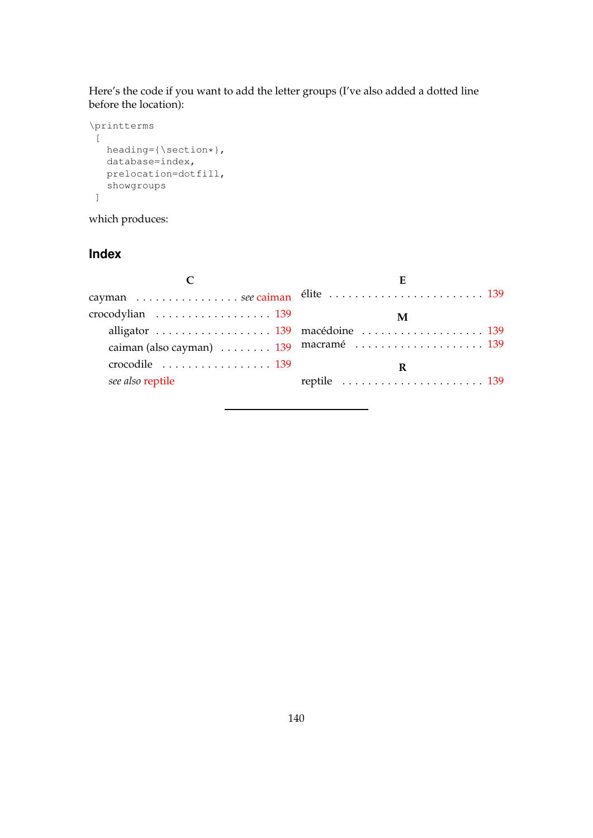Here's the code if you want to add the letter groups (I've also added a dotted line before the location):

```
\printterms
\lfloorheading={\section*},
  database=index,
  prelocation=dotfill,
  showgroups
 ]
```
which produces:

# **Index**

|                                                    | E                                                              |
|----------------------------------------------------|----------------------------------------------------------------|
|                                                    |                                                                |
|                                                    | M                                                              |
|                                                    | alligator  139 macédoine  139                                  |
|                                                    | caiman (also cayman)  139 macramé  139                         |
| crocodile $\ldots \ldots \ldots \ldots \ldots 139$ | R                                                              |
| see also reptile                                   | reptile $\ldots \ldots \ldots \ldots \ldots \ldots \ldots 139$ |
|                                                    |                                                                |

## 140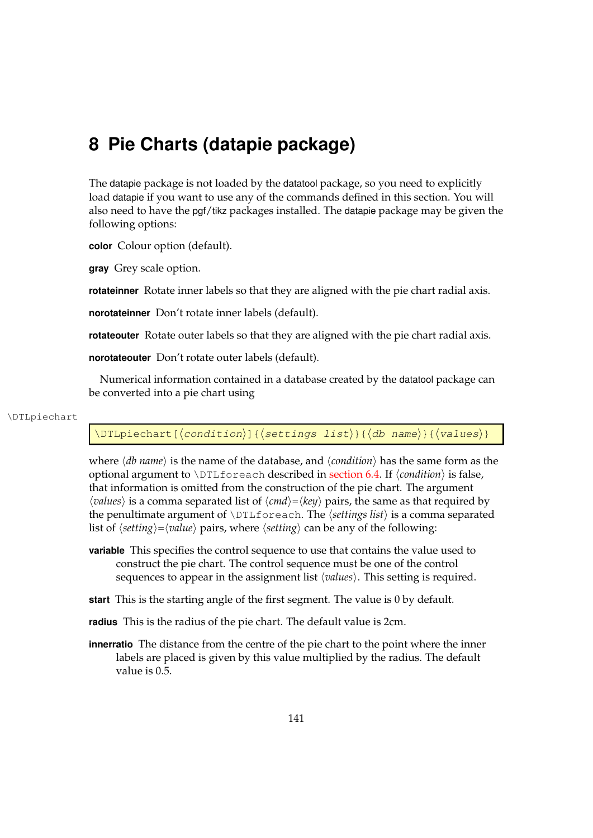# **8 Pie Charts (datapie package)**

The datapie package is not loaded by the datatool package, so you need to explicitly load datapie if you want to use any of the commands defined in this section. You will also need to have the pgf/tikz packages installed. The datapie package may be given the following options:

**color** Colour option (default).

**gray** Grey scale option.

**rotateinner** Rotate inner labels so that they are aligned with the pie chart radial axis.

**norotateinner** Don't rotate inner labels (default).

**rotateouter** Rotate outer labels so that they are aligned with the pie chart radial axis.

**norotateouter** Don't rotate outer labels (default).

Numerical information contained in a database created by the datatool package can be converted into a pie chart using

#### \DTLpiechart

### \DTLpiechart[ $\langle$ condition $\rangle$ ]{ $\langle$ settings list $\rangle$ }{ $\langle$ db name $\rangle$ }{ $\langle$ values $\rangle$ }

where  $\langle db \ name \rangle$  is the name of the database, and  $\langle condition \rangle$  has the same form as the optional argument to  $\D{DTLfoseach}$  described in [section 6.4.](#page-64-0) If  $\langle condition \rangle$  is false, that information is omitted from the construction of the pie chart. The argument  $\langle values \rangle$  is a comma separated list of  $\langle cmd \rangle = \langle key \rangle$  pairs, the same as that required by the penultimate argument of \DTLforeach. The h*settings list*i is a comma separated list of  $\langle$ *setting* $\rangle = \langle$ *value* $\rangle$  pairs, where  $\langle$ *setting* $\rangle$  can be any of the following:

- **variable** This specifies the control sequence to use that contains the value used to construct the pie chart. The control sequence must be one of the control sequences to appear in the assignment list  $\langle values \rangle$ . This setting is required.
- **start** This is the starting angle of the first segment. The value is 0 by default.
- **radius** This is the radius of the pie chart. The default value is 2cm.
- **innerratio** The distance from the centre of the pie chart to the point where the inner labels are placed is given by this value multiplied by the radius. The default value is 0.5.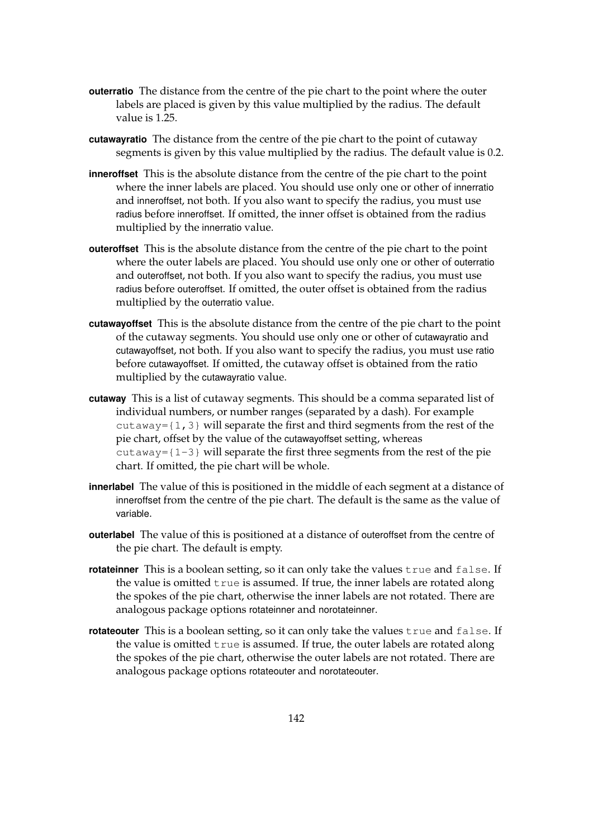- **outerratio** The distance from the centre of the pie chart to the point where the outer labels are placed is given by this value multiplied by the radius. The default value is 1.25.
- **cutawayratio** The distance from the centre of the pie chart to the point of cutaway segments is given by this value multiplied by the radius. The default value is 0.2.
- **inneroffset** This is the absolute distance from the centre of the pie chart to the point where the inner labels are placed. You should use only one or other of innerratio and inneroffset, not both. If you also want to specify the radius, you must use radius before inneroffset. If omitted, the inner offset is obtained from the radius multiplied by the innerratio value.
- **outeroffset** This is the absolute distance from the centre of the pie chart to the point where the outer labels are placed. You should use only one or other of outerratio and outeroffset, not both. If you also want to specify the radius, you must use radius before outeroffset. If omitted, the outer offset is obtained from the radius multiplied by the outerratio value.
- **cutawayoffset** This is the absolute distance from the centre of the pie chart to the point of the cutaway segments. You should use only one or other of cutawayratio and cutawayoffset, not both. If you also want to specify the radius, you must use ratio before cutawayoffset. If omitted, the cutaway offset is obtained from the ratio multiplied by the cutawayratio value.
- **cutaway** This is a list of cutaway segments. This should be a comma separated list of individual numbers, or number ranges (separated by a dash). For example  $cutaway = \{1, 3\}$  will separate the first and third segments from the rest of the pie chart, offset by the value of the cutawayoffset setting, whereas cutaway={1-3} will separate the first three segments from the rest of the pie chart. If omitted, the pie chart will be whole.
- **innerlabel** The value of this is positioned in the middle of each segment at a distance of inneroffset from the centre of the pie chart. The default is the same as the value of variable.
- **outerlabel** The value of this is positioned at a distance of outeroffset from the centre of the pie chart. The default is empty.
- **rotateinner** This is a boolean setting, so it can only take the values true and false. If the value is omitted  $true$  is assumed. If true, the inner labels are rotated along the spokes of the pie chart, otherwise the inner labels are not rotated. There are analogous package options rotateinner and norotateinner.
- **rotateouter** This is a boolean setting, so it can only take the values true and false. If the value is omitted true is assumed. If true, the outer labels are rotated along the spokes of the pie chart, otherwise the outer labels are not rotated. There are analogous package options rotateouter and norotateouter.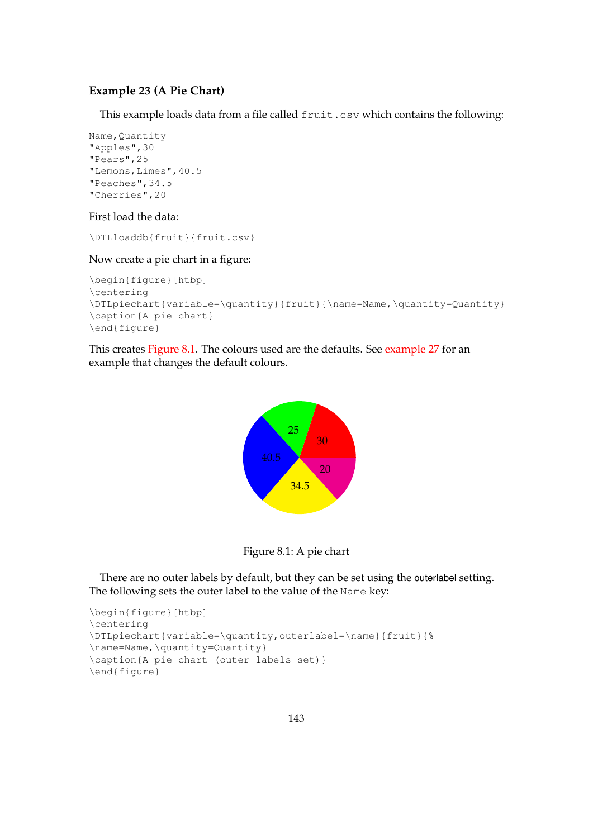## <span id="page-151-1"></span>**Example 23 (A Pie Chart)**

This example loads data from a file called fruit.csv which contains the following:

```
Name, Quantity
"Apples",30
"Pears",25
"Lemons,Limes",40.5
"Peaches",34.5
"Cherries",20
```
#### First load the data:

\DTLloaddb{fruit}{fruit.csv}

## Now create a pie chart in a figure:

```
\begin{figure}[htbp]
\centering
\DTLpiechart{variable=\quantity}{fruit}{\name=Name,\quantity=Quantity}
\caption{A pie chart}
\end{figure}
```
<span id="page-151-0"></span>This creates [Figure 8.1.](#page-151-0) The colours used are the defaults. See [example 27](#page-158-0) for an example that changes the default colours.





There are no outer labels by default, but they can be set using the outerlabel setting. The following sets the outer label to the value of the Name key:

```
\begin{figure}[htbp]
\centering
\DTLpiechart{variable=\quantity,outerlabel=\name}{fruit}{%
\name=Name,\quantity=Quantity}
\caption{A pie chart (outer labels set)}
\end{figure}
```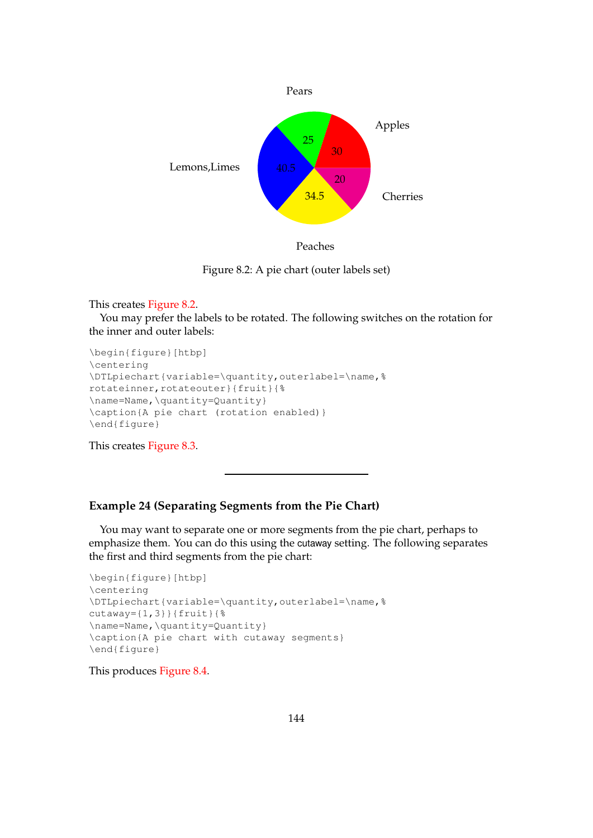<span id="page-152-0"></span>



Figure 8.2: A pie chart (outer labels set)

#### This creates [Figure 8.2.](#page-152-0)

You may prefer the labels to be rotated. The following switches on the rotation for the inner and outer labels:

```
\begin{figure}[htbp]
\centering
\DTLpiechart{variable=\quantity,outerlabel=\name,%
rotateinner, rotateouter}{fruit}{%
\name=Name,\quantity=Quantity}
\caption{A pie chart (rotation enabled)}
\end{figure}
```
This creates [Figure 8.3.](#page-153-0)

## **Example 24 (Separating Segments from the Pie Chart)**

You may want to separate one or more segments from the pie chart, perhaps to emphasize them. You can do this using the cutaway setting. The following separates the first and third segments from the pie chart:

```
\begin{figure}[htbp]
\centering
\DTLpiechart{variable=\quantity,outerlabel=\name,%
cutaway={1,3}}{fruit}{%
\name=Name,\quantity=Quantity}
\caption{A pie chart with cutaway segments}
\end{figure}
```
This produces [Figure 8.4.](#page-153-1)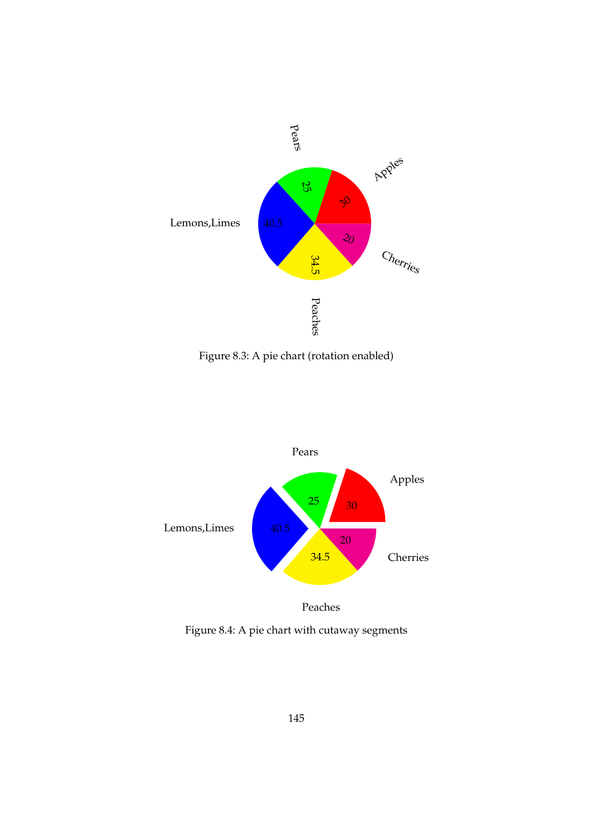<span id="page-153-0"></span>

Figure 8.3: A pie chart (rotation enabled)

<span id="page-153-1"></span>

Figure 8.4: A pie chart with cutaway segments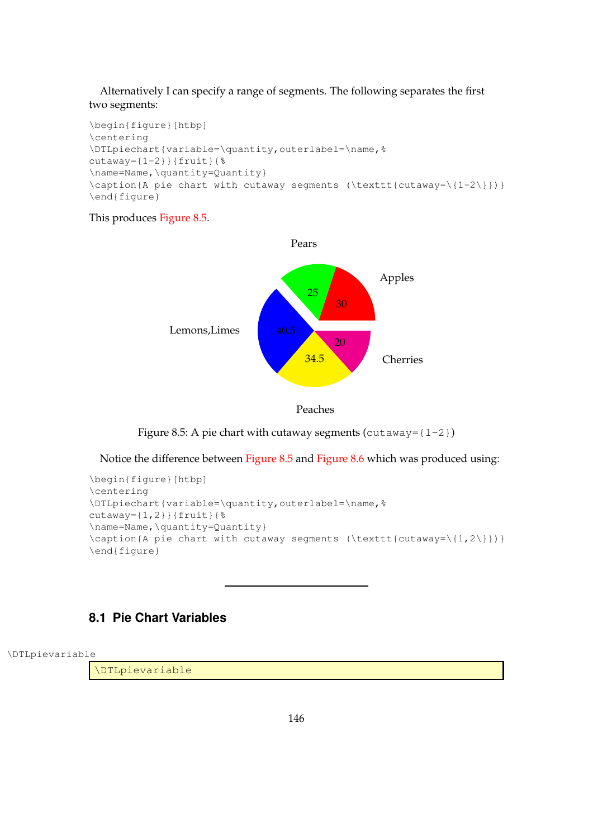## Alternatively I can specify a range of segments. The following separates the first two segments:

```
\begin{figure}[htbp]
\centering
\DTLpiechart{variable=\quantity,outerlabel=\name,%
cutaway={1-2}}{fruit}{%
\name=Name,\quantity=Quantity}
\caption{A pie chart with cutaway segments (\texttt{cutaway=\{1-2\}})}
\end{figure}
```
## <span id="page-154-0"></span>This produces [Figure 8.5.](#page-154-0)





Figure 8.5: A pie chart with cutaway segments ( $cutaway={1-2})$ )

Notice the difference between [Figure 8.5](#page-154-0) and [Figure 8.6](#page-155-0) which was produced using:

```
\begin{figure}[htbp]
\centering
\DTLpiechart{variable=\quantity,outerlabel=\name,%
cutaway={1,2}}{fruit}{%
\name=Name,\quantity=Quantity}
\caption{A pie chart with cutaway segments (\texttt{cutaway=\{1,2\}})}
\end{figure}
```
# **8.1 Pie Chart Variables**

\DTLpievariable

\DTLpievariable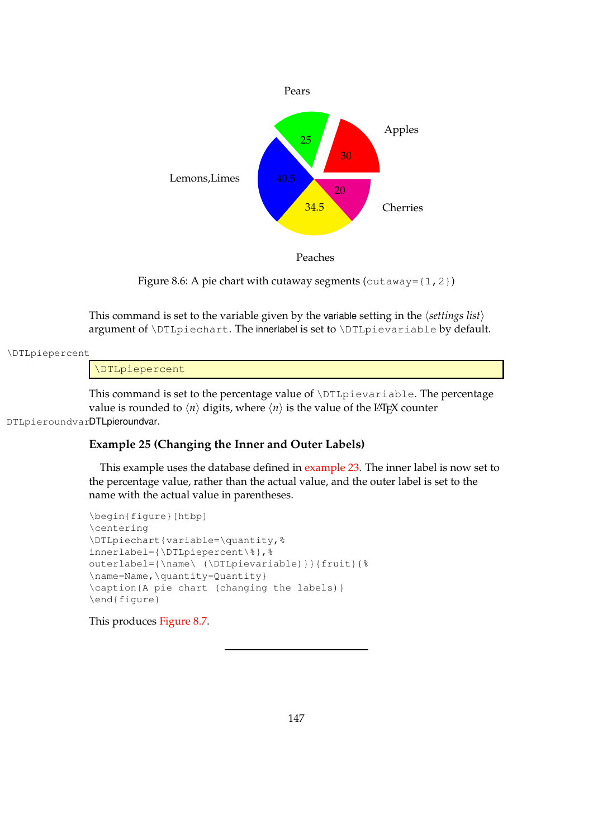<span id="page-155-0"></span>

Peaches

Figure 8.6: A pie chart with cutaway segments (cutaway= $\{1,2\}$ )

This command is set to the variable given by the variable setting in the  $\langle$ *settings list* $\rangle$ argument of \DTLpiechart. The innerlabel is set to \DTLpievariable by default.

#### \DTLpiepercent

\DTLpiepercent

This command is set to the percentage value of \DTLpievariable. The percentage value is rounded to  $\langle n \rangle$  digits, where  $\langle n \rangle$  is the value of the LAT<sub>E</sub>X counter DTLpieroundvarDTLpieroundvar.

## <span id="page-155-1"></span>**Example 25 (Changing the Inner and Outer Labels)**

This example uses the database defined in [example 23.](#page-151-1) The inner label is now set to the percentage value, rather than the actual value, and the outer label is set to the name with the actual value in parentheses.

```
\begin{figure}[htbp]
\centering
\DTLpiechart{variable=\quantity,%
innerlabel={\DTLpiepercent\%},%
outerlabel={\name\ (\DTLpievariable)}}{fruit}{%
\name=Name,\quantity=Quantity}
\caption{A pie chart (changing the labels)}
\end{figure}
```
This produces [Figure 8.7.](#page-156-0)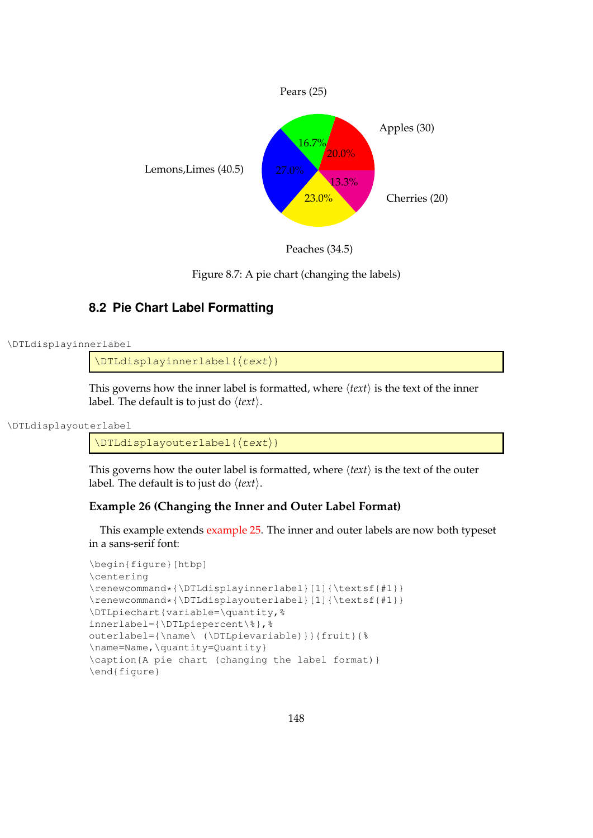<span id="page-156-0"></span>



Figure 8.7: A pie chart (changing the labels)

# **8.2 Pie Chart Label Formatting**

```
\DTLdisplayinnerlabel
```
 $\Delta$ innerlabel{ $\langle text \rangle$ }

This governs how the inner label is formatted, where  $\langle text \rangle$  is the text of the inner label. The default is to just do  $\langle text \rangle$ .

```
\DTLdisplayouterlabel
```
 $\Delta$ DTLdisplayouterlabel{ $\langle \text{text}\rangle$ }

This governs how the outer label is formatted, where  $\langle text \rangle$  is the text of the outer label. The default is to just do  $\langle text \rangle$ .

# <span id="page-156-1"></span>**Example 26 (Changing the Inner and Outer Label Format)**

This example extends [example 25.](#page-155-1) The inner and outer labels are now both typeset in a sans-serif font:

```
\begin{figure}[htbp]
\centering
\renewcommand*{\DTLdisplayinnerlabel}[1]{\textsf{#1}}
\renewcommand*{\DTLdisplayouterlabel}[1]{\textsf{#1}}
\DTLpiechart{variable=\quantity,%
innerlabel={\DTLpiepercent\%},%
outerlabel={\name\ (\DTLpievariable)}}{fruit}{%
\name=Name,\quantity=Quantity}
\caption{A pie chart (changing the label format)}
\end{figure}
```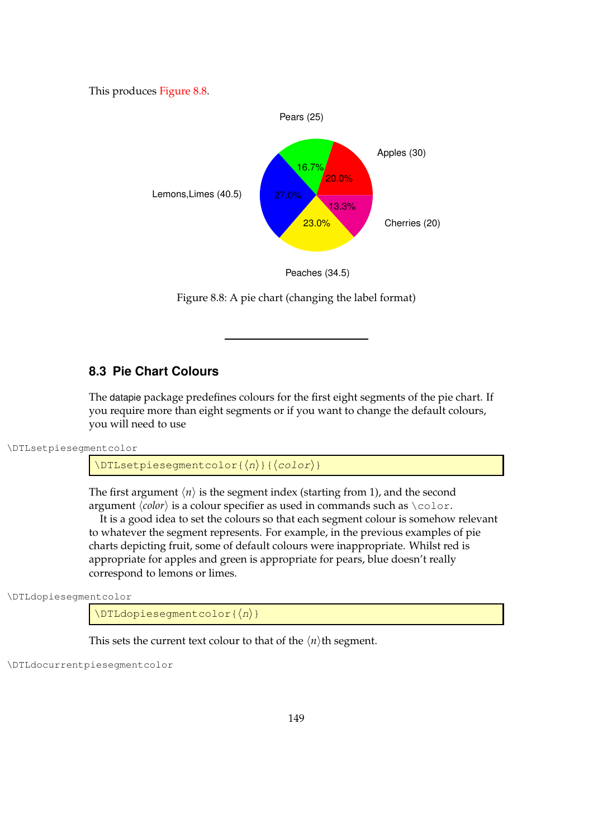<span id="page-157-0"></span>This produces [Figure 8.8.](#page-157-0)



Peaches (34.5)

Figure 8.8: A pie chart (changing the label format)

# **8.3 Pie Chart Colours**

The datapie package predefines colours for the first eight segments of the pie chart. If you require more than eight segments or if you want to change the default colours, you will need to use

\DTLsetpiesegmentcolor

```
\DTEsetpiesegmentcolor{\langle n\rangle}{\langle color\rangle}
```
The first argument  $\langle n \rangle$  is the segment index (starting from 1), and the second argument  $\langle color \rangle$  is a colour specifier as used in commands such as  $\langle color.$ 

It is a good idea to set the colours so that each segment colour is somehow relevant to whatever the segment represents. For example, in the previous examples of pie charts depicting fruit, some of default colours were inappropriate. Whilst red is appropriate for apples and green is appropriate for pears, blue doesn't really correspond to lemons or limes.

\DTLdopiesegmentcolor

 $\Delta$ DTLdopieseqmentcolor{ $\langle n \rangle$ }

This sets the current text colour to that of the  $\langle n \rangle$ <sup>th</sup> segment.

\DTLdocurrentpiesegmentcolor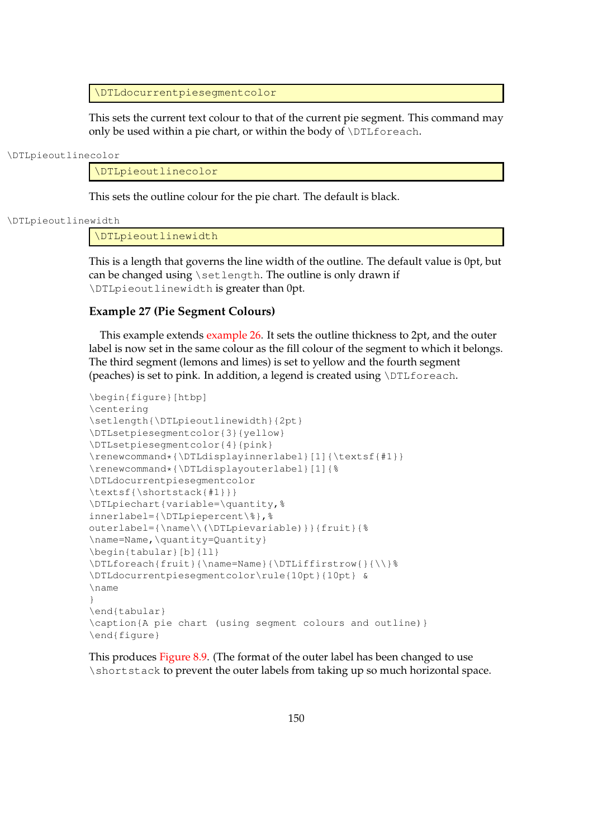\DTLdocurrentpiesegmentcolor

This sets the current text colour to that of the current pie segment. This command may only be used within a pie chart, or within the body of  $\D$ ILforeach.

\DTLpieoutlinecolor

\DTLpieoutlinecolor

This sets the outline colour for the pie chart. The default is black.

#### \DTLpieoutlinewidth

\DTLpieoutlinewidth

This is a length that governs the line width of the outline. The default value is 0pt, but can be changed using \setlength. The outline is only drawn if \DTLpieoutlinewidth is greater than 0pt.

#### <span id="page-158-0"></span>**Example 27 (Pie Segment Colours)**

This example extends [example 26.](#page-156-1) It sets the outline thickness to 2pt, and the outer label is now set in the same colour as the fill colour of the segment to which it belongs. The third segment (lemons and limes) is set to yellow and the fourth segment (peaches) is set to pink. In addition, a legend is created using \DTLforeach.

```
\begin{figure}[htbp]
\centering
\setlength{\DTLpieoutlinewidth}{2pt}
\DTLsetpiesegmentcolor{3}{yellow}
\DTLsetpiesegmentcolor{4}{pink}
\renewcommand*{\DTLdisplayinnerlabel}[1]{\textsf{#1}}
\renewcommand*{\DTLdisplayouterlabel}[1]{%
\DTLdocurrentpiesegmentcolor
\textsf{\shortstack{#1}}}
\DTLpiechart{variable=\quantity,%
innerlabel={\DTLpiepercent\%},%
outerlabel={\name\\(\DTLpievariable)}}{fruit}{%
\name=Name,\quantity=Quantity}
\begin{tabular}[b]{ll}
\DTLforeach{fruit}{\name=Name}{\DTLiffirstrow{}{\\}%
\DTLdocurrentpiesegmentcolor\rule{10pt}{10pt} &
\name
}
\end{tabular}
\caption{A pie chart (using segment colours and outline)}
\end{figure}
```
This produces [Figure 8.9.](#page-159-0) (The format of the outer label has been changed to use \shortstack to prevent the outer labels from taking up so much horizontal space.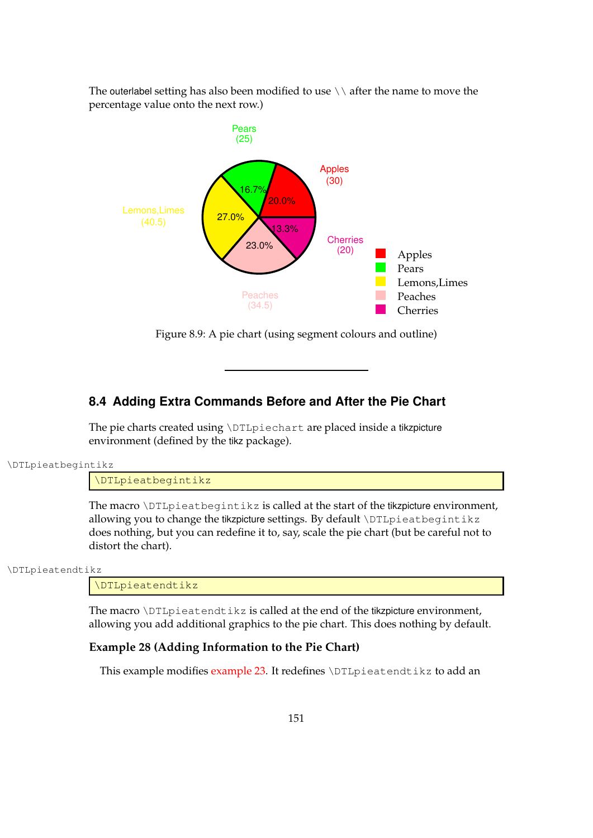The outerlabel setting has also been modified to use  $\setminus \setminus$  after the name to move the percentage value onto the next row.)

<span id="page-159-0"></span>

Figure 8.9: A pie chart (using segment colours and outline)

# **8.4 Adding Extra Commands Before and After the Pie Chart**

The pie charts created using \DTLpiechart are placed inside a tikzpicture environment (defined by the tikz package).

\DTLpieatbegintikz

\DTLpieatbegintikz

The macro \DTLpieatbegintikz is called at the start of the tikzpicture environment, allowing you to change the tikzpicture settings. By default \DTLpieatbegintikz does nothing, but you can redefine it to, say, scale the pie chart (but be careful not to distort the chart).

\DTLpieatendtikz

\DTLpieatendtikz

The macro  $\Delta$ DTLpieatendtikz is called at the end of the tikzpicture environment, allowing you add additional graphics to the pie chart. This does nothing by default.

## **Example 28 (Adding Information to the Pie Chart)**

This example modifies [example 23.](#page-151-1) It redefines \DTLpieatendtikz to add an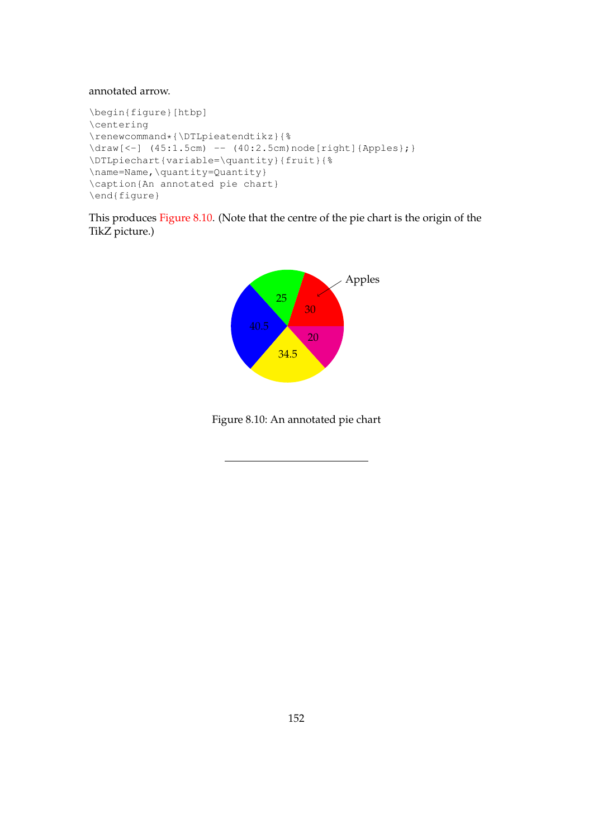#### annotated arrow.

```
\begin{figure}[htbp]
\centering
\renewcommand*{\DTLpieatendtikz}{%
\draw[<-] (45:1.5cm) -- (40:2.5cm)node[right]{Apples};}
\DTLpiechart{variable=\quantity}{fruit}{%
\name=Name,\quantity=Quantity}
\caption{An annotated pie chart}
\end{figure}
```
<span id="page-160-0"></span>This produces [Figure 8.10.](#page-160-0) (Note that the centre of the pie chart is the origin of the TikZ picture.)



Figure 8.10: An annotated pie chart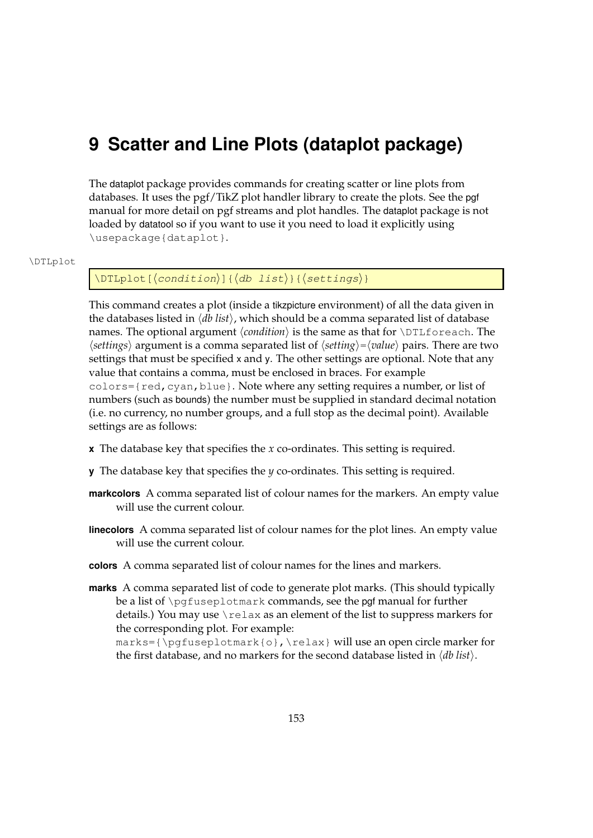# **9 Scatter and Line Plots (dataplot package)**

The dataplot package provides commands for creating scatter or line plots from databases. It uses the pgf/TikZ plot handler library to create the plots. See the pgf manual for more detail on pgf streams and plot handles. The dataplot package is not loaded by datatool so if you want to use it you need to load it explicitly using \usepackage{dataplot}.

#### \DTLplot

## \DTLplot[ $\langle condition\rangle$ ]{ $\langle db\ list\rangle$ }{ $\langle settings\rangle$ }

This command creates a plot (inside a tikzpicture environment) of all the data given in the databases listed in h*db list*i, which should be a comma separated list of database names. The optional argument  $\langle condition \rangle$  is the same as that for  $\D$ ILforeach. The  $\langle$ *settings* $\rangle$  argument is a comma separated list of  $\langle$ *setting* $\rangle = \langle$ *value* $\rangle$  pairs. There are two settings that must be specified x and y. The other settings are optional. Note that any value that contains a comma, must be enclosed in braces. For example colors={red,cyan,blue}. Note where any setting requires a number, or list of numbers (such as bounds) the number must be supplied in standard decimal notation (i.e. no currency, no number groups, and a full stop as the decimal point). Available settings are as follows:

- **x** The database key that specifies the *x* co-ordinates. This setting is required.
- **y** The database key that specifies the *y* co-ordinates. This setting is required.
- **markcolors** A comma separated list of colour names for the markers. An empty value will use the current colour.
- **linecolors** A comma separated list of colour names for the plot lines. An empty value will use the current colour.
- **colors** A comma separated list of colour names for the lines and markers.
- **marks** A comma separated list of code to generate plot marks. (This should typically be a list of \pgfuseplotmark commands, see the pgf manual for further details.) You may use  $\text{relax}$  as an element of the list to suppress markers for the corresponding plot. For example:  $marks={\p{gfuseplotmark{o},\relax} will use an open circle marker for$ the first database, and no markers for the second database listed in  $\langle db \text{ list} \rangle$ .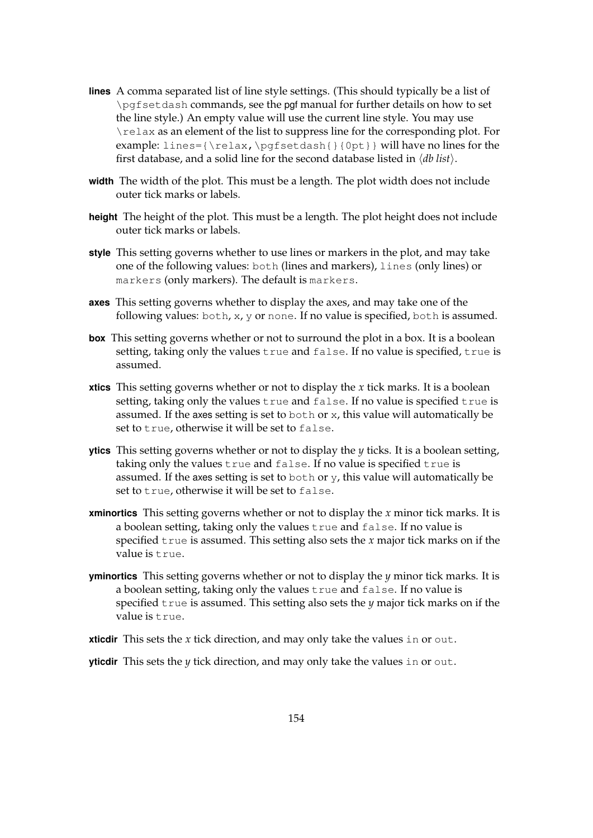- **lines** A comma separated list of line style settings. (This should typically be a list of \pgfsetdash commands, see the pgf manual for further details on how to set the line style.) An empty value will use the current line style. You may use \relax as an element of the list to suppress line for the corresponding plot. For example: lines={\relax,\pgfsetdash{}{0pt}} will have no lines for the first database, and a solid line for the second database listed in  $\langle db \; list \rangle$ .
- **width** The width of the plot. This must be a length. The plot width does not include outer tick marks or labels.
- **height** The height of the plot. This must be a length. The plot height does not include outer tick marks or labels.
- **style** This setting governs whether to use lines or markers in the plot, and may take one of the following values: both (lines and markers), lines (only lines) or markers (only markers). The default is markers.
- **axes** This setting governs whether to display the axes, and may take one of the following values: both, x, y or none. If no value is specified, both is assumed.
- **box** This setting governs whether or not to surround the plot in a box. It is a boolean setting, taking only the values true and false. If no value is specified, true is assumed.
- **xtics** This setting governs whether or not to display the *x* tick marks. It is a boolean setting, taking only the values true and false. If no value is specified true is assumed. If the axes setting is set to both or  $x$ , this value will automatically be set to true, otherwise it will be set to false.
- **ytics** This setting governs whether or not to display the *y* ticks. It is a boolean setting, taking only the values true and false. If no value is specified true is assumed. If the axes setting is set to both or  $\gamma$ , this value will automatically be set to true, otherwise it will be set to false.
- **xminortics** This setting governs whether or not to display the *x* minor tick marks. It is a boolean setting, taking only the values true and false. If no value is specified true is assumed. This setting also sets the *x* major tick marks on if the value is true.
- **yminortics** This setting governs whether or not to display the *y* minor tick marks. It is a boolean setting, taking only the values true and false. If no value is specified true is assumed. This setting also sets the *y* major tick marks on if the value is true.
- **xticdir** This sets the *x* tick direction, and may only take the values in or out.
- **yticdir** This sets the *y* tick direction, and may only take the values in or out.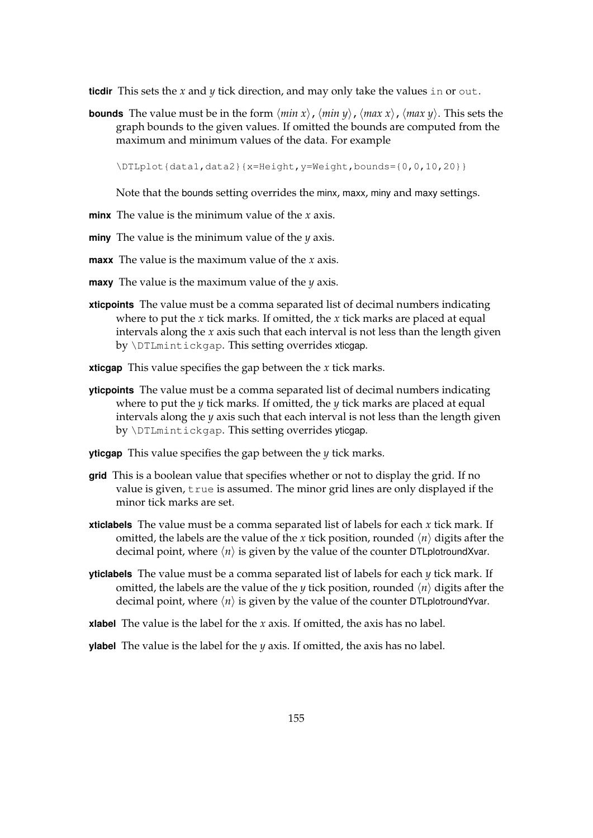**ticdir** This sets the *x* and *y* tick direction, and may only take the values in or out.

**bounds** The value must be in the form  $\langle min x \rangle$ ,  $\langle min y \rangle$ ,  $\langle max x \rangle$ ,  $\langle max y \rangle$ . This sets the graph bounds to the given values. If omitted the bounds are computed from the maximum and minimum values of the data. For example

\DTLplot{data1,data2}{x=Height,y=Weight,bounds={0,0,10,20}}

Note that the bounds setting overrides the minx, maxx, miny and maxy settings.

- **minx** The value is the minimum value of the *x* axis.
- **miny** The value is the minimum value of the *y* axis.
- **maxx** The value is the maximum value of the *x* axis.
- **maxy** The value is the maximum value of the *y* axis.
- **xticpoints** The value must be a comma separated list of decimal numbers indicating where to put the *x* tick marks. If omitted, the *x* tick marks are placed at equal intervals along the *x* axis such that each interval is not less than the length given by \DTLmintickgap. This setting overrides xticgap.
- **xticgap** This value specifies the gap between the *x* tick marks.
- **yticpoints** The value must be a comma separated list of decimal numbers indicating where to put the *y* tick marks. If omitted, the *y* tick marks are placed at equal intervals along the *y* axis such that each interval is not less than the length given by \DTLmintickgap. This setting overrides yticgap.
- **yticgap** This value specifies the gap between the *y* tick marks.
- **grid** This is a boolean value that specifies whether or not to display the grid. If no value is given, true is assumed. The minor grid lines are only displayed if the minor tick marks are set.
- **xticlabels** The value must be a comma separated list of labels for each *x* tick mark. If omitted, the labels are the value of the *x* tick position, rounded  $\langle n \rangle$  digits after the decimal point, where  $\langle n \rangle$  is given by the value of the counter DTLplotroundXvar.
- **yticlabels** The value must be a comma separated list of labels for each *y* tick mark. If omitted, the labels are the value of the *y* tick position, rounded  $\langle n \rangle$  digits after the decimal point, where  $\langle n \rangle$  is given by the value of the counter DTL plotround Yvar.

**xlabel** The value is the label for the *x* axis. If omitted, the axis has no label.

**ylabel** The value is the label for the *y* axis. If omitted, the axis has no label.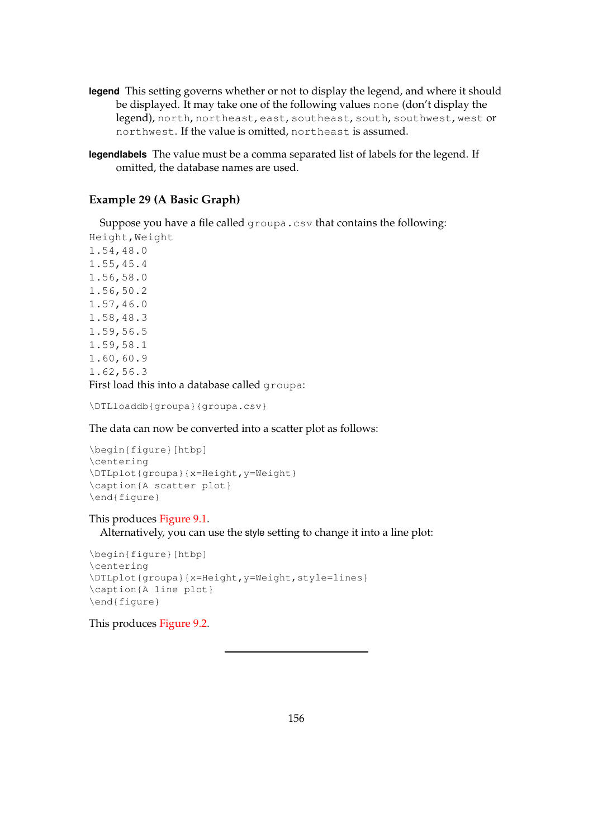- **legend** This setting governs whether or not to display the legend, and where it should be displayed. It may take one of the following values none (don't display the legend), north, northeast, east, southeast, south, southwest, west or northwest. If the value is omitted, northeast is assumed.
- **legendlabels** The value must be a comma separated list of labels for the legend. If omitted, the database names are used.

## <span id="page-164-0"></span>**Example 29 (A Basic Graph)**

Suppose you have a file called groupa.csv that contains the following: Height,Weight

1.54,48.0 1.55,45.4 1.56,58.0 1.56,50.2 1.57,46.0 1.58,48.3 1.59,56.5 1.59,58.1 1.60,60.9 1.62,56.3 First load this into a database called groupa:

\DTLloaddb{groupa}{groupa.csv}

The data can now be converted into a scatter plot as follows:

```
\begin{figure}[htbp]
\centering
\DTLplot{groupa}{x=Height,y=Weight}
\caption{A scatter plot}
\end{figure}
```
## This produces [Figure 9.1.](#page-165-0)

Alternatively, you can use the style setting to change it into a line plot:

```
\begin{figure}[htbp]
\centering
\DTLplot{groupa}{x=Height,y=Weight,style=lines}
\caption{A line plot}
\end{figure}
```
This produces [Figure 9.2.](#page-166-0)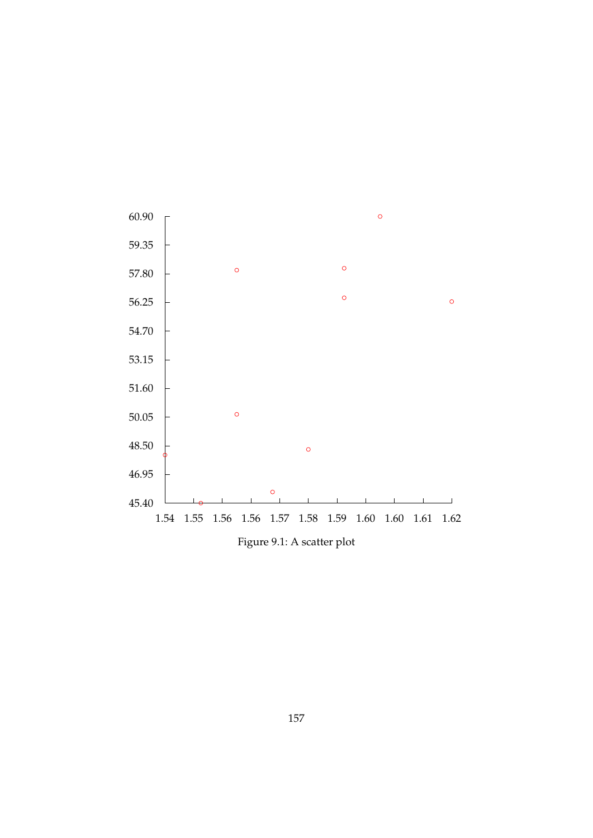<span id="page-165-0"></span>

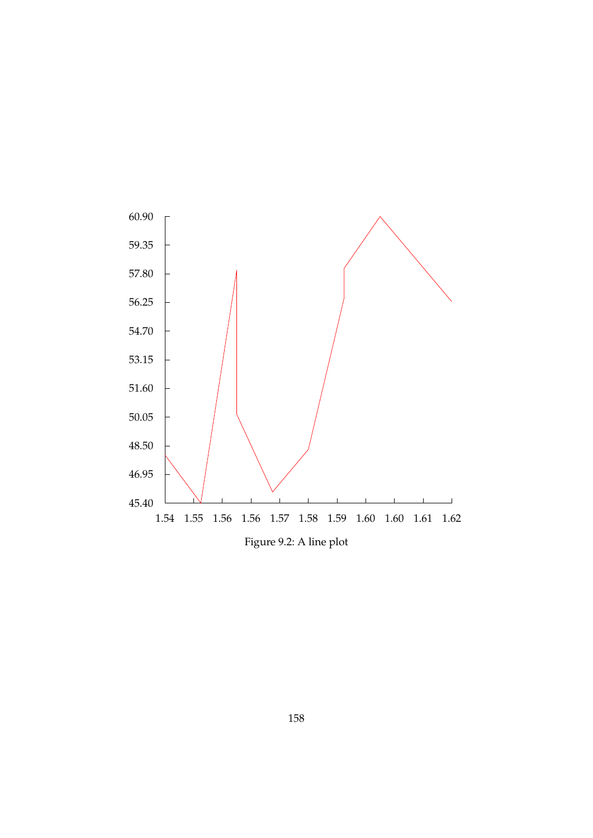<span id="page-166-0"></span>

Figure 9.2: A line plot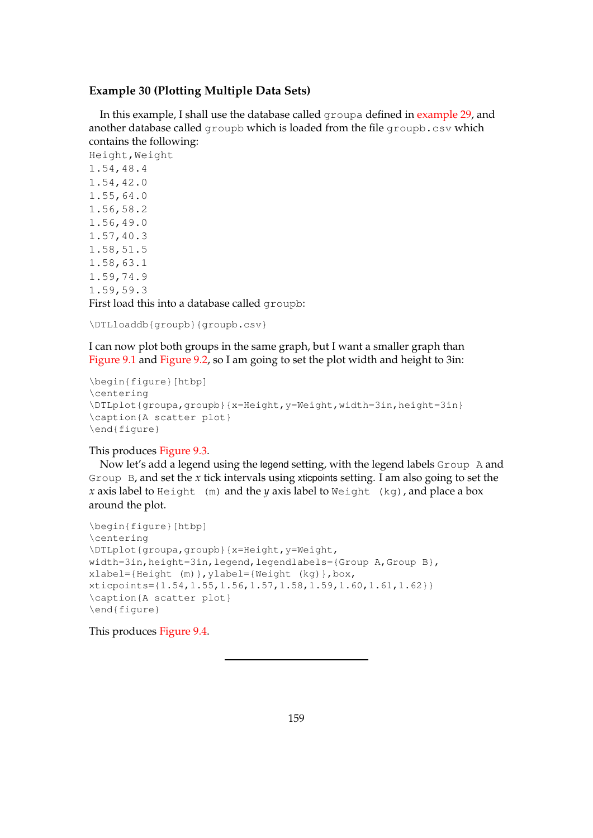## <span id="page-167-0"></span>**Example 30 (Plotting Multiple Data Sets)**

In this example, I shall use the database called groupa defined in [example 29,](#page-164-0) and another database called groupb which is loaded from the file groupb.csv which contains the following:

Height, Weight 1.54,48.4 1.54,42.0 1.55,64.0 1.56,58.2 1.56,49.0 1.57,40.3 1.58,51.5 1.58,63.1 1.59,74.9 1.59,59.3 First load this into a database called groupb:

\DTLloaddb{groupb}{groupb.csv}

I can now plot both groups in the same graph, but I want a smaller graph than [Figure 9.1](#page-165-0) and [Figure 9.2,](#page-166-0) so I am going to set the plot width and height to 3in:

```
\begin{figure}[htbp]
\centering
\DTLplot{groupa,groupb}{x=Height,y=Weight,width=3in,height=3in}
\caption{A scatter plot}
\end{figure}
```
## This produces [Figure 9.3.](#page-168-0)

Now let's add a legend using the legend setting, with the legend labels Group A and Group B, and set the *x* tick intervals using xticpoints setting. I am also going to set the *x* axis label to Height (m) and the *y* axis label to Weight (kg), and place a box around the plot.

```
\begin{figure}[htbp]
\centering
\DTLplot{groupa,groupb}{x=Height,y=Weight,
width=3in,height=3in,legend,legendlabels={Group A,Group B},
xlabel={Height (m)},ylabel={Weight (kg)},box,
xticpoints={1.54,1.55,1.56,1.57,1.58,1.59,1.60,1.61,1.62}}
\caption{A scatter plot}
\end{figure}
```
This produces [Figure 9.4.](#page-168-1)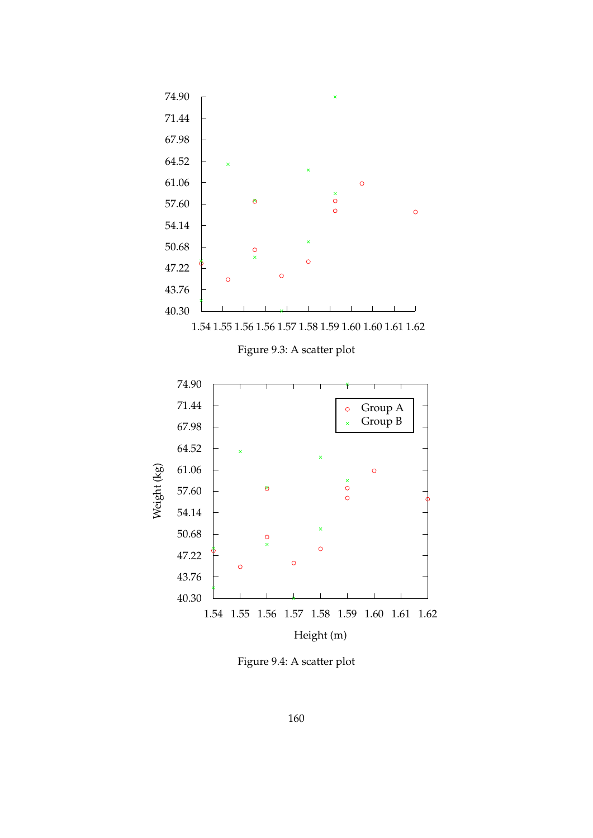<span id="page-168-1"></span><span id="page-168-0"></span>

Figure 9.4: A scatter plot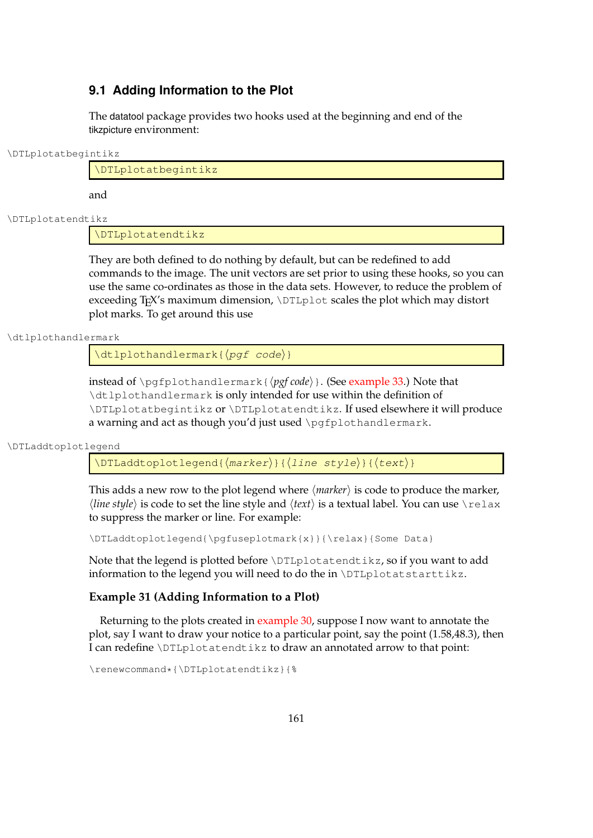# **9.1 Adding Information to the Plot**

The datatool package provides two hooks used at the beginning and end of the tikzpicture environment:

\DTLplotatbegintikz

\DTLplotatbegintikz

and

\DTLplotatendtikz

\DTLplotatendtikz

They are both defined to do nothing by default, but can be redefined to add commands to the image. The unit vectors are set prior to using these hooks, so you can use the same co-ordinates as those in the data sets. However, to reduce the problem of exceeding T<sub>E</sub>X's maximum dimension, \DTLplot scales the plot which may distort plot marks. To get around this use

\dtlplothandlermark

 $\left\{ \phi \right\}$ 

instead of \pgfplothandlermark{ $\{pgf code\}$ }. (See [example 33.](#page-175-0)) Note that \dtlplothandlermark is only intended for use within the definition of \DTLplotatbegintikz or \DTLplotatendtikz. If used elsewhere it will produce a warning and act as though you'd just used \pgfplothandlermark.

\DTLaddtoplotlegend

 $\DTLaddtoplotleqend({\text{marker}}{\{\text{line style\\\"t|}}({\text{text}})$ 

This adds a new row to the plot legend where  $\langle$  *marker* $\rangle$  is code to produce the marker,  $\langle$ *line style* $\rangle$  is code to set the line style and  $\langle text \rangle$  is a textual label. You can use  $\lceil \text{relax} \rceil$ to suppress the marker or line. For example:

\DTLaddtoplotlegend{\pgfuseplotmark{x}}{\relax}{Some Data}

Note that the legend is plotted before \DTLplotatendtikz, so if you want to add information to the legend you will need to do the in \DTLplotatstarttikz.

## **Example 31 (Adding Information to a Plot)**

Returning to the plots created in [example 30,](#page-167-0) suppose I now want to annotate the plot, say I want to draw your notice to a particular point, say the point (1.58,48.3), then I can redefine \DTLplotatendtikz to draw an annotated arrow to that point:

\renewcommand\*{\DTLplotatendtikz}{%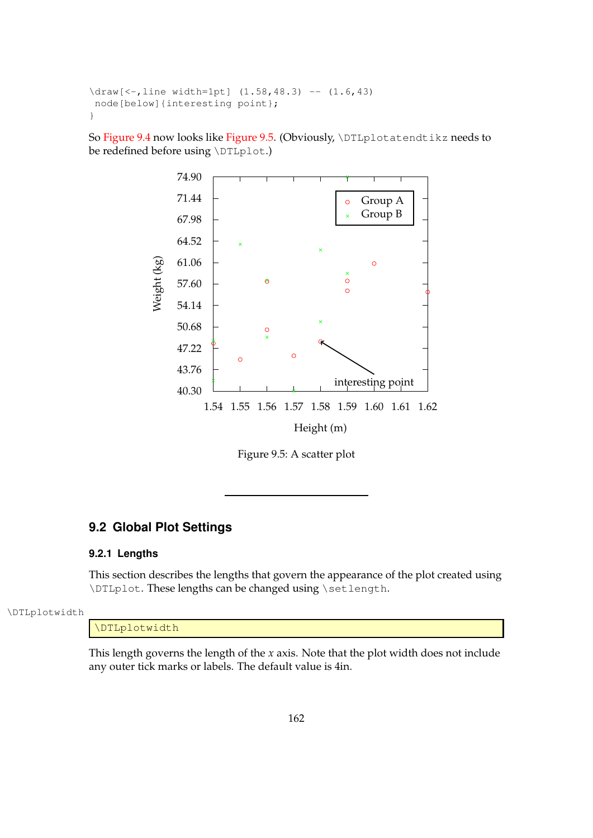```
\draw[<-,line width=1pt] (1.58, 48.3) -- (1.6, 43)node[below]{interesting point};
}
```
<span id="page-170-0"></span>So [Figure 9.4](#page-168-1) now looks like [Figure 9.5.](#page-170-0) (Obviously, \DTLplotatendtikz needs to be redefined before using \DTLplot.)



Figure 9.5: A scatter plot

# **9.2 Global Plot Settings**

## **9.2.1 Lengths**

This section describes the lengths that govern the appearance of the plot created using \DTLplot. These lengths can be changed using \setlength.

#### \DTLplotwidth

## \DTLplotwidth

This length governs the length of the *x* axis. Note that the plot width does not include any outer tick marks or labels. The default value is 4in.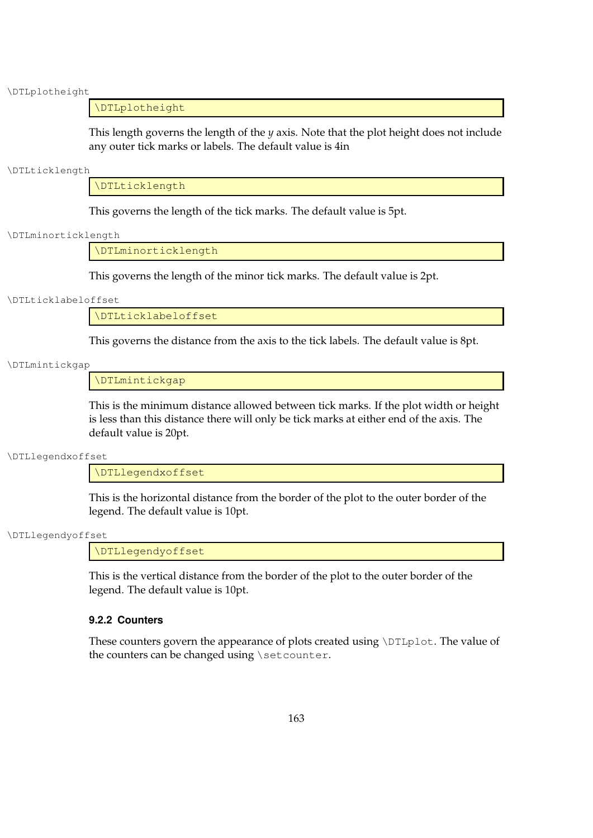\DTLplotheight

#### \DTLplotheight

This length governs the length of the *y* axis. Note that the plot height does not include any outer tick marks or labels. The default value is 4in

#### \DTLticklength

\DTLticklength

This governs the length of the tick marks. The default value is 5pt.

#### \DTLminorticklength

\DTLminorticklength

This governs the length of the minor tick marks. The default value is 2pt.

#### \DTLticklabeloffset

\DTLticklabeloffset

This governs the distance from the axis to the tick labels. The default value is 8pt.

#### \DTLmintickgap

\DTLmintickgap

This is the minimum distance allowed between tick marks. If the plot width or height is less than this distance there will only be tick marks at either end of the axis. The default value is 20pt.

#### \DTLlegendxoffset

\DTLlegendxoffset

This is the horizontal distance from the border of the plot to the outer border of the legend. The default value is 10pt.

#### \DTLlegendyoffset

\DTLlegendyoffset

This is the vertical distance from the border of the plot to the outer border of the legend. The default value is 10pt.

#### **9.2.2 Counters**

These counters govern the appearance of plots created using \DTLplot. The value of the counters can be changed using \setcounter.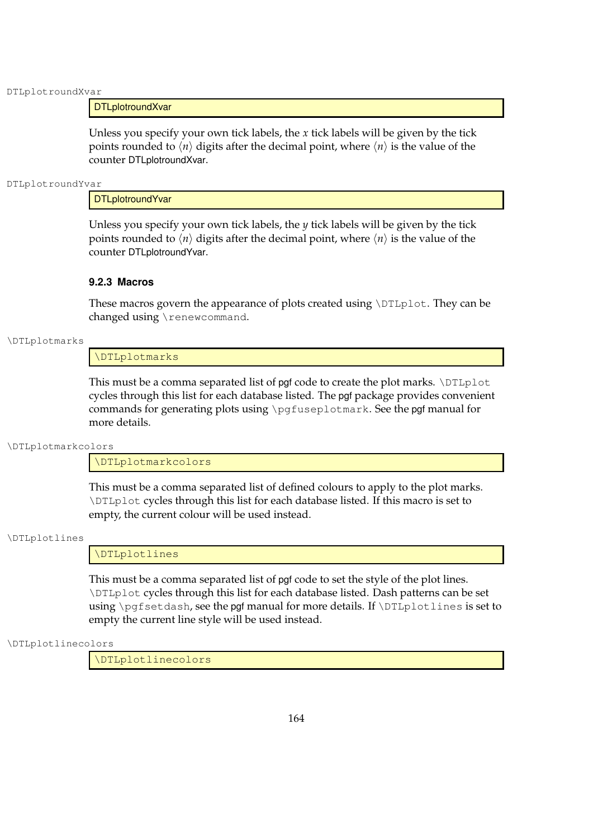DTLplotroundXvar

### **DTLplotroundXvar**

Unless you specify your own tick labels, the *x* tick labels will be given by the tick points rounded to  $\langle n \rangle$  digits after the decimal point, where  $\langle n \rangle$  is the value of the counter DTLplotroundXvar.

DTLplotroundYvar

**DTLplotroundYvar** 

Unless you specify your own tick labels, the  $y$  tick labels will be given by the tick points rounded to  $\langle n \rangle$  digits after the decimal point, where  $\langle n \rangle$  is the value of the counter DTLplotroundYvar.

### **9.2.3 Macros**

These macros govern the appearance of plots created using \DTLplot. They can be changed using \renewcommand.

#### \DTLplotmarks

\DTLplotmarks

This must be a comma separated list of pgf code to create the plot marks. \DTLplot cycles through this list for each database listed. The pgf package provides convenient commands for generating plots using \pgfuseplotmark. See the pgf manual for more details.

\DTLplotmarkcolors

\DTLplotmarkcolors

This must be a comma separated list of defined colours to apply to the plot marks. \DTLplot cycles through this list for each database listed. If this macro is set to empty, the current colour will be used instead.

#### \DTLplotlines

\DTLplotlines

This must be a comma separated list of pgf code to set the style of the plot lines. \DTLplot cycles through this list for each database listed. Dash patterns can be set using  $\pqfsetdash,$  see the pgf manual for more details. If  $\DTHplotlines$  is set to empty the current line style will be used instead.

#### \DTLplotlinecolors

\DTLplotlinecolors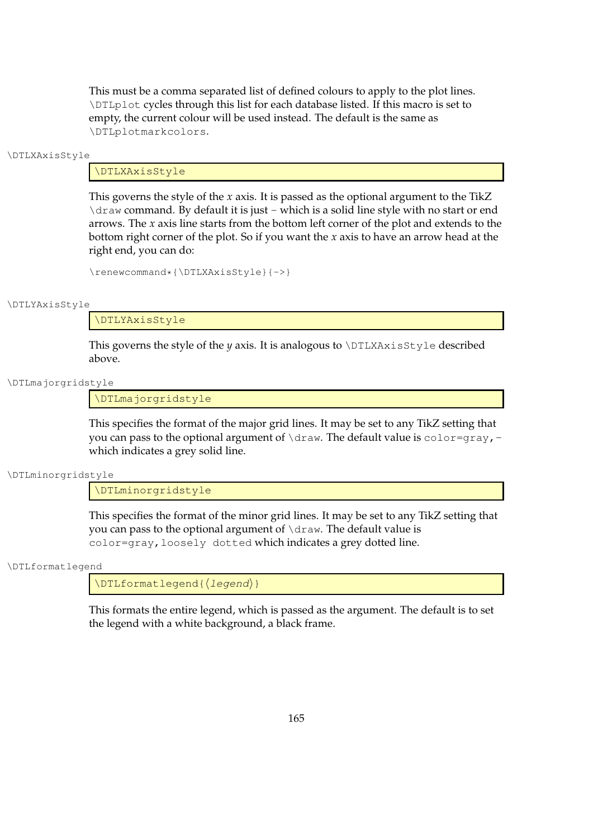This must be a comma separated list of defined colours to apply to the plot lines. \DTLplot cycles through this list for each database listed. If this macro is set to empty, the current colour will be used instead. The default is the same as \DTLplotmarkcolors.

#### \DTLXAxisStyle

#### \DTLXAxisStyle

This governs the style of the *x* axis. It is passed as the optional argument to the TikZ \draw command. By default it is just - which is a solid line style with no start or end arrows. The *x* axis line starts from the bottom left corner of the plot and extends to the bottom right corner of the plot. So if you want the *x* axis to have an arrow head at the right end, you can do:

```
\renewcommand*{\DTLXAxisStyle}{->}
```
#### \DTLYAxisStyle

\DTLYAxisStyle

This governs the style of the *y* axis. It is analogous to  $\DTLXAx$  is  $Style$  described above.

#### \DTLmajorgridstyle

\DTLmajorgridstyle

This specifies the format of the major grid lines. It may be set to any TikZ setting that you can pass to the optional argument of  $\dagger$  draw. The default value is color=gray, which indicates a grey solid line.

\DTLminorgridstyle

\DTLminorgridstyle

This specifies the format of the minor grid lines. It may be set to any TikZ setting that you can pass to the optional argument of \draw. The default value is color=gray,loosely dotted which indicates a grey dotted line.

#### \DTLformatlegend

\DTLformatlegend{(legend)}

This formats the entire legend, which is passed as the argument. The default is to set the legend with a white background, a black frame.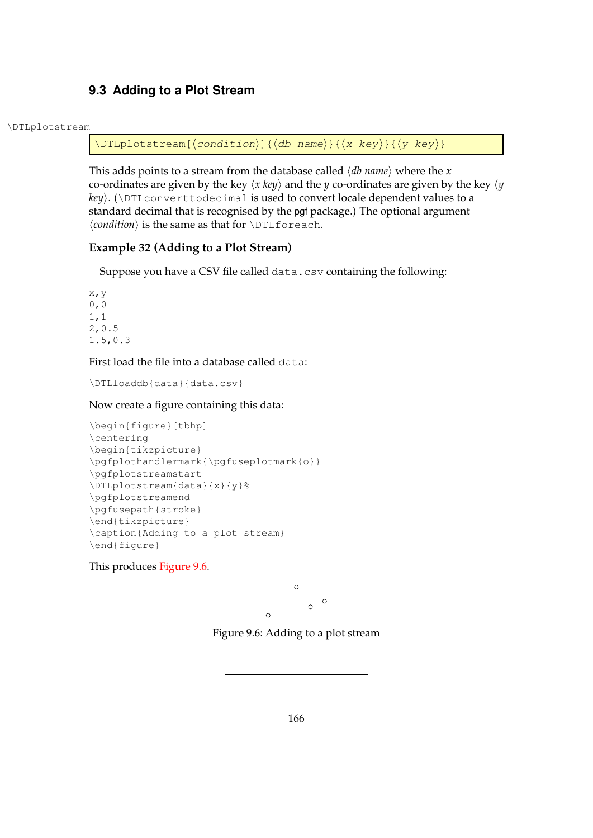# **9.3 Adding to a Plot Stream**

#### \DTLplotstream

\DTLplotstream[ $\langle condition\rangle$ ]{ $\langle db \text{ name}\rangle$ }{ $\langle x \text{ key}\rangle$ }{ $\langle y \text{ key}\rangle$ }

This adds points to a stream from the database called  $\langle db \text{ name} \rangle$  where the *x* co-ordinates are given by the key  $\langle x \text{ key} \rangle$  and the *y* co-ordinates are given by the key  $\langle y \rangle$ *key*). ( $DTLconverttodecimal$  is used to convert locale dependent values to a standard decimal that is recognised by the pgf package.) The optional argument  $\langle condition \rangle$  is the same as that for  $\D$ Lforeach.

## **Example 32 (Adding to a Plot Stream)**

Suppose you have a CSV file called data.csv containing the following:

x,y 0,0 1,1 2,0.5 1.5,0.3

First load the file into a database called data:

\DTLloaddb{data}{data.csv}

Now create a figure containing this data:

```
\begin{figure}[tbhp]
\centering
\begin{tikzpicture}
\pgfplothandlermark{\pgfuseplotmark{o}}
\pgfplotstreamstart
\DTLplotstream{data}{x}{y}%
\pgfplotstreamend
\pgfusepath{stroke}
\end{tikzpicture}
\caption{Adding to a plot stream}
\end{figure}
```
<span id="page-174-0"></span>This produces [Figure 9.6.](#page-174-0)

 $\circ$ 

 $\circ$ 

 $\circ$ 

Figure 9.6: Adding to a plot stream

 $\circ$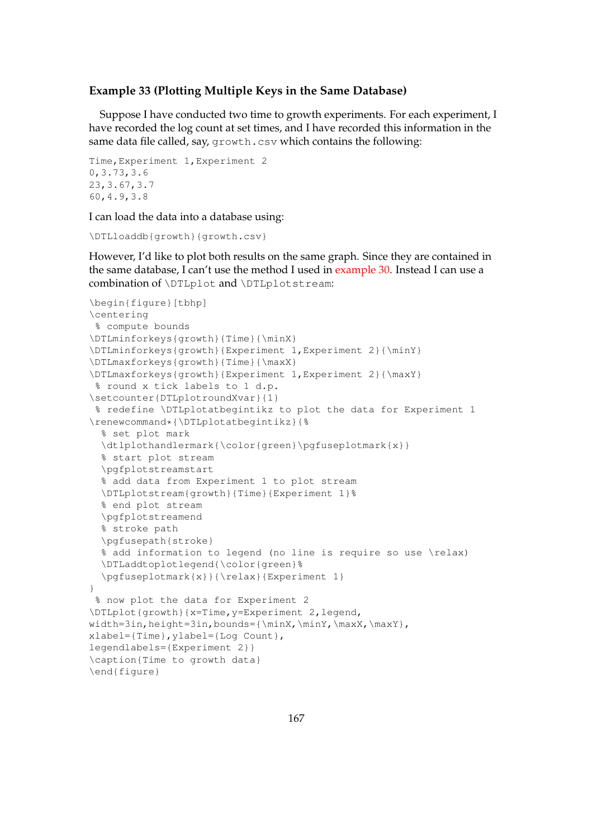## <span id="page-175-0"></span>**Example 33 (Plotting Multiple Keys in the Same Database)**

Suppose I have conducted two time to growth experiments. For each experiment, I have recorded the log count at set times, and I have recorded this information in the same data file called, say, growth.csv which contains the following:

```
Time,Experiment 1,Experiment 2
0,3.73,3.6
23,3.67,3.7
60,4.9,3.8
```
I can load the data into a database using:

```
\DTLloaddb{growth}{growth.csv}
```
However, I'd like to plot both results on the same graph. Since they are contained in the same database, I can't use the method I used in [example 30.](#page-167-0) Instead I can use a combination of \DTLplot and \DTLplotstream:

```
\begin{figure}[tbhp]
\centering
% compute bounds
\DTLminforkeys{growth}{Time}{\minX}
\DTLminforkeys{growth}{Experiment 1,Experiment 2}{\minY}
\DTLmaxforkeys{growth}{Time}{\maxX}
\DTLmaxforkeys{growth}{Experiment 1,Experiment 2}{\maxY}
% round x tick labels to 1 d.p.
\setcounter{DTLplotroundXvar}{1}
% redefine \DTLplotatbegintikz to plot the data for Experiment 1
\renewcommand*{\DTLplotatbegintikz}{%
  % set plot mark
  \dtlplothandlermark{\color{green}\pgfuseplotmark{x}}
  % start plot stream
  \pgfplotstreamstart
  % add data from Experiment 1 to plot stream
 \DTLplotstream{growth}{Time}{Experiment 1}%
  % end plot stream
  \pgfplotstreamend
  % stroke path
  \pgfusepath{stroke}
  % add information to legend (no line is require so use \relax)
  \DTLaddtoplotlegend{\color{green}%
  \pgfuseplotmark{x}}{\relax}{Experiment 1}
}
 % now plot the data for Experiment 2
\DTLplot{growth}{x=Time,y=Experiment 2,legend,
width=3in, height=3in,bounds={\min X,\min Y,\max Y,\max Y},xlabel={Time},ylabel={Log Count},
legendlabels={Experiment 2}}
\caption{Time to growth data}
\end{figure}
```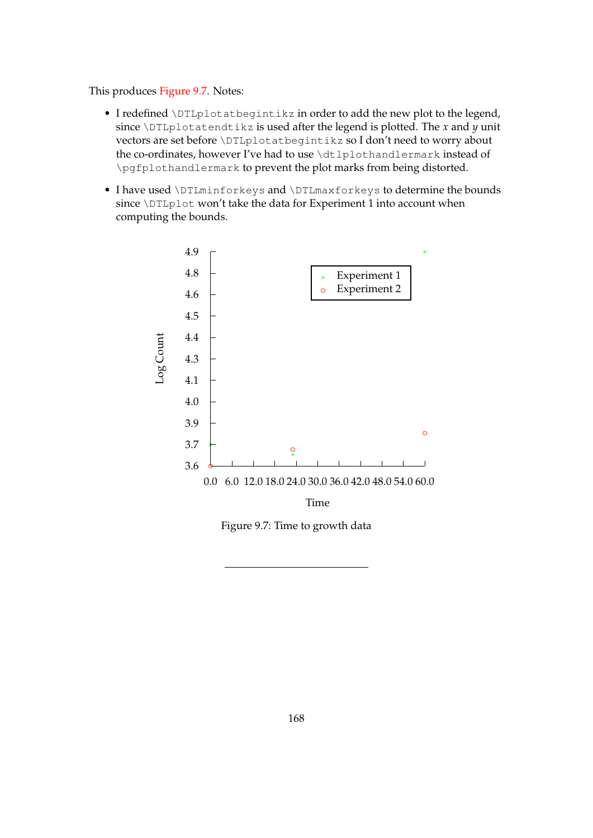This produces [Figure 9.7.](#page-176-0) Notes:

- I redefined \DTLplotatbegintikz in order to add the new plot to the legend, since  $\Delta$ DTLplotatendtikz is used after the legend is plotted. The *x* and *y* unit vectors are set before \DTLplotatbegintikz so I don't need to worry about the co-ordinates, however I've had to use \dtlplothandlermark instead of \pgfplothandlermark to prevent the plot marks from being distorted.
- <span id="page-176-0"></span>• I have used \DTLminforkeys and \DTLmaxforkeys to determine the bounds since \DTLplot won't take the data for Experiment 1 into account when computing the bounds.



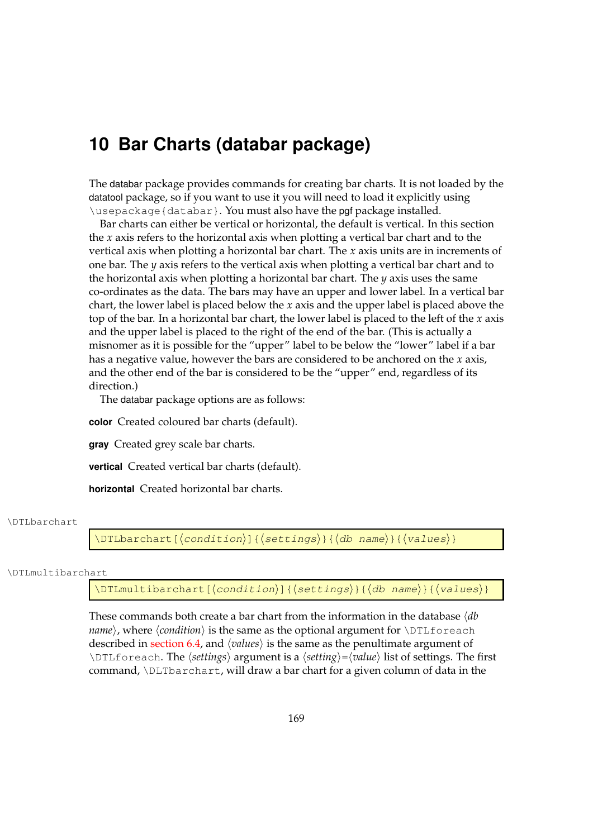# **10 Bar Charts (databar package)**

The databar package provides commands for creating bar charts. It is not loaded by the datatool package, so if you want to use it you will need to load it explicitly using \usepackage{databar}. You must also have the pgf package installed.

Bar charts can either be vertical or horizontal, the default is vertical. In this section the *x* axis refers to the horizontal axis when plotting a vertical bar chart and to the vertical axis when plotting a horizontal bar chart. The *x* axis units are in increments of one bar. The *y* axis refers to the vertical axis when plotting a vertical bar chart and to the horizontal axis when plotting a horizontal bar chart. The *y* axis uses the same co-ordinates as the data. The bars may have an upper and lower label. In a vertical bar chart, the lower label is placed below the *x* axis and the upper label is placed above the top of the bar. In a horizontal bar chart, the lower label is placed to the left of the *x* axis and the upper label is placed to the right of the end of the bar. (This is actually a misnomer as it is possible for the "upper" label to be below the "lower" label if a bar has a negative value, however the bars are considered to be anchored on the *x* axis, and the other end of the bar is considered to be the "upper" end, regardless of its direction.)

The databar package options are as follows:

**color** Created coloured bar charts (default).

**gray** Created grey scale bar charts.

**vertical** Created vertical bar charts (default).

**horizontal** Created horizontal bar charts.

#### \DTLbarchart

\DTLbarchart[ $\langle$ condition $\rangle$ ]{ $\langle$ settings $\rangle$ }{ $\langle$ db name $\rangle$ }{ $\langle$ values $\rangle$ }

#### \DTLmultibarchart

\DTLmultibarchart[ $\langle$ condition $\rangle$ ]{ $\langle$ settings $\rangle$ }{ $\langle$ db name $\rangle$ }{ $\langle$ values $\rangle$ }

These commands both create a bar chart from the information in the database  $\langle db$ *name*), where  $\langle condition \rangle$  is the same as the optional argument for  $\D$ ILforeach described in [section 6.4,](#page-64-0) and  $\langle values \rangle$  is the same as the penultimate argument of \DTLforeach. The  $\langle$ *settings* $\rangle$  argument is a  $\langle$ *setting* $\rangle = \langle$ *value* $\rangle$  list of settings. The first command, \DLTbarchart, will draw a bar chart for a given column of data in the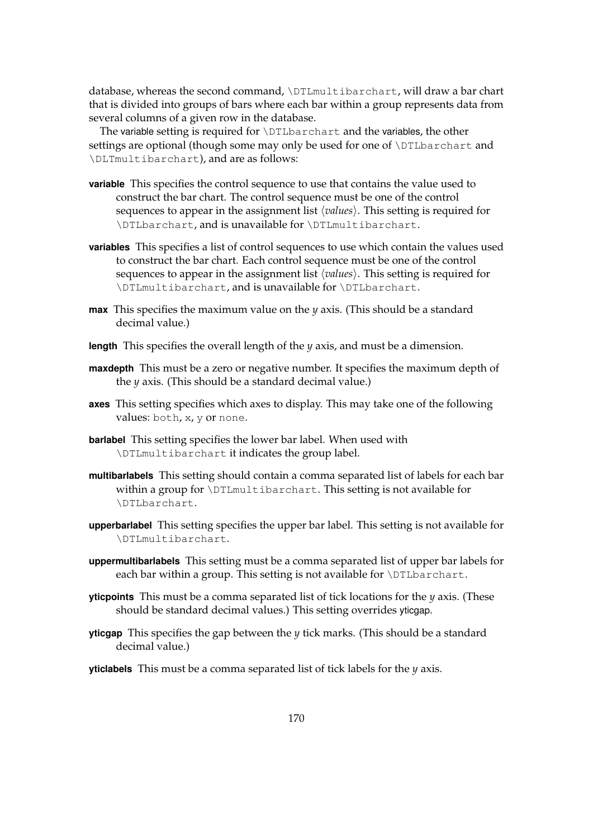database, whereas the second command, \DTLmultibarchart, will draw a bar chart that is divided into groups of bars where each bar within a group represents data from several columns of a given row in the database.

The variable setting is required for \DTLbarchart and the variables, the other settings are optional (though some may only be used for one of \DTLbarchart and \DLTmultibarchart), and are as follows:

- **variable** This specifies the control sequence to use that contains the value used to construct the bar chart. The control sequence must be one of the control sequences to appear in the assignment list  $\langle values \rangle$ . This setting is required for \DTLbarchart, and is unavailable for \DTLmultibarchart.
- **variables** This specifies a list of control sequences to use which contain the values used to construct the bar chart. Each control sequence must be one of the control sequences to appear in the assignment list  $\langle values \rangle$ . This setting is required for \DTLmultibarchart, and is unavailable for \DTLbarchart.
- **max** This specifies the maximum value on the *y* axis. (This should be a standard decimal value.)
- **length** This specifies the overall length of the *y* axis, and must be a dimension.
- **maxdepth** This must be a zero or negative number. It specifies the maximum depth of the *y* axis. (This should be a standard decimal value.)
- **axes** This setting specifies which axes to display. This may take one of the following values: both, x, y or none.
- **barlabel** This setting specifies the lower bar label. When used with \DTLmultibarchart it indicates the group label.
- **multibarlabels** This setting should contain a comma separated list of labels for each bar within a group for \DTLmultibarchart. This setting is not available for \DTLbarchart.
- **upperbarlabel** This setting specifies the upper bar label. This setting is not available for \DTLmultibarchart.
- **uppermultibarlabels** This setting must be a comma separated list of upper bar labels for each bar within a group. This setting is not available for \DTLbarchart.
- **yticpoints** This must be a comma separated list of tick locations for the *y* axis. (These should be standard decimal values.) This setting overrides yticgap.
- **yticgap** This specifies the gap between the *y* tick marks. (This should be a standard decimal value.)
- **yticlabels** This must be a comma separated list of tick labels for the *y* axis.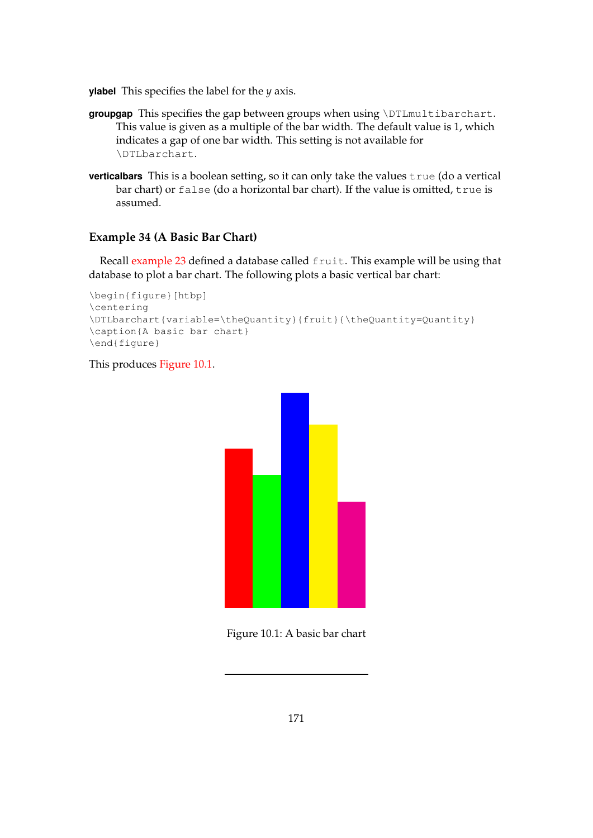**ylabel** This specifies the label for the *y* axis.

- groupgap This specifies the gap between groups when using \DTLmultibarchart. This value is given as a multiple of the bar width. The default value is 1, which indicates a gap of one bar width. This setting is not available for \DTLbarchart.
- **verticalbars** This is a boolean setting, so it can only take the values true (do a vertical bar chart) or false (do a horizontal bar chart). If the value is omitted, true is assumed.

## **Example 34 (A Basic Bar Chart)**

Recall [example 23](#page-151-1) defined a database called fruit. This example will be using that database to plot a bar chart. The following plots a basic vertical bar chart:

```
\begin{figure}[htbp]
\centering
\DTLbarchart{variable=\theQuantity}{fruit}{\theQuantity=Quantity}
\caption{A basic bar chart}
\end{figure}
```
## <span id="page-179-0"></span>This produces [Figure 10.1.](#page-179-0)



Figure 10.1: A basic bar chart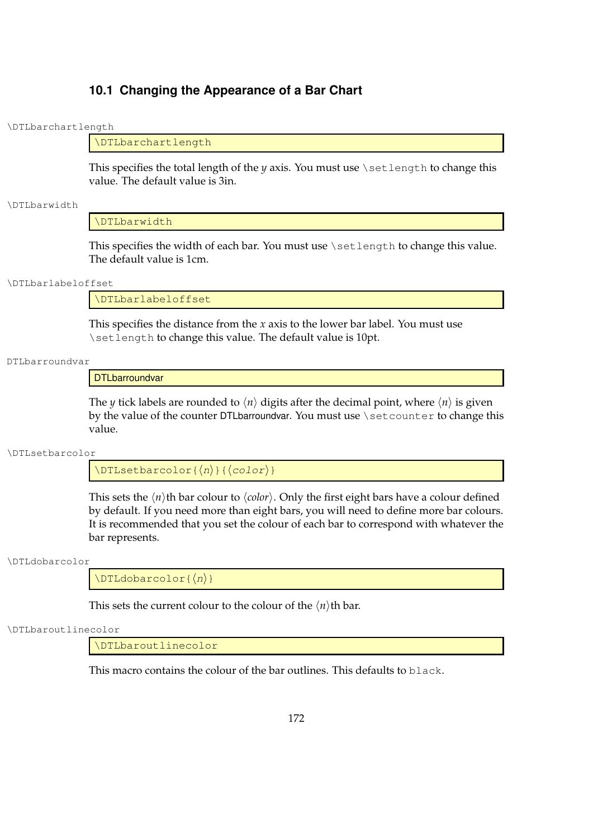### **10.1 Changing the Appearance of a Bar Chart**

### \DTLbarchartlength

### \DTLbarchartlength

This specifies the total length of the *y* axis. You must use \setlength to change this value. The default value is 3in.

### \DTLbarwidth

#### \DTLbarwidth

This specifies the width of each bar. You must use \setlength to change this value. The default value is 1cm.

#### \DTLbarlabeloffset

\DTLbarlabeloffset

This specifies the distance from the *x* axis to the lower bar label. You must use \setlength to change this value. The default value is 10pt.

#### DTLbarroundvar

**DTLbarroundvar** 

The *y* tick labels are rounded to  $\langle n \rangle$  digits after the decimal point, where  $\langle n \rangle$  is given by the value of the counter DTLbarroundvar. You must use \setcounter to change this value.

\DTLsetbarcolor

 $\Delta$ DTLsetbarcolor{ $\langle n \rangle$ }{ $\langle color \rangle$ }

This sets the  $\langle n \rangle$ th bar colour to  $\langle color \rangle$ . Only the first eight bars have a colour defined by default. If you need more than eight bars, you will need to define more bar colours. It is recommended that you set the colour of each bar to correspond with whatever the bar represents.

### \DTLdobarcolor

 $\Delta$ DTLdobarcolor{ $\langle n \rangle$ }

This sets the current colour to the colour of the  $\langle n \rangle$ th bar.

### \DTLbaroutlinecolor

\DTLbaroutlinecolor

This macro contains the colour of the bar outlines. This defaults to black.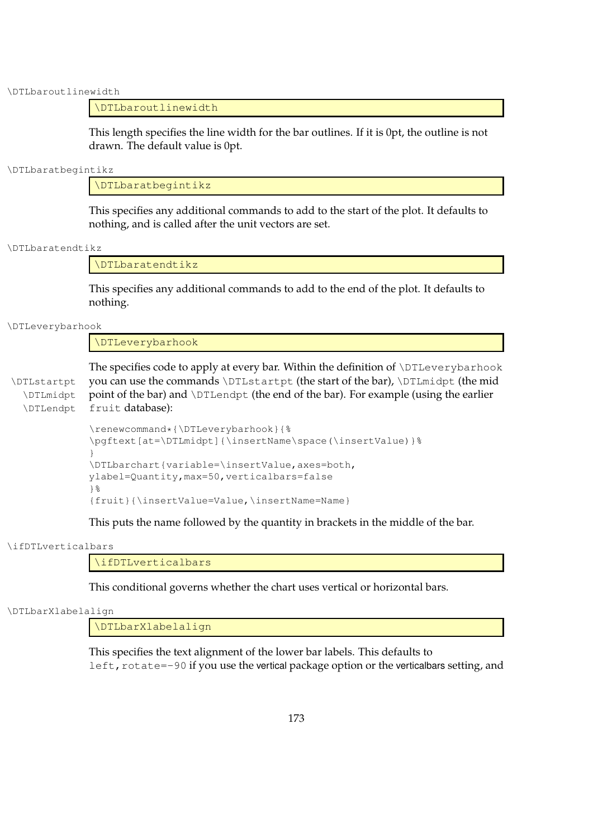\DTLbaroutlinewidth

### \DTLbaroutlinewidth

This length specifies the line width for the bar outlines. If it is 0pt, the outline is not drawn. The default value is 0pt.

#### \DTLbaratbegintikz

\DTLbaratbegintikz

This specifies any additional commands to add to the start of the plot. It defaults to nothing, and is called after the unit vectors are set.

\DTLbaratendtikz

\DTLbaratendtikz

This specifies any additional commands to add to the end of the plot. It defaults to nothing.

\DTLeverybarhook

\DTLeverybarhook

The specifies code to apply at every bar. Within the definition of \DTLeverybarhook \DTLstartpt you can use the commands \DTLstartpt (the start of the bar), \DTLmidpt (the mid \DTLmidpt point of the bar) and \DTLendpt (the end of the bar). For example (using the earlier \DTLendpt fruit database):

```
\renewcommand*{\DTLeverybarhook}{%
\pgftext[at=\DTLmidpt]{\insertName\space(\insertValue)}%
}
\DTLbarchart{variable=\insertValue,axes=both,
ylabel=Quantity,max=50,verticalbars=false
}%
{fruit}{\insertValue=Value,\insertName=Name}
```
This puts the name followed by the quantity in brackets in the middle of the bar.

\ifDTLverticalbars

\ifDTLverticalbars

This conditional governs whether the chart uses vertical or horizontal bars.

\DTLbarXlabelalign

\DTLbarXlabelalign

This specifies the text alignment of the lower bar labels. This defaults to left, rotate=-90 if you use the vertical package option or the verticalbars setting, and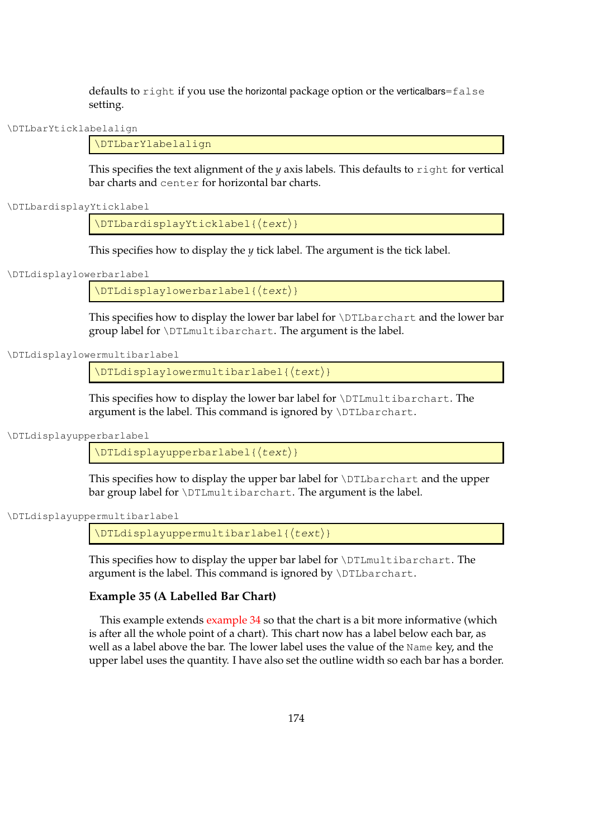defaults to right if you use the horizontal package option or the verticalbars=false setting.

\DTLbarYticklabelalign

\DTLbarYlabelalign

This specifies the text alignment of the *y* axis labels. This defaults to right for vertical bar charts and center for horizontal bar charts.

\DTLbardisplayYticklabel

 $\DTLbardisplayYticklabel({text)}$ 

This specifies how to display the *y* tick label. The argument is the tick label.

### \DTLdisplaylowerbarlabel

 $\Delta$ DTLdisplaylowerbarlabel{ $\langle test \rangle$ }

This specifies how to display the lower bar label for \DTLbarchart and the lower bar group label for \DTLmultibarchart. The argument is the label.

\DTLdisplaylowermultibarlabel

 $\Delta$ DTLdisplaylowermultibarlabel{ $\langle test \rangle$ }

This specifies how to display the lower bar label for \DTLmultibarchart. The argument is the label. This command is ignored by \DTLbarchart.

\DTLdisplayupperbarlabel

 $\Delta$ ) \DTLdisplayupperbarlabel{ $\langle test \rangle$ }

This specifies how to display the upper bar label for \DTLbarchart and the upper bar group label for \DTLmultibarchart. The argument is the label.

\DTLdisplayuppermultibarlabel

 $\Delta$ DTLdisplayuppermultibarlabel{ $\langle \text{text} \rangle$ }

This specifies how to display the upper bar label for \DTLmultibarchart. The argument is the label. This command is ignored by \DTLbarchart.

### **Example 35 (A Labelled Bar Chart)**

This example extends [example 34](#page-179-0) so that the chart is a bit more informative (which is after all the whole point of a chart). This chart now has a label below each bar, as well as a label above the bar. The lower label uses the value of the Name key, and the upper label uses the quantity. I have also set the outline width so each bar has a border.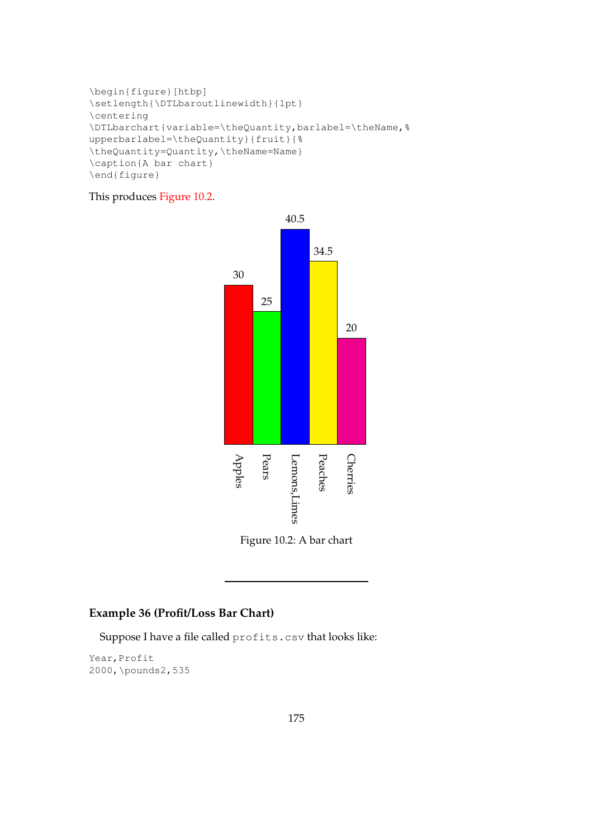```
\begin{figure}[htbp]
\setlength{\DTLbaroutlinewidth}{1pt}
\centering
\DTLbarchart{variable=\theQuantity,barlabel=\theName,%
upperbarlabel=\theQuantity}{fruit}{%
\theQuantity=Quantity,\theName=Name}
\caption{A bar chart}
\end{figure}
```
### <span id="page-183-0"></span>This produces [Figure 10.2.](#page-183-0)





## **Example 36 (Profit/Loss Bar Chart)**

Suppose I have a file called profits.csv that looks like:

Year, Profit 2000,\pounds2,535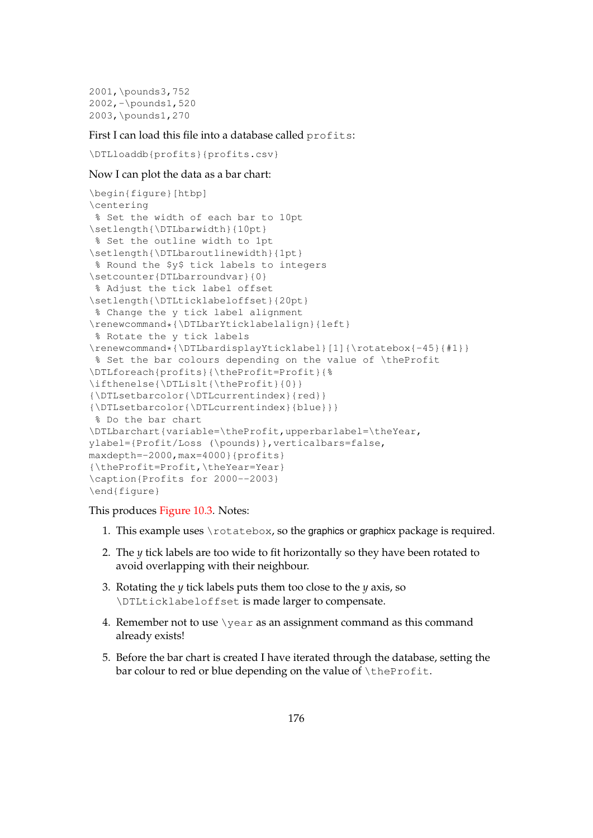```
2001,\pounds3,752
2002,-\pounds1,520
2003,\pounds1,270
```
First I can load this file into a database called profits:

```
\DTLloaddb{profits}{profits.csv}
```
### Now I can plot the data as a bar chart:

```
\begin{figure}[htbp]
\centering
 % Set the width of each bar to 10pt
\setlength{\DTLbarwidth}{10pt}
% Set the outline width to 1pt
\setlength{\DTLbaroutlinewidth}{1pt}
% Round the $y$ tick labels to integers
\setcounter{DTLbarroundvar}{0}
% Adjust the tick label offset
\setlength{\DTLticklabeloffset}{20pt}
 % Change the y tick label alignment
\renewcommand*{\DTLbarYticklabelalign}{left}
% Rotate the y tick labels
\renewcommand*{\DTLbardisplayYticklabel}[1]{\rotatebox{-45}{#1}}
% Set the bar colours depending on the value of \theProfit
\DTLforeach{profits}{\theProfit=Profit}{%
\ifthenelse{\DTLislt{\theProfit}{0}}
{\DTLsetbarcolor{\DTLcurrentindex}{red}}
{\DTLsetbarcolor{\DTLcurrentindex}{blue}}}
% Do the bar chart
\DTLbarchart{variable=\theProfit,upperbarlabel=\theYear,
ylabel={Profit/Loss (\pounds)},verticalbars=false,
maxdepth=-2000,max=4000}{profits}
{\theProfit=Profit,\theYear=Year}
\caption{Profits for 2000--2003}
\end{figure}
```
This produces [Figure 10.3.](#page-185-0) Notes:

- 1. This example uses \rotatebox, so the graphics or graphicx package is required.
- 2. The *y* tick labels are too wide to fit horizontally so they have been rotated to avoid overlapping with their neighbour.
- 3. Rotating the *y* tick labels puts them too close to the *y* axis, so \DTLticklabeloffset is made larger to compensate.
- 4. Remember not to use  $\iota$  vear as an assignment command as this command already exists!
- 5. Before the bar chart is created I have iterated through the database, setting the bar colour to red or blue depending on the value of \theProfit.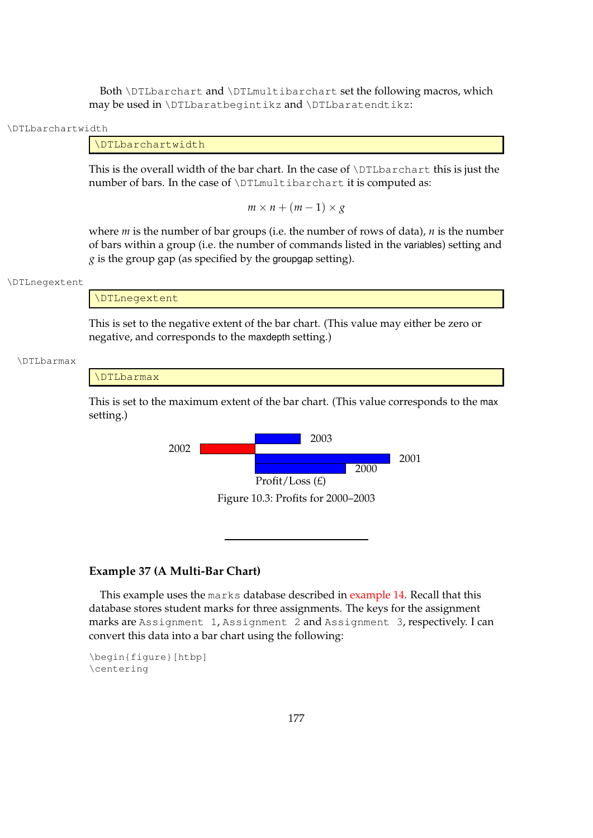Both \DTLbarchart and \DTLmultibarchart set the following macros, which may be used in \DTLbaratbegintikz and \DTLbaratendtikz:

#### \DTLbarchartwidth

### \DTLbarchartwidth

This is the overall width of the bar chart. In the case of \DTLbarchart this is just the number of bars. In the case of \DTLmultibarchart it is computed as:

 $m \times n + (m-1) \times g$ 

where *m* is the number of bar groups (i.e. the number of rows of data), *n* is the number of bars within a group (i.e. the number of commands listed in the variables) setting and *g* is the group gap (as specified by the groupgap setting).

#### \DTLnegextent

\DTLnegextent

This is set to the negative extent of the bar chart. (This value may either be zero or negative, and corresponds to the maxdepth setting.)

#### \DTLbarmax

#### \DTLbarmax

<span id="page-185-0"></span>This is set to the maximum extent of the bar chart. (This value corresponds to the max setting.)



### **Example 37 (A Multi-Bar Chart)**

This example uses the marks database described in [example 14.](#page-84-0) Recall that this database stores student marks for three assignments. The keys for the assignment marks are Assignment 1, Assignment 2 and Assignment 3, respectively. I can convert this data into a bar chart using the following:

\begin{figure}[htbp] \centering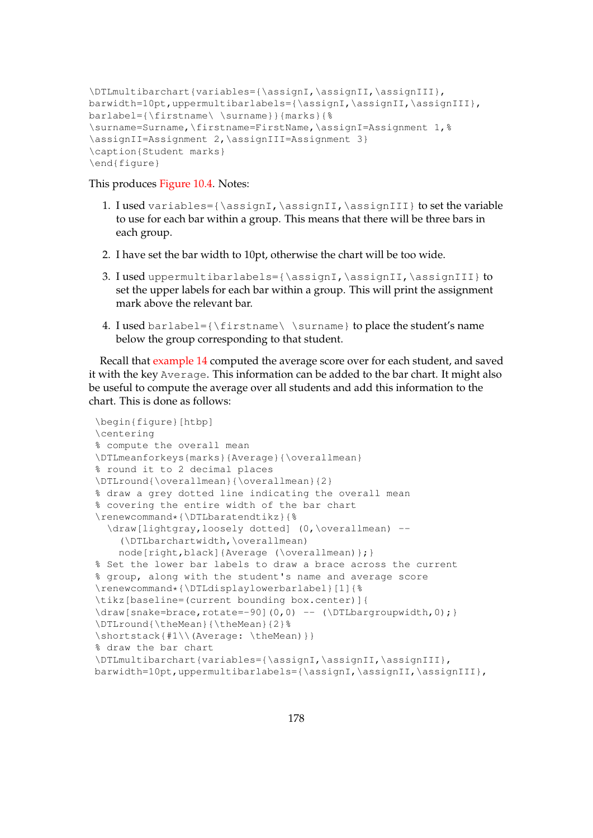```
\DTLmultibarchart{variables={\assignI,\assignII,\assignIII},
barwidth=10pt,uppermultibarlabels={\assignI,\assignII,\assignIII},
barlabel={\firstname\ \surname}}{marks}{%
\surname=Surname,\firstname=FirstName,\assignI=Assignment 1,%
\assignII=Assignment 2,\assignIII=Assignment 3}
\caption{Student marks}
\end{figure}
```
This produces [Figure 10.4.](#page-187-0) Notes:

- 1. I used variables={\assignI,\assignII,\assignIII} to set the variable to use for each bar within a group. This means that there will be three bars in each group.
- 2. I have set the bar width to 10pt, otherwise the chart will be too wide.
- 3. I used uppermultibarlabels={\assignI,\assignII,\assignIII} to set the upper labels for each bar within a group. This will print the assignment mark above the relevant bar.
- 4. I used barlabel= ${\frac{\simeq}{\simeq}}$  to place the student's name below the group corresponding to that student.

Recall that [example 14](#page-84-0) computed the average score over for each student, and saved it with the key Average. This information can be added to the bar chart. It might also be useful to compute the average over all students and add this information to the chart. This is done as follows:

```
\begin{figure}[htbp]
\centering
% compute the overall mean
\DTLmeanforkeys{marks}{Average}{\overallmean}
% round it to 2 decimal places
\DTLround{\overallmean}{\overallmean}{2}
% draw a grey dotted line indicating the overall mean
% covering the entire width of the bar chart
\renewcommand*{\DTLbaratendtikz}{%
  \draw[lightgray,loosely dotted] (0,\overallmean) --
    (\DTLbarchartwidth,\overallmean)
    node[right,black]{Average (\overallmean)};}
% Set the lower bar labels to draw a brace across the current
% group, along with the student's name and average score
\renewcommand*{\DTLdisplaylowerbarlabel}[1]{%
\tikz[baseline=(current bounding box.center)]{
\draw[snake=brace,rotate=-90](0,0) -- (\D{Lbarary}\DTLround{\theMean}{\theMean}{2}%
\shortstack{#1\\(Average: \theMean)}}
% draw the bar chart
\DTLmultibarchart{variables={\assignI,\assignII,\assignIII},
barwidth=10pt,uppermultibarlabels={\assignI,\assignII,\assignIII},
```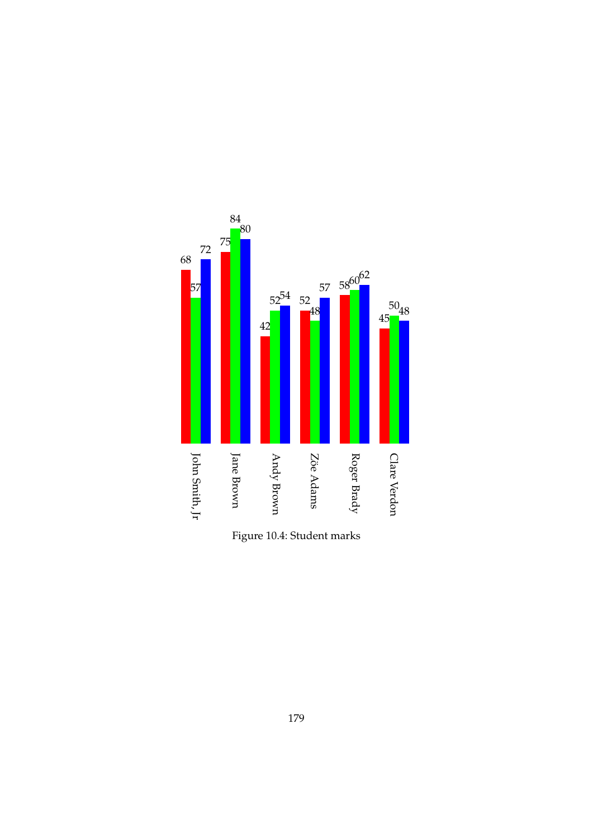<span id="page-187-0"></span>

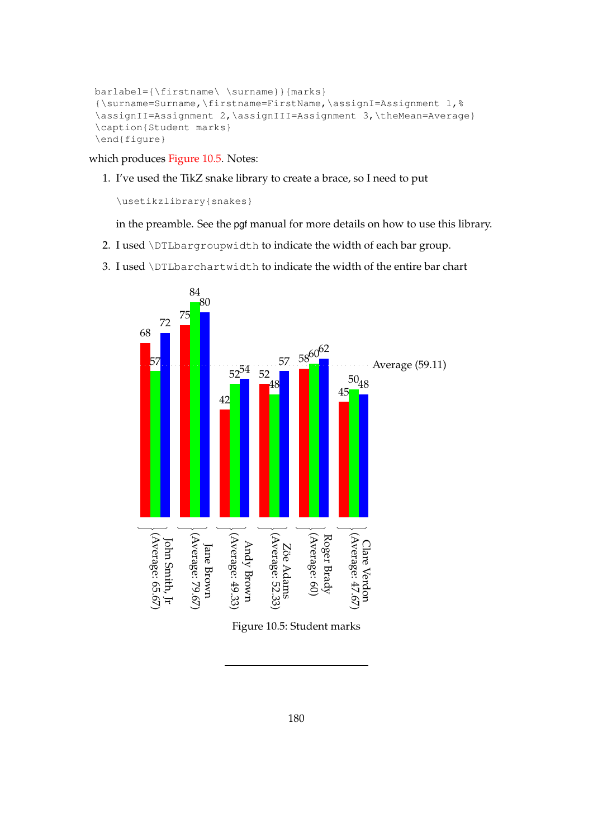```
barlabel={\firstname\ \surname}}{marks}
{\surname=Surname,\firstname=FirstName,\assignI=Assignment 1,%
\assignII=Assignment 2,\assignIII=Assignment 3,\theMean=Average}
\caption{Student marks}
\end{figure}
```
which produces [Figure 10.5.](#page-188-0) Notes:

1. I've used the TikZ snake library to create a brace, so I need to put

\usetikzlibrary{snakes}

in the preamble. See the pgf manual for more details on how to use this library.

- 2. I used \DTLbargroupwidth to indicate the width of each bar group.
- <span id="page-188-0"></span>3. I used \DTLbarchartwidth to indicate the width of the entire bar chart



Figure 10.5: Student marks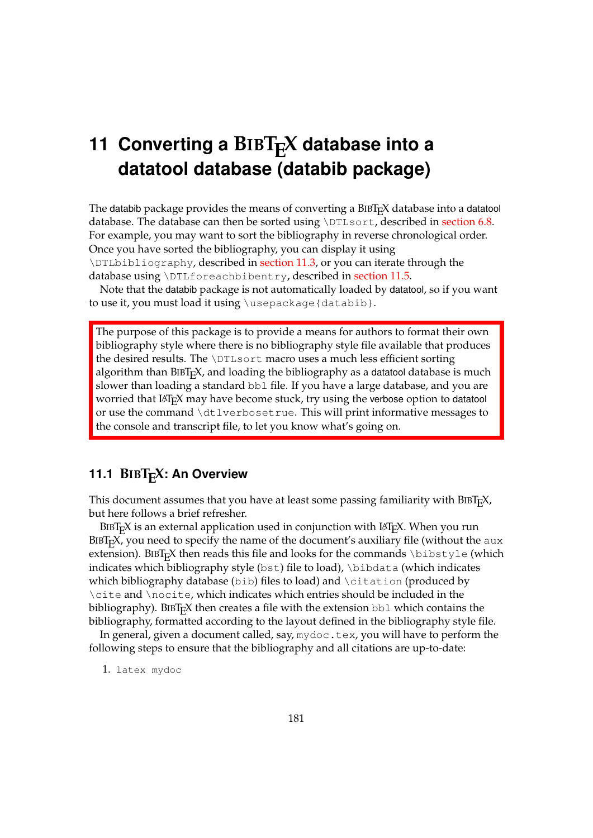# **11 Converting a BIBT<sub>F</sub>X database into a datatool database (databib package)**

The databib package provides the means of converting a  $BIBT<sub>F</sub>X$  database into a datatool database. The database can then be sorted using \DTLsort, described in [section 6.8.](#page-90-0) For example, you may want to sort the bibliography in reverse chronological order. Once you have sorted the bibliography, you can display it using \DTLbibliography, described in [section 11.3,](#page-193-0) or you can iterate through the database using \DTLforeachbibentry, described in [section 11.5.](#page-202-0)

Note that the databib package is not automatically loaded by datatool, so if you want to use it, you must load it using \usepackage{databib}.

The purpose of this package is to provide a means for authors to format their own bibliography style where there is no bibliography style file available that produces the desired results. The \DTLsort macro uses a much less efficient sorting algorithm than  $BIBT<sub>F</sub>X$ , and loading the bibliography as a datatool database is much slower than loading a standard bb1 file. If you have a large database, and you are worried that LATEX may have become stuck, try using the verbose option to datatool or use the command \dtlverbosetrue. This will print informative messages to the console and transcript file, to let you know what's going on.

### <span id="page-189-0"></span>**11.1 BIBTEX: An Overview**

This document assumes that you have at least some passing familiarity with  $BIBT<sub>F</sub>X$ , but here follows a brief refresher.

BIBT<sub>E</sub>X is an external application used in conjunction with LAT<sub>E</sub>X. When you run  $BIBT<sub>F</sub>X$ , you need to specify the name of the document's auxiliary file (without the aux extension). BIBT<sub>E</sub>X then reads this file and looks for the commands  $\bibtyle$  (which indicates which bibliography style (bst) file to load), \bibdata (which indicates which bibliography database (bib) files to load) and \citation (produced by \cite and \nocite, which indicates which entries should be included in the bibliography). BIBT<sub>E</sub>X then creates a file with the extension  $bb1$  which contains the bibliography, formatted according to the layout defined in the bibliography style file.

In general, given a document called, say, mydoc.tex, you will have to perform the following steps to ensure that the bibliography and all citations are up-to-date:

1. latex mydoc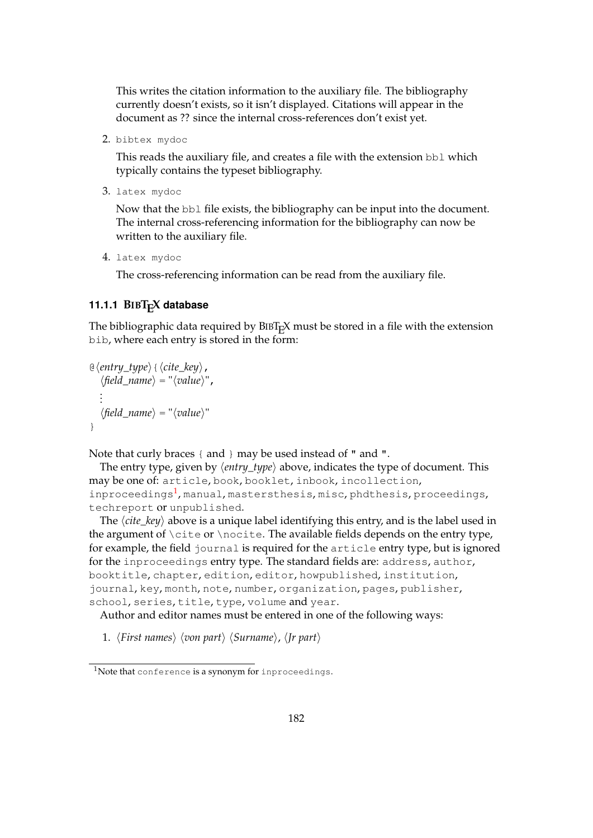This writes the citation information to the auxiliary file. The bibliography currently doesn't exists, so it isn't displayed. Citations will appear in the document as ?? since the internal cross-references don't exist yet.

2. bibtex mydoc

This reads the auxiliary file, and creates a file with the extension bbl which typically contains the typeset bibliography.

3. latex mydoc

Now that the bbl file exists, the bibliography can be input into the document. The internal cross-referencing information for the bibliography can now be written to the auxiliary file.

4. latex mydoc

The cross-referencing information can be read from the auxiliary file.

### **11.1.1 BIBTEX database**

The bibliographic data required by  $BIBT<sub>F</sub>X$  must be stored in a file with the extension bib, where each entry is stored in the form:

```
\Theta(entry type) {(cite key),
    \langlefield_name\rangle = "\langlevalue\rangle",
    .
    .
    .
    \langle field\_name \rangle = "\langle value \rangle"}
```
Note that curly braces { and } may be used instead of " and ".

The entry type, given by  $\langle entry\_type \rangle$  above, indicates the type of document. This may be one of: article, book, booklet, inbook, incollection, inproceedings<sup>[1](#page-190-0)</sup>, manual, mastersthesis, misc, phdthesis, proceedings, techreport or unpublished.

The  $\langle$ *cite\_key* $\rangle$  above is a unique label identifying this entry, and is the label used in the argument of \cite or \nocite. The available fields depends on the entry type, for example, the field journal is required for the article entry type, but is ignored for the inproceedings entry type. The standard fields are: address, author, booktitle, chapter, edition, editor, howpublished, institution, journal, key, month, note, number, organization, pages, publisher, school, series, title, type, volume and year.

Author and editor names must be entered in one of the following ways:

1. *(First names) (von part) (Surname)*, *(Jr part)* 

<span id="page-190-0"></span><sup>&</sup>lt;sup>1</sup>Note that conference is a synonym for inproceedings.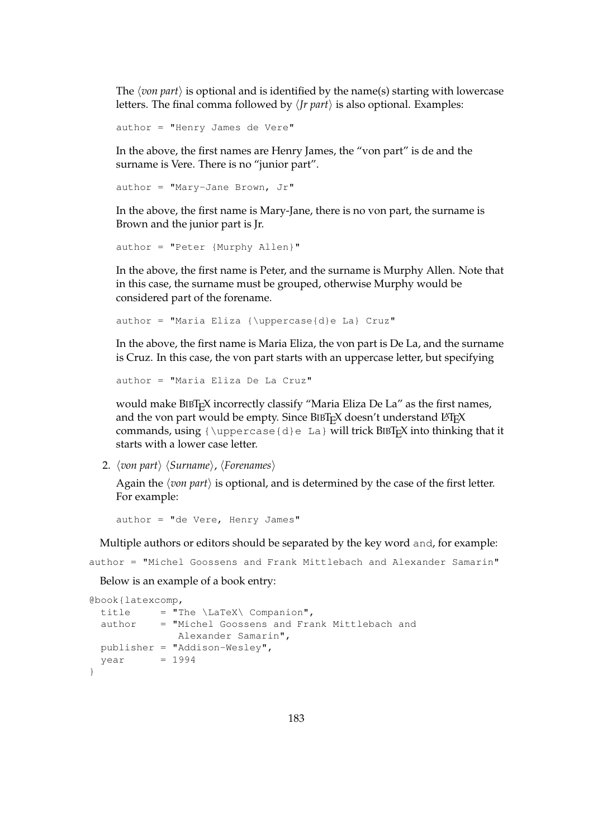The  $\langle$ *von part* $\rangle$  is optional and is identified by the name(s) starting with lowercase letters. The final comma followed by  $\langle$  *Jr part* $\rangle$  is also optional. Examples:

author = "Henry James de Vere"

In the above, the first names are Henry James, the "von part" is de and the surname is Vere. There is no "junior part".

```
author = "Mary-Jane Brown, Jr"
```
In the above, the first name is Mary-Jane, there is no von part, the surname is Brown and the junior part is Jr.

```
author = "Peter {Murphy Allen}"
```
In the above, the first name is Peter, and the surname is Murphy Allen. Note that in this case, the surname must be grouped, otherwise Murphy would be considered part of the forename.

author = "Maria Eliza {\uppercase{d}e La} Cruz"

In the above, the first name is Maria Eliza, the von part is De La, and the surname is Cruz. In this case, the von part starts with an uppercase letter, but specifying

```
author = "Maria Eliza De La Cruz"
```
would make BIBT<sub>E</sub>X incorrectly classify "Maria Eliza De La" as the first names, and the von part would be empty. Since  $BIBT<sub>F</sub>X$  doesn't understand  $BTRX$ commands, using  ${\upeccase{d}e La}$  will trick BIBT<sub>E</sub>X into thinking that it starts with a lower case letter.

2. *(von part) (Surname), (Forenames)* 

Again the  $\langle$ *von part* $\rangle$  is optional, and is determined by the case of the first letter. For example:

 $author = "de Vere, Henry James"$ 

Multiple authors or editors should be separated by the key word and, for example:

author = "Michel Goossens and Frank Mittlebach and Alexander Samarin"

Below is an example of a book entry:

```
@book{latexcomp,
 title = "The \langleLaTeX\langle Companion",
 author = "Michel Goossens and Frank Mittlebach and
             Alexander Samarin",
 publisher = "Addison-Wesley",
 year = 1994}
```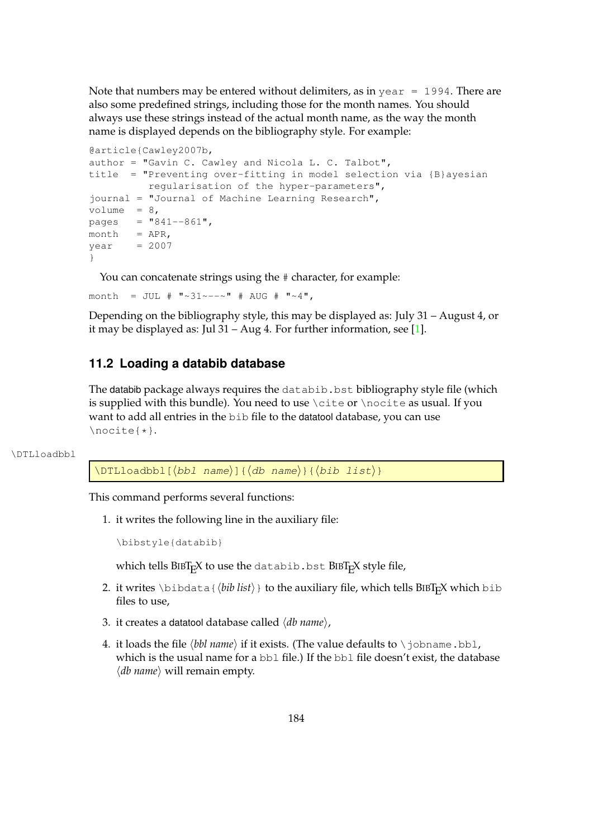Note that numbers may be entered without delimiters, as in year  $= 1994$ . There are also some predefined strings, including those for the month names. You should always use these strings instead of the actual month name, as the way the month name is displayed depends on the bibliography style. For example:

```
@article{Cawley2007b,
author = "Gavin C. Cawley and Nicola L. C. Talbot",
title = "Preventing over-fitting in model selection via {B}ayesian
        regularisation of the hyper-parameters",
journal = "Journal of Machine Learning Research",
volume = 8,
pages = "841--861",month = APR,year = 2007}
```
You can concatenate strings using the  $#$  character, for example:

month = JUL #  $\sqrt{31} \sim -\sim$  # AUG #  $\sqrt{4}$ ,

Depending on the bibliography style, this may be displayed as: July 31 – August 4, or it may be displayed as: Jul 31 – Aug 4. For further information, see [\[1\]](#page-218-0).

### <span id="page-192-0"></span>**11.2 Loading a databib database**

The databib package always requires the databib. bst bibliography style file (which is supplied with this bundle). You need to use \cite or \nocite as usual. If you want to add all entries in the bib file to the datatool database, you can use \nocite{\*}.

#### \DTLloadbbl

 $\DTLloadbbl[\langle bbl \ name\rangle][\langle db \ name\rangle]{\langle bib \ list\rangle}$ 

This command performs several functions:

1. it writes the following line in the auxiliary file:

```
\bibstyle{databib}
```
which tells  $BIBT<sub>E</sub>X$  to use the databib.bst  $BIBT<sub>E</sub>X$  style file,

- 2. it writes \bibdata{ $\langle bib \; list \rangle$ } to the auxiliary file, which tells BIBT<sub>E</sub>X which bib files to use,
- 3. it creates a datatool database called  $\langle db \ name \rangle$ ,
- 4. it loads the file  $\langle bbl$  *name*) if it exists. (The value defaults to  $\iota$  obname.bbl, which is the usual name for a bbl file.) If the bbl file doesn't exist, the database  $\langle db$  *name* $\rangle$  will remain empty.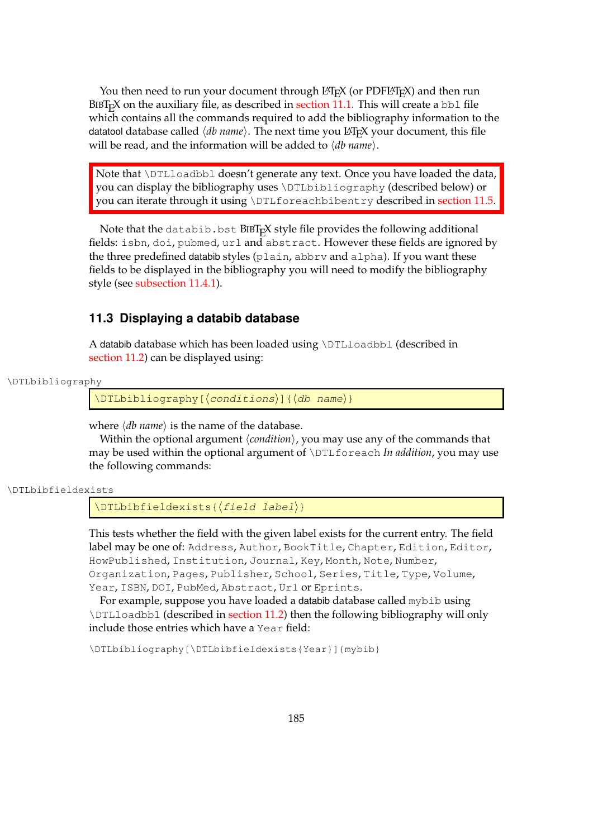You then need to run your document through  $ETr(X)$  (or PDF $ETr(X)$ ) and then run  $BIBT<sub>F</sub>X$  on the auxiliary file, as described in [section 11.1.](#page-189-0) This will create a bb1 file which contains all the commands required to add the bibliography information to the datatool database called  $\langle db$  name). The next time you LAT<sub>E</sub>X your document, this file will be read, and the information will be added to  $\langle db$  *name*).

Note that \DTLloadbbl doesn't generate any text. Once you have loaded the data, you can display the bibliography uses \DTLbibliography (described below) or you can iterate through it using \DTLforeachbibentry described in [section 11.5.](#page-202-0)

Note that the databib.bst BIBTEX style file provides the following additional fields: isbn, doi, pubmed, url and abstract. However these fields are ignored by the three predefined databib styles (plain, abbrv and alpha). If you want these fields to be displayed in the bibliography you will need to modify the bibliography style (see [subsection 11.4.1\)](#page-197-0).

### <span id="page-193-0"></span>**11.3 Displaying a databib database**

A databib database which has been loaded using \DTLloadbbl (described in [section 11.2\)](#page-192-0) can be displayed using:

```
\DTLbibliography
```
 $\DTHbibliography[(conditions)]({db name})$ 

where  $\langle db \text{ name} \rangle$  is the name of the database.

Within the optional argument  $\langle condition \rangle$ , you may use any of the commands that may be used within the optional argument of \DTLforeach *In addition*, you may use the following commands:

```
\DTLbibfieldexists
```
 $\Delta$ labibfieldexists{ $\{field label\}$ }

This tests whether the field with the given label exists for the current entry. The field label may be one of: Address, Author, BookTitle, Chapter, Edition, Editor, HowPublished, Institution, Journal, Key, Month, Note, Number, Organization, Pages, Publisher, School, Series, Title, Type, Volume, Year, ISBN, DOI, PubMed, Abstract, Url or Eprints.

For example, suppose you have loaded a databib database called mybib using \DTLloadbbl (described in [section 11.2\)](#page-192-0) then the following bibliography will only include those entries which have a Year field:

\DTLbibliography[\DTLbibfieldexists{Year}]{mybib}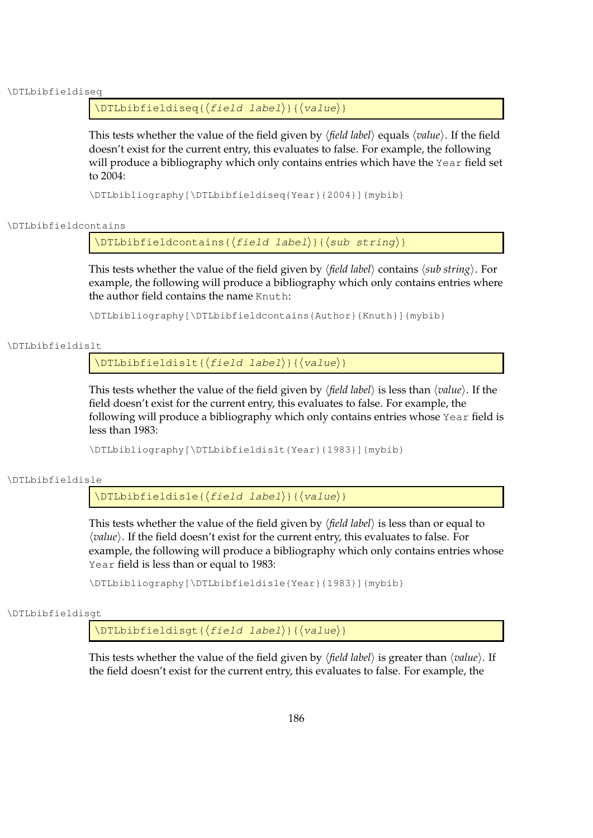### \DTLbibfieldiseq

### $\DTLbibfieldiseq({field~label}){\langle}$

This tests whether the value of the field given by  $\langle$ *field label* $\rangle$  equals  $\langle$ *value* $\rangle$ . If the field doesn't exist for the current entry, this evaluates to false. For example, the following will produce a bibliography which only contains entries which have the Year field set to 2004:

\DTLbibliography[\DTLbibfieldiseq{Year}{2004}]{mybib}

\DTLbibfieldcontains

 $\DTEbibfield contains({field\ label})({sub string})$ 

This tests whether the value of the field given by *\field label*} contains  $\langle sub \, string \rangle$ . For example, the following will produce a bibliography which only contains entries where the author field contains the name Knuth:

\DTLbibliography[\DTLbibfieldcontains{Author}{Knuth}]{mybib}

\DTLbibfieldislt

 $\DTHbibfieldislt({field\ label}{label}{\langle\value\rangle}$ 

This tests whether the value of the field given by *\field label*} is less than *\value*}. If the field doesn't exist for the current entry, this evaluates to false. For example, the following will produce a bibliography which only contains entries whose Year field is less than 1983:

\DTLbibliography[\DTLbibfieldislt{Year}{1983}]{mybib}

\DTLbibfieldisle

 $\Delta$ ) \DTLbibfieldisle{ $\langle$ field label}}{ $\langle$ value}}

This tests whether the value of the field given by  $\langle$  *field label* $\rangle$  is less than or equal to *(value)*. If the field doesn't exist for the current entry, this evaluates to false. For example, the following will produce a bibliography which only contains entries whose Year field is less than or equal to 1983:

\DTLbibliography[\DTLbibfieldisle{Year}{1983}]{mybib}

\DTLbibfieldisgt

 $\Delta$ labibfieldisgt{ $\{field$  label}}{ $\{value\}$ }

This tests whether the value of the field given by  $\langle$  *field label* $\rangle$  is greater than  $\langle$ *value* $\rangle$ . If the field doesn't exist for the current entry, this evaluates to false. For example, the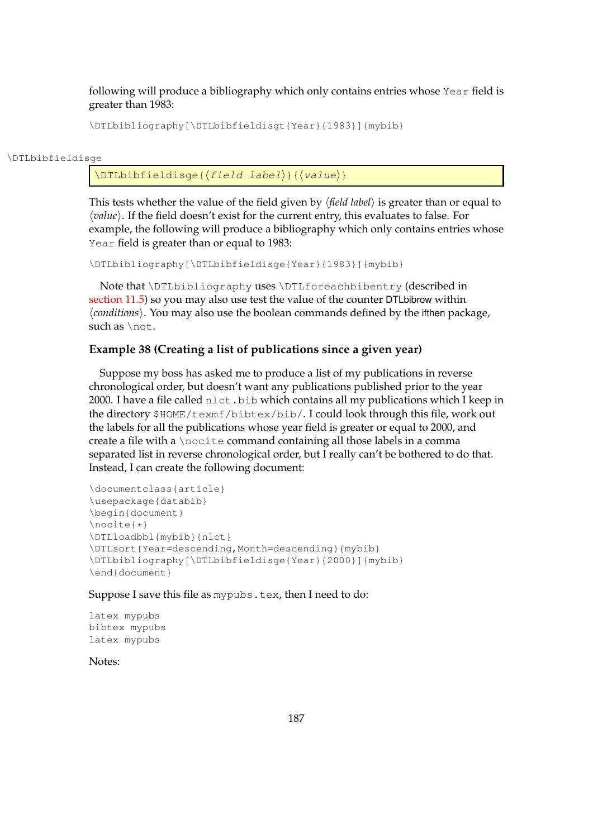following will produce a bibliography which only contains entries whose Year field is greater than 1983:

\DTLbibliography[\DTLbibfieldisgt{Year}{1983}]{mybib}

#### \DTLbibfieldisge

 $\DTLbibfield isqe({field label}{label}) {\langle value \rangle}$ 

This tests whether the value of the field given by  $\langle$  *field label* $\rangle$  is greater than or equal to h*value*i. If the field doesn't exist for the current entry, this evaluates to false. For example, the following will produce a bibliography which only contains entries whose Year field is greater than or equal to 1983:

\DTLbibliography[\DTLbibfieldisge{Year}{1983}]{mybib}

Note that \DTLbibliography uses \DTLforeachbibentry (described in [section 11.5\)](#page-202-0) so you may also use test the value of the counter DTLbibrow within h*conditions*i. You may also use the boolean commands defined by the ifthen package, such as \not.

### <span id="page-195-0"></span>**Example 38 (Creating a list of publications since a given year)**

Suppose my boss has asked me to produce a list of my publications in reverse chronological order, but doesn't want any publications published prior to the year 2000. I have a file called nlct.bib which contains all my publications which I keep in the directory \$HOME/texmf/bibtex/bib/. I could look through this file, work out the labels for all the publications whose year field is greater or equal to 2000, and create a file with a \nocite command containing all those labels in a comma separated list in reverse chronological order, but I really can't be bothered to do that. Instead, I can create the following document:

```
\documentclass{article}
\usepackage{databib}
\begin{document}
\nocite{*}
\DTLloadbbl{mybib}{nlct}
\DTLsort{Year=descending,Month=descending}{mybib}
\DTLbibliography[\DTLbibfieldisge{Year}{2000}]{mybib}
\end{document}
```
Suppose I save this file as mypubs.tex, then I need to do:

```
latex mypubs
bibtex mypubs
latex mypubs
```
Notes: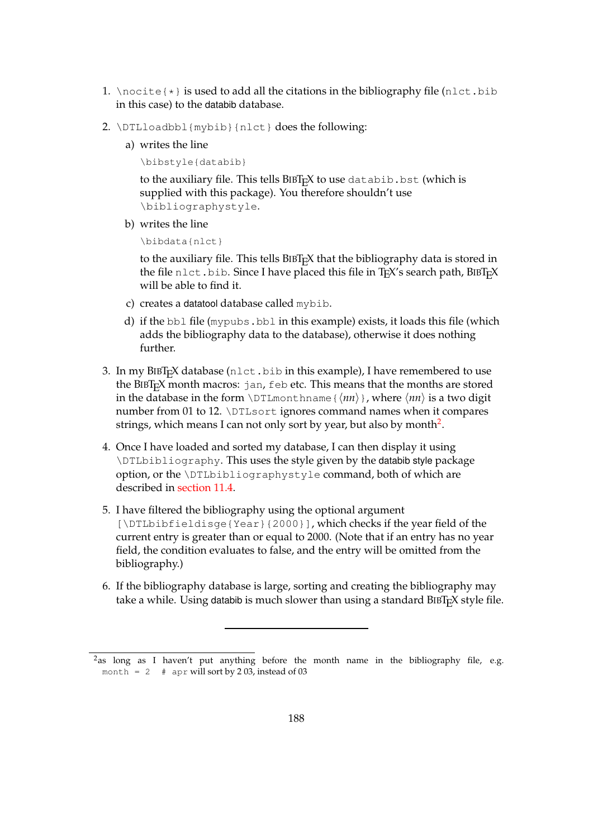- 1. \nocite $\{*\}$  is used to add all the citations in the bibliography file (nlct.bib in this case) to the databib database.
- 2. \DTLloadbbl{mybib}{nlct} does the following:
	- a) writes the line

\bibstyle{databib}

to the auxiliary file. This tells BIBT<sub>E</sub>X to use databib.bst (which is supplied with this package). You therefore shouldn't use \bibliographystyle.

b) writes the line

\bibdata{nlct}

to the auxiliary file. This tells  $BIBT<sub>E</sub>X$  that the bibliography data is stored in the file nlct.bib. Since I have placed this file in TEX's search path, BIBTEX will be able to find it.

- c) creates a datatool database called mybib.
- d) if the bbl file (mypubs.bbl in this example) exists, it loads this file (which adds the bibliography data to the database), otherwise it does nothing further.
- 3. In my BIBT<sub>E</sub>X database (nlct.bib in this example), I have remembered to use the BIBTEX month macros: jan, feb etc. This means that the months are stored in the database in the form \DTLmonthname { $\langle nn \rangle$  }, where  $\langle nn \rangle$  is a two digit number from 01 to 12. \DTLsort ignores command names when it compares strings, which means I can not only sort by year, but also by month $^2$  $^2$ .
- 4. Once I have loaded and sorted my database, I can then display it using \DTLbibliography. This uses the style given by the databib style package option, or the \DTLbibliographystyle command, both of which are described in [section 11.4.](#page-197-1)
- 5. I have filtered the bibliography using the optional argument [\DTLbibfieldisge{Year}{2000}], which checks if the year field of the current entry is greater than or equal to 2000. (Note that if an entry has no year field, the condition evaluates to false, and the entry will be omitted from the bibliography.)
- 6. If the bibliography database is large, sorting and creating the bibliography may take a while. Using databib is much slower than using a standard BIBT<sub>E</sub>X style file.

<span id="page-196-0"></span><sup>&</sup>lt;sup>2</sup>as long as I haven't put anything before the month name in the bibliography file, e.g. month = 2  $\#$  apr will sort by 2 03, instead of 03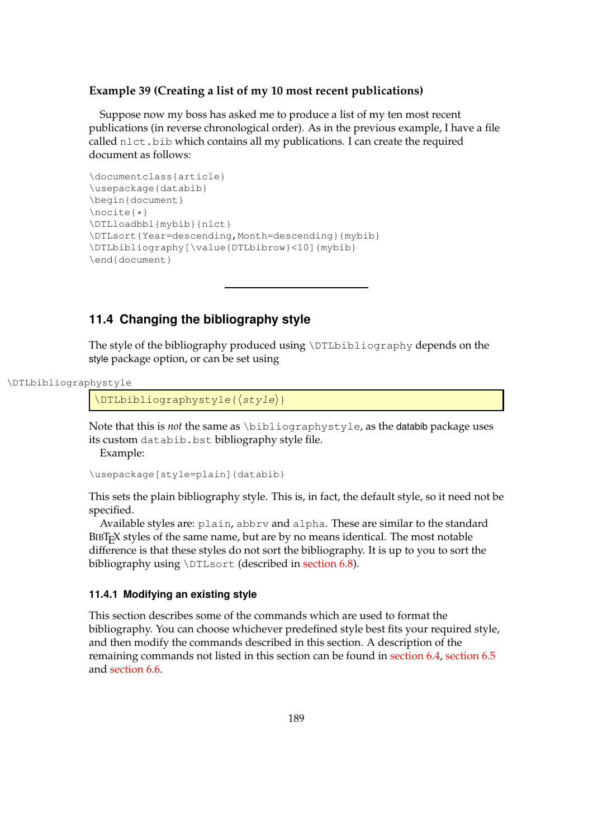### **Example 39 (Creating a list of my 10 most recent publications)**

Suppose now my boss has asked me to produce a list of my ten most recent publications (in reverse chronological order). As in the previous example, I have a file called nlct.bib which contains all my publications. I can create the required document as follows:

```
\documentclass{article}
\usepackage{databib}
\begin{document}
\nocite{*}
\DTLloadbbl{mybib}{nlct}
\DTLsort{Year=descending,Month=descending}{mybib}
\DTLbibliography[\value{DTLbibrow}<10]{mybib}
\end{document}
```
### <span id="page-197-1"></span>**11.4 Changing the bibliography style**

The style of the bibliography produced using \DTLbibliography depends on the style package option, or can be set using

```
\DTLbibliographystyle
```
 $\Delta$ ) \DTLbibliographystyle{ $\langle$ style}}

Note that this is *not* the same as \bibliographystyle, as the databib package uses its custom databib.bst bibliography style file.

Example:

\usepackage[style=plain]{databib}

This sets the plain bibliography style. This is, in fact, the default style, so it need not be specified.

Available styles are: plain, abbrv and alpha. These are similar to the standard BIBTEX styles of the same name, but are by no means identical. The most notable difference is that these styles do not sort the bibliography. It is up to you to sort the bibliography using \DTLsort (described in [section 6.8\)](#page-90-0).

### <span id="page-197-0"></span>**11.4.1 Modifying an existing style**

This section describes some of the commands which are used to format the bibliography. You can choose whichever predefined style best fits your required style, and then modify the commands described in this section. A description of the remaining commands not listed in this section can be found in [section 6.4,](#page-64-0) [section 6.5](#page-79-0) and [section 6.6.](#page-83-0)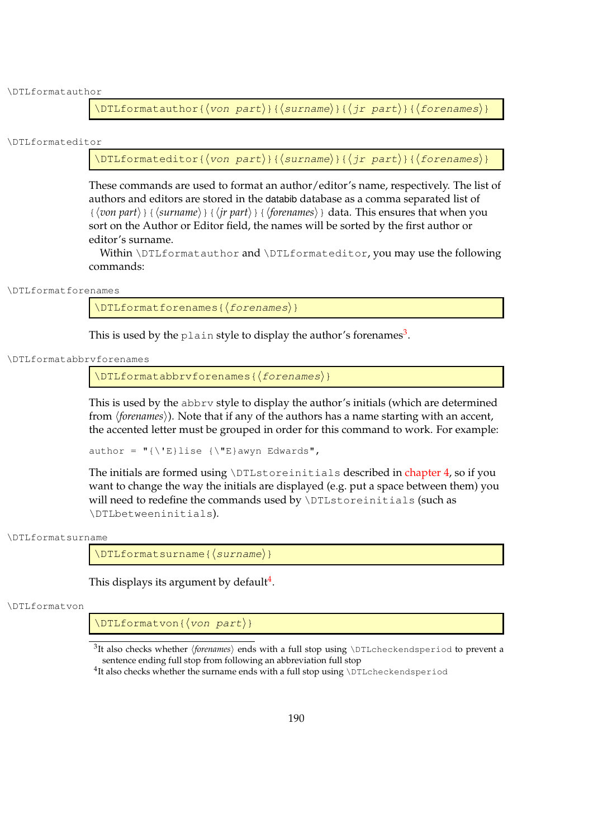\DTLformatauthor

\DTLformatauthor{ $\langle$ von part $\rangle$ }{ $\langle$ surname $\rangle$ }{ $\langle$ jr part $\rangle$ }{ $\langle$ forenames $\rangle$ }

\DTLformateditor

\DTLformateditor{ $\langle$ von part $\rangle$ }{ $\langle$ surname $\rangle$ }{ $\langle$ jr part $\rangle$ }{ $\langle$ forenames $\rangle$ }

These commands are used to format an author/editor's name, respectively. The list of authors and editors are stored in the databib database as a comma separated list of  $\{\langle von\ part\rangle\}\{\langle surname\rangle\}\{\langle ir\ part\rangle\}\{\langle forenames\rangle\}\}$  data. This ensures that when you sort on the Author or Editor field, the names will be sorted by the first author or editor's surname.

Within \DTLformatauthor and \DTLformateditor, you may use the following commands:

\DTLformatforenames

 $\DTLforms$ 

This is used by the plain style to display the author's forenames $^3$  $^3$ .

\DTLformatabbrvforenames

 $\DTEformatabbrvforenames({\text{forenames}})$ 

This is used by the abbrv style to display the author's initials (which are determined from *(forenames)*). Note that if any of the authors has a name starting with an accent, the accented letter must be grouped in order for this command to work. For example:

author =  $"\{\Upsilon\}$ lise  ${\Upsilon\}$ awyn Edwards",

The initials are formed using \DTLstoreinitials described in [chapter 4,](#page-40-0) so if you want to change the way the initials are displayed (e.g. put a space between them) you will need to redefine the commands used by \DTLstoreinitials (such as \DTLbetweeninitials).

\DTLformatsurname

\DTLformatsurname{(surname)}

This displays its argument by default<sup>[4](#page-198-1)</sup>.

\DTLformatvon

 $\langle$ DTLformatvon{ $\langle$ von part $\rangle$ }

<span id="page-198-0"></span> $^3$ It also checks whether *\forenames*} ends with a full stop using \DTLcheckendsperiod to prevent a sentence ending full stop from following an abbreviation full stop

<span id="page-198-1"></span> $^4$ It also checks whether the surname ends with a full stop using \DTLcheckendsperiod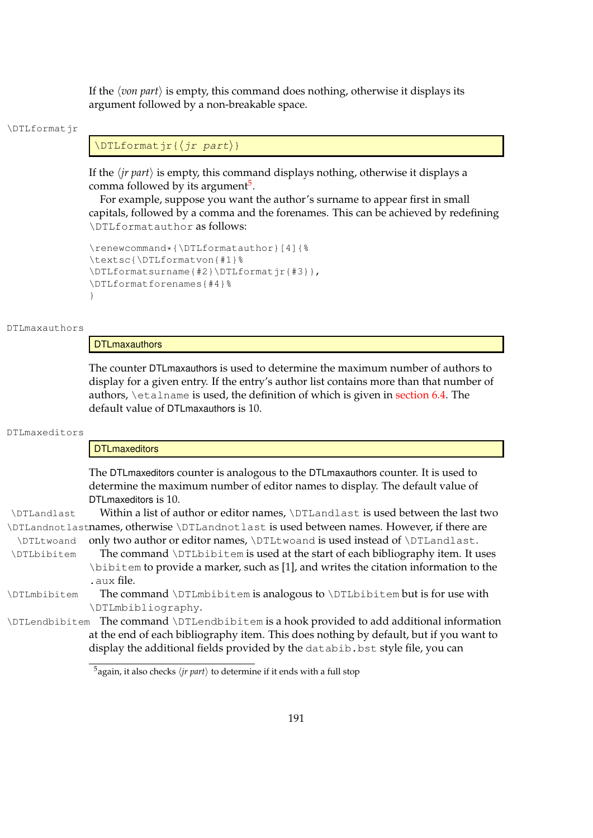If the  $\langle$ *von part* $\rangle$  is empty, this command does nothing, otherwise it displays its argument followed by a non-breakable space.

#### \DTLformatir

### $\Delta$ ) \DTLformatjr $\langle$ *jr part*}}

If the  $\langle jr \text{ part} \rangle$  is empty, this command displays nothing, otherwise it displays a comma followed by its argument<sup>[5](#page-199-0)</sup>.

For example, suppose you want the author's surname to appear first in small capitals, followed by a comma and the forenames. This can be achieved by redefining \DTLformatauthor as follows:

```
\renewcommand*{\DTLformatauthor}[4]{%
\textsc{\DTLformatvon{#1}%
\DTLformatsurname{#2}\DTLformatjr{#3}},
\DTLformatforenames{#4}%
}
```
### DTLmaxauthors

### **DTLmaxauthors**

The counter DTLmaxauthors is used to determine the maximum number of authors to display for a given entry. If the entry's author list contains more than that number of authors, *\etalname* is used, the definition of which is given in [section 6.4.](#page-64-0) The default value of DTLmaxauthors is 10.

#### DTLmaxeditors

#### **DTLmaxeditors**

The DTLmaxeditors counter is analogous to the DTLmaxauthors counter. It is used to determine the maximum number of editor names to display. The default value of DTLmaxeditors is 10.

\DTLandlast Within a list of author or editor names, \DTLandlast is used between the last two \DTLandnotlastnames, otherwise \DTLandnotlast is used between names. However, if there are \DTLtwoand only two author or editor names, \DTLtwoand is used instead of \DTLandlast.

\DTLbibitem The command \DTLbibitem is used at the start of each bibliography item. It uses \bibitem to provide a marker, such as [1], and writes the citation information to the .aux file.

\DTLmbibitem The command \DTLmbibitem is analogous to \DTLbibitem but is for use with \DTLmbibliography.

\DTLendbibitem The command \DTLendbibitem is a hook provided to add additional information at the end of each bibliography item. This does nothing by default, but if you want to display the additional fields provided by the databib. bst style file, you can

<span id="page-199-0"></span> $5$ again, it also checks  $\langle$ *jr part* $\rangle$  to determine if it ends with a full stop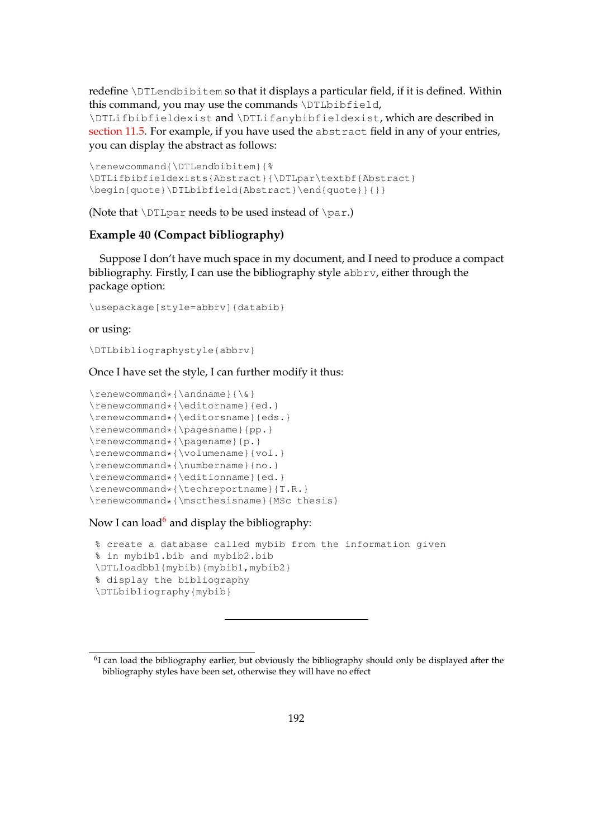redefine \DTLendbibitem so that it displays a particular field, if it is defined. Within this command, you may use the commands \DTLbibfield,

\DTLifbibfieldexist and \DTLifanybibfieldexist, which are described in [section 11.5.](#page-202-0) For example, if you have used the abstract field in any of your entries, you can display the abstract as follows:

```
\renewcommand{\DTLendbibitem}{%
\DTLifbibfieldexists{Abstract}{\DTLpar\textbf{Abstract}
\begin{quote}\DTLbibfield{Abstract}\end{quote}}{}}
```
(Note that  $\D$ ILpar needs to be used instead of  $\parrow$ par.)

### **Example 40 (Compact bibliography)**

Suppose I don't have much space in my document, and I need to produce a compact bibliography. Firstly, I can use the bibliography style abbrv, either through the package option:

\usepackage[style=abbrv]{databib}

### or using:

\DTLbibliographystyle{abbrv}

Once I have set the style, I can further modify it thus:

```
\renewcommand*{\andname}{\&}
\renewcommand*{\editorname}{ed.}
\renewcommand*{\editorsname}{eds.}
\renewcommand*{\pagesname}{pp.}
\renewcommand*{\pagename}{p.}
\renewcommand*{\volumename}{vol.}
\renewcommand*{\numbername}{no.}
\renewcommand*{\editionname}{ed.}
\renewcommand*{\techreportname}{T.R.}
\renewcommand*{\mscthesisname}{MSc thesis}
```
### Now I can load<sup>[6](#page-200-0)</sup> and display the bibliography:

```
% create a database called mybib from the information given
% in mybib1.bib and mybib2.bib
\DTLloadbbl{mybib}{mybib1,mybib2}
% display the bibliography
\DTLbibliography{mybib}
```
<span id="page-200-0"></span> $^{6}$ I can load the bibliography earlier, but obviously the bibliography should only be displayed after the bibliography styles have been set, otherwise they will have no effect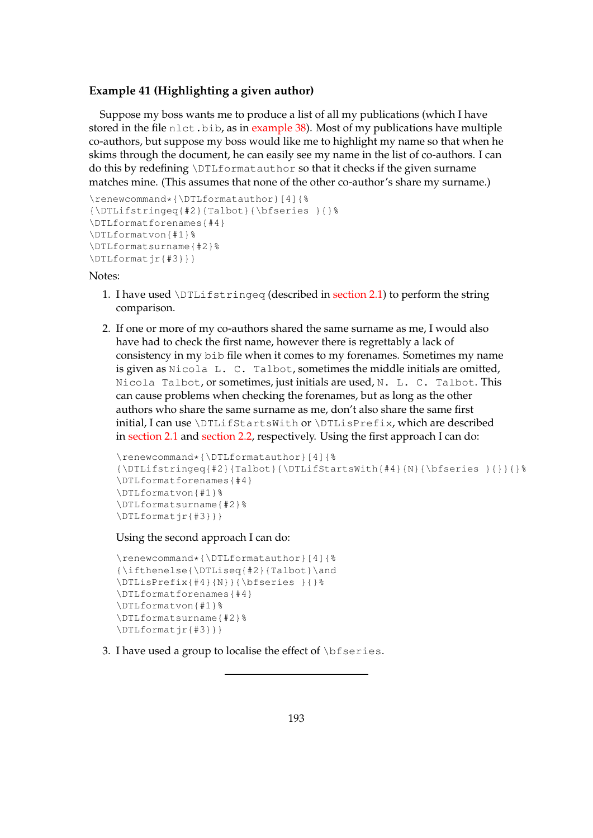### **Example 41 (Highlighting a given author)**

Suppose my boss wants me to produce a list of all my publications (which I have stored in the file  $n$  let  $\cdot$ , bib, as in [example 38\)](#page-195-0). Most of my publications have multiple co-authors, but suppose my boss would like me to highlight my name so that when he skims through the document, he can easily see my name in the list of co-authors. I can do this by redefining \DTLformatauthor so that it checks if the given surname matches mine. (This assumes that none of the other co-author's share my surname.)

```
\renewcommand*{\DTLformatauthor}[4]{%
{\DTLifstringeq{#2}{Talbot}{\bfseries }{}%
\DTLformatforenames{#4}
\DTLformatvon{#1}%
\DTLformatsurname{#2}%
\DTLformatjr{#3}}}
```
Notes:

- 1. I have used  $\DTLifstrinqeq$  (described in [section 2.1\)](#page-13-0) to perform the string comparison.
- 2. If one or more of my co-authors shared the same surname as me, I would also have had to check the first name, however there is regrettably a lack of consistency in my bib file when it comes to my forenames. Sometimes my name is given as Nicola L. C. Talbot, sometimes the middle initials are omitted, Nicola Talbot, or sometimes, just initials are used, N. L. C. Talbot. This can cause problems when checking the forenames, but as long as the other authors who share the same surname as me, don't also share the same first initial, I can use \DTLifStartsWith or \DTLisPrefix, which are described in [section 2.1](#page-13-0) and [section 2.2,](#page-24-0) respectively. Using the first approach I can do:

```
\renewcommand*{\DTLformatauthor}[4]{%
{\DTLifstringeq#2}{Talbot}{\DTLifStartSWith{#4}{N}{\bf series }{}{}\DTLformatforenames{#4}
\DTLformatvon{#1}%
\DTLformatsurname{#2}%
\DTLformatjr{#3}}}
```
Using the second approach I can do:

```
\renewcommand*{\DTLformatauthor}[4]{%
{\ifthenelse{\DTLiseq{#2}{Talbot}\and
\DTLisPrefix{#4}{N}}{\bfseries }{}%
\DTLformatforenames{#4}
\DTLformatvon{#1}%
\DTLformatsurname{#2}%
\DTLformatjr{#3}}}
```
3. I have used a group to localise the effect of  $\b$ fseries.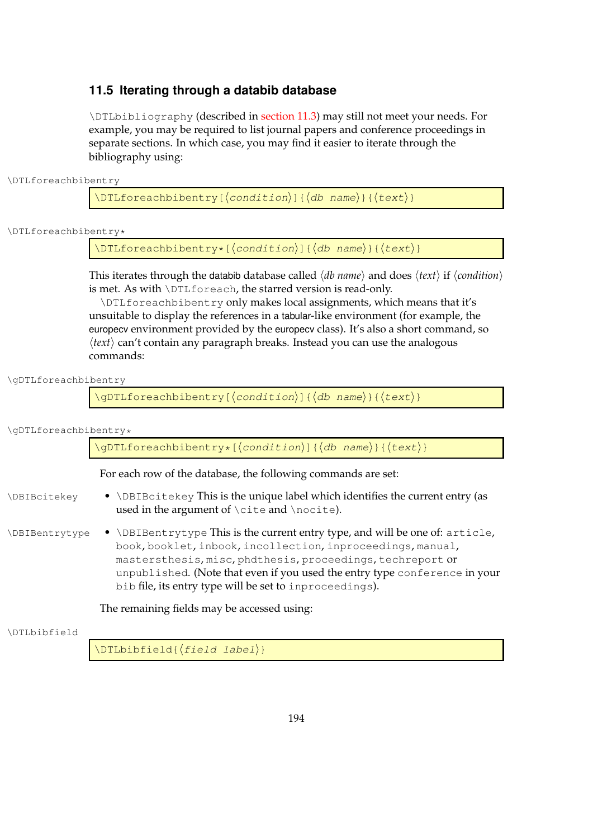### <span id="page-202-0"></span>**11.5 Iterating through a databib database**

\DTLbibliography (described in [section 11.3\)](#page-193-0) may still not meet your needs. For example, you may be required to list journal papers and conference proceedings in separate sections. In which case, you may find it easier to iterate through the bibliography using:

\DTLforeachbibentry

 $\DTLforeachbibentry[(condition)]({db name}){\theta$ 

\DTLforeachbibentry\*

 $\DTLforeachbibentry*[condition)]({db name}){\texttt{text}}$ 

This iterates through the databib database called  $\langle db \ name\rangle$  and does  $\langle text\rangle$  if  $\langle condition\rangle$ is met. As with \DTLforeach, the starred version is read-only.

\DTLforeachbibentry only makes local assignments, which means that it's unsuitable to display the references in a tabular-like environment (for example, the europecv environment provided by the europecv class). It's also a short command, so  $\langle text \rangle$  can't contain any paragraph breaks. Instead you can use the analogous commands:

\gDTLforeachbibentry

\gDTLforeachbibentry[ $\langle condition\rangle$ ]{ $\langle db$  name}}{ $\langle text\rangle$ }

| \gDTLforeachbibentry* |  |
|-----------------------|--|
|-----------------------|--|

|                | \gDTLforeachbibentry*[(condition)]{(db name)}{(text)}                                                                                                                                                                                                                                                                                               |
|----------------|-----------------------------------------------------------------------------------------------------------------------------------------------------------------------------------------------------------------------------------------------------------------------------------------------------------------------------------------------------|
|                | For each row of the database, the following commands are set:                                                                                                                                                                                                                                                                                       |
| \DBIBcitekey   | • \DBIBcitekey This is the unique label which identifies the current entry (as<br>used in the argument of $\cite{a}nd \nocite{b}.$                                                                                                                                                                                                                  |
| \DBIBentrytype | • \DBIBentrytype This is the current entry type, and will be one of: article,<br>book, booklet, inbook, incollection, inproceedings, manual,<br>mastersthesis, misc, phdthesis, proceedings, techreport or<br>unpublished. (Note that even if you used the entry type conference in your<br>bib file, its entry type will be set to inproceedings). |

The remaining fields may be accessed using:

\DTLbibfield

 $\Delta{\text{field}}$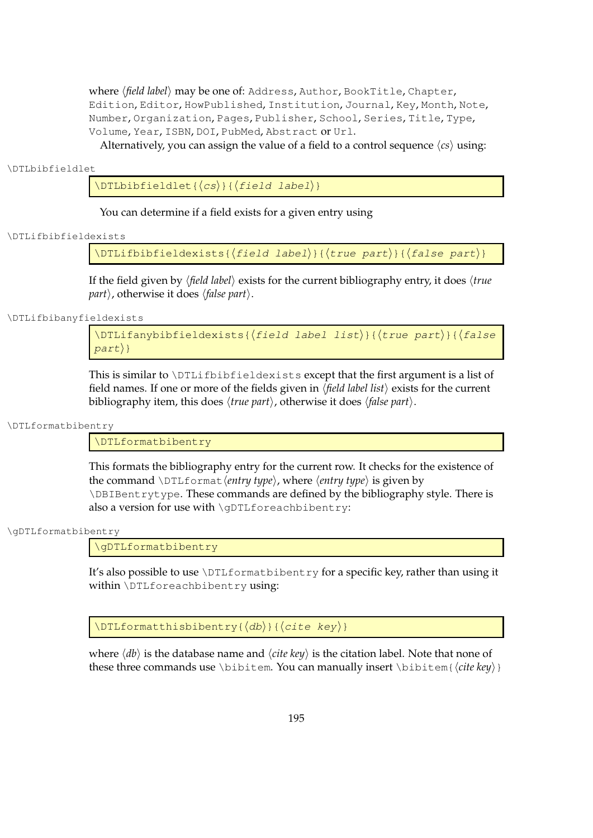where (field label) may be one of: Address, Author, BookTitle, Chapter, Edition, Editor, HowPublished, Institution, Journal, Key, Month, Note, Number, Organization, Pages, Publisher, School, Series, Title, Type, Volume, Year, ISBN, DOI, PubMed, Abstract or Url.

Alternatively, you can assign the value of a field to a control sequence  $\langle cs \rangle$  using:

\DTLbibfieldlet

 $\Delta$ DTLbibfieldlet $\{\langle cs \rangle\}$ { $\{field$  label}}

You can determine if a field exists for a given entry using

\DTLifbibfieldexists

\DTLifbibfieldexists{ ${\text{field label}}{\text{true part}}{\text{theta}}$ 

If the field given by  $\langle$ *field label* $\rangle$  exists for the current bibliography entry, it does  $\langle$ *true part* $\rangle$ , otherwise it does  $\langle false\ part \rangle$ .

\DTLifbibanyfieldexists

\DTLifanybibfieldexists{(field label list)}{(true part)}{(false  $part$ }

This is similar to \DTLifbibfieldexists except that the first argument is a list of field names. If one or more of the fields given in *\field label list*} exists for the current bibliography item, this does  $\langle true\ part \rangle$ , otherwise it does  $\langle false\ part \rangle$ .

\DTLformatbibentry

\DTLformatbibentry

This formats the bibliography entry for the current row. It checks for the existence of the command  $\D$ ILformat *(entry type)*, where *{entry type}* is given by \DBIBentrytype. These commands are defined by the bibliography style. There is also a version for use with \qDTLforeachbibentry:

\gDTLformatbibentry

\gDTLformatbibentry

It's also possible to use \DTLformatbibentry for a specific key, rather than using it within \DTLforeachbibentry using:

 $\DTLform at this bibentry({*db*}{*cite key*})$ 

where  $\langle db \rangle$  is the database name and  $\langle cite \, key \rangle$  is the citation label. Note that none of these three commands use \bibitem. You can manually insert \bibitem{*(cite key*)}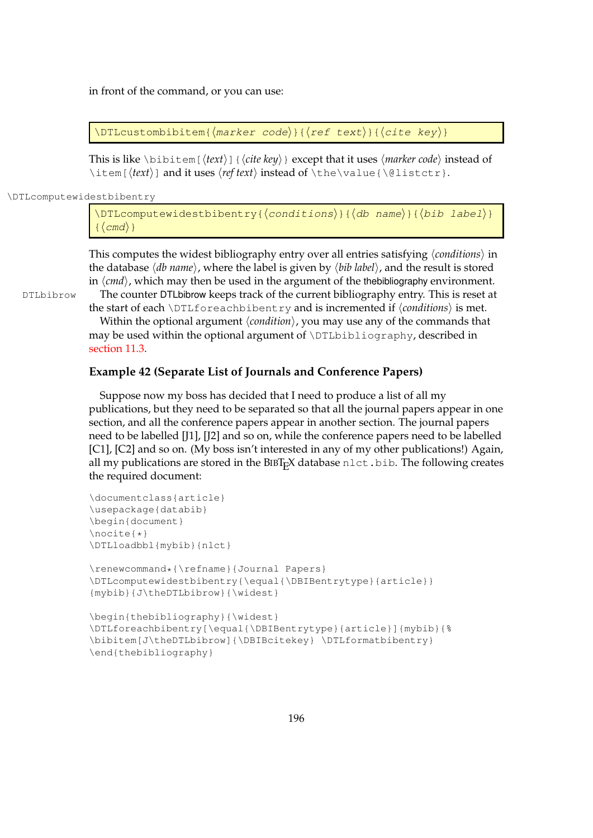in front of the command, or you can use:

 $\DTEcustombibitem{\langle marker\ code\rangle}{\langle ref\ text\rangle}{\langle cite\ key\rangle}$ 

This is like \bibitem [ $\langle text \rangle$ ] { $\langle cite \; key \rangle$ } except that it uses  $\langle marker \; code \rangle$  instead of \item[ $\text{}$  and it uses  $\text{}$  instead of \the\value{\@listctr}.

\DTLcomputewidestbibentry

\DTLcomputewidestbibentry{ $\langle conditions\rangle$ }{ $\langle db$  name}}{ $\langle bib$  label}}  $\langle \text{cmd} \rangle$ }

This computes the widest bibliography entry over all entries satisfying  $\langle conditions \rangle$  in the database  $\langle db$  *name* $\rangle$ , where the label is given by  $\langle bib \text{ label} \rangle$ , and the result is stored in  $\langle cmd\rangle$ , which may then be used in the argument of the thebibliography environment.

DTLbibrow The counter DTLbibrow keeps track of the current bibliography entry. This is reset at the start of each  $\D$ ILforeachbibentry and is incremented if  $\langle conditions \rangle$  is met.

> Within the optional argument  $\langle condition \rangle$ , you may use any of the commands that may be used within the optional argument of  $\D$ Lbibliography, described in [section 11.3.](#page-193-0)

### **Example 42 (Separate List of Journals and Conference Papers)**

Suppose now my boss has decided that I need to produce a list of all my publications, but they need to be separated so that all the journal papers appear in one section, and all the conference papers appear in another section. The journal papers need to be labelled [J1], [J2] and so on, while the conference papers need to be labelled [C1], [C2] and so on. (My boss isn't interested in any of my other publications!) Again, all my publications are stored in the BIBT<sub>E</sub>X database  $n$ lect.bib. The following creates the required document:

```
\documentclass{article}
\usepackage{databib}
\begin{document}
\nocite{*}
\DTLloadbbl{mybib}{nlct}
```

```
\renewcommand*{\refname}{Journal Papers}
\DTLcomputewidestbibentry{\equal{\DBIBentrytype}{article}}
{mybib}{J\theDTLbibrow}{\widest}
```

```
\begin{thebibliography}{\widest}
\DTLforeachbibentry[\equal{\DBIBentrytype}{article}]{mybib}{%
\bibitem[J\theDTLbibrow]{\DBIBcitekey} \DTLformatbibentry}
\end{thebibliography}
```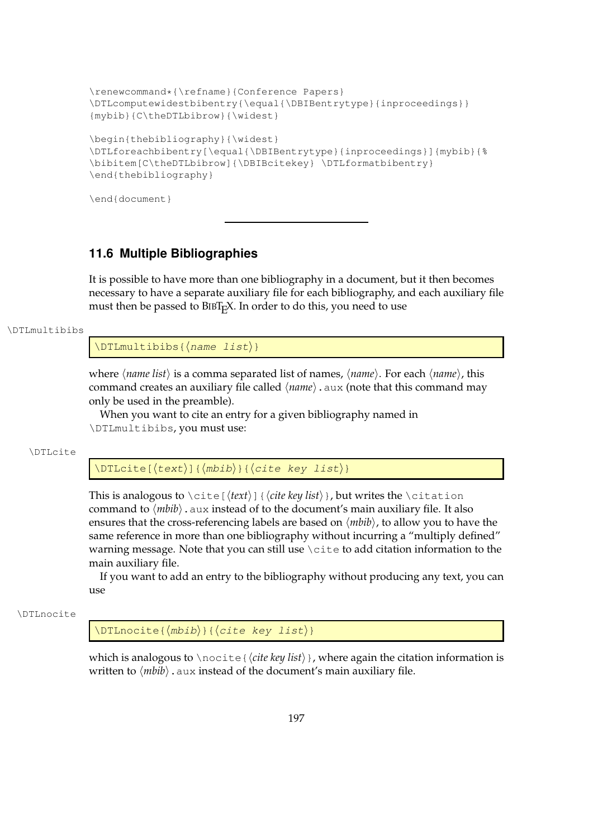```
\renewcommand*{\refname}{Conference Papers}
\DTLcomputewidestbibentry{\equal{\DBIBentrytype}{inproceedings}}
{mybib}{C\theDTLbibrow}{\widest}
\begin{thebibliography}{\widest}
\DTLforeachbibentry[\equal{\DBIBentrytype}{inproceedings}]{mybib}{%
\bibitem[C\theDTLbibrow]{\DBIBcitekey} \DTLformatbibentry}
\end{thebibliography}
```
\end{document}

### **11.6 Multiple Bibliographies**

It is possible to have more than one bibliography in a document, but it then becomes necessary to have a separate auxiliary file for each bibliography, and each auxiliary file must then be passed to BIBT<sub>E</sub>X. In order to do this, you need to use

#### \DTLmultibibs

 $\DTHmultibibs({name list})$ 

where  $\langle$ *name list* $\rangle$  is a comma separated list of names,  $\langle$ *name* $\rangle$ . For each  $\langle$ *name* $\rangle$ , this command creates an auxiliary file called  $\langle name \rangle$ . aux (note that this command may only be used in the preamble).

When you want to cite an entry for a given bibliography named in \DTLmultibibs, you must use:

\DTLcite

 $\Delta$ (DTLcite[ $\langle text \rangle$ ]{ $\langle mbib \rangle$ }{ $\langle cite key list \rangle$ }

This is analogous to  $\cite{text}{\tilde{text}}]$  {*cite key list*}, but writes the \citation command to  $\langle mbib\rangle$ . aux instead of to the document's main auxiliary file. It also ensures that the cross-referencing labels are based on  $\langle mbib \rangle$ , to allow you to have the same reference in more than one bibliography without incurring a "multiply defined" warning message. Note that you can still use \cite to add citation information to the main auxiliary file.

If you want to add an entry to the bibliography without producing any text, you can  $11S$ e

\DTLnocite

 $\DTHnocite({mbib})({cite~key~list})$ 

which is analogous to \nocite{*(cite key list*)}, where again the citation information is written to  $\langle mbib\rangle$ . aux instead of the document's main auxiliary file.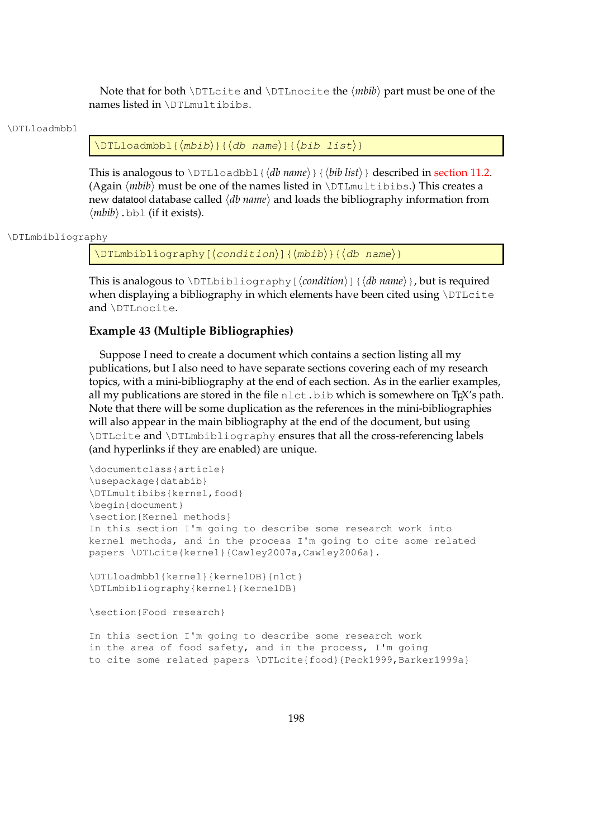Note that for both *\DTLcite and \DTLnocite the*  $\langle mbib \rangle$  *part must be one of the* names listed in \DTLmultibibs.

#### \DTLloadmbbl

 $\DTHloadmbbl({mbib}) {\cal{ab} name}{\theta}$ 

This is analogous to  $\D{TLloadbb1}{\d{db name}}{\d{b}}$  (*hib list*) described in [section 11.2.](#page-192-0) (Again  $\langle mbib \rangle$  must be one of the names listed in  $\D$ Lmultibibs.) This creates a new datatool database called  $\langle db \text{ name} \rangle$  and loads the bibliography information from  $\langle mbib \rangle$ .bbl (if it exists).

```
\DTLmbibliography
```
 $\DTHmbibliography[\langle condition\rangle]{\langlembib}}\{\langle mbib\rangle\}$ 

This is analogous to  $\D{TLbibliography}$  (*condition*)] {*db name*}, but is required when displaying a bibliography in which elements have been cited using  $\D$ TLcite and \DTLnocite.

### **Example 43 (Multiple Bibliographies)**

Suppose I need to create a document which contains a section listing all my publications, but I also need to have separate sections covering each of my research topics, with a mini-bibliography at the end of each section. As in the earlier examples, all my publications are stored in the file  $n$ let.bib which is somewhere on T<sub>E</sub>X's path. Note that there will be some duplication as the references in the mini-bibliographies will also appear in the main bibliography at the end of the document, but using \DTLcite and \DTLmbibliography ensures that all the cross-referencing labels (and hyperlinks if they are enabled) are unique.

```
\documentclass{article}
\usepackage{databib}
\DTLmultibibs{kernel,food}
\begin{document}
\section{Kernel methods}
In this section I'm going to describe some research work into
kernel methods, and in the process I'm going to cite some related
papers \DTLcite{kernel}{Cawley2007a,Cawley2006a}.
```

```
\DTLloadmbbl{kernel}{kernelDB}{nlct}
\DTLmbibliography{kernel}{kernelDB}
```
\section{Food research}

In this section I'm going to describe some research work in the area of food safety, and in the process, I'm going to cite some related papers \DTLcite{food}{Peck1999, Barker1999a}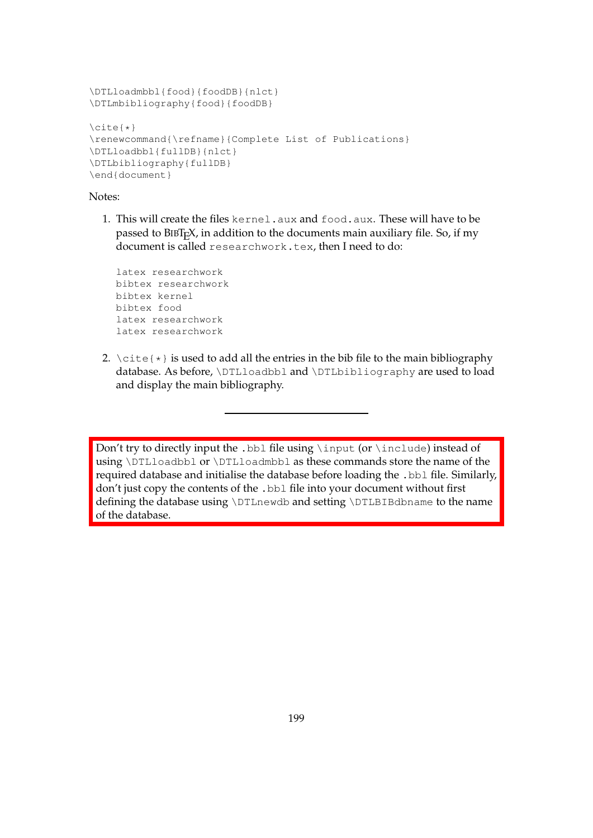```
\DTLloadmbbl{food}{foodDB}{nlct}
\DTLmbibliography{food}{foodDB}
\cite{*}
\renewcommand{\refname}{Complete List of Publications}
\DTLloadbbl{fullDB}{nlct}
\DTLbibliography{fullDB}
\end{document}
```
### Notes:

1. This will create the files kernel.aux and food.aux. These will have to be passed to BIBT<sub>E</sub>X, in addition to the documents main auxiliary file. So, if my document is called researchwork.tex, then I need to do:

```
latex researchwork
bibtex researchwork
bibtex kernel
bibtex food
latex researchwork
latex researchwork
```
2.  $\text{cite} { }$  is used to add all the entries in the bib file to the main bibliography database. As before, \DTLloadbbl and \DTLbibliography are used to load and display the main bibliography.

Don't try to directly input the .bbl file using \input (or \include) instead of using \DTLloadbbl or \DTLloadmbbl as these commands store the name of the required database and initialise the database before loading the .bbl file. Similarly, don't just copy the contents of the .bbl file into your document without first defining the database using \DTLnewdb and setting \DTLBIBdbname to the name of the database.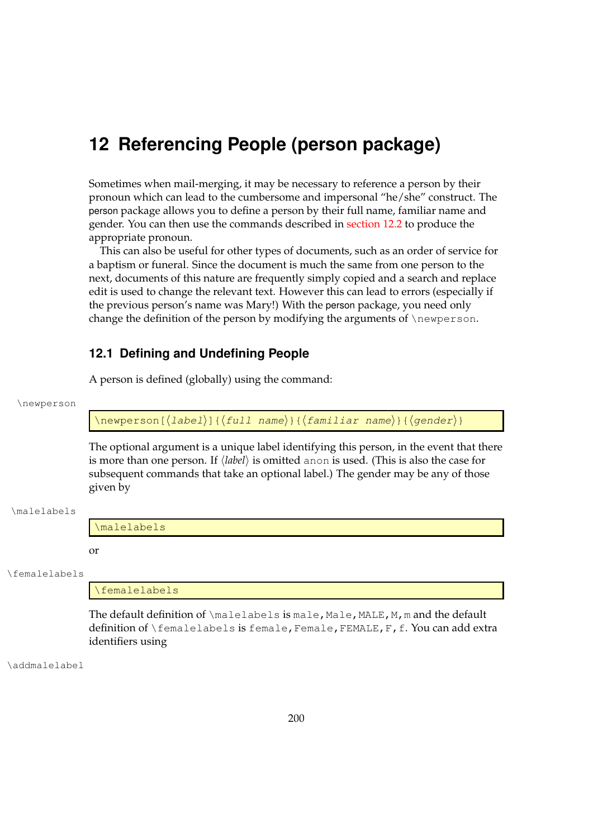# **12 Referencing People (person package)**

Sometimes when mail-merging, it may be necessary to reference a person by their pronoun which can lead to the cumbersome and impersonal "he/she" construct. The person package allows you to define a person by their full name, familiar name and gender. You can then use the commands described in [section 12.2](#page-209-0) to produce the appropriate pronoun.

This can also be useful for other types of documents, such as an order of service for a baptism or funeral. Since the document is much the same from one person to the next, documents of this nature are frequently simply copied and a search and replace edit is used to change the relevant text. However this can lead to errors (especially if the previous person's name was Mary!) With the person package, you need only change the definition of the person by modifying the arguments of  $\neq$  newperson.

### **12.1 Defining and Undefining People**

A person is defined (globally) using the command:

#### \newperson

 $\langle$ newperson[ $\langle$ label $\rangle$ ]{ $\langle$ full name $\rangle$ }{ $\langle$ familiar name $\rangle$ }{ $\langle$ gender $\rangle$ }

The optional argument is a unique label identifying this person, in the event that there is more than one person. If  $\langle label \rangle$  is omitted anon is used. (This is also the case for subsequent commands that take an optional label.) The gender may be any of those given by

#### \malelabels

\malelabels

or

\femalelabels

\femalelabels

The default definition of \malelabels is male, Male, MALE, M, m and the default definition of \femalelabels is female, Female, FEMALE, F, f. You can add extra identifiers using

\addmalelabel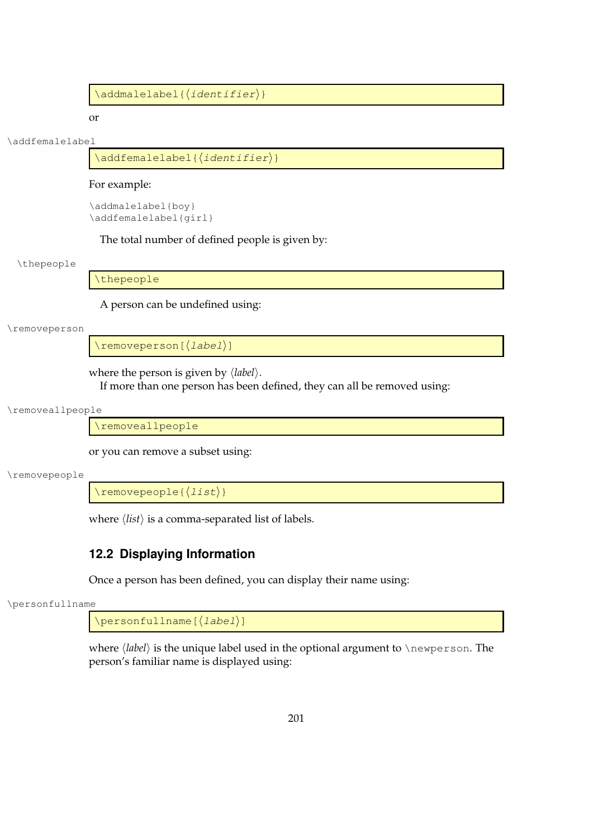$\backslash$ addmalelabel{ $\langle$ *identifier* $\rangle$  }

or

#### \addfemalelabel

\addfemalelabel{(identifier)}

### For example:

\addmalelabel{boy} \addfemalelabel{girl}

The total number of defined people is given by:

#### \thepeople

\thepeople

A person can be undefined using:

#### \removeperson

 $\setminus$ removeperson[ $\langle label\rangle$ ]

where the person is given by  $\langle label \rangle$ .

If more than one person has been defined, they can all be removed using:

### \removeallpeople

\removeallpeople

or you can remove a subset using:

#### \removepeople

 $\text{removepeople}({\text{list}})$ 

where  $\langle list \rangle$  is a comma-separated list of labels.

### <span id="page-209-0"></span>**12.2 Displaying Information**

Once a person has been defined, you can display their name using:

\personfullname

 $\left\{ \Delta b = 1 \right\}$ 

where  $\langle label \rangle$  is the unique label used in the optional argument to \newperson. The person's familiar name is displayed using: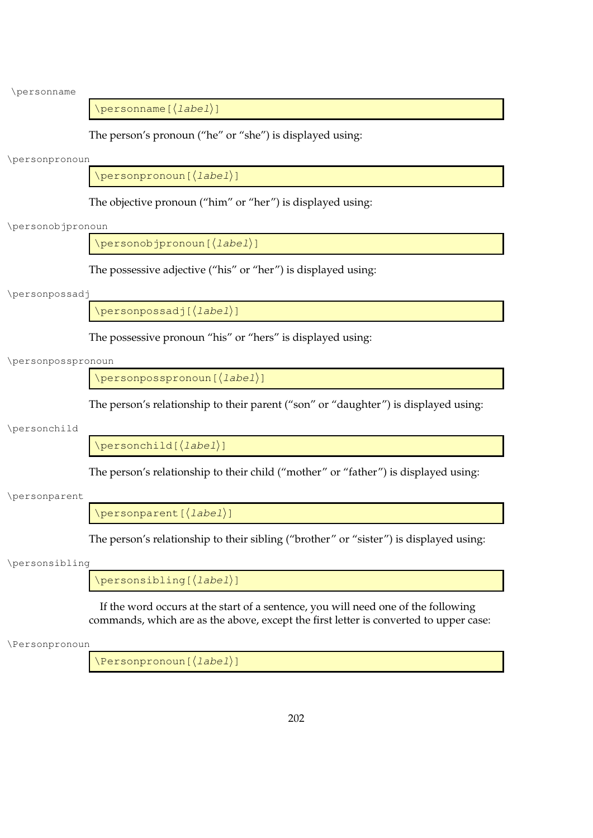\personname

 $\left\langle \text{personname}\left[\left\langle label\right\rangle \right]\right\rangle$ 

The person's pronoun ("he" or "she") is displayed using:

\personpronoun

\personpronoun[(label)]

The objective pronoun ("him" or "her") is displayed using:

\personobjpronoun

 $\left\langle \mathrm{personobj}$ ponoun $\left[\left\langle label\right\rangle \right]\right]$ 

The possessive adjective ("his" or "her") is displayed using:

### \personpossadj

\personpossadj[(label)]

The possessive pronoun "his" or "hers" is displayed using:

### \personposspronoun

\personposspronoun[(label)]

The person's relationship to their parent ("son" or "daughter") is displayed using:

### \personchild

 $\begin{bmatrix} \Delta b & 1 \end{bmatrix}$ 

The person's relationship to their child ("mother" or "father") is displayed using:

### \personparent

 $\backslash$ personparent[ $\langle$ *label* $\rangle$ ]

The person's relationship to their sibling ("brother" or "sister") is displayed using:

#### \personsibling

 $\left\{ \Delta b = 1 \right\}$ 

If the word occurs at the start of a sentence, you will need one of the following commands, which are as the above, except the first letter is converted to upper case:

\Personpronoun

\Personpronoun[(label)]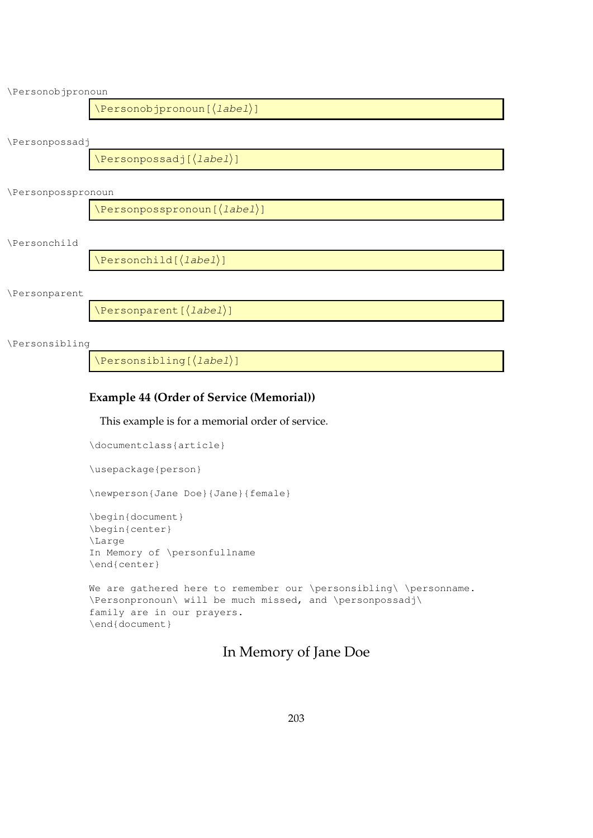| \Personobjpronoun                    |  |  |
|--------------------------------------|--|--|
| \Personobjpronoun[(label)]           |  |  |
| \Personpossadj                       |  |  |
| $\text{Personpossadj}(\text{label})$ |  |  |
| \Personposspronoun                   |  |  |
| \Personposspronoun[(label)]          |  |  |
| \Personchild                         |  |  |
| $\text{Personchild}(\text{label})$   |  |  |
| \Personparent                        |  |  |
| \Personparent [(label)]              |  |  |
| \Personsibling                       |  |  |
| \Personsibling[( <i>label</i> )]     |  |  |

### **Example 44 (Order of Service (Memorial))**

This example is for a memorial order of service.

\documentclass{article} \usepackage{person} \newperson{Jane Doe}{Jane}{female} \begin{document} \begin{center} \Large In Memory of \personfullname \end{center} We are gathered here to remember our \personsibling\ \personname. \Personpronoun\ will be much missed, and \personpossadj\ family are in our prayers. \end{document}

# In Memory of Jane Doe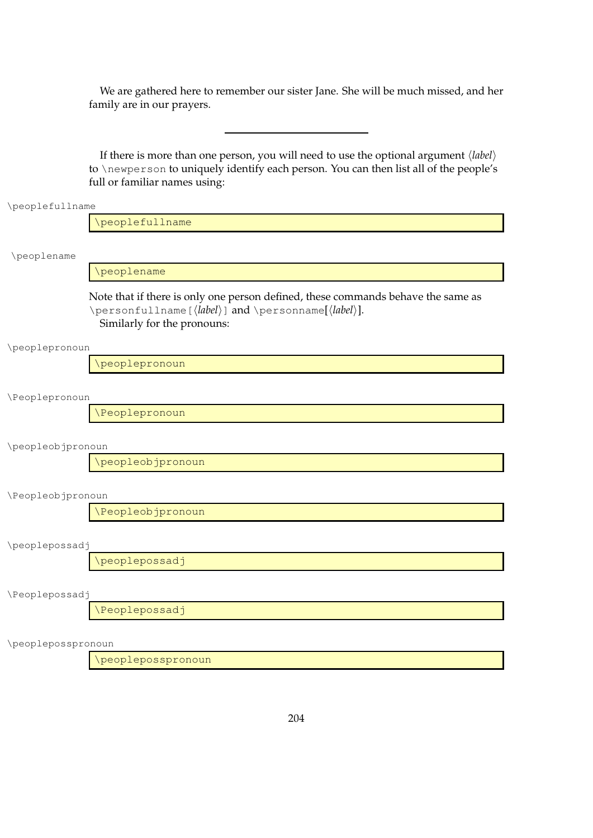We are gathered here to remember our sister Jane. She will be much missed, and her family are in our prayers.

If there is more than one person, you will need to use the optional argument  $\langle label \rangle$ to \newperson to uniquely identify each person. You can then list all of the people's full or familiar names using:

| \peoplefullname   |                                                                                                                                                                                                           |  |  |
|-------------------|-----------------------------------------------------------------------------------------------------------------------------------------------------------------------------------------------------------|--|--|
|                   | \peoplefullname                                                                                                                                                                                           |  |  |
| \peoplename       |                                                                                                                                                                                                           |  |  |
|                   | \peoplename                                                                                                                                                                                               |  |  |
|                   | Note that if there is only one person defined, these commands behave the same as<br>\personfullname[ $\langle label \rangle$ ] and \personname[ $\langle label \rangle$ ].<br>Similarly for the pronouns: |  |  |
| \peoplepronoun    |                                                                                                                                                                                                           |  |  |
|                   | \peoplepronoun                                                                                                                                                                                            |  |  |
| \Peoplepronoun    |                                                                                                                                                                                                           |  |  |
|                   | <i><b>\Peoplepronoun</b></i>                                                                                                                                                                              |  |  |
| \peopleobjpronoun |                                                                                                                                                                                                           |  |  |
|                   | \peopleobjpronoun                                                                                                                                                                                         |  |  |
| \Peopleobjpronoun |                                                                                                                                                                                                           |  |  |
|                   | \Peopleobjpronoun                                                                                                                                                                                         |  |  |

\peoplepossadj

\peoplepossadj

\Peoplepossadj

\Peoplepossadj

\peopleposspronoun

\peopleposspronoun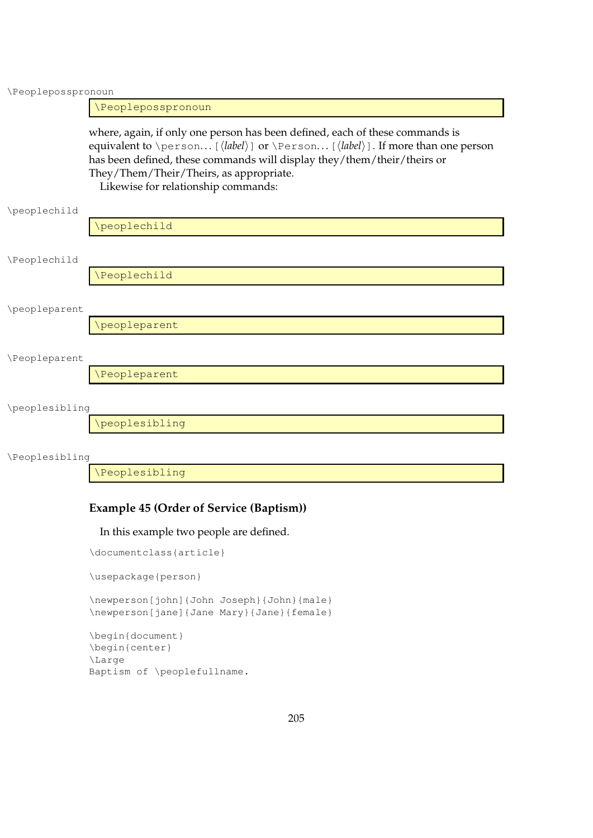\Peopleposspronoun

\Peopleposspronoun

where, again, if only one person has been defined, each of these commands is equivalent to \person... [\*label*\] or \Person... [\*label*\]. If more than one person has been defined, these commands will display they/them/their/theirs or They/Them/Their/Theirs, as appropriate. Likewise for relationship commands:

\peoplechild

\Peoplechild

\Peoplechild

\peoplechild

\peopleparent

\peopleparent

#### \Peopleparent

\Peopleparent

### \peoplesibling

\peoplesibling

\Peoplesibling

\Peoplesibling

### **Example 45 (Order of Service (Baptism))**

In this example two people are defined.

\documentclass{article}

\usepackage{person}

\newperson[john]{John Joseph}{John}{male} \newperson[jane]{Jane Mary}{Jane}{female}

```
\begin{document}
\begin{center}
\Large
Baptism of \peoplefullname.
```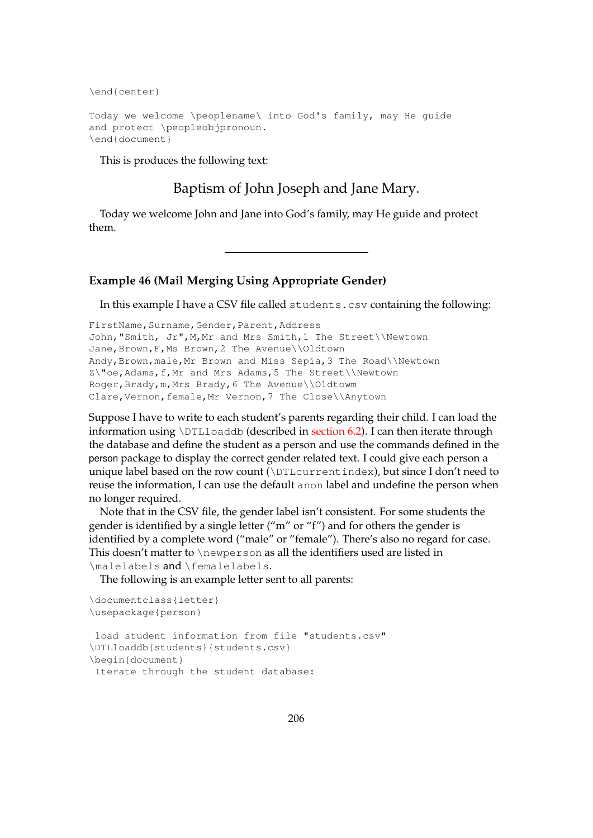\end{center}

```
Today we welcome \peoplename\ into God's family, may He guide
and protect \peopleobjpronoun.
\end{document}
```
This is produces the following text:

Baptism of John Joseph and Jane Mary.

Today we welcome John and Jane into God's family, may He guide and protect them.

### **Example 46 (Mail Merging Using Appropriate Gender)**

In this example I have a CSV file called students.csv containing the following:

```
FirstName, Surname, Gender, Parent, Address
John,"Smith, Jr",M,Mr and Mrs Smith,1 The Street\\Newtown
Jane, Brown, F, Ms Brown, 2 The Avenue\\Oldtown
Andy,Brown,male,Mr Brown and Miss Sepia,3 The Road\\Newtown
Z\"oe, Adams, f, Mr and Mrs Adams, 5 The Street\\Newtown
Roger,Brady,m,Mrs Brady,6 The Avenue\\Oldtowm
Clare,Vernon,female,Mr Vernon,7 The Close\\Anytown
```
Suppose I have to write to each student's parents regarding their child. I can load the information using \DTLloaddb (described in [section 6.2\)](#page-52-0). I can then iterate through the database and define the student as a person and use the commands defined in the person package to display the correct gender related text. I could give each person a unique label based on the row count (\DTLcurrentindex), but since I don't need to reuse the information, I can use the default anon label and undefine the person when no longer required.

Note that in the CSV file, the gender label isn't consistent. For some students the gender is identified by a single letter ("m" or "f") and for others the gender is identified by a complete word ("male" or "female"). There's also no regard for case. This doesn't matter to \newperson as all the identifiers used are listed in \malelabels and \femalelabels.

The following is an example letter sent to all parents:

```
\documentclass{letter}
\usepackage{person}
load student information from file "students.csv"
\DTLloaddb{students}{students.csv}
\begin{document}
Iterate through the student database:
```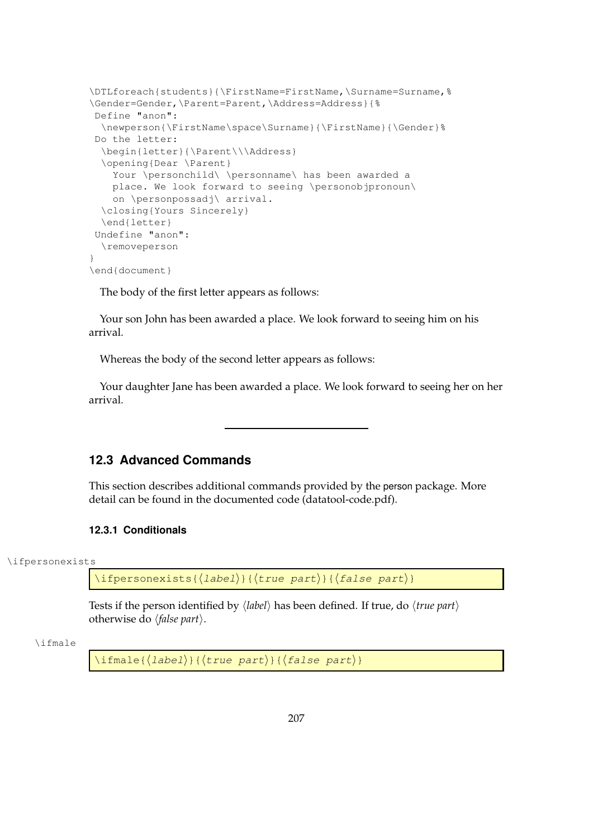```
\DTLforeach{students}{\FirstName=FirstName,\Surname=Surname,%
\Gender=Gender,\Parent=Parent,\Address=Address}{%
Define "anon":
  \newperson{\FirstName\space\Surname}{\FirstName}{\Gender}%
Do the letter:
  \begin{letter}{\Parent\\\Address}
  \opening{Dear \Parent}
   Your \personchild\ \personname\ has been awarded a
   place. We look forward to seeing \personobjpronoun\
   on \personpossadj\ arrival.
 \closing{Yours Sincerely}
  \end{letter}
Undefine "anon":
  \removeperson
}
\end{document}
```
The body of the first letter appears as follows:

Your son John has been awarded a place. We look forward to seeing him on his arrival.

Whereas the body of the second letter appears as follows:

Your daughter Jane has been awarded a place. We look forward to seeing her on her arrival.

### **12.3 Advanced Commands**

This section describes additional commands provided by the person package. More detail can be found in the documented code (datatool-code.pdf).

### **12.3.1 Conditionals**

\ifpersonexists

 $\langle$ ifpersonexists{ $\langle$ label $\rangle$ }{ $\langle$ true part $\rangle$ }{ $\langle$ false part $\rangle$ }

Tests if the person identified by  $\langle label \rangle$  has been defined. If true, do  $\langle true$  part $\rangle$ otherwise do  $\langle false\ part \rangle$ .

\ifmale

 $\langle$ ifmale{ $\langle$ *label*}}{ $\langle$ true part $\rangle$ }{ $\langle$ *false part*}}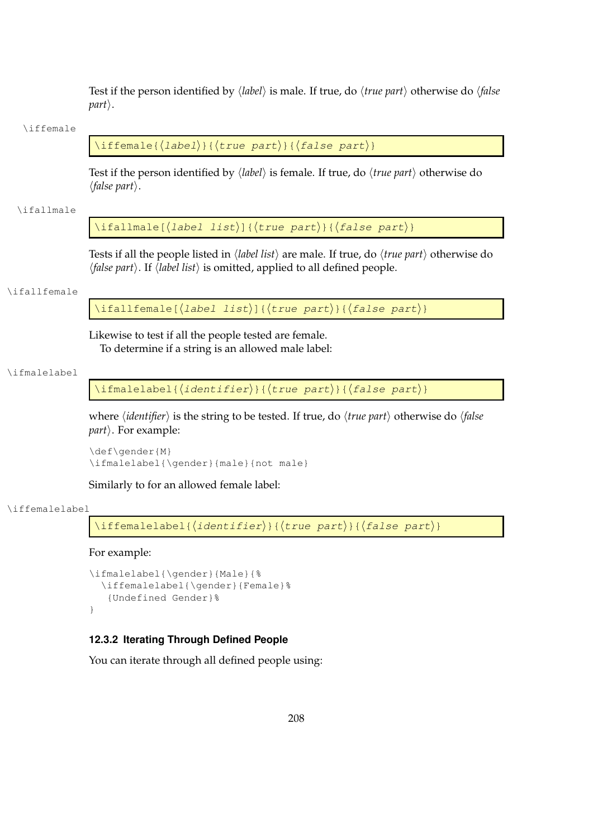<span id="page-216-0"></span>Test if the person identified by  $\langle label \rangle$  is male. If true, do  $\langle true\ part \rangle$  otherwise do  $\langle false\$  $part$ .

#### \iffemale

```
\left\{ \Delta b = \left( \frac{h}{t} \right) \right\} { \left\{ \frac{h}{t} \right\}}
```
Test if the person identified by  $\langle label \rangle$  is female. If true, do  $\langle true\ part \rangle$  otherwise do  $\langle false\ part\rangle.$ 

#### \ifallmale

 $\left\{ \Delta\right\}$  (label list)]{ $\left\{ \text{true part} \right\}$ }

Tests if all the people listed in  $\langle label\; list \rangle$  are male. If true, do  $\langle true\; part \rangle$  otherwise do *(false part)*. If *(label list)* is omitted, applied to all defined people.

#### \ifallfemale

\ifallfemale[ $\langle$ label list $\rangle$ ]{ $\langle$ true part $\rangle$ }{ $\langle$ false part $\rangle$ }

Likewise to test if all the people tested are female. To determine if a string is an allowed male label:

#### \ifmalelabel

\ifmalelabel{ $\langle$ identifier}}{ $\langle$ true part}}{ $\langle$ false part $\rangle$ }

where  $\langle$ *identifier* $\rangle$  is the string to be tested. If true, do  $\langle$ *true part* $\rangle$  otherwise do  $\langle$ *false part*). For example:

```
\def\gender{M}
\ifmalelabel{\gender}{male}{not male}
```
Similarly to for an allowed female label:

#### \iffemalelabel

```
\left\{ \left( \frac{h}{tanh{t}} \right) \right\} (true part) {\left\{ \left( \frac{h}{tanh{t}} \right) \right\}
```
For example:

```
\ifmalelabel{\gender}{Male}{%
  \iffemalelabel{\gender}{Female}%
   {Undefined Gender}%
}
```
#### **12.3.2 Iterating Through Defined People**

You can iterate through all defined people using: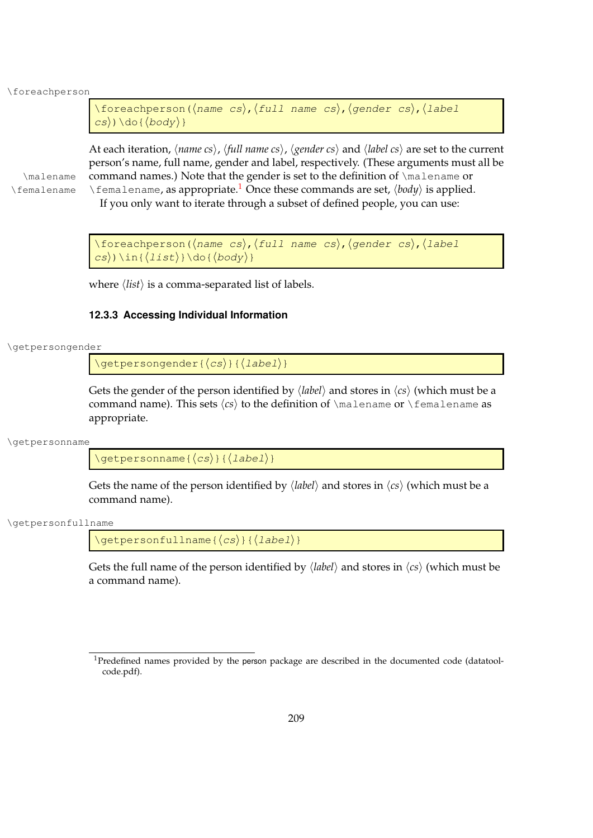\foreachperson

```
\foreachperson(\langlename cs\rangle,\langlefull name cs\rangle,\langleqender cs\rangle,\langlelabel
\langle cs \rangle) \do { \langle body \rangle }
```
At each iteration,  $\langle$ *name cs* $\rangle$ ,  $\langle$ *full name cs* $\rangle$ ,  $\langle$ *gender cs* $\rangle$  and  $\langle$ *label cs* $\rangle$  are set to the current person's name, full name, gender and label, respectively. (These arguments must all be \malename command names.) Note that the gender is set to the definition of \malename or \femalename \femalename, as appropriate.<sup>[1](#page-217-0)</sup> Once these commands are set,  $\langle body \rangle$  is applied. If you only want to iterate through a subset of defined people, you can use:

> \foreachperson( $\langle$ name cs $\rangle$ , $\langle$ full name cs $\rangle$ , $\langle$ gender cs $\rangle$ , $\langle$ label  $\langle cs \rangle$ ) \in{ $\langle list \rangle$ } \do{ $\langle body \rangle$ }

where  $\langle list \rangle$  is a comma-separated list of labels.

#### **12.3.3 Accessing Individual Information**

\getpersongender

 $\setminus$ getpersongender{ $\langle cs \rangle$ }{ $\langle label \rangle$ }

Gets the gender of the person identified by  $\langle label \rangle$  and stores in  $\langle cs \rangle$  (which must be a command name). This sets  $\langle cs \rangle$  to the definition of  $\mathcal{S}$  alename or  $\mathcal{S}$  temalename as appropriate.

\getpersonname

 $\setminus$ getpersonname{ $\langle cs \rangle$ }{ $\langle label \rangle$ }

Gets the name of the person identified by  $\langle label \rangle$  and stores in  $\langle cs \rangle$  (which must be a command name).

\getpersonfullname

 $\setminus$ getpersonfullname{ $\langle cs \rangle$ }{ $\langle$ label}}

Gets the full name of the person identified by  $\langle label \rangle$  and stores in  $\langle cs \rangle$  (which must be a command name).

<span id="page-217-0"></span><sup>&</sup>lt;sup>1</sup>Predefined names provided by the person package are described in the documented code (datatoolcode.pdf).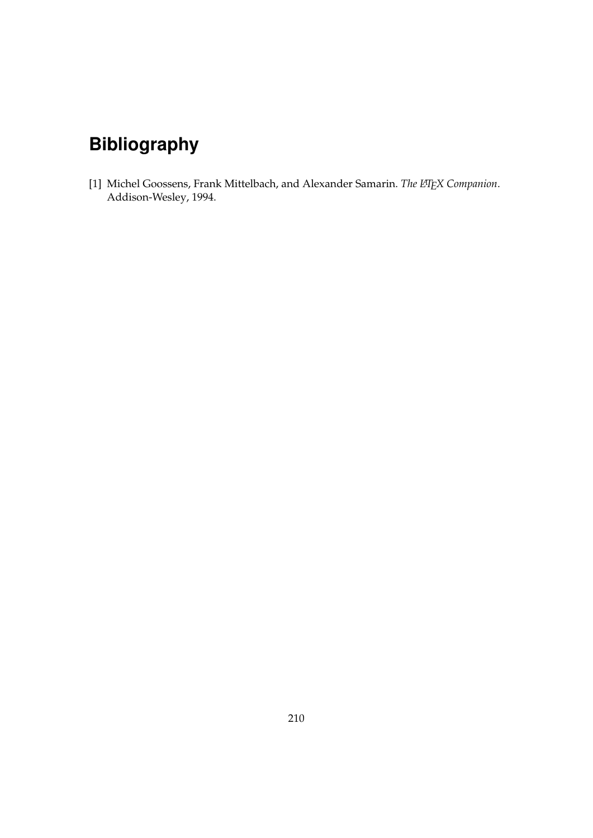# **Bibliography**

[1] Michel Goossens, Frank Mittelbach, and Alexander Samarin. *The LATEX Companion*. Addison-Wesley, 1994.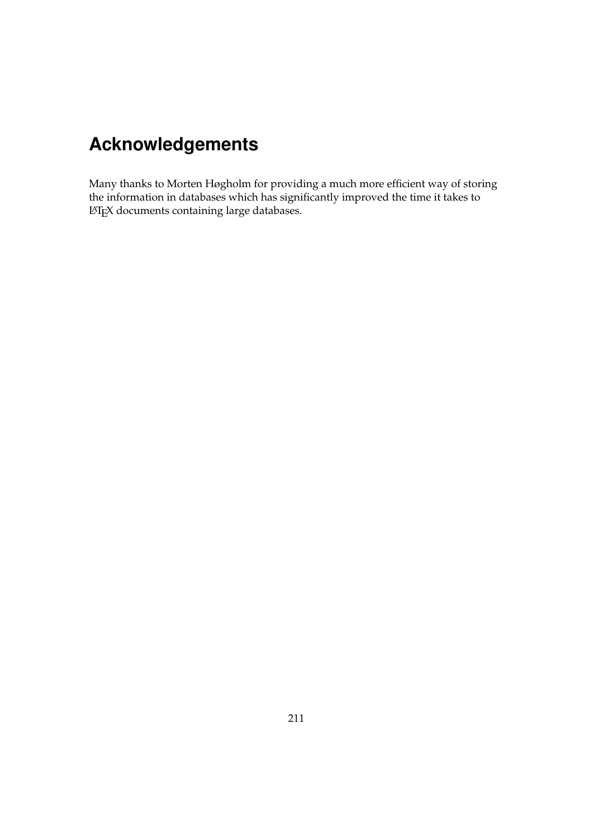# **Acknowledgements**

Many thanks to Morten Høgholm for providing a much more efficient way of storing the information in databases which has significantly improved the time it takes to LATEX documents containing large databases.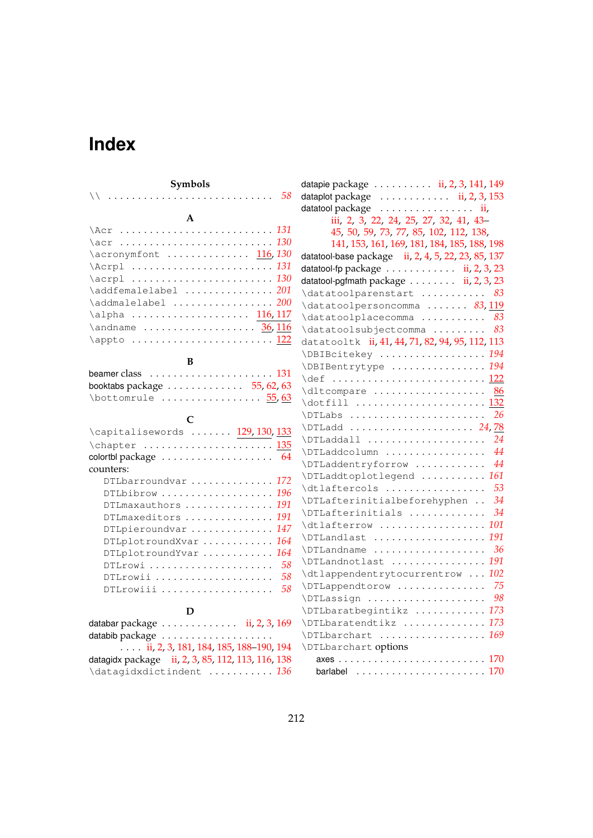# **Index**

#### **B**

| beamer class $\ldots \ldots \ldots \ldots \ldots \ldots \ldots 131$ |  |
|---------------------------------------------------------------------|--|
| booktabs package $\ldots \ldots \ldots \ldots 55, 62, 63$           |  |
| $\bot$ bottomrule $55,63$                                           |  |

## **C**

### **D**

| databar package $\ldots \ldots \ldots \ldots$ ii, 2, 3, 169 |  |
|-------------------------------------------------------------|--|
|                                                             |  |
| $\ldots$ ii, 2, 3, 181, 184, 185, 188–190, 194              |  |
| datagidx package ii, 2, 3, 85, 112, 113, 116, 138           |  |
| \datagidxdictindent  136                                    |  |

| datapie package  ii, 2, 3, 141, 149                        |       |
|------------------------------------------------------------|-------|
| dataplot package $\dots\dots\dots\dots$ ii, 2, 3, 153      |       |
| datatool package                                           | . ii, |
| iii, 2, 3, 22, 24, 25, 27, 32, 41, 43-                     |       |
| 45, 50, 59, 73, 77, 85, 102, 112, 138,                     |       |
| 141, 153, 161, 169, 181, 184, 185, 188, 198                |       |
| datatool-base package ii, 2, 4, 5, 22, 23, 85, 137         |       |
| datatool-fp package $\dots \dots \dots \dots$ ii, 2, 3, 23 |       |
| datatool-pgfmath package ii, 2, 3, 23                      |       |
| \datatoolparenstart                                        | 83    |
| \datatoolpersoncomma  83, 119                              |       |
| \datatoolplacecomma                                        | 83    |
| \datatoolsubjectcomma                                      | 83    |
| datatooltk ii, 41, 44, 71, 82, 94, 95, 112, 113            |       |
| \DBIBcitekey  194                                          |       |
| \DBIBentrytype  194                                        |       |
| \def  122                                                  |       |
| \dltcompare                                                | - 86  |
| \dotfill  132                                              |       |
| \DTLabs                                                    | 26    |
| \DTLadd  24,78                                             |       |
| \DTLaddall                                                 | 24    |
| \DTLaddcolumn                                              | 44    |
| \DTLaddentryforrow                                         | 44    |
| \DTLaddtoplotlegend                                        | 161   |
| \dtlaftercols                                              | 53    |
| \DTLafterinitialbeforehyphen                               | 34    |
| \DTLafterinitials                                          | 34    |
| \dtlafterrow                                               | 101   |
| \DTLandlast                                                | 191   |
| \DTLandname                                                | - 36  |
| \DTLandnotlast                                             | 191   |
| \dtlappendentrytocurrentrow                                | 102   |
| \DTLappendtorow                                            | 75    |
| \DTLassign                                                 | 98    |
| \DTLbaratbegintikz  173                                    |       |
| \DTLbaratendtikz  173                                      |       |
| \DTLbarchart  169                                          |       |
| \DTLbarchart options                                       |       |
|                                                            |       |
| barlabel                                                   | 170   |
|                                                            |       |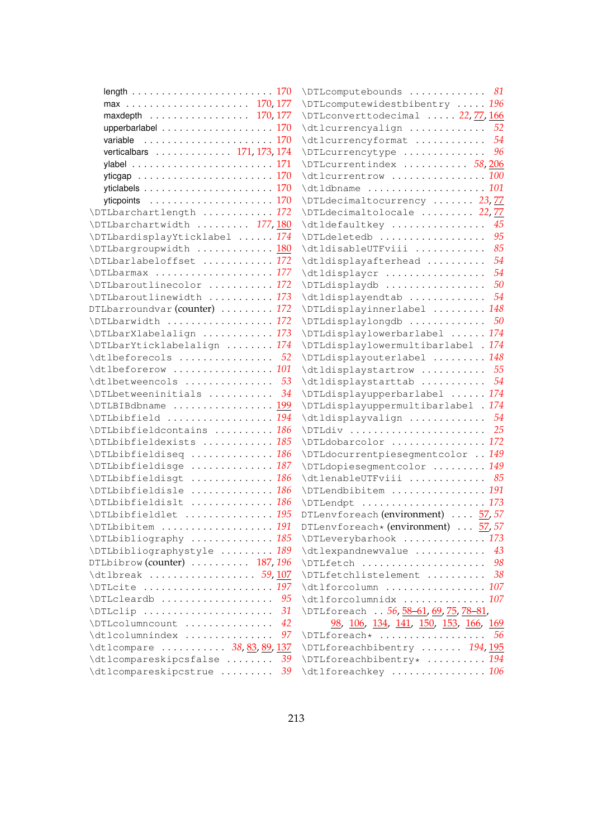| length $\ldots \ldots \ldots \ldots \ldots \ldots \ldots \ldots 170$ |     | \DTLcomputebounds  81                         |    |
|----------------------------------------------------------------------|-----|-----------------------------------------------|----|
|                                                                      |     | \DTLcomputewidestbibentry  196                |    |
| maxdepth $\ldots \ldots \ldots \ldots \ldots 170, 177$               |     | \DTLconverttodecimal  22,77,166               |    |
| upperbarlabel 170                                                    |     | \dtlcurrencyalign  52                         |    |
|                                                                      |     | \dtlcurrencyformat  54                        |    |
| verticalbars 171, 173, 174                                           |     | \DTLcurrencytype  96                          |    |
|                                                                      |     | \DTLcurrentindex  58,206                      |    |
|                                                                      |     | \dtlcurrentrow  100                           |    |
|                                                                      |     | \dtldbname  101                               |    |
|                                                                      |     | \DTLdecimaltocurrency  23,77                  |    |
| \DTLbarchartlength  172                                              |     | \DTLdecimaltolocale  22,77                    |    |
| \DTLbarchartwidth  177,180                                           |     | \dtldefaultkey                                | 45 |
| \DTLbardisplayYticklabel  174                                        |     | \DTLdeletedb                                  | 95 |
| \DTLbargroupwidth  180                                               |     | \dtldisableUTFviii                            | 85 |
| \DTLbarlabeloffset  172                                              |     | \dtldisplayafterhead                          | 54 |
| \DTLbarmax  177                                                      |     | \dtldisplaycr                                 | 54 |
| \DTLbaroutlinecolor  172                                             |     | \DTLdisplaydb                                 | 50 |
| \DTLbaroutlinewidth  173                                             |     | \dtldisplayendtab  54                         |    |
| DTLbarroundvar (counter)  172                                        |     | \DTLdisplayinnerlabel  148                    |    |
| \DTLbarwidth  172                                                    |     |                                               |    |
| \DTLbarXlabelalign  173                                              |     | \DTLdisplaylowerbarlabel  174                 |    |
| \DTLbarYticklabelalign  174                                          |     | \DTLdisplaylowermultibarlabel . 174           |    |
| $\delta$ $\ldots$ $\ldots$ $\ldots$ $\ldots$ $\ldots$ $\ldots$       |     | \DTLdisplayouterlabel  148                    |    |
| \dtlbeforerow  101                                                   |     | \dtldisplaystartrow  55                       |    |
|                                                                      |     | \dtldisplaystarttab  54                       |    |
| $\Delta$ DTLbetweeninitials  34                                      |     | \DTLdisplayupperbarlabel  174                 |    |
| \DTLBIBdbname  199                                                   |     | \DTLdisplayuppermultibarlabel . 174           |    |
| \DTLbibfield  194                                                    |     | \dtldisplayvalign  54                         |    |
| \DTLbibfieldcontains  186                                            |     |                                               |    |
| \DTLbibfieldexists  185                                              |     | \DTLdobarcolor  172                           |    |
| \DTLbibfieldiseq  186                                                |     | \DTLdocurrentpiesegmentcolor  149             |    |
| \DTLbibfieldisge  187                                                |     | \DTLdopiesegmentcolor  149                    |    |
| \DTLbibfieldisgt  186                                                |     | \dtlenableUTFviii  85                         |    |
| \DTLbibfieldisle  186                                                |     | \DTLendbibitem  191                           |    |
| \DTLbibfieldislt  186                                                |     | \DTLendpt  173                                |    |
| \DTLbibfieldlet  195                                                 |     | DTLenvforeach (environment)  57, 57           |    |
| \DTLbibitem  191                                                     |     | DTLenvforeach * (environment) $\ldots$ 57, 57 |    |
| \DTLbibliography  185                                                |     | \DTLeverybarhook  173                         |    |
| \DTLbibliographystyle  189                                           |     | \dtlexpandnewvalue  43                        |    |
| DTLbibrow (counter) $\ldots \ldots \ldots 187, 196$                  |     | \DTLfetch  98                                 |    |
|                                                                      |     | \DTLfetchlistelement  38                      |    |
| \DTLcite  197                                                        |     | \dtlforcolumn  107                            |    |
| \DTLcleardb                                                          | -95 | \dtlforcolumnidx  107                         |    |
| \DTLclip                                                             | 31  | \DTLforeach 56, 58-61, 69, 75, 78-81,         |    |
| \DTLcolumncount                                                      | 42  | <u>98, 106, 134, 141, 150, 153, 166, 169</u>  |    |
| \dtlcolumnindex                                                      | 97  |                                               |    |
| \dtlcompare  38, 83, 89, 137                                         |     | \DTLforeachbibentry  194, 195                 |    |
| \dtlcompareskipcsfalse                                               | 39  | \DTLforeachbibentry*  194                     |    |
| \dtlcompareskipcstrue  39                                            |     | \dtlforeachkey  106                           |    |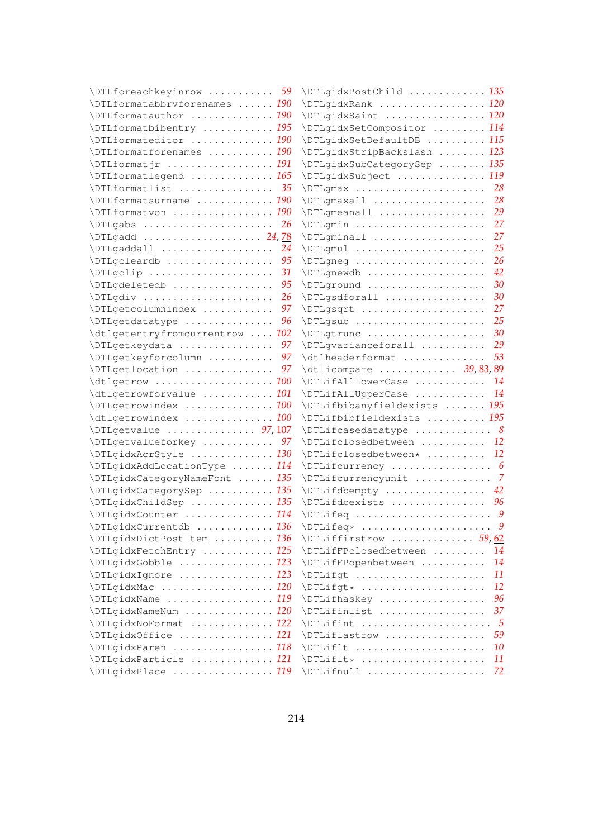| \DTLforeachkeyinrow  59         |      | \DTLgidxPostChild  135                    |           |
|---------------------------------|------|-------------------------------------------|-----------|
| \DTLformatabbrvforenames  190   |      | \DTLgidxRank  120                         |           |
| \DTLformatauthor  190           |      | \DTLgidxSaint  120                        |           |
| \DTLformatbibentry  195         |      | \DTLgidxSetCompositor  114                |           |
| \DTLformateditor  190           |      | \DTLgidxSetDefaultDB  115                 |           |
| \DTLformatforenames  190        |      | \DTLgidxStripBackslash  123               |           |
| \DTLformatjr  191               |      | \DTLgidxSubCategorySep  135               |           |
| \DTLformatlegend  165           |      | \DTLgidxSubject  119                      |           |
| $\Delta$ DTLformatlist  35      |      |                                           |           |
| \DTLformatsurname  190          |      | \DTLgmaxall  28                           |           |
| \DTLformatvon  190              |      | \DTLgmeanall  29                          |           |
| \DTLgabs                        | 26   | \DTLgmin  27                              |           |
|                                 |      | \DTLgminall                               | 27        |
| \DTLgaddall                     | 24   | \DTLgmul                                  | 25        |
| \DTLgcleardb                    | -95  | \DTLgneg                                  | 26        |
| \DTLgclip                       | 31   | \DTLgnewdb                                | 42        |
| \DTLgdeletedb                   | - 95 | \DTLground                                | 30        |
| \DTLgdiv                        | 26   | \DTLgsdforall                             | 30        |
| \DTLqetcolumnindex              | -97  | \DTLgsqrt                                 | 27        |
| \DTLgetdatatype                 | 96   | $\Delta$ . $\Delta$                       |           |
| \dtlgetentryfromcurrentrow  102 |      |                                           |           |
| \DTLgetkeydata  97              |      | \DTLgvarianceforall  29                   |           |
| \DTLgetkeyforcolumn  97         |      | $\delta$ .                                |           |
| \DTLgetlocation  97             |      | \dtlicompare  39,83,89                    |           |
| \dtlgetrow  100                 |      | \DTLifAllLowerCase  14                    |           |
| \dtlgetrowforvalue  101         |      | \DTLifAllUpperCase  14                    |           |
| \DTLgetrowindex  100            |      | \DTLifbibanyfieldexists  195              |           |
| \dtlgetrowindex  100            |      | \DTLifbibfieldexists  195                 |           |
| $\Delta$ /DTLgetvalue  97, 107  |      | $\Delta$ \DTLifcasedatatype  8            |           |
| \DTLgetvalueforkey              | -97  | \DTLifclosedbetween  12                   |           |
| \DTLgidxAcrStyle  130           |      | \DTLifclosedbetween*  12                  |           |
| \DTLgidxAddLocationType  114    |      | \DTLifcurrency  6                         |           |
| \DTLgidxCategoryNameFont  135   |      | \DTLifcurrencyunit  7                     |           |
| \DTLgidxCategorySep  135        |      | \DTLifdbempty  42                         |           |
| \DTLgidxChildSep  135           |      | \DTLifdbexists  96                        |           |
| \DTLgidxCounter  114            |      | $\Delta$ $\Delta$ $\ldots$ $\ldots$       |           |
| \DTLgidxCurrentdb  136          |      | \DTLifeq*  9                              |           |
| \DTLgidxDictPostItem  136       |      | \DTLiffirstrow  59,62                     |           |
| \DTLgidxFetchEntry  125         |      | \DTLifFPclosedbetween                     | 14        |
| \DTLqidxGobble  123             |      | \DTLifFPopenbetween                       | 14        |
| \DTLgidxIgnore  123             |      | \DTLifqt                                  | 11        |
| \DTLgidxMac  120                |      | \DTLifgt*                                 | <b>12</b> |
| \DTLgidxName  119               |      | \DTLifhaskey                              | 96        |
| \DTLgidxNameNum  120            |      | \DTLifinlist                              | 37        |
| \DTLgidxNoFormat  122           |      | $\Delta$ . $\frac{5}{5}$<br>\DTLiflastrow | 59        |
| \DTLgidxOffice  121             |      | \DTLiflt                                  | 10        |
| \DTLgidxParen  118              |      | \DTLiflt*                                 | 11        |
| \DTLgidxParticle  121           |      |                                           | 72        |
| \DTLgidxPlace  119              |      | \DTLifnull                                |           |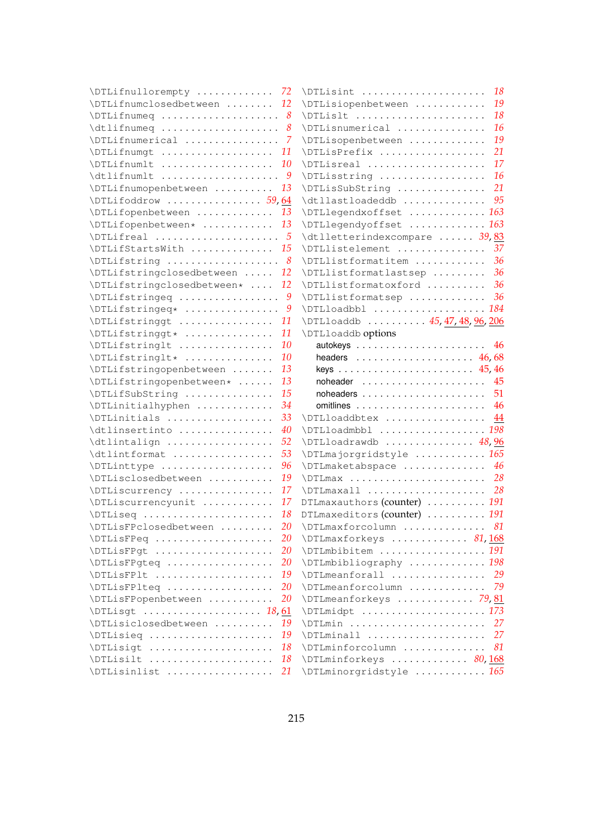| \DTLifnullorempty  72                                                            |               | $\Delta$ DTLisint  18                                                |           |
|----------------------------------------------------------------------------------|---------------|----------------------------------------------------------------------|-----------|
| \DTLifnumclosedbetween  12                                                       |               | \DTLisiopenbetween                                                   | 19        |
| $\Delta$ $\Delta$ $\ldots$ $\ldots$ $\ldots$ $\ldots$ $\ldots$ $\ldots$ $\ldots$ |               | \DTLislt                                                             | 18        |
| $\delta$                                                                         |               | \DTLisnumerical                                                      | 16        |
| \DTLifnumerical  7                                                               |               | \DTLisopenbetween                                                    | 19        |
| \DTLifnumqt                                                                      | 11            | \DTLisPrefix                                                         | 21        |
| \DTLifnumlt                                                                      | <b>10</b>     | \DTLisreal                                                           | 17        |
| $\delta$ .                                                                       |               | \DTLisstring                                                         | <b>16</b> |
| \DTLifnumopenbetween                                                             | 13            | \DTLisSubString                                                      | 21        |
| $\Delta$ DTLifoddrow  59,64                                                      |               | \dtllastloadeddb                                                     | 95        |
| \DTLifopenbetween                                                                | 13            | \DTLlegendxoffset  163                                               |           |
| \DTLifopenbetween*  13                                                           |               | \DTLlegendyoffset  163                                               |           |
|                                                                                  |               | \dtlletterindexcompare  39,83                                        |           |
| \DTLifStartsWith  15                                                             |               | \DTLlistelement                                                      | 37        |
|                                                                                  |               | \DTLlistformatitem                                                   | 36        |
| \DTLifstringclosedbetween                                                        | 12            | \DTLlistformatlastsep                                                | 36        |
|                                                                                  | <sup>12</sup> | \DTLlistformatoxford                                                 | 36        |
|                                                                                  |               | \DTLlistformatsep                                                    | 36        |
| \DTLifstringeq*  9                                                               |               |                                                                      |           |
| \DTLifstringgt                                                                   | 11            | \DTLloaddb  45, 47, 48, 96, 206                                      |           |
| \DTLifstringgt*                                                                  | 11            | \DTLloaddb options                                                   |           |
| \DTLifstringlt                                                                   | 10            |                                                                      | 46        |
| \DTLifstringlt*                                                                  | 10            | headers $\ldots \ldots \ldots \ldots \ldots \ldots$ 46,68            |           |
| \DTLifstringopenbetween                                                          | 13            | keys $\ldots \ldots \ldots \ldots \ldots \ldots \ldots \ldots$ 45,46 |           |
| \DTLifstringopenbetween*                                                         | 13            |                                                                      | 45        |
| \DTLifSubString                                                                  | 15            |                                                                      | 51        |
| \DTLinitialhyphen                                                                | 34            |                                                                      |           |
| \DTLinitials                                                                     | 33            | \DTLloaddbtex  44                                                    |           |
| \dtlinsertinto                                                                   | 40            |                                                                      |           |
| \dtlintalign                                                                     | 52            | $\Upsilon$ /DTLloadrawdb $48,96$                                     |           |
| \dtlintformat                                                                    | 53            | \DTLmajorgridstyle  165                                              |           |
| \DTLinttype                                                                      | 96<br>19      | \DTLmaketabspace                                                     | 46        |
| \DTLisclosedbetween                                                              | 17            | \DTLmaxall  28                                                       |           |
| \DTLiscurrency                                                                   | 17            |                                                                      |           |
| \DTLiscurrencyunit                                                               | 18            | DTLmaxauthors (counter)  191<br>DTLmaxeditors (counter)  191         |           |
| \DTLiseq<br>\DTLisFPclosedbetween                                                | 20            | \DTLmaxforcolumn  81                                                 |           |
| \DTLisFPeq                                                                       | 20            | \DTLmaxforkeys  81,168                                               |           |
| \DTLisFPgt                                                                       | 20            | \DTLmbibitem  191                                                    |           |
| \DTLisFPqteq                                                                     | 20            | \DTLmbibliography  198                                               |           |
| \DTLisFPlt                                                                       | 19            | \DTLmeanforall                                                       | 29        |
| \DTLisFPlteq                                                                     | <b>20</b>     | \DTLmeanforcolumn                                                    | 79        |
| \DTLisFPopenbetween                                                              | 20            | \DTLmeanforkeys  79,81                                               |           |
|                                                                                  |               | \DTLmidpt  173                                                       |           |
| \DTLisiclosedbetween                                                             | 19            | \DTLmin  27                                                          |           |
| \DTLisieq                                                                        | 19            | \DTLminall                                                           | 27        |
| \DTLisigt                                                                        | 18            | \DTLminforcolumn                                                     | 81        |
| \DTLisilt                                                                        | 18            | \DTLminforkeys  80,168                                               |           |
| \DTLisinlist                                                                     | 21            | \DTLminorgridstyle  165                                              |           |
|                                                                                  |               |                                                                      |           |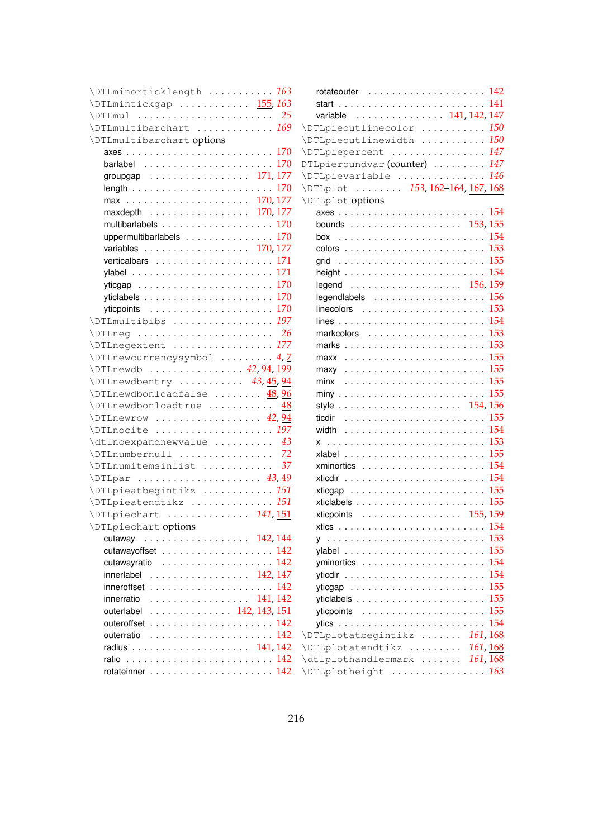| \DTLminorticklength  163                                           |    |                                                                    |  |
|--------------------------------------------------------------------|----|--------------------------------------------------------------------|--|
| \DTLmintickgap  155,163                                            |    |                                                                    |  |
|                                                                    |    | variable  141, 142, 147                                            |  |
| \DTLmultibarchart  169                                             |    | \DTLpieoutlinecolor  150                                           |  |
| \DTLmultibarchart options                                          |    | \DTLpieoutlinewidth  150                                           |  |
|                                                                    |    | \DTLpiepercent  147                                                |  |
|                                                                    |    | DTLpieroundvar (counter)  147                                      |  |
| groupgap 171, 177                                                  |    | \DTLpievariable  146                                               |  |
|                                                                    |    | \DTLplot  153, 162-164, 167, 168                                   |  |
|                                                                    |    | <b>\DTLplot options</b>                                            |  |
| maxdepth $\ldots \ldots \ldots \ldots \ldots 170, 177$             |    |                                                                    |  |
|                                                                    |    | bounds $\ldots \ldots \ldots \ldots \ldots \ldots \ldots 153, 155$ |  |
| uppermultibarlabels 170                                            |    |                                                                    |  |
| variables 170, 177                                                 |    |                                                                    |  |
| vertical bars $\ldots \ldots \ldots \ldots \ldots \ldots 171$      |    |                                                                    |  |
|                                                                    |    |                                                                    |  |
|                                                                    |    |                                                                    |  |
|                                                                    |    | legendlabels $\ldots \ldots \ldots \ldots \ldots \ldots 156$       |  |
| ytic points $\ldots \ldots \ldots \ldots \ldots \ldots \ldots 170$ |    | linecolors $\ldots \ldots \ldots \ldots \ldots \ldots \ldots 153$  |  |
| \DTLmultibibs  197                                                 |    |                                                                    |  |
|                                                                    |    | markcolors  153                                                    |  |
| \DTLneqextent  177                                                 |    |                                                                    |  |
| $\Upsilon$ . $4, 7$                                                |    |                                                                    |  |
| \DTLnewdb  42, 94, 199                                             |    |                                                                    |  |
| \DTLnewdbentry  43, 45, 94                                         |    |                                                                    |  |
| \DTLnewdbonloadfalse  48,96                                        |    |                                                                    |  |
| \DTLnewdbonloadtrue                                                | 48 | style $\ldots \ldots \ldots \ldots \ldots \ldots \ldots 154, 156$  |  |
| $\Upsilon$ . $42,94$                                               |    |                                                                    |  |
| \DTLnocite  197                                                    |    |                                                                    |  |
| \dtlnoexpandnewvalue                                               | 43 |                                                                    |  |
| \DTLnumbernull                                                     | 72 |                                                                    |  |
| \DTLnumitemsinlist                                                 | 37 |                                                                    |  |
|                                                                    |    |                                                                    |  |
| \DTLpieatbegintikz  151                                            |    |                                                                    |  |
| \DTLpieatendtikz  151                                              |    |                                                                    |  |
| \DTLpiechart  141,151                                              |    | xticpoints 155, 159                                                |  |
| \DTLpiechart options                                               |    |                                                                    |  |
| cutaway 142, 144                                                   |    |                                                                    |  |
|                                                                    |    |                                                                    |  |
| cutawayratio 142                                                   |    |                                                                    |  |
| innerlabel $\ldots \ldots \ldots \ldots \ldots 142, 147$           |    |                                                                    |  |
|                                                                    |    |                                                                    |  |
| innerratio 141, 142                                                |    |                                                                    |  |
| outerlabel 142, 143, 151                                           |    |                                                                    |  |
| outeroffset $\ldots \ldots \ldots \ldots \ldots \ldots 142$        |    |                                                                    |  |
|                                                                    |    | \DTLplotatbegintikz  161,168                                       |  |
|                                                                    |    | \DTLplotatendtikz  161,168                                         |  |
|                                                                    |    | \dtlplothandlermark  161, 168                                      |  |
|                                                                    |    | \DTLplotheight  163                                                |  |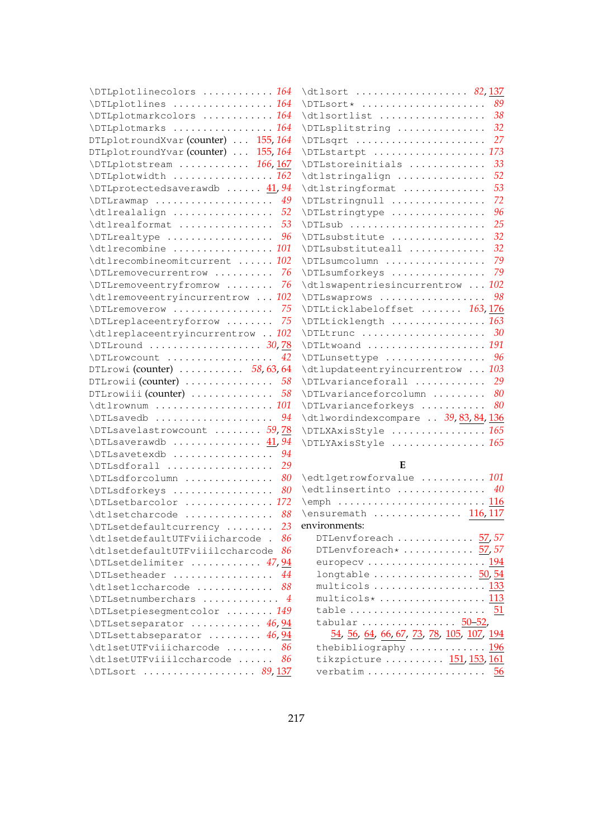| \DTLplotlinecolors  164                                                        | \dtlsort  82, 137                                                                                                                                                                                                                                                                                                                                                                                                     |
|--------------------------------------------------------------------------------|-----------------------------------------------------------------------------------------------------------------------------------------------------------------------------------------------------------------------------------------------------------------------------------------------------------------------------------------------------------------------------------------------------------------------|
| \DTLplotlines  164                                                             | $\Delta$ \DTLsort*  89                                                                                                                                                                                                                                                                                                                                                                                                |
| \DTLplotmarkcolors  164                                                        | $\delta$                                                                                                                                                                                                                                                                                                                                                                                                              |
| \DTLplotmarks  164                                                             | \DTLsplitstring  32                                                                                                                                                                                                                                                                                                                                                                                                   |
| DTLplotroundXvar (counter)  155, 164                                           |                                                                                                                                                                                                                                                                                                                                                                                                                       |
| DTLplotroundYvar (counter)  155, 164                                           | \DTLstartpt  173                                                                                                                                                                                                                                                                                                                                                                                                      |
| $\Delta 166, 167$                                                              | \DTLstoreinitials  33                                                                                                                                                                                                                                                                                                                                                                                                 |
| \DTLplotwidth  162                                                             | \dtlstringalign  52                                                                                                                                                                                                                                                                                                                                                                                                   |
| \DTLprotectedsaverawdb  41,94                                                  | \dtlstringformat  53                                                                                                                                                                                                                                                                                                                                                                                                  |
| \DTLrawmap  49                                                                 | 72<br>\DTLstringnull                                                                                                                                                                                                                                                                                                                                                                                                  |
| \dtlrealalign  52                                                              | 96<br>\DTLstringtype                                                                                                                                                                                                                                                                                                                                                                                                  |
| $\dagger$ $\ddagger$ $\ldots$ $\ldots$ $\ldots$ $\ldots$ $\ddagger$ $\ddagger$ | 25<br>\DTLsub                                                                                                                                                                                                                                                                                                                                                                                                         |
| $\Upsilon$ . Threaltype  96                                                    | 32<br>\DTLsubstitute                                                                                                                                                                                                                                                                                                                                                                                                  |
| \dtlrecombine  101                                                             | 32<br>\DTLsubstituteall                                                                                                                                                                                                                                                                                                                                                                                               |
| \dtlrecombineomitcurrent  102                                                  | \DTLsumcolumn  79                                                                                                                                                                                                                                                                                                                                                                                                     |
| $\Upsilon$ . Themovecurrentrow  76                                             | \DTLsumforkeys  79                                                                                                                                                                                                                                                                                                                                                                                                    |
| \DTLremoveentryfromrow<br>76                                                   | \dtlswapentriesincurrentrow  102                                                                                                                                                                                                                                                                                                                                                                                      |
| $\text{dtlremoveentry}$ 102                                                    | \DTLswaprows  98                                                                                                                                                                                                                                                                                                                                                                                                      |
| $\Upsilon$ . Themoverow  75                                                    | \DTLticklabeloffset  163,176                                                                                                                                                                                                                                                                                                                                                                                          |
| \DTLreplaceentryforrow<br>75                                                   | \DTLticklength  163                                                                                                                                                                                                                                                                                                                                                                                                   |
| \dtlreplaceentryincurrentrow  102                                              | $\Delta$ . $\Delta$ 30 $\Delta$ . $\Delta$ . $\Delta$ . $\Delta$ . $\Delta$ . $\Delta$ . $\Delta$ . $\Delta$ . $\Delta$ . $\Delta$ . $\Delta$ . $\Delta$ . $\Delta$ . $\Delta$ . $\Delta$ . $\Delta$ . $\Delta$ . $\Delta$ . $\Delta$ . $\Delta$ . $\Delta$ . $\Delta$ . $\Delta$ . $\Delta$ . $\Delta$ . $\Delta$ . $\Delta$ . $\Delta$ . $\Delta$ . $\Delta$ . $\Delta$ . $\Delta$ . $\Delta$ . $\Delta$ . $\Delta$ |
| $\Delta$ . $\Delta$ 30, 78                                                     | \DTLtwoand  191                                                                                                                                                                                                                                                                                                                                                                                                       |
| \DTLrowcount  42                                                               | \DTLunsettype  96                                                                                                                                                                                                                                                                                                                                                                                                     |
| DTLrowi (counter) $\ldots \ldots \ldots 58, 63, 64$                            | \dtlupdateentryincurrentrow  103                                                                                                                                                                                                                                                                                                                                                                                      |
| DTLrowii (counter) $\ldots \ldots \ldots \ldots 58$                            | \DTLvarianceforall  29                                                                                                                                                                                                                                                                                                                                                                                                |
| DTLrowiii (counter) $\ldots \ldots \ldots \ldots 58$                           | \DTLvarianceforcolumn  80                                                                                                                                                                                                                                                                                                                                                                                             |
| \dtlrownum  101                                                                | \DTLvarianceforkeys  80                                                                                                                                                                                                                                                                                                                                                                                               |
| $\Upsilon$ . $94$                                                              | \dtlwordindexcompare  39, 83, 84, 136                                                                                                                                                                                                                                                                                                                                                                                 |
| \DTLsavelastrowcount  59,78                                                    | \DTLXAxisStyle  165                                                                                                                                                                                                                                                                                                                                                                                                   |
| $\Upsilon$ /DTLsaverawdb $41,94$                                               | \DTLYAxisStyle  165                                                                                                                                                                                                                                                                                                                                                                                                   |
| \DTLsavetexdb  94                                                              |                                                                                                                                                                                                                                                                                                                                                                                                                       |
| \DTLsdforall  29                                                               | E                                                                                                                                                                                                                                                                                                                                                                                                                     |
| \DTLsdforcolumn  80                                                            | \edtlgetrowforvalue  101                                                                                                                                                                                                                                                                                                                                                                                              |
| \DTLsdforkeys  80                                                              | \edtlinsertinto  40                                                                                                                                                                                                                                                                                                                                                                                                   |
| \DTLsetbarcolor  172                                                           |                                                                                                                                                                                                                                                                                                                                                                                                                       |
| \dtlsetcharcode  88                                                            | \ensuremath  116,117                                                                                                                                                                                                                                                                                                                                                                                                  |
| 23<br>\DTLsetdefaultcurrency                                                   | environments:                                                                                                                                                                                                                                                                                                                                                                                                         |
| \dtlsetdefaultUTFviiicharcode .<br>-86                                         | DTLenvforeach $57,57$                                                                                                                                                                                                                                                                                                                                                                                                 |
| \dtlsetdefaultUTFviiilccharcode<br>-86                                         | DTLenvforeach* $57,57$                                                                                                                                                                                                                                                                                                                                                                                                |
| \DTLsetdelimiter  47,94                                                        | europecv  194                                                                                                                                                                                                                                                                                                                                                                                                         |
| \DTLsetheader<br>44                                                            | longtable $50, 54$                                                                                                                                                                                                                                                                                                                                                                                                    |
| 88<br>\dtlsetlccharcode                                                        | multicols  133                                                                                                                                                                                                                                                                                                                                                                                                        |
| \DTLsetnumberchars  4                                                          | multicols*  113                                                                                                                                                                                                                                                                                                                                                                                                       |
| \DTLsetpiesegmentcolor  149                                                    | table $51$                                                                                                                                                                                                                                                                                                                                                                                                            |
| \DTLsetseparator  46,94                                                        | tabular $50-52$ ,                                                                                                                                                                                                                                                                                                                                                                                                     |
| \DTLsettabseparator  46, 94                                                    | <u>54, 56, 64, 66, 67, 73, 78, 105, 107, 194</u>                                                                                                                                                                                                                                                                                                                                                                      |
| \dtlsetUTFviiicharcode<br>86                                                   | thebibliography  196                                                                                                                                                                                                                                                                                                                                                                                                  |
| \dtlsetUTFviiilccharcode<br>86                                                 | tikzpicture  151, 153, 161                                                                                                                                                                                                                                                                                                                                                                                            |
| \DTLsort  89,137                                                               | verbatim $56$                                                                                                                                                                                                                                                                                                                                                                                                         |
|                                                                                |                                                                                                                                                                                                                                                                                                                                                                                                                       |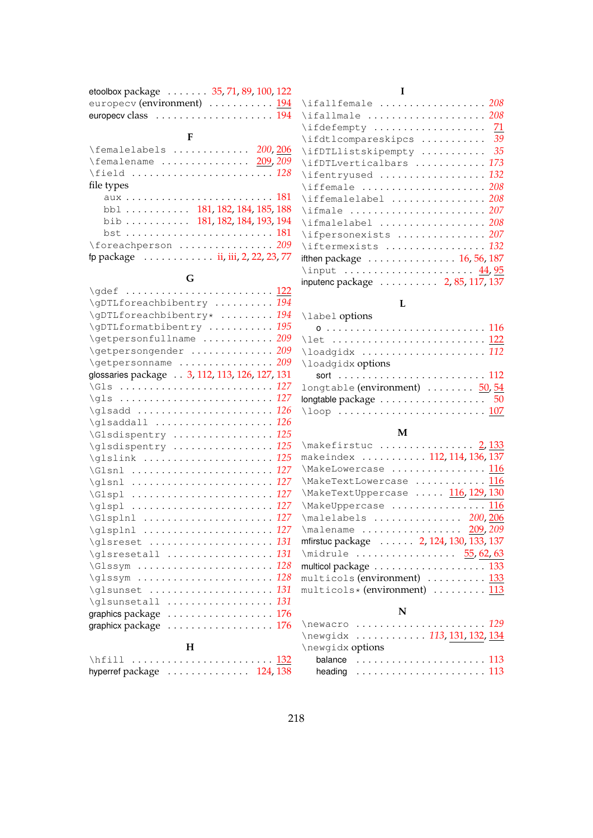| etoolbox package $\ldots \ldots 35, 71, 89, 100, 122$ |  |  |  |
|-------------------------------------------------------|--|--|--|
| europecy (environment) $\ldots \ldots \ldots$ 194     |  |  |  |
|                                                       |  |  |  |

#### **F**

| \femalelabels  200,206                                     |
|------------------------------------------------------------|
| $\{\text{femalename} \dots \dots \dots \dots \ 209, 209\}$ |
| \field  128                                                |
| file types                                                 |
|                                                            |
| bbl $\ldots$ 181, 182, 184, 185, 188                       |
| bib 181, 182, 184, 193, 194                                |
|                                                            |
| \foreachperson  209                                        |
| fp package ii, iii, 2, 22, 23, 77                          |

#### **G**

| Н<br>$\mathbf{v}$ and $\mathbf{v}$            | 100        |
|-----------------------------------------------|------------|
| graphicx package                              |            |
| graphics package                              | 176<br>176 |
| \qlsunsetall                                  |            |
| \glsunset                                     | 131<br>131 |
|                                               | 128        |
| \Glssym                                       | 128        |
| \glsresetall                                  | 131        |
| \glsreset                                     | 131        |
| \glsplnl                                      | 127        |
| $\Gamma \ldots \ldots \ldots \ldots$          | 127        |
|                                               | 127        |
| \Glspl                                        | 127        |
| $\qquad \ldots \ldots \ldots \ldots$          | 127        |
| \Glsnl                                        | 127        |
| \glslink                                      | 125        |
| \glsdispentry                                 | 125        |
| \Glsdispentry                                 | 125        |
| \glsaddall                                    | 126        |
| $\qquad \qquad \ldots \ldots \ldots \ldots$   | 126        |
|                                               | 127        |
| \Gls                                          | 127        |
| glossaries package 3, 112, 113, 126, 127, 131 |            |
| \getpersonname                                | 209        |
| \getpersongender                              | 209        |
| \getpersonfullname                            | 209        |
| \gDTLformatbibentry                           | 195        |
| \gDTLforeachbibentry*  194                    |            |
| \gDTLforeachbibentry  194                     |            |
|                                               |            |

| \hfill  132                                             |  |  |  |  |  |  |  |  |  |  |
|---------------------------------------------------------|--|--|--|--|--|--|--|--|--|--|
| hyperref package $\ldots \ldots \ldots \ldots 124, 138$ |  |  |  |  |  |  |  |  |  |  |

#### **I**

### **L**

#### \label options o . . . . . . . . . . . . . . . . . . . . . . . . . . . [116](#page-124-0) \let ........................... <u>[122](#page-130-0)</u> \loadgidx . . . . . . . . . . . . . . . . . . . . . *[112](#page-120-0)* \loadgidx options sort . . . . . . . . . . . . . . . . . . . . . . . . . [112](#page-120-0) longtable (environment)  $\ldots \ldots \ldots$  [50,](#page-58-0) [54](#page-62-0) longtable package . . . . . . . . . . . . . . . . . . [50](#page-58-0) \loop ............................ <u>[107](#page-115-0)</u>

#### **M**

| \makefirstuc  2, 133                                             |
|------------------------------------------------------------------|
| makeindex  112,114,136,137                                       |
| \MakeLowercase  116                                              |
| \MakeTextLowercase  116                                          |
| \MakeTextUppercase  116, 129, 130                                |
| \MakeUppercase  116                                              |
| \malelabels  200, 206                                            |
| \malename  209,209                                               |
| mfirstuc package 2, 124, 130, 133, 137                           |
| \midrule  55,62,63                                               |
| multicol package $\ldots \ldots \ldots \ldots \ldots \ldots 133$ |
| multicols (environment)  133                                     |
| multicols* (environment)  113                                    |
|                                                                  |

#### **N**

|                  | $\neq$ 29                                                      |  |
|------------------|----------------------------------------------------------------|--|
|                  | \newgidx  113, 131, 132, 134                                   |  |
| \newgidx options |                                                                |  |
|                  | balance $\ldots \ldots \ldots \ldots \ldots \ldots 113$        |  |
|                  | heading $\ldots \ldots \ldots \ldots \ldots \ldots \ldots 113$ |  |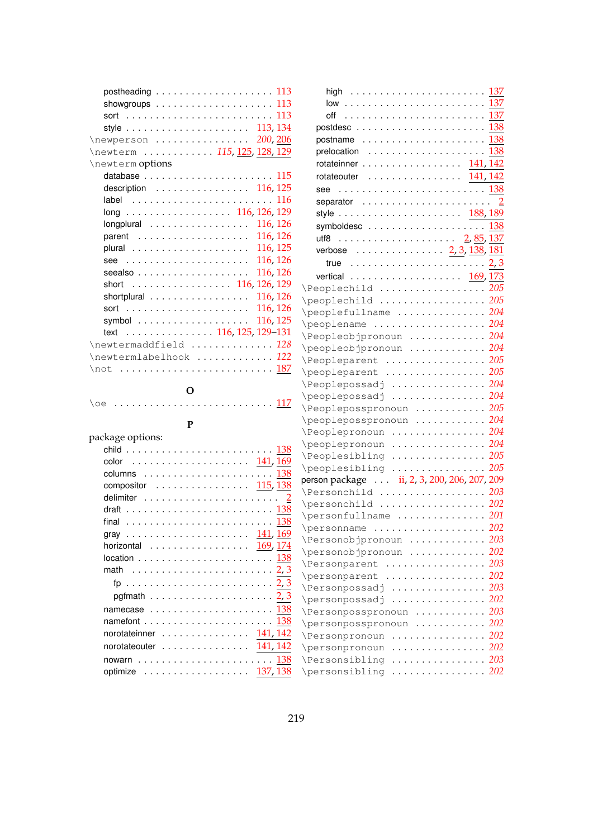| postheading $\ldots \ldots \ldots \ldots \ldots \ldots 113$       |
|-------------------------------------------------------------------|
| showgroups $\ldots \ldots \ldots \ldots \ldots \ldots 113$        |
|                                                                   |
| style $\ldots \ldots \ldots \ldots \ldots \ldots \ldots 113, 134$ |
| \newperson  200, 206                                              |
| \newterm  115, 125, 128, 129                                      |
| \newterm options                                                  |
|                                                                   |
| description 116, 125                                              |
|                                                                   |
| long 116, 126, 129                                                |
| longplural $\ldots \ldots \ldots \ldots \ldots 116, 126$          |
| 116, 126                                                          |
| 116, 125<br>plural                                                |
| 116, 126                                                          |
| 116, 126                                                          |
| $seealso \ldots \ldots \ldots \ldots \ldots$                      |
| short 116, 126, 129                                               |
| 116, 126<br>shortplural                                           |
| 116, 126                                                          |
| 116, 125                                                          |
| $\ldots \ldots \ldots \ldots \ldots 116, 125, 129-131$<br>text    |
| \newtermaddfield  128                                             |
| \newtermlabelhook  122                                            |
| \not <u>187</u>                                                   |
|                                                                   |

# **O**

\oe .............................. <u>[117](#page-125-0)</u>

| I<br>I<br>۰, |
|--------------|
| --           |

| package options:                                                       |
|------------------------------------------------------------------------|
|                                                                        |
| color                                                                  |
| columns $\dots\dots\dots\dots\dots\dots\dots$                          |
| compositor 115, 138                                                    |
|                                                                        |
|                                                                        |
|                                                                        |
| gray  141,169                                                          |
| horizontal $\ldots \ldots \ldots \ldots \ldots 169, 174$               |
|                                                                        |
|                                                                        |
|                                                                        |
| pgfmath $\ldots \ldots \ldots \ldots \ldots \ldots \ldots 2, 3$        |
| namecase $\ldots \ldots \ldots \ldots \ldots \ldots \ldots \ 138$      |
| namefont $\ldots \ldots \ldots \ldots \ldots \ldots \ldots \ldots 138$ |
| norotateinner $\ldots \ldots \ldots \ldots 141, 142$                   |
| norotateouter $\ldots \ldots \ldots \ldots 141, 142$                   |
|                                                                        |
| optimize $\ldots \ldots \ldots \ldots \ldots \ldots 137,138$           |

| high $\ldots \ldots \ldots \ldots \ldots \ldots \ldots \frac{137}{2}$                  |                                                  |
|----------------------------------------------------------------------------------------|--------------------------------------------------|
|                                                                                        |                                                  |
| off                                                                                    |                                                  |
|                                                                                        |                                                  |
| $\textsf{postname}\quad\ldots\ldots\ldots\ldots\ldots\ldots\ldots\quad\frac{138}{138}$ |                                                  |
| prelocation $\,\ldots\ldots\ldots\ldots\ldots\ldots\, \frac{138}{2}$                   |                                                  |
| rotateinner $\ldots \ldots \ldots \ldots \ldots 141, 142$                              |                                                  |
| $rotateouter$ 141, 142                                                                 |                                                  |
| see                                                                                    |                                                  |
|                                                                                        |                                                  |
|                                                                                        |                                                  |
|                                                                                        |                                                  |
|                                                                                        |                                                  |
|                                                                                        |                                                  |
| verbose 2, 3, 138, 181                                                                 |                                                  |
| true $\ldots \ldots \ldots \ldots \ldots \ldots \ldots 2,3$                            |                                                  |
|                                                                                        |                                                  |
| \Peoplechild  205                                                                      |                                                  |
| \peoplechild  205                                                                      |                                                  |
| \peoplefullname  204                                                                   |                                                  |
| \peoplename  204                                                                       |                                                  |
| \Peopleobjpronoun  204                                                                 |                                                  |
| \peopleobjpronoun  204                                                                 |                                                  |
| \Peopleparent  205                                                                     |                                                  |
| \peopleparent  205                                                                     |                                                  |
| \Peoplepossadj  204                                                                    |                                                  |
| \peoplepossadj  204                                                                    |                                                  |
| \Peopleposspronoun  205                                                                |                                                  |
| \peopleposspronoun  204                                                                |                                                  |
| \Peoplepronoun  204                                                                    |                                                  |
| \peoplepronoun  204                                                                    |                                                  |
| \Peoplesibling  205                                                                    |                                                  |
| \peoplesibling  205                                                                    |                                                  |
| person package  ii, 2, 3, 200, 206, 207, 209                                           |                                                  |
| \Personchild  203                                                                      |                                                  |
| \personchild  202                                                                      |                                                  |
| \personfullname  201                                                                   |                                                  |
|                                                                                        |                                                  |
| \Personobjpronoun                                                                      | 203                                              |
| \personobjpronoun                                                                      | 202                                              |
| <i><u>Nersonparent</u></i><br>$\sim$ $\sim$ $\sim$                                     | .203                                             |
| \personparent<br>.                                                                     | 202                                              |
| \Personpossadj<br>$\sim$ and a second contract of $\sim$                               | 203                                              |
| \personpossadj                                                                         | 202                                              |
| $\alpha$ , $\alpha$ , $\alpha$ , $\alpha$<br>\Personposspronoun                        | $\ldots$ .<br>203                                |
|                                                                                        | $\alpha$ , $\alpha$ , $\alpha$ , $\alpha$<br>202 |
| \personposspronoun                                                                     | $\cdots$<br>202                                  |
| <i><u>Nersonpronoun</u></i><br>$\alpha$ , $\alpha$ , $\alpha$                          | $\alpha$ , $\alpha$ , $\alpha$<br>202            |
| \personpronoun<br>$\cdots$                                                             | $\cdots$<br>203                                  |
| \Personsibling                                                                         |                                                  |
| \personsibling<br>.                                                                    | 202                                              |